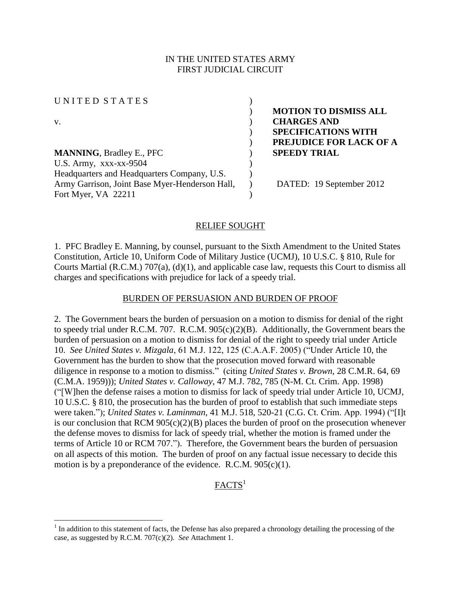## IN THE UNITED STATES ARMY FIRST JUDICIAL CIRCUIT

UNITED STATES (

**MANNING**, Bradley E., PFC ) **SPEEDY TRIAL** U.S. Army,  $XXX-XX-9504$  ) Headquarters and Headquarters Company, U.S. Army Garrison, Joint Base Myer-Henderson Hall, Fort Myer, VA 22211

) **MOTION TO DISMISS ALL**  v. ) **CHARGES AND**  ) **SPECIFICATIONS WITH**  ) **PREJUDICE FOR LACK OF A** 

) DATED: 19 September 2012

### RELIEF SOUGHT

)

)

1. PFC Bradley E. Manning, by counsel, pursuant to the Sixth Amendment to the United States Constitution, Article 10, Uniform Code of Military Justice (UCMJ), 10 U.S.C. § 810, Rule for Courts Martial (R.C.M.) 707(a), (d)(1), and applicable case law, requests this Court to dismiss all charges and specifications with prejudice for lack of a speedy trial.

### BURDEN OF PERSUASION AND BURDEN OF PROOF

2. The Government bears the burden of persuasion on a motion to dismiss for denial of the right to speedy trial under R.C.M. 707. R.C.M. 905(c)(2)(B). Additionally, the Government bears the burden of persuasion on a motion to dismiss for denial of the right to speedy trial under Article 10. *See United States v. Mizgala*, 61 M.J. 122, 125 (C.A.A.F. 2005) ("Under Article 10, the Government has the burden to show that the prosecution moved forward with reasonable diligence in response to a motion to dismiss." (citing *United States v. Brown*, 28 C.M.R. 64, 69 (C.M.A. 1959))); *United States v. Calloway*, 47 M.J. 782, 785 (N-M. Ct. Crim. App. 1998) ("[W]hen the defense raises a motion to dismiss for lack of speedy trial under Article 10, UCMJ, 10 U.S.C. § 810, the prosecution has the burden of proof to establish that such immediate steps were taken."); *United States v. Laminman*, 41 M.J. 518, 520-21 (C.G. Ct. Crim. App. 1994) ("[I]t is our conclusion that RCM  $905(c)(2)(B)$  places the burden of proof on the prosecution whenever the defense moves to dismiss for lack of speedy trial, whether the motion is framed under the terms of Article 10 or RCM 707."). Therefore, the Government bears the burden of persuasion on all aspects of this motion. The burden of proof on any factual issue necessary to decide this motion is by a preponderance of the evidence. R.C.M. 905(c)(1).

# $FACTS<sup>1</sup>$

<sup>&</sup>lt;sup>1</sup> In addition to this statement of facts, the Defense has also prepared a chronology detailing the processing of the case, as suggested by R.C.M. 707(c)(2). *See* Attachment 1.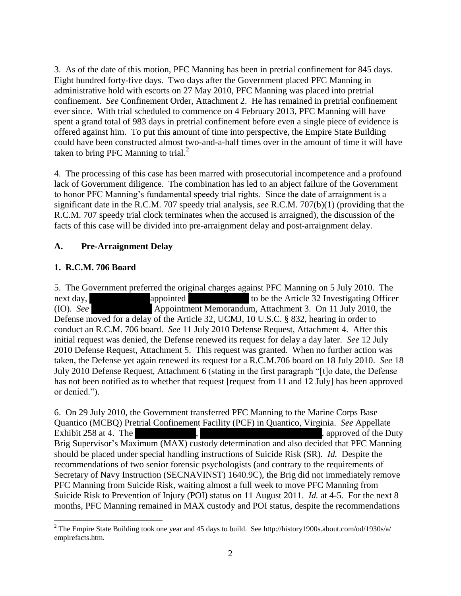3. As of the date of this motion, PFC Manning has been in pretrial confinement for 845 days. Eight hundred forty-five days. Two days after the Government placed PFC Manning in administrative hold with escorts on 27 May 2010, PFC Manning was placed into pretrial confinement. *See* Confinement Order, Attachment 2. He has remained in pretrial confinement ever since. With trial scheduled to commence on 4 February 2013, PFC Manning will have spent a grand total of 983 days in pretrial confinement before even a single piece of evidence is offered against him. To put this amount of time into perspective, the Empire State Building could have been constructed almost two-and-a-half times over in the amount of time it will have taken to bring PFC Manning to trial. $^2$ 

4. The processing of this case has been marred with prosecutorial incompetence and a profound lack of Government diligence. The combination has led to an abject failure of the Government to honor PFC Manning's fundamental speedy trial rights. Since the date of arraignment is a significant date in the R.C.M. 707 speedy trial analysis, *see* R.C.M. 707(b)(1) (providing that the R.C.M. 707 speedy trial clock terminates when the accused is arraigned), the discussion of the facts of this case will be divided into pre-arraignment delay and post-arraignment delay.

# **A. Pre-Arraignment Delay**

# **1. R.C.M. 706 Board**

5. The Government preferred the original charges against PFC Manning on 5 July 2010. The next day, \*\*\*\*\*\*\*\*\*\*\*\*\*\*\*\*\*\*\*\*\*\* to be the Article 32 Investigating Officer (IO). *See* \*\*\*\*\* Appointment Memorandum, Attachment 3. On 11 July 2010, the Defense moved for a delay of the Article 32, UCMJ, 10 U.S.C. § 832, hearing in order to conduct an R.C.M. 706 board. *See* 11 July 2010 Defense Request, Attachment 4. After this initial request was denied, the Defense renewed its request for delay a day later. *See* 12 July 2010 Defense Request, Attachment 5. This request was granted. When no further action was taken, the Defense yet again renewed its request for a R.C.M.706 board on 18 July 2010. *See* 18 July 2010 Defense Request, Attachment 6 (stating in the first paragraph "[t]o date, the Defense has not been notified as to whether that request [request from 11 and 12 July] has been approved or denied.").

6. On 29 July 2010, the Government transferred PFC Manning to the Marine Corps Base Quantico (MCBQ) Pretrial Confinement Facility (PCF) in Quantico, Virginia. *See* Appellate Exhibit 258 at 4. The \*\*\* Brig Supervisor's Maximum (MAX) custody determination and also decided that PFC Manning should be placed under special handling instructions of Suicide Risk (SR). *Id.* Despite the recommendations of two senior forensic psychologists (and contrary to the requirements of Secretary of Navy Instruction (SECNAVINST) 1640.9C), the Brig did not immediately remove PFC Manning from Suicide Risk, waiting almost a full week to move PFC Manning from Suicide Risk to Prevention of Injury (POI) status on 11 August 2011. *Id.* at 4-5. For the next 8 months, PFC Manning remained in MAX custody and POI status, despite the recommendations

 $\overline{\phantom{a}}$ <sup>2</sup> The Empire State Building took one year and 45 days to build. See http://history1900s.about.com/od/1930s/a/ empirefacts.htm.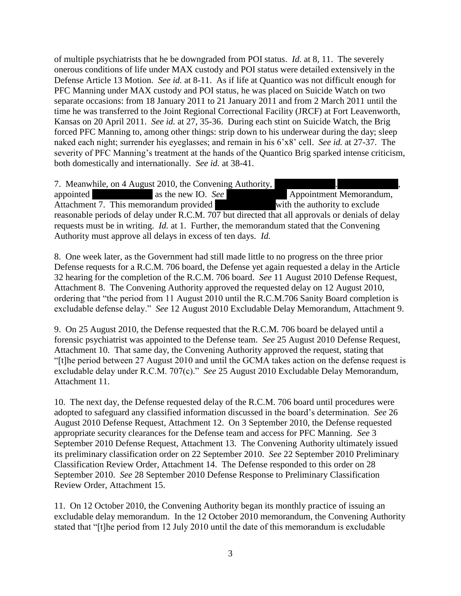of multiple psychiatrists that he be downgraded from POI status. *Id.* at 8, 11. The severely onerous conditions of life under MAX custody and POI status were detailed extensively in the Defense Article 13 Motion. *See id.* at 8-11. As if life at Quantico was not difficult enough for PFC Manning under MAX custody and POI status, he was placed on Suicide Watch on two separate occasions: from 18 January 2011 to 21 January 2011 and from 2 March 2011 until the time he was transferred to the Joint Regional Correctional Facility (JRCF) at Fort Leavenworth, Kansas on 20 April 2011. *See id.* at 27, 35-36. During each stint on Suicide Watch, the Brig forced PFC Manning to, among other things: strip down to his underwear during the day; sleep naked each night; surrender his eyeglasses; and remain in his 6'x8' cell. *See id.* at 27-37. The severity of PFC Manning's treatment at the hands of the Quantico Brig sparked intense criticism, both domestically and internationally. *See id.* at 38-41.

7. Meanwhile, on 4 August 2010, the Convening Authority, appointed \*\*\*\*\*\*\* as the new IO. *See* \*\*\*\*\*\*\*\*\*\* Appointment Memorandum, Attachment 7. This memorandum provided  $\overline{\text{with the authority to exclude}}$ reasonable periods of delay under R.C.M. 707 but directed that all approvals or denials of delay requests must be in writing. *Id.* at 1. Further, the memorandum stated that the Convening Authority must approve all delays in excess of ten days. *Id.*

8. One week later, as the Government had still made little to no progress on the three prior Defense requests for a R.C.M. 706 board, the Defense yet again requested a delay in the Article 32 hearing for the completion of the R.C.M. 706 board. *See* 11 August 2010 Defense Request, Attachment 8. The Convening Authority approved the requested delay on 12 August 2010, ordering that "the period from 11 August 2010 until the R.C.M.706 Sanity Board completion is excludable defense delay." *See* 12 August 2010 Excludable Delay Memorandum, Attachment 9.

9. On 25 August 2010, the Defense requested that the R.C.M. 706 board be delayed until a forensic psychiatrist was appointed to the Defense team. *See* 25 August 2010 Defense Request, Attachment 10. That same day, the Convening Authority approved the request, stating that "[t]he period between 27 August 2010 and until the GCMA takes action on the defense request is excludable delay under R.C.M. 707(c)." *See* 25 August 2010 Excludable Delay Memorandum, Attachment 11.

10. The next day, the Defense requested delay of the R.C.M. 706 board until procedures were adopted to safeguard any classified information discussed in the board's determination. *See* 26 August 2010 Defense Request, Attachment 12. On 3 September 2010, the Defense requested appropriate security clearances for the Defense team and access for PFC Manning. *See* 3 September 2010 Defense Request, Attachment 13. The Convening Authority ultimately issued its preliminary classification order on 22 September 2010. *See* 22 September 2010 Preliminary Classification Review Order, Attachment 14. The Defense responded to this order on 28 September 2010. *See* 28 September 2010 Defense Response to Preliminary Classification Review Order, Attachment 15.

11. On 12 October 2010, the Convening Authority began its monthly practice of issuing an excludable delay memorandum. In the 12 October 2010 memorandum, the Convening Authority stated that "[t]he period from 12 July 2010 until the date of this memorandum is excludable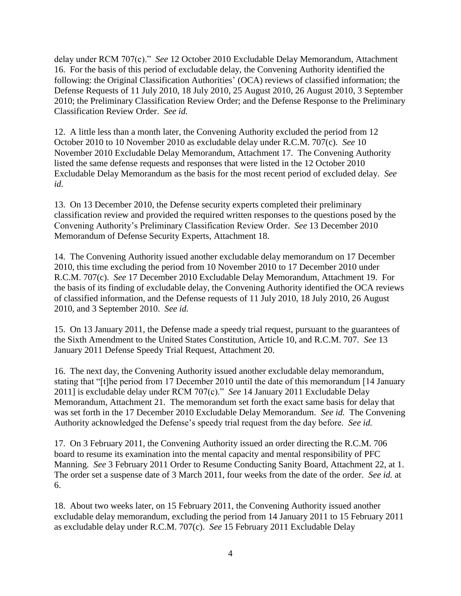delay under RCM 707(c)." *See* 12 October 2010 Excludable Delay Memorandum, Attachment 16. For the basis of this period of excludable delay, the Convening Authority identified the following: the Original Classification Authorities' (OCA) reviews of classified information; the Defense Requests of 11 July 2010, 18 July 2010, 25 August 2010, 26 August 2010, 3 September 2010; the Preliminary Classification Review Order; and the Defense Response to the Preliminary Classification Review Order. *See id.*

12. A little less than a month later, the Convening Authority excluded the period from 12 October 2010 to 10 November 2010 as excludable delay under R.C.M. 707(c). *See* 10 November 2010 Excludable Delay Memorandum, Attachment 17. The Convening Authority listed the same defense requests and responses that were listed in the 12 October 2010 Excludable Delay Memorandum as the basis for the most recent period of excluded delay. *See id.*

13. On 13 December 2010, the Defense security experts completed their preliminary classification review and provided the required written responses to the questions posed by the Convening Authority's Preliminary Classification Review Order. *See* 13 December 2010 Memorandum of Defense Security Experts, Attachment 18.

14. The Convening Authority issued another excludable delay memorandum on 17 December 2010, this time excluding the period from 10 November 2010 to 17 December 2010 under R.C.M. 707(c). *See* 17 December 2010 Excludable Delay Memorandum, Attachment 19. For the basis of its finding of excludable delay, the Convening Authority identified the OCA reviews of classified information, and the Defense requests of 11 July 2010, 18 July 2010, 26 August 2010, and 3 September 2010. *See id.*

15. On 13 January 2011, the Defense made a speedy trial request, pursuant to the guarantees of the Sixth Amendment to the United States Constitution, Article 10, and R.C.M. 707. *See* 13 January 2011 Defense Speedy Trial Request, Attachment 20.

16. The next day, the Convening Authority issued another excludable delay memorandum, stating that "[t]he period from 17 December 2010 until the date of this memorandum [14 January 2011] is excludable delay under RCM 707(c)." *See* 14 January 2011 Excludable Delay Memorandum, Attachment 21. The memorandum set forth the exact same basis for delay that was set forth in the 17 December 2010 Excludable Delay Memorandum. *See id.* The Convening Authority acknowledged the Defense's speedy trial request from the day before. *See id.*

17. On 3 February 2011, the Convening Authority issued an order directing the R.C.M. 706 board to resume its examination into the mental capacity and mental responsibility of PFC Manning. *See* 3 February 2011 Order to Resume Conducting Sanity Board, Attachment 22, at 1. The order set a suspense date of 3 March 2011, four weeks from the date of the order. *See id.* at 6.

18. About two weeks later, on 15 February 2011, the Convening Authority issued another excludable delay memorandum, excluding the period from 14 January 2011 to 15 February 2011 as excludable delay under R.C.M. 707(c). *See* 15 February 2011 Excludable Delay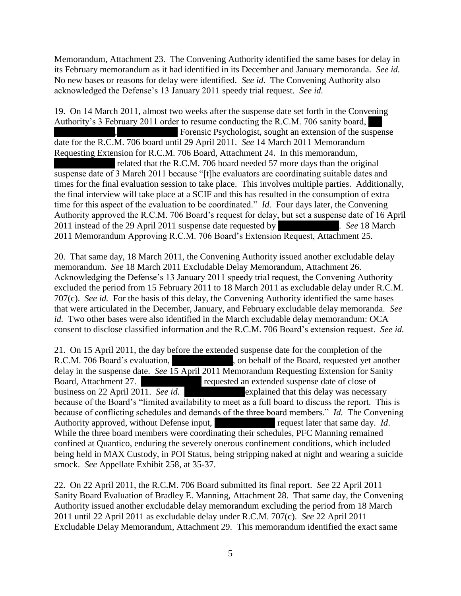Memorandum, Attachment 23. The Convening Authority identified the same bases for delay in its February memorandum as it had identified in its December and January memoranda. *See id.* No new bases or reasons for delay were identified. *See id.* The Convening Authority also acknowledged the Defense's 13 January 2011 speedy trial request. *See id.*

19. On 14 March 2011, almost two weeks after the suspense date set forth in the Convening Authority's 3 February 2011 order to resume conducting the R.C.M. 706 sanity board, Forensic Psychologist, sought an extension of the suspense date for the R.C.M. 706 board until 29 April 2011. *See* 14 March 2011 Memorandum Requesting Extension for R.C.M. 706 Board, Attachment 24. In this memorandum, related that the R.C.M. 706 board needed 57 more days than the original suspense date of 3 March 2011 because "[t]he evaluators are coordinating suitable dates and times for the final evaluation session to take place. This involves multiple parties. Additionally, the final interview will take place at a SCIF and this has resulted in the consumption of extra time for this aspect of the evaluation to be coordinated." *Id.* Four days later, the Convening Authority approved the R.C.M. 706 Board's request for delay, but set a suspense date of 16 April 2011 instead of the 29 April 2011 suspense date requested by  $\blacksquare$ . *See* 18 March 2011 Memorandum Approving R.C.M. 706 Board's Extension Request, Attachment 25.

20. That same day, 18 March 2011, the Convening Authority issued another excludable delay memorandum. *See* 18 March 2011 Excludable Delay Memorandum, Attachment 26. Acknowledging the Defense's 13 January 2011 speedy trial request, the Convening Authority excluded the period from 15 February 2011 to 18 March 2011 as excludable delay under R.C.M. 707(c). *See id.* For the basis of this delay, the Convening Authority identified the same bases that were articulated in the December, January, and February excludable delay memoranda. *See id.* Two other bases were also identified in the March excludable delay memorandum: OCA consent to disclose classified information and the R.C.M. 706 Board's extension request. *See id.*

21. On 15 April 2011, the day before the extended suspense date for the completion of the R.C.M. 706 Board's evaluation, \*\*\*\*\*, on behalf of the Board, requested yet another delay in the suspense date. *See* 15 April 2011 Memorandum Requesting Extension for Sanity Board, Attachment 27. \*\*\*\* requested an extended suspense date of close of business on 22 April 2011. *See id.* \*\*\*\*\*\*\*explained that this delay was necessary because of the Board's "limited availability to meet as a full board to discuss the report. This is because of conflicting schedules and demands of the three board members." *Id.* The Convening Authority approved, without Defense input, \*\*\* request later that same day. *Id.* While the three board members were coordinating their schedules, PFC Manning remained confined at Quantico, enduring the severely onerous confinement conditions, which included being held in MAX Custody, in POI Status, being stripping naked at night and wearing a suicide smock. *See* Appellate Exhibit 258, at 35-37.

22. On 22 April 2011, the R.C.M. 706 Board submitted its final report. *See* 22 April 2011 Sanity Board Evaluation of Bradley E. Manning, Attachment 28. That same day, the Convening Authority issued another excludable delay memorandum excluding the period from 18 March 2011 until 22 April 2011 as excludable delay under R.C.M. 707(c). *See* 22 April 2011 Excludable Delay Memorandum, Attachment 29. This memorandum identified the exact same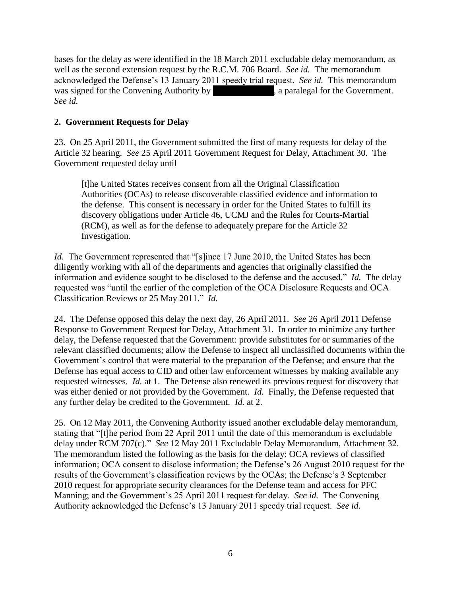bases for the delay as were identified in the 18 March 2011 excludable delay memorandum, as well as the second extension request by the R.C.M. 706 Board. *See id.* The memorandum acknowledged the Defense's 13 January 2011 speedy trial request. *See id.* This memorandum was signed for the Convening Authority by  $\qquad \qquad$ , a paralegal for the Government. *See id.*

## **2. Government Requests for Delay**

23. On 25 April 2011, the Government submitted the first of many requests for delay of the Article 32 hearing. *See* 25 April 2011 Government Request for Delay, Attachment 30. The Government requested delay until

[t]he United States receives consent from all the Original Classification Authorities (OCAs) to release discoverable classified evidence and information to the defense. This consent is necessary in order for the United States to fulfill its discovery obligations under Article 46, UCMJ and the Rules for Courts-Martial (RCM), as well as for the defense to adequately prepare for the Article 32 Investigation.

*Id.* The Government represented that "[s]ince 17 June 2010, the United States has been diligently working with all of the departments and agencies that originally classified the information and evidence sought to be disclosed to the defense and the accused." *Id.* The delay requested was "until the earlier of the completion of the OCA Disclosure Requests and OCA Classification Reviews or 25 May 2011." *Id.*

24. The Defense opposed this delay the next day, 26 April 2011. *See* 26 April 2011 Defense Response to Government Request for Delay, Attachment 31. In order to minimize any further delay, the Defense requested that the Government: provide substitutes for or summaries of the relevant classified documents; allow the Defense to inspect all unclassified documents within the Government's control that were material to the preparation of the Defense; and ensure that the Defense has equal access to CID and other law enforcement witnesses by making available any requested witnesses. *Id.* at 1. The Defense also renewed its previous request for discovery that was either denied or not provided by the Government. *Id.* Finally, the Defense requested that any further delay be credited to the Government. *Id.* at 2.

25. On 12 May 2011, the Convening Authority issued another excludable delay memorandum, stating that "[t]he period from 22 April 2011 until the date of this memorandum is excludable delay under RCM 707(c)." *See* 12 May 2011 Excludable Delay Memorandum, Attachment 32. The memorandum listed the following as the basis for the delay: OCA reviews of classified information; OCA consent to disclose information; the Defense's 26 August 2010 request for the results of the Government's classification reviews by the OCAs; the Defense's 3 September 2010 request for appropriate security clearances for the Defense team and access for PFC Manning; and the Government's 25 April 2011 request for delay. *See id.* The Convening Authority acknowledged the Defense's 13 January 2011 speedy trial request. *See id.*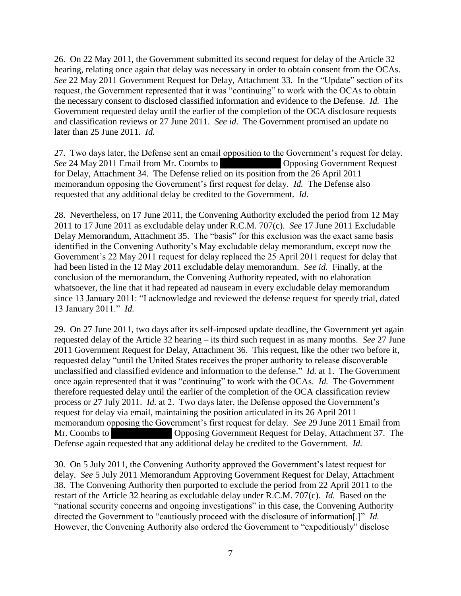26. On 22 May 2011, the Government submitted its second request for delay of the Article 32 hearing, relating once again that delay was necessary in order to obtain consent from the OCAs. *See* 22 May 2011 Government Request for Delay, Attachment 33. In the "Update" section of its request, the Government represented that it was "continuing" to work with the OCAs to obtain the necessary consent to disclosed classified information and evidence to the Defense. *Id.* The Government requested delay until the earlier of the completion of the OCA disclosure requests and classification reviews or 27 June 2011. *See id.* The Government promised an update no later than 25 June 2011. *Id.*

27. Two days later, the Defense sent an email opposition to the Government's request for delay. *See* 24 May 2011 Email from Mr. Coombs to \*\*\*\*\* Opposing Government Request for Delay, Attachment 34. The Defense relied on its position from the 26 April 2011 memorandum opposing the Government's first request for delay. *Id.* The Defense also requested that any additional delay be credited to the Government. *Id.*

28. Nevertheless, on 17 June 2011, the Convening Authority excluded the period from 12 May 2011 to 17 June 2011 as excludable delay under R.C.M. 707(c). *See* 17 June 2011 Excludable Delay Memorandum, Attachment 35. The "basis" for this exclusion was the exact same basis identified in the Convening Authority's May excludable delay memorandum, except now the Government's 22 May 2011 request for delay replaced the 25 April 2011 request for delay that had been listed in the 12 May 2011 excludable delay memorandum. *See id.* Finally, at the conclusion of the memorandum, the Convening Authority repeated, with no elaboration whatsoever, the line that it had repeated ad nauseam in every excludable delay memorandum since 13 January 2011: "I acknowledge and reviewed the defense request for speedy trial, dated 13 January 2011." *Id.*

29. On 27 June 2011, two days after its self-imposed update deadline, the Government yet again requested delay of the Article 32 hearing – its third such request in as many months. *See* 27 June 2011 Government Request for Delay, Attachment 36. This request, like the other two before it, requested delay "until the United States receives the proper authority to release discoverable unclassified and classified evidence and information to the defense." *Id.* at 1. The Government once again represented that it was "continuing" to work with the OCAs. *Id.* The Government therefore requested delay until the earlier of the completion of the OCA classification review process or 27 July 2011. *Id.* at 2. Two days later, the Defense opposed the Government's request for delay via email, maintaining the position articulated in its 26 April 2011 memorandum opposing the Government's first request for delay. *See* 29 June 2011 Email from Mr. Coombs to \*\*\*\* Opposing Government Request for Delay, Attachment 37. The Defense again requested that any additional delay be credited to the Government. *Id.*

30. On 5 July 2011, the Convening Authority approved the Government's latest request for delay. *See* 5 July 2011 Memorandum Approving Government Request for Delay, Attachment 38. The Convening Authority then purported to exclude the period from 22 April 2011 to the restart of the Article 32 hearing as excludable delay under R.C.M. 707(c). *Id.* Based on the "national security concerns and ongoing investigations" in this case, the Convening Authority directed the Government to "cautiously proceed with the disclosure of information[.]" *Id.* However, the Convening Authority also ordered the Government to "expeditiously" disclose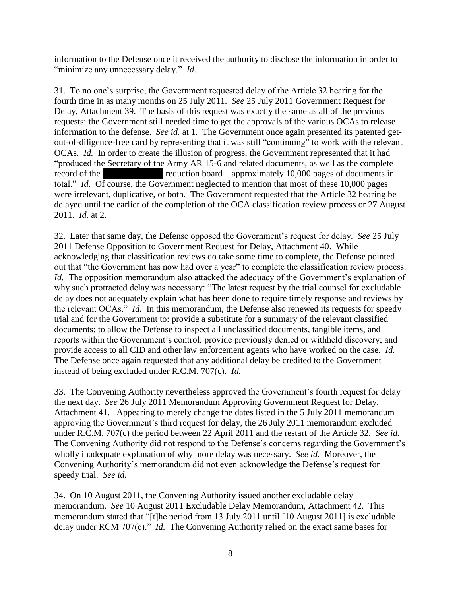information to the Defense once it received the authority to disclose the information in order to "minimize any unnecessary delay." *Id.*

31. To no one's surprise, the Government requested delay of the Article 32 hearing for the fourth time in as many months on 25 July 2011. *See* 25 July 2011 Government Request for Delay, Attachment 39. The basis of this request was exactly the same as all of the previous requests: the Government still needed time to get the approvals of the various OCAs to release information to the defense. *See id.* at 1. The Government once again presented its patented getout-of-diligence-free card by representing that it was still "continuing" to work with the relevant OCAs. *Id.* In order to create the illusion of progress, the Government represented that it had "produced the Secretary of the Army AR 15-6 and related documents, as well as the complete record of the \*\*\*\*\* reduction board – approximately 10,000 pages of documents in total." *Id.* Of course, the Government neglected to mention that most of these 10,000 pages were irrelevant, duplicative, or both. The Government requested that the Article 32 hearing be delayed until the earlier of the completion of the OCA classification review process or 27 August 2011. *Id.* at 2.

32. Later that same day, the Defense opposed the Government's request for delay. *See* 25 July 2011 Defense Opposition to Government Request for Delay, Attachment 40. While acknowledging that classification reviews do take some time to complete, the Defense pointed out that "the Government has now had over a year" to complete the classification review process. *Id.* The opposition memorandum also attacked the adequacy of the Government's explanation of why such protracted delay was necessary: "The latest request by the trial counsel for excludable delay does not adequately explain what has been done to require timely response and reviews by the relevant OCAs." *Id.* In this memorandum, the Defense also renewed its requests for speedy trial and for the Government to: provide a substitute for a summary of the relevant classified documents; to allow the Defense to inspect all unclassified documents, tangible items, and reports within the Government's control; provide previously denied or withheld discovery; and provide access to all CID and other law enforcement agents who have worked on the case. *Id.* The Defense once again requested that any additional delay be credited to the Government instead of being excluded under R.C.M. 707(c). *Id.*

33. The Convening Authority nevertheless approved the Government's fourth request for delay the next day. *See* 26 July 2011 Memorandum Approving Government Request for Delay, Attachment 41. Appearing to merely change the dates listed in the 5 July 2011 memorandum approving the Government's third request for delay, the 26 July 2011 memorandum excluded under R.C.M. 707(c) the period between 22 April 2011 and the restart of the Article 32. *See id.* The Convening Authority did not respond to the Defense's concerns regarding the Government's wholly inadequate explanation of why more delay was necessary. *See id.* Moreover, the Convening Authority's memorandum did not even acknowledge the Defense's request for speedy trial. *See id.*

34. On 10 August 2011, the Convening Authority issued another excludable delay memorandum. *See* 10 August 2011 Excludable Delay Memorandum, Attachment 42. This memorandum stated that "[t]he period from 13 July 2011 until [10 August 2011] is excludable delay under RCM 707(c)." *Id.* The Convening Authority relied on the exact same bases for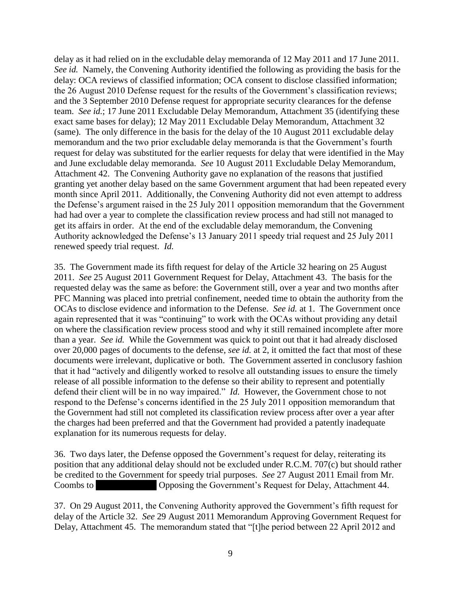delay as it had relied on in the excludable delay memoranda of 12 May 2011 and 17 June 2011. *See id.* Namely, the Convening Authority identified the following as providing the basis for the delay: OCA reviews of classified information; OCA consent to disclose classified information; the 26 August 2010 Defense request for the results of the Government's classification reviews; and the 3 September 2010 Defense request for appropriate security clearances for the defense team. *See id.*; 17 June 2011 Excludable Delay Memorandum, Attachment 35 (identifying these exact same bases for delay); 12 May 2011 Excludable Delay Memorandum, Attachment 32 (same). The only difference in the basis for the delay of the 10 August 2011 excludable delay memorandum and the two prior excludable delay memoranda is that the Government's fourth request for delay was substituted for the earlier requests for delay that were identified in the May and June excludable delay memoranda. *See* 10 August 2011 Excludable Delay Memorandum, Attachment 42. The Convening Authority gave no explanation of the reasons that justified granting yet another delay based on the same Government argument that had been repeated every month since April 2011. Additionally, the Convening Authority did not even attempt to address the Defense's argument raised in the 25 July 2011 opposition memorandum that the Government had had over a year to complete the classification review process and had still not managed to get its affairs in order. At the end of the excludable delay memorandum, the Convening Authority acknowledged the Defense's 13 January 2011 speedy trial request and 25 July 2011 renewed speedy trial request. *Id.*

35. The Government made its fifth request for delay of the Article 32 hearing on 25 August 2011. *See* 25 August 2011 Government Request for Delay, Attachment 43. The basis for the requested delay was the same as before: the Government still, over a year and two months after PFC Manning was placed into pretrial confinement, needed time to obtain the authority from the OCAs to disclose evidence and information to the Defense. *See id.* at 1. The Government once again represented that it was "continuing" to work with the OCAs without providing any detail on where the classification review process stood and why it still remained incomplete after more than a year. *See id.* While the Government was quick to point out that it had already disclosed over 20,000 pages of documents to the defense, *see id.* at 2, it omitted the fact that most of these documents were irrelevant, duplicative or both. The Government asserted in conclusory fashion that it had "actively and diligently worked to resolve all outstanding issues to ensure the timely release of all possible information to the defense so their ability to represent and potentially defend their client will be in no way impaired." *Id.* However, the Government chose to not respond to the Defense's concerns identified in the 25 July 2011 opposition memorandum that the Government had still not completed its classification review process after over a year after the charges had been preferred and that the Government had provided a patently inadequate explanation for its numerous requests for delay.

36. Two days later, the Defense opposed the Government's request for delay, reiterating its position that any additional delay should not be excluded under R.C.M. 707(c) but should rather be credited to the Government for speedy trial purposes. *See* 27 August 2011 Email from Mr. Coombs to \*\*\*\*\* Opposing the Government's Request for Delay, Attachment 44.

37. On 29 August 2011, the Convening Authority approved the Government's fifth request for delay of the Article 32. *See* 29 August 2011 Memorandum Approving Government Request for Delay, Attachment 45. The memorandum stated that "[t]he period between 22 April 2012 and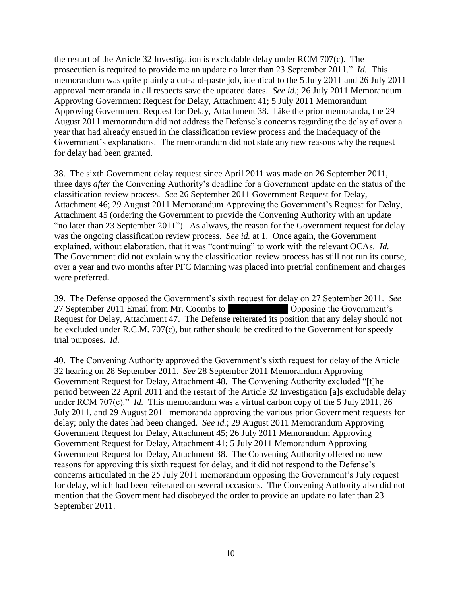the restart of the Article 32 Investigation is excludable delay under RCM 707(c). The prosecution is required to provide me an update no later than 23 September 2011." *Id.* This memorandum was quite plainly a cut-and-paste job, identical to the 5 July 2011 and 26 July 2011 approval memoranda in all respects save the updated dates. *See id.*; 26 July 2011 Memorandum Approving Government Request for Delay, Attachment 41; 5 July 2011 Memorandum Approving Government Request for Delay, Attachment 38. Like the prior memoranda, the 29 August 2011 memorandum did not address the Defense's concerns regarding the delay of over a year that had already ensued in the classification review process and the inadequacy of the Government's explanations. The memorandum did not state any new reasons why the request for delay had been granted.

38. The sixth Government delay request since April 2011 was made on 26 September 2011, three days *after* the Convening Authority's deadline for a Government update on the status of the classification review process. *See* 26 September 2011 Government Request for Delay, Attachment 46; 29 August 2011 Memorandum Approving the Government's Request for Delay, Attachment 45 (ordering the Government to provide the Convening Authority with an update "no later than 23 September 2011"). As always, the reason for the Government request for delay was the ongoing classification review process. *See id.* at 1. Once again, the Government explained, without elaboration, that it was "continuing" to work with the relevant OCAs. *Id.*  The Government did not explain why the classification review process has still not run its course, over a year and two months after PFC Manning was placed into pretrial confinement and charges were preferred.

39. The Defense opposed the Government's sixth request for delay on 27 September 2011. *See*  27 September 2011 Email from Mr. Coombs to \*\*\*\*\* Opposing the Government's Request for Delay, Attachment 47. The Defense reiterated its position that any delay should not be excluded under R.C.M. 707(c), but rather should be credited to the Government for speedy trial purposes. *Id.*

40. The Convening Authority approved the Government's sixth request for delay of the Article 32 hearing on 28 September 2011. *See* 28 September 2011 Memorandum Approving Government Request for Delay, Attachment 48. The Convening Authority excluded "[t]he period between 22 April 2011 and the restart of the Article 32 Investigation [a]s excludable delay under RCM 707(c)." *Id.* This memorandum was a virtual carbon copy of the 5 July 2011, 26 July 2011, and 29 August 2011 memoranda approving the various prior Government requests for delay; only the dates had been changed. *See id.*; 29 August 2011 Memorandum Approving Government Request for Delay, Attachment 45; 26 July 2011 Memorandum Approving Government Request for Delay, Attachment 41; 5 July 2011 Memorandum Approving Government Request for Delay, Attachment 38. The Convening Authority offered no new reasons for approving this sixth request for delay, and it did not respond to the Defense's concerns articulated in the 25 July 2011 memorandum opposing the Government's July request for delay, which had been reiterated on several occasions. The Convening Authority also did not mention that the Government had disobeyed the order to provide an update no later than 23 September 2011.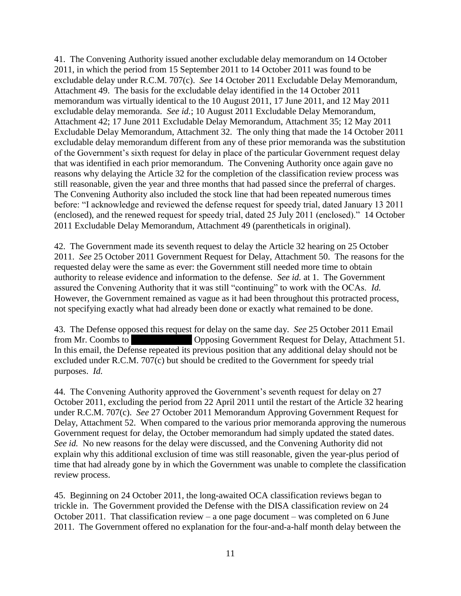41. The Convening Authority issued another excludable delay memorandum on 14 October 2011, in which the period from 15 September 2011 to 14 October 2011 was found to be excludable delay under R.C.M. 707(c). *See* 14 October 2011 Excludable Delay Memorandum, Attachment 49. The basis for the excludable delay identified in the 14 October 2011 memorandum was virtually identical to the 10 August 2011, 17 June 2011, and 12 May 2011 excludable delay memoranda. *See id.*; 10 August 2011 Excludable Delay Memorandum, Attachment 42; 17 June 2011 Excludable Delay Memorandum, Attachment 35; 12 May 2011 Excludable Delay Memorandum, Attachment 32. The only thing that made the 14 October 2011 excludable delay memorandum different from any of these prior memoranda was the substitution of the Government's sixth request for delay in place of the particular Government request delay that was identified in each prior memorandum. The Convening Authority once again gave no reasons why delaying the Article 32 for the completion of the classification review process was still reasonable, given the year and three months that had passed since the preferral of charges. The Convening Authority also included the stock line that had been repeated numerous times before: "I acknowledge and reviewed the defense request for speedy trial, dated January 13 2011 (enclosed), and the renewed request for speedy trial, dated 25 July 2011 (enclosed)." 14 October 2011 Excludable Delay Memorandum, Attachment 49 (parentheticals in original).

42. The Government made its seventh request to delay the Article 32 hearing on 25 October 2011. *See* 25 October 2011 Government Request for Delay, Attachment 50. The reasons for the requested delay were the same as ever: the Government still needed more time to obtain authority to release evidence and information to the defense. *See id.* at 1. The Government assured the Convening Authority that it was still "continuing" to work with the OCAs. *Id.* However, the Government remained as vague as it had been throughout this protracted process, not specifying exactly what had already been done or exactly what remained to be done.

43. The Defense opposed this request for delay on the same day. *See* 25 October 2011 Email from Mr. Coombs to \*\*\*\*\* Opposing Government Request for Delay, Attachment 51. In this email, the Defense repeated its previous position that any additional delay should not be excluded under R.C.M. 707(c) but should be credited to the Government for speedy trial purposes. *Id.*

44. The Convening Authority approved the Government's seventh request for delay on 27 October 2011, excluding the period from 22 April 2011 until the restart of the Article 32 hearing under R.C.M. 707(c). *See* 27 October 2011 Memorandum Approving Government Request for Delay, Attachment 52. When compared to the various prior memoranda approving the numerous Government request for delay, the October memorandum had simply updated the stated dates. *See id.* No new reasons for the delay were discussed, and the Convening Authority did not explain why this additional exclusion of time was still reasonable, given the year-plus period of time that had already gone by in which the Government was unable to complete the classification review process.

45. Beginning on 24 October 2011, the long-awaited OCA classification reviews began to trickle in. The Government provided the Defense with the DISA classification review on 24 October 2011. That classification review – a one page document – was completed on 6 June 2011. The Government offered no explanation for the four-and-a-half month delay between the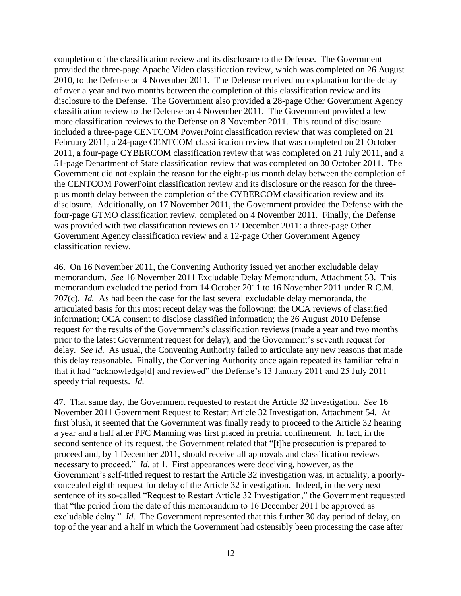completion of the classification review and its disclosure to the Defense. The Government provided the three-page Apache Video classification review, which was completed on 26 August 2010, to the Defense on 4 November 2011. The Defense received no explanation for the delay of over a year and two months between the completion of this classification review and its disclosure to the Defense. The Government also provided a 28-page Other Government Agency classification review to the Defense on 4 November 2011. The Government provided a few more classification reviews to the Defense on 8 November 2011. This round of disclosure included a three-page CENTCOM PowerPoint classification review that was completed on 21 February 2011, a 24-page CENTCOM classification review that was completed on 21 October 2011, a four-page CYBERCOM classification review that was completed on 21 July 2011, and a 51-page Department of State classification review that was completed on 30 October 2011. The Government did not explain the reason for the eight-plus month delay between the completion of the CENTCOM PowerPoint classification review and its disclosure or the reason for the threeplus month delay between the completion of the CYBERCOM classification review and its disclosure. Additionally, on 17 November 2011, the Government provided the Defense with the four-page GTMO classification review, completed on 4 November 2011. Finally, the Defense was provided with two classification reviews on 12 December 2011: a three-page Other Government Agency classification review and a 12-page Other Government Agency classification review.

46. On 16 November 2011, the Convening Authority issued yet another excludable delay memorandum. *See* 16 November 2011 Excludable Delay Memorandum, Attachment 53. This memorandum excluded the period from 14 October 2011 to 16 November 2011 under R.C.M. 707(c). *Id.* As had been the case for the last several excludable delay memoranda, the articulated basis for this most recent delay was the following: the OCA reviews of classified information; OCA consent to disclose classified information; the 26 August 2010 Defense request for the results of the Government's classification reviews (made a year and two months prior to the latest Government request for delay); and the Government's seventh request for delay. *See id.* As usual, the Convening Authority failed to articulate any new reasons that made this delay reasonable. Finally, the Convening Authority once again repeated its familiar refrain that it had "acknowledge[d] and reviewed" the Defense's 13 January 2011 and 25 July 2011 speedy trial requests. *Id.*

47. That same day, the Government requested to restart the Article 32 investigation. *See* 16 November 2011 Government Request to Restart Article 32 Investigation, Attachment 54. At first blush, it seemed that the Government was finally ready to proceed to the Article 32 hearing a year and a half after PFC Manning was first placed in pretrial confinement. In fact, in the second sentence of its request, the Government related that "[t]he prosecution is prepared to proceed and, by 1 December 2011, should receive all approvals and classification reviews necessary to proceed." *Id.* at 1. First appearances were deceiving, however, as the Government's self-titled request to restart the Article 32 investigation was, in actuality, a poorlyconcealed eighth request for delay of the Article 32 investigation. Indeed, in the very next sentence of its so-called "Request to Restart Article 32 Investigation," the Government requested that "the period from the date of this memorandum to 16 December 2011 be approved as excludable delay." *Id.* The Government represented that this further 30 day period of delay, on top of the year and a half in which the Government had ostensibly been processing the case after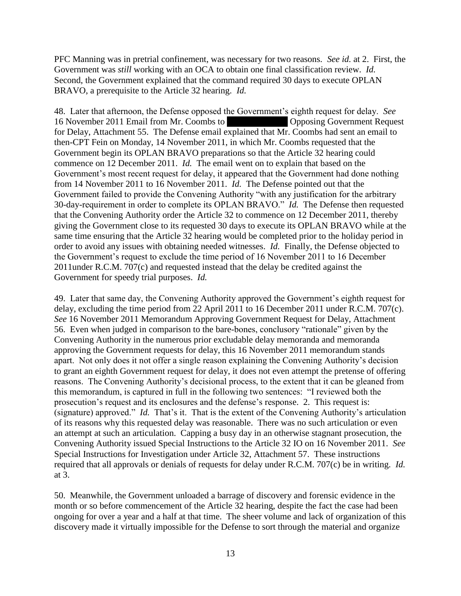PFC Manning was in pretrial confinement, was necessary for two reasons. *See id.* at 2. First, the Government was *still* working with an OCA to obtain one final classification review. *Id.* Second, the Government explained that the command required 30 days to execute OPLAN BRAVO, a prerequisite to the Article 32 hearing. *Id.*

48. Later that afternoon, the Defense opposed the Government's eighth request for delay. *See* 16 November 2011 Email from Mr. Coombs to \*\*\*\*\* Opposing Government Request for Delay, Attachment 55. The Defense email explained that Mr. Coombs had sent an email to then-CPT Fein on Monday, 14 November 2011, in which Mr. Coombs requested that the Government begin its OPLAN BRAVO preparations so that the Article 32 hearing could commence on 12 December 2011. *Id.* The email went on to explain that based on the Government's most recent request for delay, it appeared that the Government had done nothing from 14 November 2011 to 16 November 2011. *Id.* The Defense pointed out that the Government failed to provide the Convening Authority "with any justification for the arbitrary 30-day-requirement in order to complete its OPLAN BRAVO." *Id.* The Defense then requested that the Convening Authority order the Article 32 to commence on 12 December 2011, thereby giving the Government close to its requested 30 days to execute its OPLAN BRAVO while at the same time ensuring that the Article 32 hearing would be completed prior to the holiday period in order to avoid any issues with obtaining needed witnesses. *Id.* Finally, the Defense objected to the Government's request to exclude the time period of 16 November 2011 to 16 December 2011under R.C.M. 707(c) and requested instead that the delay be credited against the Government for speedy trial purposes. *Id.*

49. Later that same day, the Convening Authority approved the Government's eighth request for delay, excluding the time period from 22 April 2011 to 16 December 2011 under R.C.M. 707(c). *See* 16 November 2011 Memorandum Approving Government Request for Delay, Attachment 56. Even when judged in comparison to the bare-bones, conclusory "rationale" given by the Convening Authority in the numerous prior excludable delay memoranda and memoranda approving the Government requests for delay, this 16 November 2011 memorandum stands apart. Not only does it not offer a single reason explaining the Convening Authority's decision to grant an eighth Government request for delay, it does not even attempt the pretense of offering reasons. The Convening Authority's decisional process, to the extent that it can be gleaned from this memorandum, is captured in full in the following two sentences: "I reviewed both the prosecution's request and its enclosures and the defense's response. 2. This request is: (signature) approved." *Id.* That's it. That is the extent of the Convening Authority's articulation of its reasons why this requested delay was reasonable. There was no such articulation or even an attempt at such an articulation. Capping a busy day in an otherwise stagnant prosecution, the Convening Authority issued Special Instructions to the Article 32 IO on 16 November 2011. *See* Special Instructions for Investigation under Article 32, Attachment 57. These instructions required that all approvals or denials of requests for delay under R.C.M. 707(c) be in writing. *Id.* at 3.

50. Meanwhile, the Government unloaded a barrage of discovery and forensic evidence in the month or so before commencement of the Article 32 hearing, despite the fact the case had been ongoing for over a year and a half at that time. The sheer volume and lack of organization of this discovery made it virtually impossible for the Defense to sort through the material and organize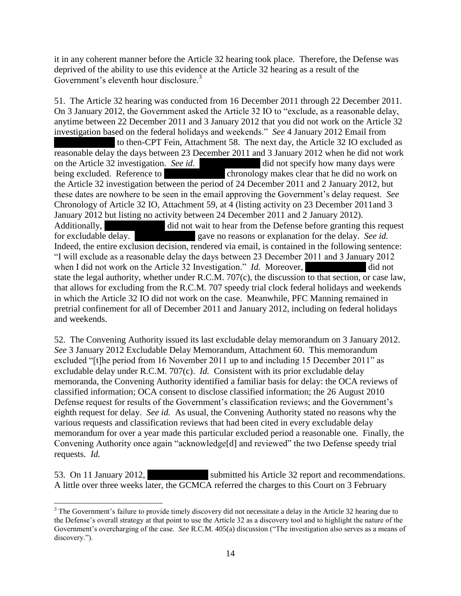it in any coherent manner before the Article 32 hearing took place. Therefore, the Defense was deprived of the ability to use this evidence at the Article 32 hearing as a result of the Government's eleventh hour disclosure.<sup>3</sup>

51. The Article 32 hearing was conducted from 16 December 2011 through 22 December 2011. On 3 January 2012, the Government asked the Article 32 IO to "exclude, as a reasonable delay, anytime between 22 December 2011 and 3 January 2012 that you did not work on the Article 32 investigation based on the federal holidays and weekends." *See* 4 January 2012 Email from to then-CPT Fein, Attachment 58. The next day, the Article 32 IO excluded as reasonable delay the days between 23 December 2011 and 3 January 2012 when he did not work on the Article 32 investigation. *See id.* \*\*\*\* did not specify how many days were being excluded. Reference to \*\*\*\*\* chronology makes clear that he did no work on the Article 32 investigation between the period of 24 December 2011 and 2 January 2012, but these dates are nowhere to be seen in the email approving the Government's delay request. *See* Chronology of Article 32 IO, Attachment 59, at 4 (listing activity on 23 December 2011and 3 January 2012 but listing no activity between 24 December 2011 and 2 January 2012). Additionally,  $\ddot{a}$  did not wait to hear from the Defense before granting this request for excludable delay. \*\*\*\*\* gave no reasons or explanation for the delay. *See id.* Indeed, the entire exclusion decision, rendered via email, is contained in the following sentence: "I will exclude as a reasonable delay the days between 23 December 2011 and 3 January 2012 when I did not work on the Article 32 Investigation." *Id.* Moreover, did not state the legal authority, whether under R.C.M. 707(c), the discussion to that section, or case law, that allows for excluding from the R.C.M. 707 speedy trial clock federal holidays and weekends in which the Article 32 IO did not work on the case. Meanwhile, PFC Manning remained in pretrial confinement for all of December 2011 and January 2012, including on federal holidays and weekends.

52. The Convening Authority issued its last excludable delay memorandum on 3 January 2012. *See* 3 January 2012 Excludable Delay Memorandum, Attachment 60. This memorandum excluded "[t]he period from 16 November 2011 up to and including 15 December 2011" as excludable delay under R.C.M. 707(c). *Id.* Consistent with its prior excludable delay memoranda, the Convening Authority identified a familiar basis for delay: the OCA reviews of classified information; OCA consent to disclose classified information; the 26 August 2010 Defense request for results of the Government's classification reviews; and the Government's eighth request for delay. *See id.* As usual, the Convening Authority stated no reasons why the various requests and classification reviews that had been cited in every excludable delay memorandum for over a year made this particular excluded period a reasonable one. Finally, the Convening Authority once again "acknowledge[d] and reviewed" the two Defense speedy trial requests. *Id.*

53. On 11 January 2012, submitted his Article 32 report and recommendations. A little over three weeks later, the GCMCA referred the charges to this Court on 3 February

 $\overline{\phantom{a}}$ <sup>3</sup> The Government's failure to provide timely discovery did not necessitate a delay in the Article 32 hearing due to the Defense's overall strategy at that point to use the Article 32 as a discovery tool and to highlight the nature of the Government's overcharging of the case. *See* R.C.M. 405(a) discussion ("The investigation also serves as a means of discovery.").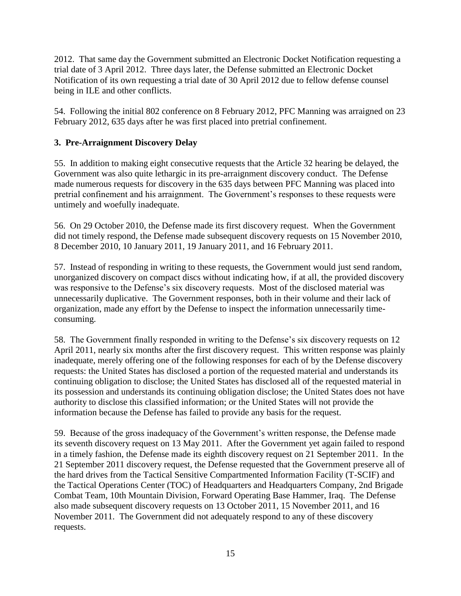2012. That same day the Government submitted an Electronic Docket Notification requesting a trial date of 3 April 2012. Three days later, the Defense submitted an Electronic Docket Notification of its own requesting a trial date of 30 April 2012 due to fellow defense counsel being in ILE and other conflicts.

54. Following the initial 802 conference on 8 February 2012, PFC Manning was arraigned on 23 February 2012, 635 days after he was first placed into pretrial confinement.

# **3. Pre-Arraignment Discovery Delay**

55. In addition to making eight consecutive requests that the Article 32 hearing be delayed, the Government was also quite lethargic in its pre-arraignment discovery conduct. The Defense made numerous requests for discovery in the 635 days between PFC Manning was placed into pretrial confinement and his arraignment. The Government's responses to these requests were untimely and woefully inadequate.

56. On 29 October 2010, the Defense made its first discovery request. When the Government did not timely respond, the Defense made subsequent discovery requests on 15 November 2010, 8 December 2010, 10 January 2011, 19 January 2011, and 16 February 2011.

57. Instead of responding in writing to these requests, the Government would just send random, unorganized discovery on compact discs without indicating how, if at all, the provided discovery was responsive to the Defense's six discovery requests. Most of the disclosed material was unnecessarily duplicative. The Government responses, both in their volume and their lack of organization, made any effort by the Defense to inspect the information unnecessarily timeconsuming.

58. The Government finally responded in writing to the Defense's six discovery requests on 12 April 2011, nearly six months after the first discovery request. This written response was plainly inadequate, merely offering one of the following responses for each of by the Defense discovery requests: the United States has disclosed a portion of the requested material and understands its continuing obligation to disclose; the United States has disclosed all of the requested material in its possession and understands its continuing obligation disclose; the United States does not have authority to disclose this classified information; or the United States will not provide the information because the Defense has failed to provide any basis for the request.

59. Because of the gross inadequacy of the Government's written response, the Defense made its seventh discovery request on 13 May 2011. After the Government yet again failed to respond in a timely fashion, the Defense made its eighth discovery request on 21 September 2011. In the 21 September 2011 discovery request, the Defense requested that the Government preserve all of the hard drives from the Tactical Sensitive Compartmented Information Facility (T-SCIF) and the Tactical Operations Center (TOC) of Headquarters and Headquarters Company, 2nd Brigade Combat Team, 10th Mountain Division, Forward Operating Base Hammer, Iraq. The Defense also made subsequent discovery requests on 13 October 2011, 15 November 2011, and 16 November 2011. The Government did not adequately respond to any of these discovery requests.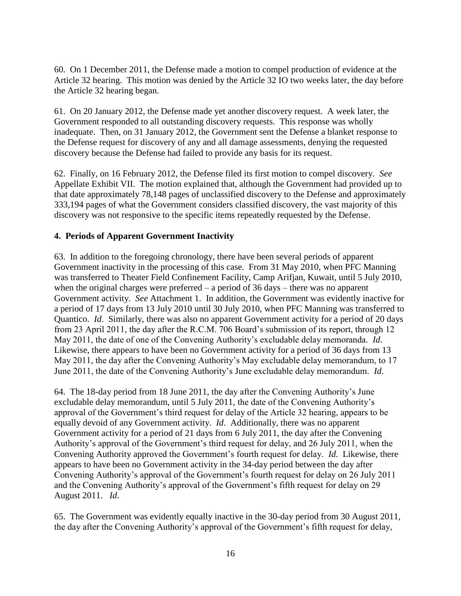60. On 1 December 2011, the Defense made a motion to compel production of evidence at the Article 32 hearing. This motion was denied by the Article 32 IO two weeks later, the day before the Article 32 hearing began.

61. On 20 January 2012, the Defense made yet another discovery request. A week later, the Government responded to all outstanding discovery requests. This response was wholly inadequate. Then, on 31 January 2012, the Government sent the Defense a blanket response to the Defense request for discovery of any and all damage assessments, denying the requested discovery because the Defense had failed to provide any basis for its request.

62. Finally, on 16 February 2012, the Defense filed its first motion to compel discovery. *See* Appellate Exhibit VII. The motion explained that, although the Government had provided up to that date approximately 78,148 pages of unclassified discovery to the Defense and approximately 333,194 pages of what the Government considers classified discovery, the vast majority of this discovery was not responsive to the specific items repeatedly requested by the Defense.

## **4. Periods of Apparent Government Inactivity**

63. In addition to the foregoing chronology, there have been several periods of apparent Government inactivity in the processing of this case. From 31 May 2010, when PFC Manning was transferred to Theater Field Confinement Facility, Camp Arifjan, Kuwait, until 5 July 2010, when the original charges were preferred – a period of 36 days – there was no apparent Government activity. *See* Attachment 1. In addition, the Government was evidently inactive for a period of 17 days from 13 July 2010 until 30 July 2010, when PFC Manning was transferred to Quantico. *Id*. Similarly, there was also no apparent Government activity for a period of 20 days from 23 April 2011, the day after the R.C.M. 706 Board's submission of its report, through 12 May 2011, the date of one of the Convening Authority's excludable delay memoranda. *Id*. Likewise, there appears to have been no Government activity for a period of 36 days from 13 May 2011, the day after the Convening Authority's May excludable delay memorandum, to 17 June 2011, the date of the Convening Authority's June excludable delay memorandum. *Id*.

64. The 18-day period from 18 June 2011, the day after the Convening Authority's June excludable delay memorandum, until 5 July 2011, the date of the Convening Authority's approval of the Government's third request for delay of the Article 32 hearing, appears to be equally devoid of any Government activity. *Id*. Additionally, there was no apparent Government activity for a period of 21 days from 6 July 2011, the day after the Convening Authority's approval of the Government's third request for delay, and 26 July 2011, when the Convening Authority approved the Government's fourth request for delay. *Id*. Likewise, there appears to have been no Government activity in the 34-day period between the day after Convening Authority's approval of the Government's fourth request for delay on 26 July 2011 and the Convening Authority's approval of the Government's fifth request for delay on 29 August 2011. *Id*.

65. The Government was evidently equally inactive in the 30-day period from 30 August 2011, the day after the Convening Authority's approval of the Government's fifth request for delay,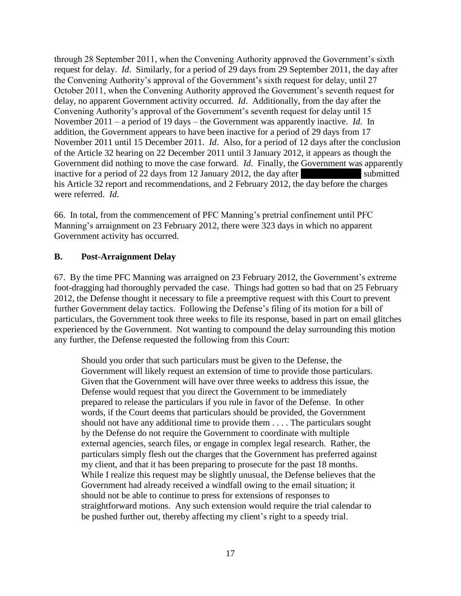through 28 September 2011, when the Convening Authority approved the Government's sixth request for delay. *Id*. Similarly, for a period of 29 days from 29 September 2011, the day after the Convening Authority's approval of the Government's sixth request for delay, until 27 October 2011, when the Convening Authority approved the Government's seventh request for delay, no apparent Government activity occurred. *Id*. Additionally, from the day after the Convening Authority's approval of the Government's seventh request for delay until 15 November 2011 – a period of 19 days – the Government was apparently inactive. *Id*. In addition, the Government appears to have been inactive for a period of 29 days from 17 November 2011 until 15 December 2011. *Id*. Also, for a period of 12 days after the conclusion of the Article 32 hearing on 22 December 2011 until 3 January 2012, it appears as though the Government did nothing to move the case forward. *Id.* Finally, the Government was apparently inactive for a period of 22 days from 12 January 2012, the day after  $\blacksquare$  submitted his Article 32 report and recommendations, and 2 February 2012, the day before the charges were referred. *Id*.

66. In total, from the commencement of PFC Manning's pretrial confinement until PFC Manning's arraignment on 23 February 2012, there were 323 days in which no apparent Government activity has occurred.

## **B. Post-Arraignment Delay**

67. By the time PFC Manning was arraigned on 23 February 2012, the Government's extreme foot-dragging had thoroughly pervaded the case. Things had gotten so bad that on 25 February 2012, the Defense thought it necessary to file a preemptive request with this Court to prevent further Government delay tactics. Following the Defense's filing of its motion for a bill of particulars, the Government took three weeks to file its response, based in part on email glitches experienced by the Government. Not wanting to compound the delay surrounding this motion any further, the Defense requested the following from this Court:

Should you order that such particulars must be given to the Defense, the Government will likely request an extension of time to provide those particulars. Given that the Government will have over three weeks to address this issue, the Defense would request that you direct the Government to be immediately prepared to release the particulars if you rule in favor of the Defense. In other words, if the Court deems that particulars should be provided, the Government should not have any additional time to provide them . . . . The particulars sought by the Defense do not require the Government to coordinate with multiple external agencies, search files, or engage in complex legal research. Rather, the particulars simply flesh out the charges that the Government has preferred against my client, and that it has been preparing to prosecute for the past 18 months. While I realize this request may be slightly unusual, the Defense believes that the Government had already received a windfall owing to the email situation; it should not be able to continue to press for extensions of responses to straightforward motions. Any such extension would require the trial calendar to be pushed further out, thereby affecting my client's right to a speedy trial.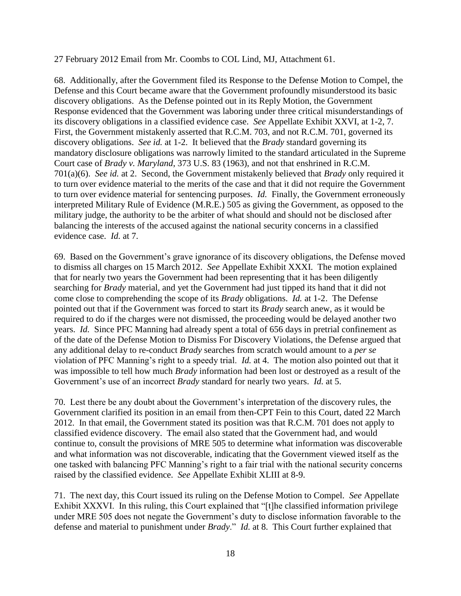27 February 2012 Email from Mr. Coombs to COL Lind, MJ, Attachment 61.

68. Additionally, after the Government filed its Response to the Defense Motion to Compel, the Defense and this Court became aware that the Government profoundly misunderstood its basic discovery obligations. As the Defense pointed out in its Reply Motion, the Government Response evidenced that the Government was laboring under three critical misunderstandings of its discovery obligations in a classified evidence case. *See* Appellate Exhibit XXVI, at 1-2, 7. First, the Government mistakenly asserted that R.C.M. 703, and not R.C.M. 701, governed its discovery obligations. *See id.* at 1-2. It believed that the *Brady* standard governing its mandatory disclosure obligations was narrowly limited to the standard articulated in the Supreme Court case of *Brady v. Maryland*, 373 U.S. 83 (1963), and not that enshrined in R.C.M. 701(a)(6). *See id.* at 2. Second, the Government mistakenly believed that *Brady* only required it to turn over evidence material to the merits of the case and that it did not require the Government to turn over evidence material for sentencing purposes. *Id.* Finally, the Government erroneously interpreted Military Rule of Evidence (M.R.E.) 505 as giving the Government, as opposed to the military judge, the authority to be the arbiter of what should and should not be disclosed after balancing the interests of the accused against the national security concerns in a classified evidence case. *Id.* at 7.

69. Based on the Government's grave ignorance of its discovery obligations, the Defense moved to dismiss all charges on 15 March 2012. *See* Appellate Exhibit XXXI. The motion explained that for nearly two years the Government had been representing that it has been diligently searching for *Brady* material, and yet the Government had just tipped its hand that it did not come close to comprehending the scope of its *Brady* obligations. *Id.* at 1-2. The Defense pointed out that if the Government was forced to start its *Brady* search anew, as it would be required to do if the charges were not dismissed, the proceeding would be delayed another two years. *Id.* Since PFC Manning had already spent a total of 656 days in pretrial confinement as of the date of the Defense Motion to Dismiss For Discovery Violations, the Defense argued that any additional delay to re-conduct *Brady* searches from scratch would amount to a *per se* violation of PFC Manning's right to a speedy trial. *Id.* at 4. The motion also pointed out that it was impossible to tell how much *Brady* information had been lost or destroyed as a result of the Government's use of an incorrect *Brady* standard for nearly two years. *Id.* at 5.

70. Lest there be any doubt about the Government's interpretation of the discovery rules, the Government clarified its position in an email from then-CPT Fein to this Court, dated 22 March 2012. In that email, the Government stated its position was that R.C.M. 701 does not apply to classified evidence discovery. The email also stated that the Government had, and would continue to, consult the provisions of MRE 505 to determine what information was discoverable and what information was not discoverable, indicating that the Government viewed itself as the one tasked with balancing PFC Manning's right to a fair trial with the national security concerns raised by the classified evidence. *See* Appellate Exhibit XLIII at 8-9.

71. The next day, this Court issued its ruling on the Defense Motion to Compel. *See* Appellate Exhibit XXXVI. In this ruling, this Court explained that "[t]he classified information privilege under MRE 505 does not negate the Government's duty to disclose information favorable to the defense and material to punishment under *Brady*." *Id.* at 8. This Court further explained that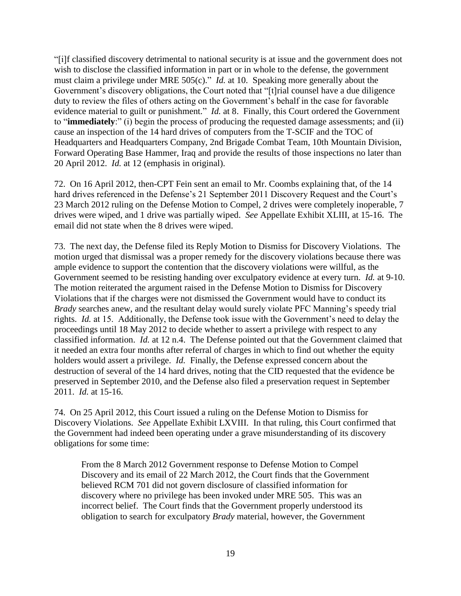"[i]f classified discovery detrimental to national security is at issue and the government does not wish to disclose the classified information in part or in whole to the defense, the government must claim a privilege under MRE 505(c)." *Id.* at 10. Speaking more generally about the Government's discovery obligations, the Court noted that "[t]rial counsel have a due diligence duty to review the files of others acting on the Government's behalf in the case for favorable evidence material to guilt or punishment." *Id.* at 8. Finally, this Court ordered the Government to "**immediately**:" (i) begin the process of producing the requested damage assessments; and (ii) cause an inspection of the 14 hard drives of computers from the T-SCIF and the TOC of Headquarters and Headquarters Company, 2nd Brigade Combat Team, 10th Mountain Division, Forward Operating Base Hammer, Iraq and provide the results of those inspections no later than 20 April 2012. *Id.* at 12 (emphasis in original).

72. On 16 April 2012, then-CPT Fein sent an email to Mr. Coombs explaining that, of the 14 hard drives referenced in the Defense's 21 September 2011 Discovery Request and the Court's 23 March 2012 ruling on the Defense Motion to Compel, 2 drives were completely inoperable, 7 drives were wiped, and 1 drive was partially wiped. *See* Appellate Exhibit XLIII, at 15-16. The email did not state when the 8 drives were wiped.

73. The next day, the Defense filed its Reply Motion to Dismiss for Discovery Violations. The motion urged that dismissal was a proper remedy for the discovery violations because there was ample evidence to support the contention that the discovery violations were willful, as the Government seemed to be resisting handing over exculpatory evidence at every turn. *Id.* at 9-10. The motion reiterated the argument raised in the Defense Motion to Dismiss for Discovery Violations that if the charges were not dismissed the Government would have to conduct its *Brady* searches anew, and the resultant delay would surely violate PFC Manning's speedy trial rights. *Id.* at 15. Additionally, the Defense took issue with the Government's need to delay the proceedings until 18 May 2012 to decide whether to assert a privilege with respect to any classified information. *Id.* at 12 n.4. The Defense pointed out that the Government claimed that it needed an extra four months after referral of charges in which to find out whether the equity holders would assert a privilege. *Id.* Finally, the Defense expressed concern about the destruction of several of the 14 hard drives, noting that the CID requested that the evidence be preserved in September 2010, and the Defense also filed a preservation request in September 2011. *Id.* at 15-16.

74. On 25 April 2012, this Court issued a ruling on the Defense Motion to Dismiss for Discovery Violations. *See* Appellate Exhibit LXVIII. In that ruling, this Court confirmed that the Government had indeed been operating under a grave misunderstanding of its discovery obligations for some time:

From the 8 March 2012 Government response to Defense Motion to Compel Discovery and its email of 22 March 2012, the Court finds that the Government believed RCM 701 did not govern disclosure of classified information for discovery where no privilege has been invoked under MRE 505. This was an incorrect belief. The Court finds that the Government properly understood its obligation to search for exculpatory *Brady* material, however, the Government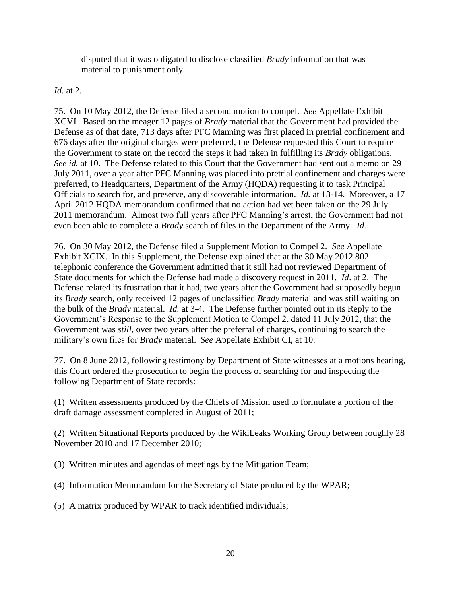disputed that it was obligated to disclose classified *Brady* information that was material to punishment only.

## *Id.* at 2.

75. On 10 May 2012, the Defense filed a second motion to compel. *See* Appellate Exhibit XCVI. Based on the meager 12 pages of *Brady* material that the Government had provided the Defense as of that date, 713 days after PFC Manning was first placed in pretrial confinement and 676 days after the original charges were preferred, the Defense requested this Court to require the Government to state on the record the steps it had taken in fulfilling its *Brady* obligations. *See id.* at 10. The Defense related to this Court that the Government had sent out a memo on 29 July 2011, over a year after PFC Manning was placed into pretrial confinement and charges were preferred, to Headquarters, Department of the Army (HQDA) requesting it to task Principal Officials to search for, and preserve, any discoverable information. *Id.* at 13-14. Moreover, a 17 April 2012 HQDA memorandum confirmed that no action had yet been taken on the 29 July 2011 memorandum. Almost two full years after PFC Manning's arrest, the Government had not even been able to complete a *Brady* search of files in the Department of the Army. *Id.* 

76. On 30 May 2012, the Defense filed a Supplement Motion to Compel 2. *See* Appellate Exhibit XCIX. In this Supplement, the Defense explained that at the 30 May 2012 802 telephonic conference the Government admitted that it still had not reviewed Department of State documents for which the Defense had made a discovery request in 2011. *Id*. at 2. The Defense related its frustration that it had, two years after the Government had supposedly begun its *Brady* search, only received 12 pages of unclassified *Brady* material and was still waiting on the bulk of the *Brady* material. *Id.* at 3-4. The Defense further pointed out in its Reply to the Government's Response to the Supplement Motion to Compel 2, dated 11 July 2012, that the Government was *still*, over two years after the preferral of charges, continuing to search the military's own files for *Brady* material. *See* Appellate Exhibit CI, at 10.

77. On 8 June 2012, following testimony by Department of State witnesses at a motions hearing, this Court ordered the prosecution to begin the process of searching for and inspecting the following Department of State records:

(1) Written assessments produced by the Chiefs of Mission used to formulate a portion of the draft damage assessment completed in August of 2011;

(2) Written Situational Reports produced by the WikiLeaks Working Group between roughly 28 November 2010 and 17 December 2010;

(3) Written minutes and agendas of meetings by the Mitigation Team;

- (4) Information Memorandum for the Secretary of State produced by the WPAR;
- (5) A matrix produced by WPAR to track identified individuals;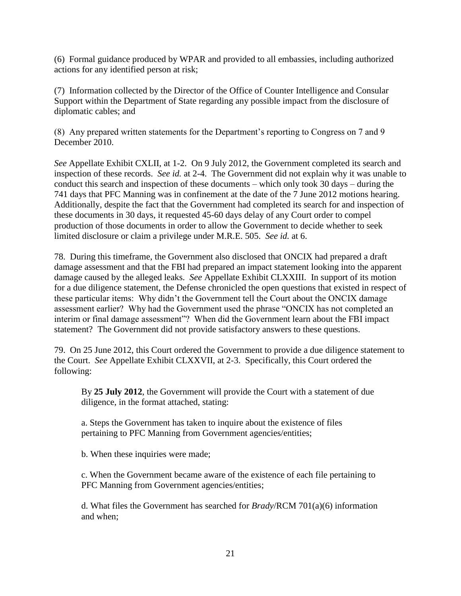(6) Formal guidance produced by WPAR and provided to all embassies, including authorized actions for any identified person at risk;

(7) Information collected by the Director of the Office of Counter Intelligence and Consular Support within the Department of State regarding any possible impact from the disclosure of diplomatic cables; and

(8) Any prepared written statements for the Department's reporting to Congress on 7 and 9 December 2010.

*See* Appellate Exhibit CXLII, at 1-2. On 9 July 2012, the Government completed its search and inspection of these records. *See id.* at 2-4. The Government did not explain why it was unable to conduct this search and inspection of these documents – which only took 30 days – during the 741 days that PFC Manning was in confinement at the date of the 7 June 2012 motions hearing. Additionally, despite the fact that the Government had completed its search for and inspection of these documents in 30 days, it requested 45-60 days delay of any Court order to compel production of those documents in order to allow the Government to decide whether to seek limited disclosure or claim a privilege under M.R.E. 505. *See id.* at 6.

78. During this timeframe, the Government also disclosed that ONCIX had prepared a draft damage assessment and that the FBI had prepared an impact statement looking into the apparent damage caused by the alleged leaks. *See* Appellate Exhibit CLXXIII. In support of its motion for a due diligence statement, the Defense chronicled the open questions that existed in respect of these particular items: Why didn't the Government tell the Court about the ONCIX damage assessment earlier? Why had the Government used the phrase "ONCIX has not completed an interim or final damage assessment"? When did the Government learn about the FBI impact statement? The Government did not provide satisfactory answers to these questions.

79. On 25 June 2012, this Court ordered the Government to provide a due diligence statement to the Court. *See* Appellate Exhibit CLXXVII, at 2-3. Specifically, this Court ordered the following:

By **25 July 2012**, the Government will provide the Court with a statement of due diligence, in the format attached, stating:

a. Steps the Government has taken to inquire about the existence of files pertaining to PFC Manning from Government agencies/entities;

b. When these inquiries were made;

c. When the Government became aware of the existence of each file pertaining to PFC Manning from Government agencies/entities;

d. What files the Government has searched for *Brady*/RCM 701(a)(6) information and when;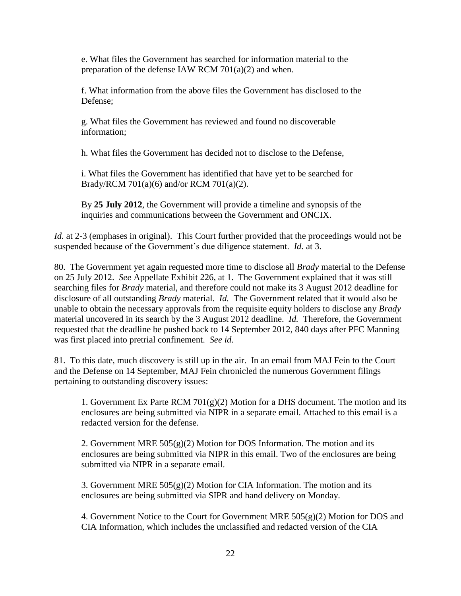e. What files the Government has searched for information material to the preparation of the defense IAW RCM 701(a)(2) and when.

f. What information from the above files the Government has disclosed to the Defense;

g. What files the Government has reviewed and found no discoverable information;

h. What files the Government has decided not to disclose to the Defense,

i. What files the Government has identified that have yet to be searched for Brady/RCM 701(a)(6) and/or RCM 701(a)(2).

By **25 July 2012**, the Government will provide a timeline and synopsis of the inquiries and communications between the Government and ONCIX.

*Id.* at 2-3 (emphases in original). This Court further provided that the proceedings would not be suspended because of the Government's due diligence statement. *Id.* at 3.

80. The Government yet again requested more time to disclose all *Brady* material to the Defense on 25 July 2012. *See* Appellate Exhibit 226, at 1. The Government explained that it was still searching files for *Brady* material, and therefore could not make its 3 August 2012 deadline for disclosure of all outstanding *Brady* material. *Id.* The Government related that it would also be unable to obtain the necessary approvals from the requisite equity holders to disclose any *Brady* material uncovered in its search by the 3 August 2012 deadline. *Id.* Therefore, the Government requested that the deadline be pushed back to 14 September 2012, 840 days after PFC Manning was first placed into pretrial confinement. *See id.* 

81. To this date, much discovery is still up in the air. In an email from MAJ Fein to the Court and the Defense on 14 September, MAJ Fein chronicled the numerous Government filings pertaining to outstanding discovery issues:

1. Government Ex Parte RCM  $701(g)(2)$  Motion for a DHS document. The motion and its enclosures are being submitted via NIPR in a separate email. Attached to this email is a redacted version for the defense.

2. Government MRE  $505(g)(2)$  Motion for DOS Information. The motion and its enclosures are being submitted via NIPR in this email. Two of the enclosures are being submitted via NIPR in a separate email.

3. Government MRE  $505(g)(2)$  Motion for CIA Information. The motion and its enclosures are being submitted via SIPR and hand delivery on Monday.

4. Government Notice to the Court for Government MRE  $505(g)(2)$  Motion for DOS and CIA Information, which includes the unclassified and redacted version of the CIA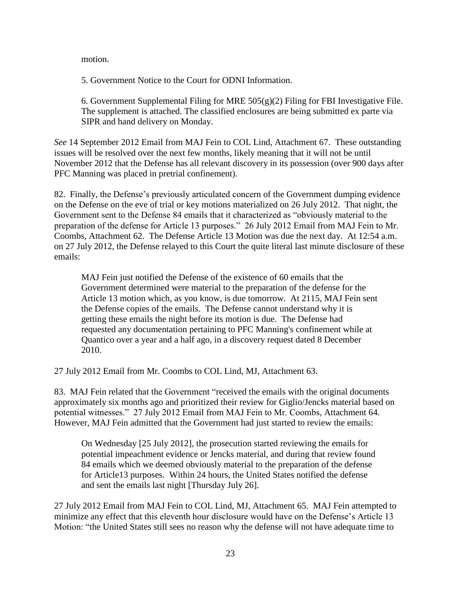motion.

5. Government Notice to the Court for ODNI Information.

6. Government Supplemental Filing for MRE  $505(g)(2)$  Filing for FBI Investigative File. The supplement is attached. The classified enclosures are being submitted ex parte via SIPR and hand delivery on Monday.

*See* 14 September 2012 Email from MAJ Fein to COL Lind, Attachment 67. These outstanding issues will be resolved over the next few months, likely meaning that it will not be until November 2012 that the Defense has all relevant discovery in its possession (over 900 days after PFC Manning was placed in pretrial confinement).

82. Finally, the Defense's previously articulated concern of the Government dumping evidence on the Defense on the eve of trial or key motions materialized on 26 July 2012. That night, the Government sent to the Defense 84 emails that it characterized as "obviously material to the preparation of the defense for Article 13 purposes." 26 July 2012 Email from MAJ Fein to Mr. Coombs, Attachment 62. The Defense Article 13 Motion was due the next day. At 12:54 a.m. on 27 July 2012, the Defense relayed to this Court the quite literal last minute disclosure of these emails:

MAJ Fein just notified the Defense of the existence of 60 emails that the Government determined were material to the preparation of the defense for the Article 13 motion which, as you know, is due tomorrow. At 2115, MAJ Fein sent the Defense copies of the emails. The Defense cannot understand why it is getting these emails the night before its motion is due. The Defense had requested any documentation pertaining to PFC Manning's confinement while at Quantico over a year and a half ago, in a discovery request dated 8 December 2010.

27 July 2012 Email from Mr. Coombs to COL Lind, MJ, Attachment 63.

83. MAJ Fein related that the Government "received the emails with the original documents approximately six months ago and prioritized their review for Giglio/Jencks material based on potential witnesses." 27 July 2012 Email from MAJ Fein to Mr. Coombs, Attachment 64. However, MAJ Fein admitted that the Government had just started to review the emails:

On Wednesday [25 July 2012], the prosecution started reviewing the emails for potential impeachment evidence or Jencks material, and during that review found 84 emails which we deemed obviously material to the preparation of the defense for Article13 purposes. Within 24 hours, the United States notified the defense and sent the emails last night [Thursday July 26].

27 July 2012 Email from MAJ Fein to COL Lind, MJ, Attachment 65. MAJ Fein attempted to minimize any effect that this eleventh hour disclosure would have on the Defense's Article 13 Motion: "the United States still sees no reason why the defense will not have adequate time to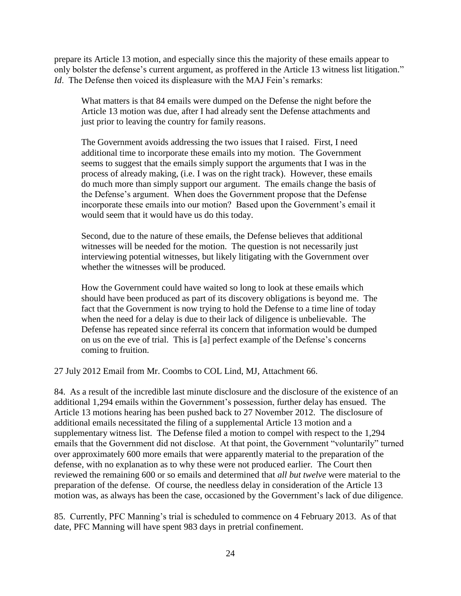prepare its Article 13 motion, and especially since this the majority of these emails appear to only bolster the defense's current argument, as proffered in the Article 13 witness list litigation." *Id.* The Defense then voiced its displeasure with the MAJ Fein's remarks:

What matters is that 84 emails were dumped on the Defense the night before the Article 13 motion was due, after I had already sent the Defense attachments and just prior to leaving the country for family reasons.

The Government avoids addressing the two issues that I raised. First, I need additional time to incorporate these emails into my motion. The Government seems to suggest that the emails simply support the arguments that I was in the process of already making, (i.e. I was on the right track). However, these emails do much more than simply support our argument. The emails change the basis of the Defense's argument. When does the Government propose that the Defense incorporate these emails into our motion? Based upon the Government's email it would seem that it would have us do this today.

Second, due to the nature of these emails, the Defense believes that additional witnesses will be needed for the motion. The question is not necessarily just interviewing potential witnesses, but likely litigating with the Government over whether the witnesses will be produced.

How the Government could have waited so long to look at these emails which should have been produced as part of its discovery obligations is beyond me. The fact that the Government is now trying to hold the Defense to a time line of today when the need for a delay is due to their lack of diligence is unbelievable. The Defense has repeated since referral its concern that information would be dumped on us on the eve of trial. This is [a] perfect example of the Defense's concerns coming to fruition.

27 July 2012 Email from Mr. Coombs to COL Lind, MJ, Attachment 66.

84. As a result of the incredible last minute disclosure and the disclosure of the existence of an additional 1,294 emails within the Government's possession, further delay has ensued. The Article 13 motions hearing has been pushed back to 27 November 2012. The disclosure of additional emails necessitated the filing of a supplemental Article 13 motion and a supplementary witness list. The Defense filed a motion to compel with respect to the 1,294 emails that the Government did not disclose. At that point, the Government "voluntarily" turned over approximately 600 more emails that were apparently material to the preparation of the defense, with no explanation as to why these were not produced earlier. The Court then reviewed the remaining 600 or so emails and determined that *all but twelve* were material to the preparation of the defense. Of course, the needless delay in consideration of the Article 13 motion was, as always has been the case, occasioned by the Government's lack of due diligence.

85. Currently, PFC Manning's trial is scheduled to commence on 4 February 2013. As of that date, PFC Manning will have spent 983 days in pretrial confinement.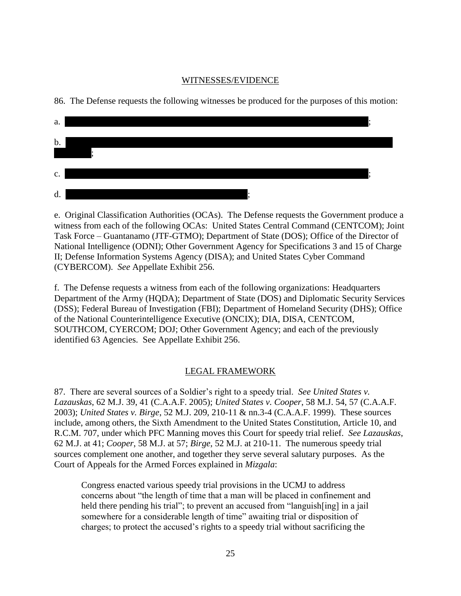### WITNESSES/EVIDENCE

86. The Defense requests the following witnesses be produced for the purposes of this motion:

| a.    |  |
|-------|--|
| $b$ . |  |
|       |  |
| c.    |  |
| d.    |  |

e. Original Classification Authorities (OCAs). The Defense requests the Government produce a witness from each of the following OCAs: United States Central Command (CENTCOM); Joint Task Force – Guantanamo (JTF-GTMO); Department of State (DOS); Office of the Director of National Intelligence (ODNI); Other Government Agency for Specifications 3 and 15 of Charge II; Defense Information Systems Agency (DISA); and United States Cyber Command (CYBERCOM). *See* Appellate Exhibit 256.

f. The Defense requests a witness from each of the following organizations: Headquarters Department of the Army (HQDA); Department of State (DOS) and Diplomatic Security Services (DSS); Federal Bureau of Investigation (FBI); Department of Homeland Security (DHS); Office of the National Counterintelligence Executive (ONCIX); DIA, DISA, CENTCOM, SOUTHCOM, CYERCOM; DOJ; Other Government Agency; and each of the previously identified 63 Agencies. See Appellate Exhibit 256.

# LEGAL FRAMEWORK

87. There are several sources of a Soldier's right to a speedy trial. *See United States v. Lazauskas*, 62 M.J. 39, 41 (C.A.A.F. 2005); *United States v. Cooper*, 58 M.J. 54, 57 (C.A.A.F. 2003); *United States v. Birge*, 52 M.J. 209, 210-11 & nn.3-4 (C.A.A.F. 1999). These sources include, among others, the Sixth Amendment to the United States Constitution, Article 10, and R.C.M. 707, under which PFC Manning moves this Court for speedy trial relief. *See Lazauskas*, 62 M.J. at 41; *Cooper*, 58 M.J. at 57; *Birge*, 52 M.J. at 210-11. The numerous speedy trial sources complement one another, and together they serve several salutary purposes. As the Court of Appeals for the Armed Forces explained in *Mizgala*:

Congress enacted various speedy trial provisions in the UCMJ to address concerns about "the length of time that a man will be placed in confinement and held there pending his trial"; to prevent an accused from "languish [ing] in a jail somewhere for a considerable length of time" awaiting trial or disposition of charges; to protect the accused's rights to a speedy trial without sacrificing the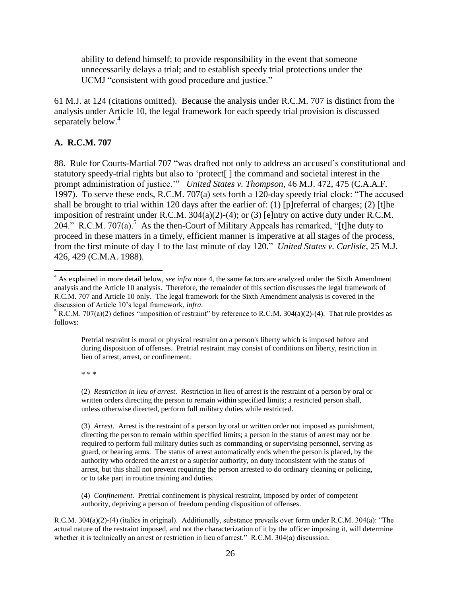ability to defend himself; to provide responsibility in the event that someone unnecessarily delays a trial; and to establish speedy trial protections under the UCMJ "consistent with good procedure and justice."

61 M.J. at 124 (citations omitted). Because the analysis under R.C.M. 707 is distinct from the analysis under Article 10, the legal framework for each speedy trial provision is discussed separately below.<sup>4</sup>

### **A. R.C.M. 707**

 $\overline{\phantom{a}}$ 

88. Rule for Courts-Martial 707 "was drafted not only to address an accused's constitutional and statutory speedy-trial rights but also to 'protect[ ] the command and societal interest in the prompt administration of justice.'" *United States v. Thompson*, 46 M.J. 472, 475 (C.A.A.F. 1997). To serve these ends, R.C.M. 707(a) sets forth a 120-day speedy trial clock: "The accused shall be brought to trial within 120 days after the earlier of: (1) [p]referral of charges; (2) [t]he imposition of restraint under R.C.M. 304(a)(2)-(4); or (3) [e]ntry on active duty under R.C.M. 204." R.C.M. 707(a).<sup>5</sup> As the then-Court of Military Appeals has remarked, "[t]he duty to proceed in these matters in a timely, efficient manner is imperative at all stages of the process, from the first minute of day 1 to the last minute of day 120." *United States v. Carlisle*, 25 M.J. 426, 429 (C.M.A. 1988).

Pretrial restraint is moral or physical restraint on a person's liberty which is imposed before and during disposition of offenses. Pretrial restraint may consist of conditions on liberty, restriction in lieu of arrest, arrest, or confinement.

\* \* \*

(2) *Restriction in lieu of arrest*. Restriction in lieu of arrest is the restraint of a person by oral or written orders directing the person to remain within specified limits; a restricted person shall, unless otherwise directed, perform full military duties while restricted.

(3) *Arrest*. Arrest is the restraint of a person by oral or written order not imposed as punishment, directing the person to remain within specified limits; a person in the status of arrest may not be required to perform full military duties such as commanding or supervising personnel, serving as guard, or bearing arms. The status of arrest automatically ends when the person is placed, by the authority who ordered the arrest or a superior authority, on duty inconsistent with the status of arrest, but this shall not prevent requiring the person arrested to do ordinary cleaning or policing, or to take part in routine training and duties.

(4) *Confinement*. Pretrial confinement is physical restraint, imposed by order of competent authority, depriving a person of freedom pending disposition of offenses.

R.C.M. 304(a)(2)-(4) (italics in original). Additionally, substance prevails over form under R.C.M. 304(a): "The actual nature of the restraint imposed, and not the characterization of it by the officer imposing it, will determine whether it is technically an arrest or restriction in lieu of arrest." R.C.M. 304(a) discussion.

<sup>&</sup>lt;sup>4</sup> As explained in more detail below, *see infra* note 4, the same factors are analyzed under the Sixth Amendment analysis and the Article 10 analysis. Therefore, the remainder of this section discusses the legal framework of R.C.M. 707 and Article 10 only. The legal framework for the Sixth Amendment analysis is covered in the discussion of Article 10's legal framework, *infra*.

 $5$  R.C.M. 707(a)(2) defines "imposition of restraint" by reference to R.C.M. 304(a)(2)-(4). That rule provides as follows: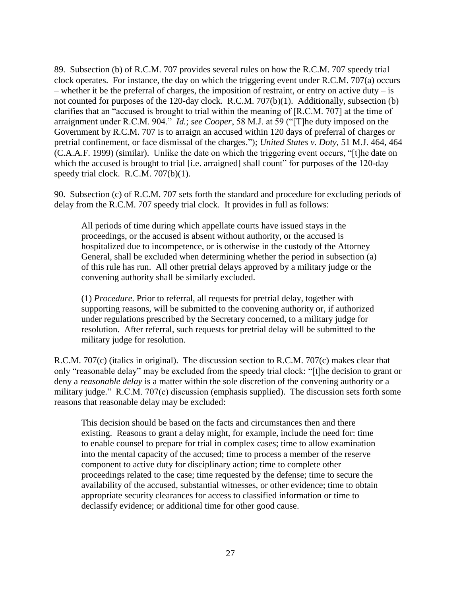89. Subsection (b) of R.C.M. 707 provides several rules on how the R.C.M. 707 speedy trial clock operates. For instance, the day on which the triggering event under R.C.M. 707(a) occurs – whether it be the preferral of charges, the imposition of restraint, or entry on active duty – is not counted for purposes of the 120-day clock. R.C.M. 707(b)(1). Additionally, subsection (b) clarifies that an "accused is brought to trial within the meaning of [R.C.M. 707] at the time of arraignment under R.C.M. 904." *Id.*; *see Cooper*, 58 M.J. at 59 ("[T]he duty imposed on the Government by R.C.M. 707 is to arraign an accused within 120 days of preferral of charges or pretrial confinement, or face dismissal of the charges."); *United States v. Doty*, 51 M.J. 464, 464 (C.A.A.F. 1999) (similar). Unlike the date on which the triggering event occurs, "[t]he date on which the accused is brought to trial [i.e. arraigned] shall count" for purposes of the 120-day speedy trial clock. R.C.M. 707(b)(1).

90. Subsection (c) of R.C.M. 707 sets forth the standard and procedure for excluding periods of delay from the R.C.M. 707 speedy trial clock. It provides in full as follows:

All periods of time during which appellate courts have issued stays in the proceedings, or the accused is absent without authority, or the accused is hospitalized due to incompetence, or is otherwise in the custody of the Attorney General, shall be excluded when determining whether the period in subsection (a) of this rule has run. All other pretrial delays approved by a military judge or the convening authority shall be similarly excluded.

(1) *Procedure*. Prior to referral, all requests for pretrial delay, together with supporting reasons, will be submitted to the convening authority or, if authorized under regulations prescribed by the Secretary concerned, to a military judge for resolution. After referral, such requests for pretrial delay will be submitted to the military judge for resolution.

R.C.M. 707(c) (italics in original). The discussion section to R.C.M. 707(c) makes clear that only "reasonable delay" may be excluded from the speedy trial clock: "[t]he decision to grant or deny a *reasonable delay* is a matter within the sole discretion of the convening authority or a military judge." R.C.M. 707(c) discussion (emphasis supplied). The discussion sets forth some reasons that reasonable delay may be excluded:

This decision should be based on the facts and circumstances then and there existing. Reasons to grant a delay might, for example, include the need for: time to enable counsel to prepare for trial in complex cases; time to allow examination into the mental capacity of the accused; time to process a member of the reserve component to active duty for disciplinary action; time to complete other proceedings related to the case; time requested by the defense; time to secure the availability of the accused, substantial witnesses, or other evidence; time to obtain appropriate security clearances for access to classified information or time to declassify evidence; or additional time for other good cause.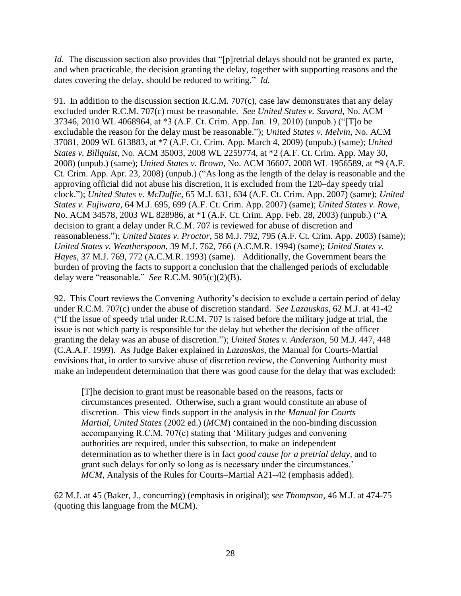*Id.* The discussion section also provides that "[p]retrial delays should not be granted ex parte, and when practicable, the decision granting the delay, together with supporting reasons and the dates covering the delay, should be reduced to writing." *Id.*

91. In addition to the discussion section R.C.M. 707(c), case law demonstrates that any delay excluded under R.C.M. 707(c) must be reasonable. *See United States v. Savard*, No. ACM 37346, 2010 WL 4068964, at \*3 (A.F. Ct. Crim. App. Jan. 19, 2010) (unpub.) ("[T]o be excludable the reason for the delay must be reasonable."); *United States v. Melvin*, No. ACM 37081, 2009 WL 613883, at \*7 (A.F. Ct. Crim. App. March 4, 2009) (unpub.) (same); *United States v. Billquist*, No. ACM 35003, 2008 WL 2259774, at \*2 (A.F. Ct. Crim. App. May 30, 2008) (unpub.) (same); *United States v. Brown*, No. ACM 36607, 2008 WL 1956589, at \*9 (A.F. Ct. Crim. App. Apr. 23, 2008) (unpub.) ("As long as the length of the delay is reasonable and the approving official did not abuse his discretion, it is excluded from the 120–day speedy trial clock."); *United States v. McDuffie*, 65 M.J. 631, 634 (A.F. Ct. Crim. App. 2007) (same); *United States v. Fujiwara*, 64 M.J. 695, 699 (A.F. Ct. Crim. App. 2007) (same); *United States v. Rowe*, No. ACM 34578, 2003 WL 828986, at \*1 (A.F. Ct. Crim. App. Feb. 28, 2003) (unpub.) ("A decision to grant a delay under R.C.M. 707 is reviewed for abuse of discretion and reasonableness."); *United States v. Proctor*, 58 M.J. 792, 795 (A.F. Ct. Crim. App. 2003) (same); *United States v. Weatherspoon*, 39 M.J. 762, 766 (A.C.M.R. 1994) (same); *United States v. Hayes*, 37 M.J. 769, 772 (A.C.M.R. 1993) (same). Additionally, the Government bears the burden of proving the facts to support a conclusion that the challenged periods of excludable delay were "reasonable." *See* R.C.M. 905(c)(2)(B).

92. This Court reviews the Convening Authority's decision to exclude a certain period of delay under R.C.M. 707(c) under the abuse of discretion standard. *See Lazauskas*, 62 M.J. at 41-42 ("If the issue of speedy trial under R.C.M. 707 is raised before the military judge at trial, the issue is not which party is responsible for the delay but whether the decision of the officer granting the delay was an abuse of discretion."); *United States v. Anderson*, 50 M.J. 447, 448 (C.A.A.F. 1999). As Judge Baker explained in *Lazauskas*, the Manual for Courts-Martial envisions that, in order to survive abuse of discretion review, the Convening Authority must make an independent determination that there was good cause for the delay that was excluded:

[T]he decision to grant must be reasonable based on the reasons, facts or circumstances presented. Otherwise, such a grant would constitute an abuse of discretion. This view finds support in the analysis in the *Manual for Courts– Martial, United States* (2002 ed.) (*MCM*) contained in the non-binding discussion accompanying R.C.M. 707(c) stating that 'Military judges and convening authorities are required, under this subsection, to make an independent determination as to whether there is in fact *good cause for a pretrial delay,* and to grant such delays for only so long as is necessary under the circumstances.' *MCM,* Analysis of the Rules for Courts–Martial A21–42 (emphasis added).

62 M.J. at 45 (Baker, J., concurring) (emphasis in original); *see Thompson*, 46 M.J. at 474-75 (quoting this language from the MCM).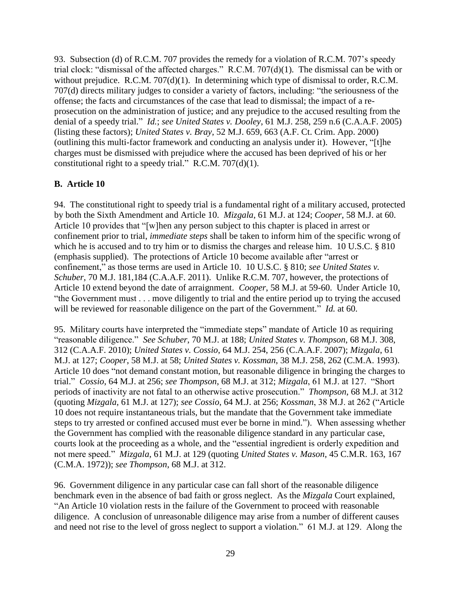93. Subsection (d) of R.C.M. 707 provides the remedy for a violation of R.C.M. 707's speedy trial clock: "dismissal of the affected charges." R.C.M. 707(d)(1). The dismissal can be with or without prejudice. R.C.M. 707(d)(1). In determining which type of dismissal to order, R.C.M. 707(d) directs military judges to consider a variety of factors, including: "the seriousness of the offense; the facts and circumstances of the case that lead to dismissal; the impact of a reprosecution on the administration of justice; and any prejudice to the accused resulting from the denial of a speedy trial." *Id.*; *see United States v. Dooley*, 61 M.J. 258, 259 n.6 (C.A.A.F. 2005) (listing these factors); *United States v. Bray*, 52 M.J. 659, 663 (A.F. Ct. Crim. App. 2000) (outlining this multi-factor framework and conducting an analysis under it). However, "[t]he charges must be dismissed with prejudice where the accused has been deprived of his or her constitutional right to a speedy trial." R.C.M. 707(d)(1).

## **B. Article 10**

94. The constitutional right to speedy trial is a fundamental right of a military accused, protected by both the Sixth Amendment and Article 10. *Mizgala*, 61 M.J. at 124; *Cooper*, 58 M.J. at 60. Article 10 provides that "[w]hen any person subject to this chapter is placed in arrest or confinement prior to trial, *immediate steps* shall be taken to inform him of the specific wrong of which he is accused and to try him or to dismiss the charges and release him. 10 U.S.C. § 810 (emphasis supplied). The protections of Article 10 become available after "arrest or confinement," as those terms are used in Article 10. 10 U.S.C. § 810; *see United States v. Schuber*, 70 M.J. 181,184 (C.A.A.F. 2011). Unlike R.C.M. 707, however, the protections of Article 10 extend beyond the date of arraignment. *Cooper*, 58 M.J. at 59-60. Under Article 10, "the Government must . . . move diligently to trial and the entire period up to trying the accused will be reviewed for reasonable diligence on the part of the Government." *Id.* at 60.

95. Military courts have interpreted the "immediate steps" mandate of Article 10 as requiring "reasonable diligence." *See Schuber*, 70 M.J. at 188; *United States v. Thompson*, 68 M.J. 308, 312 (C.A.A.F. 2010); *United States v. Cossio*, 64 M.J. 254, 256 (C.A.A.F. 2007); *Mizgala*, 61 M.J. at 127; *Cooper*, 58 M.J. at 58; *United States v. Kossman*, 38 M.J. 258, 262 (C.M.A. 1993). Article 10 does "not demand constant motion, but reasonable diligence in bringing the charges to trial." *Cossio*, 64 M.J. at 256; *see Thompson*, 68 M.J. at 312; *Mizgala*, 61 M.J. at 127. "Short periods of inactivity are not fatal to an otherwise active prosecution." *Thompson*, 68 M.J. at 312 (quoting *Mizgala*, 61 M.J. at 127); *see Cossio*, 64 M.J. at 256; *Kossman*, 38 M.J. at 262 ("Article 10 does not require instantaneous trials, but the mandate that the Government take immediate steps to try arrested or confined accused must ever be borne in mind."). When assessing whether the Government has complied with the reasonable diligence standard in any particular case, courts look at the proceeding as a whole, and the "essential ingredient is orderly expedition and not mere speed." *Mizgala*, 61 M.J. at 129 (quoting *United States v. Mason*, 45 C.M.R. 163, 167 (C.M.A. 1972)); *see Thompson*, 68 M.J. at 312.

96. Government diligence in any particular case can fall short of the reasonable diligence benchmark even in the absence of bad faith or gross neglect. As the *Mizgala* Court explained, "An Article 10 violation rests in the failure of the Government to proceed with reasonable diligence. A conclusion of unreasonable diligence may arise from a number of different causes and need not rise to the level of gross neglect to support a violation." 61 M.J. at 129. Along the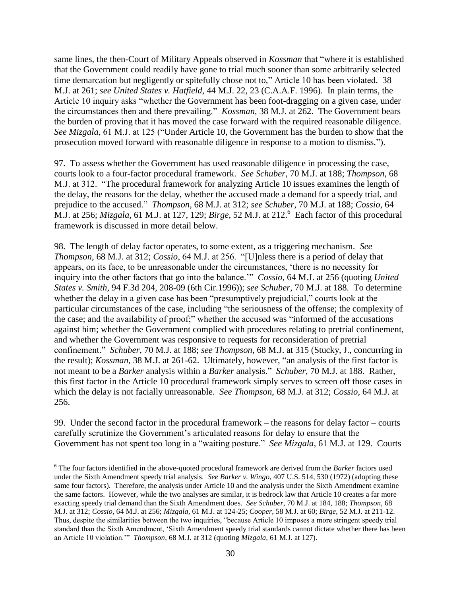same lines, the then-Court of Military Appeals observed in *Kossman* that "where it is established that the Government could readily have gone to trial much sooner than some arbitrarily selected time demarcation but negligently or spitefully chose not to," Article 10 has been violated. 38 M.J. at 261; *see United States v. Hatfield*, 44 M.J. 22, 23 (C.A.A.F. 1996). In plain terms, the Article 10 inquiry asks "whether the Government has been foot-dragging on a given case, under the circumstances then and there prevailing." *Kossman*, 38 M.J. at 262. The Government bears the burden of proving that it has moved the case forward with the required reasonable diligence. *See Mizgala*, 61 M.J. at 125 ("Under Article 10, the Government has the burden to show that the prosecution moved forward with reasonable diligence in response to a motion to dismiss.").

97. To assess whether the Government has used reasonable diligence in processing the case, courts look to a four-factor procedural framework. *See Schuber*, 70 M.J. at 188; *Thompson*, 68 M.J. at 312. "The procedural framework for analyzing Article 10 issues examines the length of the delay, the reasons for the delay, whether the accused made a demand for a speedy trial, and prejudice to the accused." *Thompson*, 68 M.J. at 312; *see Schuber*, 70 M.J. at 188; *Cossio*, 64 M.J. at 256; *Mizgala*, 61 M.J. at 127, 129; *Birge*, 52 M.J. at 212.<sup>6</sup> Each factor of this procedural framework is discussed in more detail below.

98. The length of delay factor operates, to some extent, as a triggering mechanism. *See Thompson*, 68 M.J. at 312; *Cossio*, 64 M.J. at 256. "[U]nless there is a period of delay that appears, on its face, to be unreasonable under the circumstances, 'there is no necessity for inquiry into the other factors that go into the balance.'" *Cossio*, 64 M.J. at 256 (quoting *United States v. Smith,* 94 F.3d 204, 208-09 (6th Cir.1996)); *see Schuber*, 70 M.J. at 188. To determine whether the delay in a given case has been "presumptively prejudicial," courts look at the particular circumstances of the case, including "the seriousness of the offense; the complexity of the case; and the availability of proof;" whether the accused was "informed of the accusations against him; whether the Government complied with procedures relating to pretrial confinement, and whether the Government was responsive to requests for reconsideration of pretrial confinement." *Schuber*, 70 M.J. at 188; *see Thompson*, 68 M.J. at 315 (Stucky, J., concurring in the result); *Kossman*, 38 M.J. at 261-62. Ultimately, however, "an analysis of the first factor is not meant to be a *Barker* analysis within a *Barker* analysis." *Schuber*, 70 M.J. at 188. Rather, this first factor in the Article 10 procedural framework simply serves to screen off those cases in which the delay is not facially unreasonable. *See Thompson*, 68 M.J. at 312; *Cossio*, 64 M.J. at 256.

99. Under the second factor in the procedural framework – the reasons for delay factor – courts carefully scrutinize the Government's articulated reasons for delay to ensure that the Government has not spent too long in a "waiting posture." *See Mizgala*, 61 M.J. at 129. Courts

 $\overline{\phantom{a}}$ 

<sup>6</sup> The four factors identified in the above-quoted procedural framework are derived from the *Barker* factors used under the Sixth Amendment speedy trial analysis. *See Barker v. Wingo*, 407 U.S. 514, 530 (1972) (adopting these same four factors). Therefore, the analysis under Article 10 and the analysis under the Sixth Amendment examine the same factors. However, while the two analyses are similar, it is bedrock law that Article 10 creates a far more exacting speedy trial demand than the Sixth Amendment does. *See Schuber*, 70 M.J. at 184, 188; *Thompson*, 68 M.J. at 312; *Cossio*, 64 M.J. at 256; *Mizgala*, 61 M.J. at 124-25; *Cooper*, 58 M.J. at 60; *Birge*, 52 M.J. at 211-12. Thus, despite the similarities between the two inquiries, "because Article 10 imposes a more stringent speedy trial standard than the Sixth Amendment, 'Sixth Amendment speedy trial standards cannot dictate whether there has been an Article 10 violation.'" *Thompson*, 68 M.J. at 312 (quoting *Mizgala*, 61 M.J. at 127).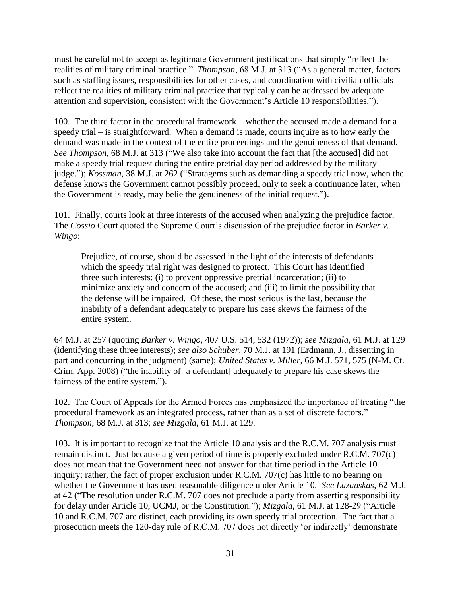must be careful not to accept as legitimate Government justifications that simply "reflect the realities of military criminal practice." *Thompson*, 68 M.J. at 313 ("As a general matter, factors such as staffing issues, responsibilities for other cases, and coordination with civilian officials reflect the realities of military criminal practice that typically can be addressed by adequate attention and supervision, consistent with the Government's Article 10 responsibilities.").

100. The third factor in the procedural framework – whether the accused made a demand for a speedy trial – is straightforward. When a demand is made, courts inquire as to how early the demand was made in the context of the entire proceedings and the genuineness of that demand. *See Thompson*, 68 M.J. at 313 ("We also take into account the fact that [the accused] did not make a speedy trial request during the entire pretrial day period addressed by the military judge."); *Kossman*, 38 M.J. at 262 ("Stratagems such as demanding a speedy trial now, when the defense knows the Government cannot possibly proceed, only to seek a continuance later, when the Government is ready, may belie the genuineness of the initial request.").

101. Finally, courts look at three interests of the accused when analyzing the prejudice factor. The *Cossio* Court quoted the Supreme Court's discussion of the prejudice factor in *Barker v. Wingo*:

Prejudice, of course, should be assessed in the light of the interests of defendants which the speedy trial right was designed to protect. This Court has identified three such interests: (i) to prevent oppressive pretrial incarceration; (ii) to minimize anxiety and concern of the accused; and (iii) to limit the possibility that the defense will be impaired. Of these, the most serious is the last, because the inability of a defendant adequately to prepare his case skews the fairness of the entire system.

64 M.J. at 257 (quoting *Barker v. Wingo*, 407 U.S. 514, 532 (1972)); *see Mizgala*, 61 M.J. at 129 (identifying these three interests); *see also Schuber*, 70 M.J. at 191 (Erdmann, J., dissenting in part and concurring in the judgment) (same); *United States v. Miller*, 66 M.J. 571, 575 (N-M. Ct. Crim. App. 2008) ("the inability of [a defendant] adequately to prepare his case skews the fairness of the entire system.").

102. The Court of Appeals for the Armed Forces has emphasized the importance of treating "the procedural framework as an integrated process, rather than as a set of discrete factors." *Thompson*, 68 M.J. at 313; *see Mizgala*, 61 M.J. at 129.

103. It is important to recognize that the Article 10 analysis and the R.C.M. 707 analysis must remain distinct. Just because a given period of time is properly excluded under R.C.M. 707(c) does not mean that the Government need not answer for that time period in the Article 10 inquiry; rather, the fact of proper exclusion under R.C.M. 707(c) has little to no bearing on whether the Government has used reasonable diligence under Article 10. *See Lazauskas*, 62 M.J. at 42 ("The resolution under R.C.M. 707 does not preclude a party from asserting responsibility for delay under Article 10, UCMJ, or the Constitution."); *Mizgala*, 61 M.J. at 128-29 ("Article 10 and R.C.M. 707 are distinct, each providing its own speedy trial protection. The fact that a prosecution meets the 120-day rule of R.C.M. 707 does not directly 'or indirectly' demonstrate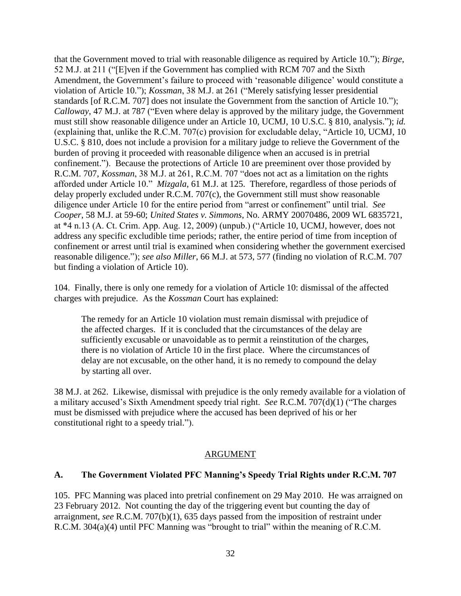that the Government moved to trial with reasonable diligence as required by Article 10."); *Birge*, 52 M.J. at 211 ("[E]ven if the Government has complied with RCM 707 and the Sixth Amendment, the Government's failure to proceed with 'reasonable diligence' would constitute a violation of Article 10."); *Kossman*, 38 M.J. at 261 ("Merely satisfying lesser presidential standards [of R.C.M. 707] does not insulate the Government from the sanction of Article 10."); *Calloway*, 47 M.J. at 787 ("Even where delay is approved by the military judge, the Government must still show reasonable diligence under an Article 10, UCMJ, 10 U.S.C. § 810, analysis."); *id.* (explaining that, unlike the R.C.M. 707(c) provision for excludable delay, "Article 10, UCMJ, 10 U.S.C. § 810, does not include a provision for a military judge to relieve the Government of the burden of proving it proceeded with reasonable diligence when an accused is in pretrial confinement."). Because the protections of Article 10 are preeminent over those provided by R.C.M. 707, *Kossman*, 38 M.J. at 261, R.C.M. 707 "does not act as a limitation on the rights afforded under Article 10." *Mizgala*, 61 M.J. at 125. Therefore, regardless of those periods of delay properly excluded under R.C.M. 707(c), the Government still must show reasonable diligence under Article 10 for the entire period from "arrest or confinement" until trial. *See Cooper*, 58 M.J. at 59-60; *United States v. Simmons*, No. ARMY 20070486, 2009 WL 6835721, at \*4 n.13 (A. Ct. Crim. App. Aug. 12, 2009) (unpub.) ("Article 10, UCMJ, however, does not address any specific excludible time periods; rather, the entire period of time from inception of confinement or arrest until trial is examined when considering whether the government exercised reasonable diligence."); *see also Miller*, 66 M.J. at 573, 577 (finding no violation of R.C.M. 707 but finding a violation of Article 10).

104. Finally, there is only one remedy for a violation of Article 10: dismissal of the affected charges with prejudice. As the *Kossman* Court has explained:

The remedy for an Article 10 violation must remain dismissal with prejudice of the affected charges. If it is concluded that the circumstances of the delay are sufficiently excusable or unavoidable as to permit a reinstitution of the charges, there is no violation of Article 10 in the first place. Where the circumstances of delay are not excusable, on the other hand, it is no remedy to compound the delay by starting all over.

38 M.J. at 262. Likewise, dismissal with prejudice is the only remedy available for a violation of a military accused's Sixth Amendment speedy trial right. *See* R.C.M. 707(d)(1) ("The charges must be dismissed with prejudice where the accused has been deprived of his or her constitutional right to a speedy trial.").

## ARGUMENT

#### **A. The Government Violated PFC Manning's Speedy Trial Rights under R.C.M. 707**

105. PFC Manning was placed into pretrial confinement on 29 May 2010. He was arraigned on 23 February 2012. Not counting the day of the triggering event but counting the day of arraignment, *see* R.C.M. 707(b)(1), 635 days passed from the imposition of restraint under R.C.M. 304(a)(4) until PFC Manning was "brought to trial" within the meaning of R.C.M.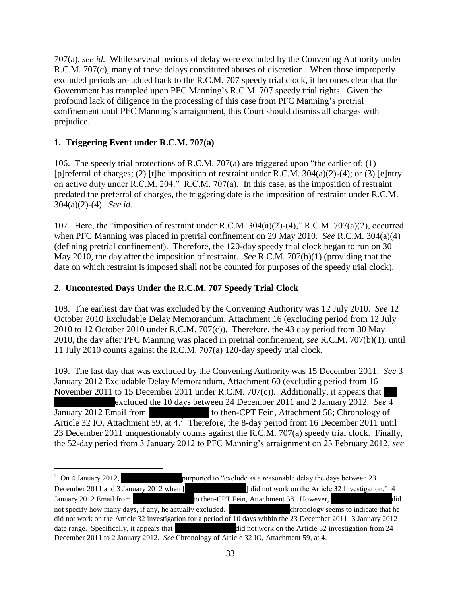707(a), *see id.* While several periods of delay were excluded by the Convening Authority under R.C.M. 707(c), many of these delays constituted abuses of discretion. When those improperly excluded periods are added back to the R.C.M. 707 speedy trial clock, it becomes clear that the Government has trampled upon PFC Manning's R.C.M. 707 speedy trial rights. Given the profound lack of diligence in the processing of this case from PFC Manning's pretrial confinement until PFC Manning's arraignment, this Court should dismiss all charges with prejudice.

# **1. Triggering Event under R.C.M. 707(a)**

 $\overline{a}$ 

106. The speedy trial protections of R.C.M. 707(a) are triggered upon "the earlier of: (1) [p]referral of charges; (2) [t]he imposition of restraint under R.C.M. 304(a)(2)-(4); or (3) [e]ntry on active duty under R.C.M. 204." R.C.M. 707(a). In this case, as the imposition of restraint predated the preferral of charges, the triggering date is the imposition of restraint under R.C.M. 304(a)(2)-(4). *See id.*

107. Here, the "imposition of restraint under R.C.M. 304(a)(2)-(4)," R.C.M. 707(a)(2), occurred when PFC Manning was placed in pretrial confinement on 29 May 2010. *See* R.C.M. 304(a)(4) (defining pretrial confinement). Therefore, the 120-day speedy trial clock began to run on 30 May 2010, the day after the imposition of restraint. *See* R.C.M. 707(b)(1) (providing that the date on which restraint is imposed shall not be counted for purposes of the speedy trial clock).

# **2. Uncontested Days Under the R.C.M. 707 Speedy Trial Clock**

108. The earliest day that was excluded by the Convening Authority was 12 July 2010. *See* 12 October 2010 Excludable Delay Memorandum, Attachment 16 (excluding period from 12 July 2010 to 12 October 2010 under R.C.M. 707(c)). Therefore, the 43 day period from 30 May 2010, the day after PFC Manning was placed in pretrial confinement, *see* R.C.M. 707(b)(1), until 11 July 2010 counts against the R.C.M. 707(a) 120-day speedy trial clock.

109. The last day that was excluded by the Convening Authority was 15 December 2011. *See* 3 January 2012 Excludable Delay Memorandum, Attachment 60 (excluding period from 16 November 2011 to 15 December 2011 under R.C.M. 707 $(c)$ ). Additionally, it appears that excluded the 10 days between 24 December 2011 and 2 January 2012. *See* 4 January 2012 Email from the to then-CPT Fein, Attachment 58; Chronology of Article 32 IO, Attachment 59, at  $4.7$  Therefore, the 8-day period from 16 December 2011 until 23 December 2011 unquestionably counts against the R.C.M. 707(a) speedy trial clock. Finally, the 52-day period from 3 January 2012 to PFC Manning's arraignment on 23 February 2012, *see*

 $\frac{7}{1}$  On 4 January 2012, purported to "exclude as a reasonable delay the days between 23 December 2011 and 3 January 2012 when [\*\*\*\*\*\*\*\*\*\*\*\*\*\*] did not work on the Article 32 Investigation." 4 January 2012 Email from \*\*\*Redacted\*\*\*to then-CPT Fein, Attachment 58. However, \*\*\*Redacted\*\*\*did not specify how many days, if any, he actually excluded. \*\*\*Redacted\*\*\*chronology seems to indicate that he did not work on the Article 32 investigation for a period of 10 days within the 23 December 2011–3 January 2012 date range. Specifically, it appears that \*\*\*\*did not work on the Article 32 investigation from 24 December 2011 to 2 January 2012. *See* Chronology of Article 32 IO, Attachment 59, at 4.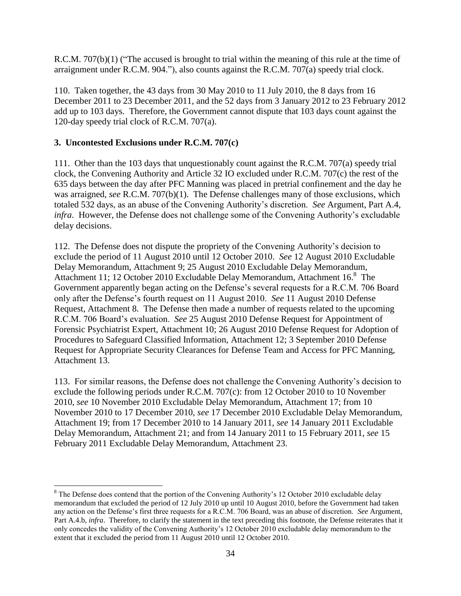R.C.M. 707(b)(1) ("The accused is brought to trial within the meaning of this rule at the time of arraignment under R.C.M. 904."), also counts against the R.C.M. 707(a) speedy trial clock.

110. Taken together, the 43 days from 30 May 2010 to 11 July 2010, the 8 days from 16 December 2011 to 23 December 2011, and the 52 days from 3 January 2012 to 23 February 2012 add up to 103 days. Therefore, the Government cannot dispute that 103 days count against the 120-day speedy trial clock of R.C.M. 707(a).

## **3. Uncontested Exclusions under R.C.M. 707(c)**

l

111. Other than the 103 days that unquestionably count against the R.C.M. 707(a) speedy trial clock, the Convening Authority and Article 32 IO excluded under R.C.M. 707(c) the rest of the 635 days between the day after PFC Manning was placed in pretrial confinement and the day he was arraigned, *see* R.C.M. 707(b)(1). The Defense challenges many of those exclusions, which totaled 532 days, as an abuse of the Convening Authority's discretion. *See* Argument, Part A.4, *infra*. However, the Defense does not challenge some of the Convening Authority's excludable delay decisions.

112. The Defense does not dispute the propriety of the Convening Authority's decision to exclude the period of 11 August 2010 until 12 October 2010. *See* 12 August 2010 Excludable Delay Memorandum, Attachment 9; 25 August 2010 Excludable Delay Memorandum, Attachment 11; 12 October 2010 Excludable Delay Memorandum, Attachment 16.<sup>8</sup> The Government apparently began acting on the Defense's several requests for a R.C.M. 706 Board only after the Defense's fourth request on 11 August 2010. *See* 11 August 2010 Defense Request, Attachment 8. The Defense then made a number of requests related to the upcoming R.C.M. 706 Board's evaluation. *See* 25 August 2010 Defense Request for Appointment of Forensic Psychiatrist Expert, Attachment 10; 26 August 2010 Defense Request for Adoption of Procedures to Safeguard Classified Information, Attachment 12; 3 September 2010 Defense Request for Appropriate Security Clearances for Defense Team and Access for PFC Manning, Attachment 13.

113. For similar reasons, the Defense does not challenge the Convening Authority's decision to exclude the following periods under R.C.M. 707(c): from 12 October 2010 to 10 November 2010, *see* 10 November 2010 Excludable Delay Memorandum, Attachment 17; from 10 November 2010 to 17 December 2010, *see* 17 December 2010 Excludable Delay Memorandum, Attachment 19; from 17 December 2010 to 14 January 2011, *see* 14 January 2011 Excludable Delay Memorandum, Attachment 21; and from 14 January 2011 to 15 February 2011, *see* 15 February 2011 Excludable Delay Memorandum, Attachment 23.

<sup>&</sup>lt;sup>8</sup> The Defense does contend that the portion of the Convening Authority's 12 October 2010 excludable delay memorandum that excluded the period of 12 July 2010 up until 10 August 2010, before the Government had taken any action on the Defense's first three requests for a R.C.M. 706 Board, was an abuse of discretion. *See* Argument, Part A.4.b, *infra*. Therefore, to clarify the statement in the text preceding this footnote, the Defense reiterates that it only concedes the validity of the Convening Authority's 12 October 2010 excludable delay memorandum to the extent that it excluded the period from 11 August 2010 until 12 October 2010.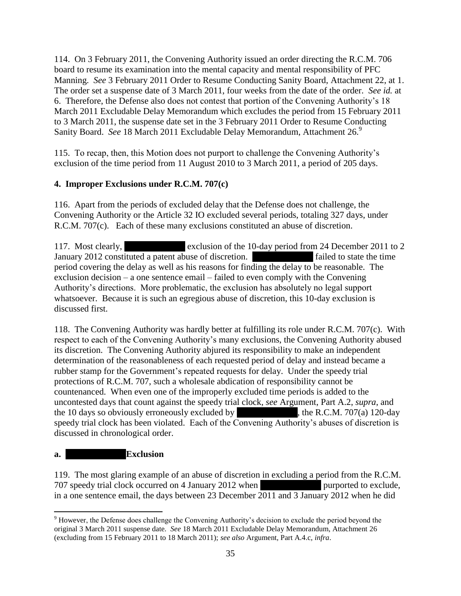114. On 3 February 2011, the Convening Authority issued an order directing the R.C.M. 706 board to resume its examination into the mental capacity and mental responsibility of PFC Manning. *See* 3 February 2011 Order to Resume Conducting Sanity Board, Attachment 22, at 1. The order set a suspense date of 3 March 2011, four weeks from the date of the order. *See id.* at 6. Therefore, the Defense also does not contest that portion of the Convening Authority's 18 March 2011 Excludable Delay Memorandum which excludes the period from 15 February 2011 to 3 March 2011, the suspense date set in the 3 February 2011 Order to Resume Conducting Sanity Board. See 18 March 2011 Excludable Delay Memorandum, Attachment 26.<sup>9</sup>

115. To recap, then, this Motion does not purport to challenge the Convening Authority's exclusion of the time period from 11 August 2010 to 3 March 2011, a period of 205 days.

# **4. Improper Exclusions under R.C.M. 707(c)**

116. Apart from the periods of excluded delay that the Defense does not challenge, the Convening Authority or the Article 32 IO excluded several periods, totaling 327 days, under R.C.M. 707(c). Each of these many exclusions constituted an abuse of discretion.

117. Most clearly, the exclusion of the 10-day period from 24 December 2011 to 2 January 2012 constituted a patent abuse of discretion. \*\*\*\* failed to state the time period covering the delay as well as his reasons for finding the delay to be reasonable. The exclusion decision – a one sentence email – failed to even comply with the Convening Authority's directions. More problematic, the exclusion has absolutely no legal support whatsoever. Because it is such an egregious abuse of discretion, this 10-day exclusion is discussed first.

118. The Convening Authority was hardly better at fulfilling its role under R.C.M. 707(c). With respect to each of the Convening Authority's many exclusions, the Convening Authority abused its discretion. The Convening Authority abjured its responsibility to make an independent determination of the reasonableness of each requested period of delay and instead became a rubber stamp for the Government's repeated requests for delay. Under the speedy trial protections of R.C.M. 707, such a wholesale abdication of responsibility cannot be countenanced. When even one of the improperly excluded time periods is added to the uncontested days that count against the speedy trial clock, *see* Argument, Part A.2, *supra*, and the 10 days so obviously erroneously excluded by  $\mu$ , the R.C.M. 707(a) 120-day speedy trial clock has been violated. Each of the Convening Authority's abuses of discretion is discussed in chronological order.

# **a. Exclusion**

119. The most glaring example of an abuse of discretion in excluding a period from the R.C.M. 707 speedy trial clock occurred on 4 January 2012 when \*\*\* in a one sentence email, the days between 23 December 2011 and 3 January 2012 when he did

 $\overline{\phantom{a}}$ <sup>9</sup> However, the Defense does challenge the Convening Authority's decision to exclude the period beyond the original 3 March 2011 suspense date. *See* 18 March 2011 Excludable Delay Memorandum, Attachment 26 (excluding from 15 February 2011 to 18 March 2011); *see also* Argument, Part A.4.c, *infra*.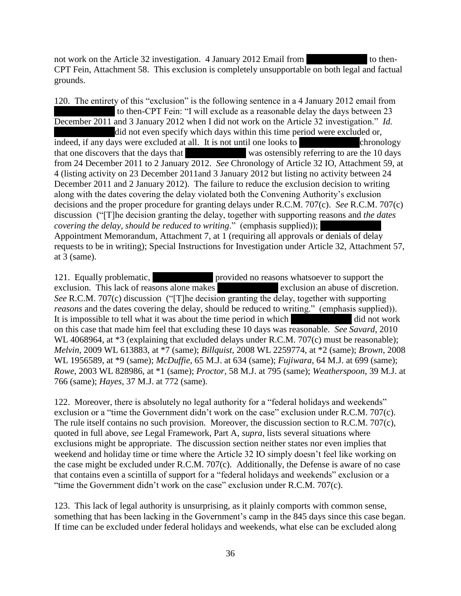not work on the Article 32 investigation. 4 January 2012 Email from  $\blacksquare$  to then-CPT Fein, Attachment 58. This exclusion is completely unsupportable on both legal and factual grounds.

120. The entirety of this "exclusion" is the following sentence in a 4 January 2012 email from to then-CPT Fein: "I will exclude as a reasonable delay the days between 23 December 2011 and 3 January 2012 when I did not work on the Article 32 investigation." *Id.* did not even specify which days within this time period were excluded or, indeed, if any days were excluded at all. It is not until one looks to  $\blacksquare$  chronology that one discovers that the days that \*\*\*\* was ostensibly referring to are the 10 days from 24 December 2011 to 2 January 2012. *See* Chronology of Article 32 IO, Attachment 59, at 4 (listing activity on 23 December 2011and 3 January 2012 but listing no activity between 24 December 2011 and 2 January 2012). The failure to reduce the exclusion decision to writing along with the dates covering the delay violated both the Convening Authority's exclusion decisions and the proper procedure for granting delays under R.C.M. 707(c). *See* R.C.M. 707(c) discussion ("[T]he decision granting the delay, together with supporting reasons and *the dates covering the delay, should be reduced to writing.*" (emphasis supplied)); Appointment Memorandum, Attachment 7, at 1 (requiring all approvals or denials of delay requests to be in writing); Special Instructions for Investigation under Article 32, Attachment 57, at 3 (same).

121. Equally problematic, the provided no reasons whatsoever to support the exclusion. This lack of reasons alone makes \*\*\*\* exclusion an abuse of discretion. *See* R.C.M. 707(c) discussion ("[T]he decision granting the delay, together with supporting *reasons* and the dates covering the delay, should be reduced to writing." (emphasis supplied)). It is impossible to tell what it was about the time period in which  $\ddot{\phantom{a}}$  did not work on this case that made him feel that excluding these 10 days was reasonable. *See Savard*, 2010 WL 4068964, at  $*3$  (explaining that excluded delays under R.C.M. 707(c) must be reasonable); *Melvin*, 2009 WL 613883, at \*7 (same); *Billquist*, 2008 WL 2259774, at \*2 (same); *Brown*, 2008 WL 1956589, at \*9 (same); *McDuffie*, 65 M.J. at 634 (same); *Fujiwara*, 64 M.J. at 699 (same); *Rowe*, 2003 WL 828986, at \*1 (same); *Proctor*, 58 M.J. at 795 (same); *Weatherspoon*, 39 M.J. at 766 (same); *Hayes*, 37 M.J. at 772 (same).

122. Moreover, there is absolutely no legal authority for a "federal holidays and weekends" exclusion or a "time the Government didn't work on the case" exclusion under R.C.M. 707(c). The rule itself contains no such provision. Moreover, the discussion section to R.C.M. 707(c), quoted in full above, *see* Legal Framework, Part A, *supra*, lists several situations where exclusions might be appropriate. The discussion section neither states nor even implies that weekend and holiday time or time where the Article 32 IO simply doesn't feel like working on the case might be excluded under R.C.M. 707(c). Additionally, the Defense is aware of no case that contains even a scintilla of support for a "federal holidays and weekends" exclusion or a "time the Government didn't work on the case" exclusion under R.C.M. 707(c).

123. This lack of legal authority is unsurprising, as it plainly comports with common sense, something that has been lacking in the Government's camp in the 845 days since this case began. If time can be excluded under federal holidays and weekends, what else can be excluded along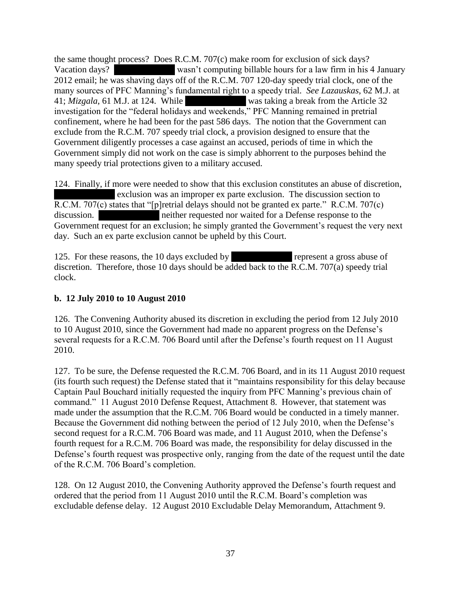the same thought process? Does R.C.M. 707(c) make room for exclusion of sick days? Vacation days? \*\*\* wasn't computing billable hours for a law firm in his 4 January 2012 email; he was shaving days off of the R.C.M. 707 120-day speedy trial clock, one of the many sources of PFC Manning's fundamental right to a speedy trial. *See Lazauskas*, 62 M.J. at 41; *Mizgala*, 61 M.J. at 124. While was taking a break from the Article 32 investigation for the "federal holidays and weekends," PFC Manning remained in pretrial confinement, where he had been for the past 586 days. The notion that the Government can exclude from the R.C.M. 707 speedy trial clock, a provision designed to ensure that the Government diligently processes a case against an accused, periods of time in which the Government simply did not work on the case is simply abhorrent to the purposes behind the many speedy trial protections given to a military accused.

124. Finally, if more were needed to show that this exclusion constitutes an abuse of discretion, exclusion was an improper ex parte exclusion. The discussion section to R.C.M. 707(c) states that "[p]retrial delays should not be granted ex parte." R.C.M. 707(c) discussion. \*\*\*\* neither requested nor waited for a Defense response to the Government request for an exclusion; he simply granted the Government's request the very next day. Such an ex parte exclusion cannot be upheld by this Court.

125. For these reasons, the 10 days excluded by \*\*\*\*\* represent a gross abuse of discretion. Therefore, those 10 days should be added back to the R.C.M. 707(a) speedy trial clock.

## **b. 12 July 2010 to 10 August 2010**

126. The Convening Authority abused its discretion in excluding the period from 12 July 2010 to 10 August 2010, since the Government had made no apparent progress on the Defense's several requests for a R.C.M. 706 Board until after the Defense's fourth request on 11 August 2010.

127. To be sure, the Defense requested the R.C.M. 706 Board, and in its 11 August 2010 request (its fourth such request) the Defense stated that it "maintains responsibility for this delay because Captain Paul Bouchard initially requested the inquiry from PFC Manning's previous chain of command." 11 August 2010 Defense Request, Attachment 8. However, that statement was made under the assumption that the R.C.M. 706 Board would be conducted in a timely manner. Because the Government did nothing between the period of 12 July 2010, when the Defense's second request for a R.C.M. 706 Board was made, and 11 August 2010, when the Defense's fourth request for a R.C.M. 706 Board was made, the responsibility for delay discussed in the Defense's fourth request was prospective only, ranging from the date of the request until the date of the R.C.M. 706 Board's completion.

128. On 12 August 2010, the Convening Authority approved the Defense's fourth request and ordered that the period from 11 August 2010 until the R.C.M. Board's completion was excludable defense delay. 12 August 2010 Excludable Delay Memorandum, Attachment 9.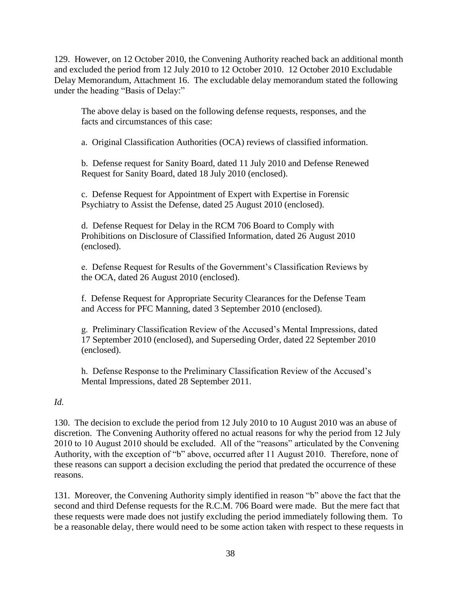129. However, on 12 October 2010, the Convening Authority reached back an additional month and excluded the period from 12 July 2010 to 12 October 2010. 12 October 2010 Excludable Delay Memorandum, Attachment 16. The excludable delay memorandum stated the following under the heading "Basis of Delay:"

The above delay is based on the following defense requests, responses, and the facts and circumstances of this case:

a. Original Classification Authorities (OCA) reviews of classified information.

b. Defense request for Sanity Board, dated 11 July 2010 and Defense Renewed Request for Sanity Board, dated 18 July 2010 (enclosed).

c. Defense Request for Appointment of Expert with Expertise in Forensic Psychiatry to Assist the Defense, dated 25 August 2010 (enclosed).

d. Defense Request for Delay in the RCM 706 Board to Comply with Prohibitions on Disclosure of Classified Information, dated 26 August 2010 (enclosed).

e. Defense Request for Results of the Government's Classification Reviews by the OCA, dated 26 August 2010 (enclosed).

f. Defense Request for Appropriate Security Clearances for the Defense Team and Access for PFC Manning, dated 3 September 2010 (enclosed).

g. Preliminary Classification Review of the Accused's Mental Impressions, dated 17 September 2010 (enclosed), and Superseding Order, dated 22 September 2010 (enclosed).

h. Defense Response to the Preliminary Classification Review of the Accused's Mental Impressions, dated 28 September 2011.

### *Id.*

130. The decision to exclude the period from 12 July 2010 to 10 August 2010 was an abuse of discretion. The Convening Authority offered no actual reasons for why the period from 12 July 2010 to 10 August 2010 should be excluded. All of the "reasons" articulated by the Convening Authority, with the exception of "b" above, occurred after 11 August 2010. Therefore, none of these reasons can support a decision excluding the period that predated the occurrence of these reasons.

131. Moreover, the Convening Authority simply identified in reason "b" above the fact that the second and third Defense requests for the R.C.M. 706 Board were made. But the mere fact that these requests were made does not justify excluding the period immediately following them. To be a reasonable delay, there would need to be some action taken with respect to these requests in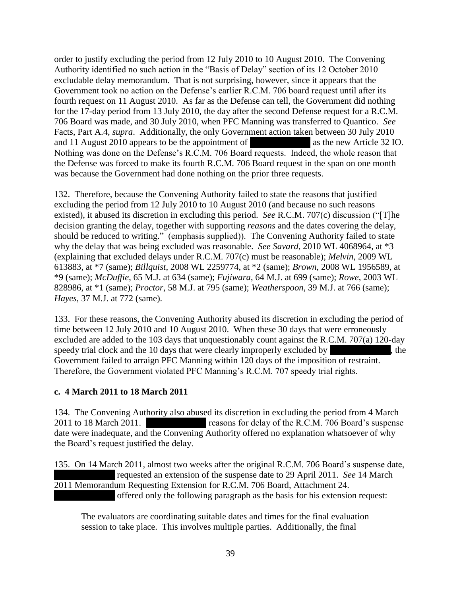order to justify excluding the period from 12 July 2010 to 10 August 2010. The Convening Authority identified no such action in the "Basis of Delay" section of its 12 October 2010 excludable delay memorandum. That is not surprising, however, since it appears that the Government took no action on the Defense's earlier R.C.M. 706 board request until after its fourth request on 11 August 2010. As far as the Defense can tell, the Government did nothing for the 17-day period from 13 July 2010, the day after the second Defense request for a R.C.M. 706 Board was made, and 30 July 2010, when PFC Manning was transferred to Quantico. *See* Facts, Part A.4, *supra*. Additionally, the only Government action taken between 30 July 2010 and 11 August 2010 appears to be the appointment of \*\*\*\* as the new Article 32 IO. Nothing was done on the Defense's R.C.M. 706 Board requests. Indeed, the whole reason that the Defense was forced to make its fourth R.C.M. 706 Board request in the span on one month was because the Government had done nothing on the prior three requests.

132. Therefore, because the Convening Authority failed to state the reasons that justified excluding the period from 12 July 2010 to 10 August 2010 (and because no such reasons existed), it abused its discretion in excluding this period. *See* R.C.M. 707(c) discussion ("[T]he decision granting the delay, together with supporting *reasons* and the dates covering the delay, should be reduced to writing." (emphasis supplied)). The Convening Authority failed to state why the delay that was being excluded was reasonable. *See Savard*, 2010 WL 4068964, at \*3 (explaining that excluded delays under R.C.M. 707(c) must be reasonable); *Melvin*, 2009 WL 613883, at \*7 (same); *Billquist*, 2008 WL 2259774, at \*2 (same); *Brown*, 2008 WL 1956589, at \*9 (same); *McDuffie*, 65 M.J. at 634 (same); *Fujiwara*, 64 M.J. at 699 (same); *Rowe*, 2003 WL 828986, at \*1 (same); *Proctor*, 58 M.J. at 795 (same); *Weatherspoon*, 39 M.J. at 766 (same); *Hayes*, 37 M.J. at 772 (same).

133. For these reasons, the Convening Authority abused its discretion in excluding the period of time between 12 July 2010 and 10 August 2010. When these 30 days that were erroneously excluded are added to the 103 days that unquestionably count against the R.C.M. 707(a) 120-day speedy trial clock and the  $10$  days that were clearly improperly excluded by  $\blacksquare$ , the Government failed to arraign PFC Manning within 120 days of the imposition of restraint. Therefore, the Government violated PFC Manning's R.C.M. 707 speedy trial rights.

### **c. 4 March 2011 to 18 March 2011**

134. The Convening Authority also abused its discretion in excluding the period from 4 March 2011 to 18 March 2011. The reasons for delay of the R.C.M. 706 Board's suspense date were inadequate, and the Convening Authority offered no explanation whatsoever of why the Board's request justified the delay.

135. On 14 March 2011, almost two weeks after the original R.C.M. 706 Board's suspense date, requested an extension of the suspense date to 29 April 2011. *See* 14 March 2011 Memorandum Requesting Extension for R.C.M. 706 Board, Attachment 24. offered only the following paragraph as the basis for his extension request:

The evaluators are coordinating suitable dates and times for the final evaluation session to take place. This involves multiple parties. Additionally, the final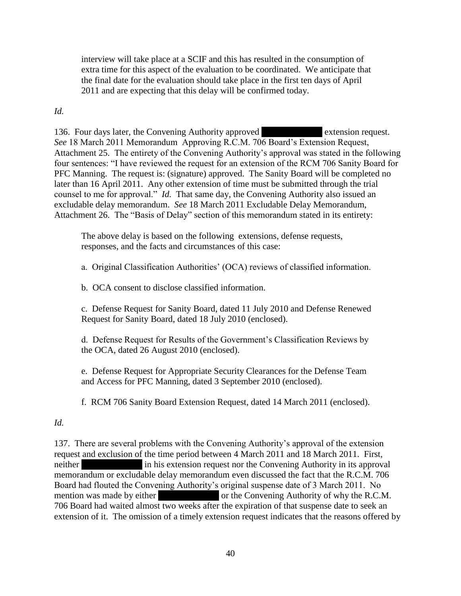interview will take place at a SCIF and this has resulted in the consumption of extra time for this aspect of the evaluation to be coordinated. We anticipate that the final date for the evaluation should take place in the first ten days of April 2011 and are expecting that this delay will be confirmed today.

*Id.*

136. Four days later, the Convening Authority approved **Extension request.** *See* 18 March 2011 Memorandum Approving R.C.M. 706 Board's Extension Request, Attachment 25. The entirety of the Convening Authority's approval was stated in the following four sentences: "I have reviewed the request for an extension of the RCM 706 Sanity Board for PFC Manning. The request is: (signature) approved. The Sanity Board will be completed no later than 16 April 2011. Any other extension of time must be submitted through the trial counsel to me for approval." *Id.* That same day, the Convening Authority also issued an excludable delay memorandum. *See* 18 March 2011 Excludable Delay Memorandum, Attachment 26. The "Basis of Delay" section of this memorandum stated in its entirety:

The above delay is based on the following extensions, defense requests, responses, and the facts and circumstances of this case:

a. Original Classification Authorities' (OCA) reviews of classified information.

b. OCA consent to disclose classified information.

c. Defense Request for Sanity Board, dated 11 July 2010 and Defense Renewed Request for Sanity Board, dated 18 July 2010 (enclosed).

d. Defense Request for Results of the Government's Classification Reviews by the OCA, dated 26 August 2010 (enclosed).

e. Defense Request for Appropriate Security Clearances for the Defense Team and Access for PFC Manning, dated 3 September 2010 (enclosed).

f. RCM 706 Sanity Board Extension Request, dated 14 March 2011 (enclosed).

*Id.*

137. There are several problems with the Convening Authority's approval of the extension request and exclusion of the time period between 4 March 2011 and 18 March 2011. First, neither  $\frac{1}{\pi}$  in his extension request nor the Convening Authority in its approval memorandum or excludable delay memorandum even discussed the fact that the R.C.M. 706 Board had flouted the Convening Authority's original suspense date of 3 March 2011. No mention was made by either \*\*\*\*\* or the Convening Authority of why the R.C.M. 706 Board had waited almost two weeks after the expiration of that suspense date to seek an extension of it. The omission of a timely extension request indicates that the reasons offered by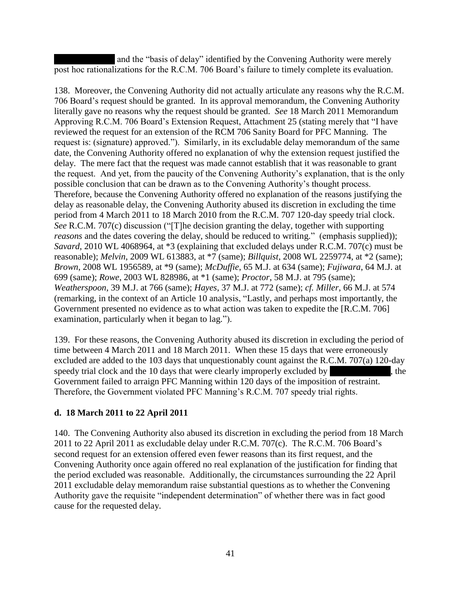and the "basis of delay" identified by the Convening Authority were merely post hoc rationalizations for the R.C.M. 706 Board's failure to timely complete its evaluation.

138. Moreover, the Convening Authority did not actually articulate any reasons why the R.C.M. 706 Board's request should be granted. In its approval memorandum, the Convening Authority literally gave no reasons why the request should be granted. *See* 18 March 2011 Memorandum Approving R.C.M. 706 Board's Extension Request, Attachment 25 (stating merely that "I have reviewed the request for an extension of the RCM 706 Sanity Board for PFC Manning. The request is: (signature) approved."). Similarly, in its excludable delay memorandum of the same date, the Convening Authority offered no explanation of why the extension request justified the delay. The mere fact that the request was made cannot establish that it was reasonable to grant the request. And yet, from the paucity of the Convening Authority's explanation, that is the only possible conclusion that can be drawn as to the Convening Authority's thought process. Therefore, because the Convening Authority offered no explanation of the reasons justifying the delay as reasonable delay, the Convening Authority abused its discretion in excluding the time period from 4 March 2011 to 18 March 2010 from the R.C.M. 707 120-day speedy trial clock. *See* R.C.M. 707(c) discussion ("[T]he decision granting the delay, together with supporting *reasons* and the dates covering the delay, should be reduced to writing." (emphasis supplied)); *Savard*, 2010 WL 4068964, at \*3 (explaining that excluded delays under R.C.M. 707(c) must be reasonable); *Melvin*, 2009 WL 613883, at \*7 (same); *Billquist*, 2008 WL 2259774, at \*2 (same); *Brown*, 2008 WL 1956589, at \*9 (same); *McDuffie*, 65 M.J. at 634 (same); *Fujiwara*, 64 M.J. at 699 (same); *Rowe*, 2003 WL 828986, at \*1 (same); *Proctor*, 58 M.J. at 795 (same); *Weatherspoon*, 39 M.J. at 766 (same); *Hayes*, 37 M.J. at 772 (same); *cf. Miller*, 66 M.J. at 574 (remarking, in the context of an Article 10 analysis, "Lastly, and perhaps most importantly, the Government presented no evidence as to what action was taken to expedite the [R.C.M. 706] examination, particularly when it began to lag.").

139. For these reasons, the Convening Authority abused its discretion in excluding the period of time between 4 March 2011 and 18 March 2011. When these 15 days that were erroneously excluded are added to the 103 days that unquestionably count against the R.C.M. 707(a) 120-day speedy trial clock and the  $10$  days that were clearly improperly excluded by  $\blacksquare$ , the Government failed to arraign PFC Manning within 120 days of the imposition of restraint. Therefore, the Government violated PFC Manning's R.C.M. 707 speedy trial rights.

### **d. 18 March 2011 to 22 April 2011**

140. The Convening Authority also abused its discretion in excluding the period from 18 March 2011 to 22 April 2011 as excludable delay under R.C.M. 707(c). The R.C.M. 706 Board's second request for an extension offered even fewer reasons than its first request, and the Convening Authority once again offered no real explanation of the justification for finding that the period excluded was reasonable. Additionally, the circumstances surrounding the 22 April 2011 excludable delay memorandum raise substantial questions as to whether the Convening Authority gave the requisite "independent determination" of whether there was in fact good cause for the requested delay.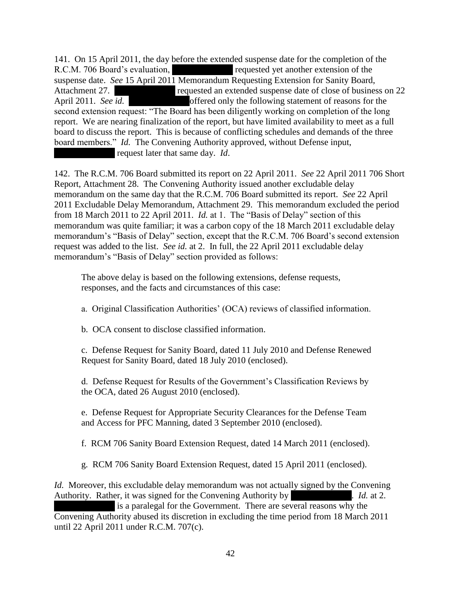141. On 15 April 2011, the day before the extended suspense date for the completion of the R.C.M. 706 Board's evaluation, \*\*\*\* requested yet another extension of the suspense date. *See* 15 April 2011 Memorandum Requesting Extension for Sanity Board, Attachment 27. \*\*\*\* requested an extended suspense date of close of business on 22 April 2011. *See id.* \*\*\*Redacted\*\*\*offered only the following statement of reasons for the second extension request: "The Board has been diligently working on completion of the long report. We are nearing finalization of the report, but have limited availability to meet as a full board to discuss the report. This is because of conflicting schedules and demands of the three board members." *Id.* The Convening Authority approved, without Defense input, request later that same day. *Id*.

142. The R.C.M. 706 Board submitted its report on 22 April 2011. *See* 22 April 2011 706 Short Report, Attachment 28. The Convening Authority issued another excludable delay memorandum on the same day that the R.C.M. 706 Board submitted its report. *See* 22 April 2011 Excludable Delay Memorandum, Attachment 29. This memorandum excluded the period from 18 March 2011 to 22 April 2011. *Id.* at 1. The "Basis of Delay" section of this memorandum was quite familiar; it was a carbon copy of the 18 March 2011 excludable delay memorandum's "Basis of Delay" section, except that the R.C.M. 706 Board's second extension request was added to the list. *See id.* at 2. In full, the 22 April 2011 excludable delay memorandum's "Basis of Delay" section provided as follows:

The above delay is based on the following extensions, defense requests, responses, and the facts and circumstances of this case:

a. Original Classification Authorities' (OCA) reviews of classified information.

b. OCA consent to disclose classified information.

c. Defense Request for Sanity Board, dated 11 July 2010 and Defense Renewed Request for Sanity Board, dated 18 July 2010 (enclosed).

d. Defense Request for Results of the Government's Classification Reviews by the OCA, dated 26 August 2010 (enclosed).

e. Defense Request for Appropriate Security Clearances for the Defense Team and Access for PFC Manning, dated 3 September 2010 (enclosed).

f. RCM 706 Sanity Board Extension Request, dated 14 March 2011 (enclosed).

g. RCM 706 Sanity Board Extension Request, dated 15 April 2011 (enclosed).

*Id.* Moreover, this excludable delay memorandum was not actually signed by the Convening Authority. Rather, it was signed for the Convening Authority by  $Id.$  *Id.* at 2.

is a paralegal for the Government. There are several reasons why the Convening Authority abused its discretion in excluding the time period from 18 March 2011 until 22 April 2011 under R.C.M. 707(c).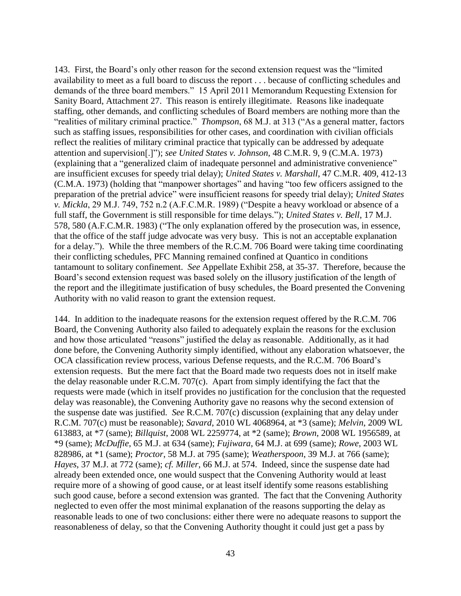143. First, the Board's only other reason for the second extension request was the "limited availability to meet as a full board to discuss the report . . . because of conflicting schedules and demands of the three board members." 15 April 2011 Memorandum Requesting Extension for Sanity Board, Attachment 27. This reason is entirely illegitimate. Reasons like inadequate staffing, other demands, and conflicting schedules of Board members are nothing more than the "realities of military criminal practice." *Thompson*, 68 M.J. at 313 ("As a general matter, factors such as staffing issues, responsibilities for other cases, and coordination with civilian officials reflect the realities of military criminal practice that typically can be addressed by adequate attention and supervision[.]"); *see United States v. Johnson*, 48 C.M.R. 9, 9 (C.M.A. 1973) (explaining that a "generalized claim of inadequate personnel and administrative convenience" are insufficient excuses for speedy trial delay); *United States v. Marshall*, 47 C.M.R. 409, 412-13 (C.M.A. 1973) (holding that "manpower shortages" and having "too few officers assigned to the preparation of the pretrial advice" were insufficient reasons for speedy trial delay); *United States v. Mickla*, 29 M.J. 749, 752 n.2 (A.F.C.M.R. 1989) ("Despite a heavy workload or absence of a full staff, the Government is still responsible for time delays."); *United States v. Bell*, 17 M.J. 578, 580 (A.F.C.M.R. 1983) ("The only explanation offered by the prosecution was, in essence, that the office of the staff judge advocate was very busy. This is not an acceptable explanation for a delay."). While the three members of the R.C.M. 706 Board were taking time coordinating their conflicting schedules, PFC Manning remained confined at Quantico in conditions tantamount to solitary confinement. *See* Appellate Exhibit 258, at 35-37. Therefore, because the Board's second extension request was based solely on the illusory justification of the length of the report and the illegitimate justification of busy schedules, the Board presented the Convening Authority with no valid reason to grant the extension request.

144. In addition to the inadequate reasons for the extension request offered by the R.C.M. 706 Board, the Convening Authority also failed to adequately explain the reasons for the exclusion and how those articulated "reasons" justified the delay as reasonable. Additionally, as it had done before, the Convening Authority simply identified, without any elaboration whatsoever, the OCA classification review process, various Defense requests, and the R.C.M. 706 Board's extension requests. But the mere fact that the Board made two requests does not in itself make the delay reasonable under R.C.M. 707(c). Apart from simply identifying the fact that the requests were made (which in itself provides no justification for the conclusion that the requested delay was reasonable), the Convening Authority gave no reasons why the second extension of the suspense date was justified. *See* R.C.M. 707(c) discussion (explaining that any delay under R.C.M. 707(c) must be reasonable); *Savard*, 2010 WL 4068964, at \*3 (same); *Melvin*, 2009 WL 613883, at \*7 (same); *Billquist*, 2008 WL 2259774, at \*2 (same); *Brown*, 2008 WL 1956589, at \*9 (same); *McDuffie*, 65 M.J. at 634 (same); *Fujiwara*, 64 M.J. at 699 (same); *Rowe*, 2003 WL 828986, at \*1 (same); *Proctor*, 58 M.J. at 795 (same); *Weatherspoon*, 39 M.J. at 766 (same); *Hayes*, 37 M.J. at 772 (same); *cf. Miller*, 66 M.J. at 574. Indeed, since the suspense date had already been extended once, one would suspect that the Convening Authority would at least require more of a showing of good cause, or at least itself identify some reasons establishing such good cause, before a second extension was granted. The fact that the Convening Authority neglected to even offer the most minimal explanation of the reasons supporting the delay as reasonable leads to one of two conclusions: either there were no adequate reasons to support the reasonableness of delay, so that the Convening Authority thought it could just get a pass by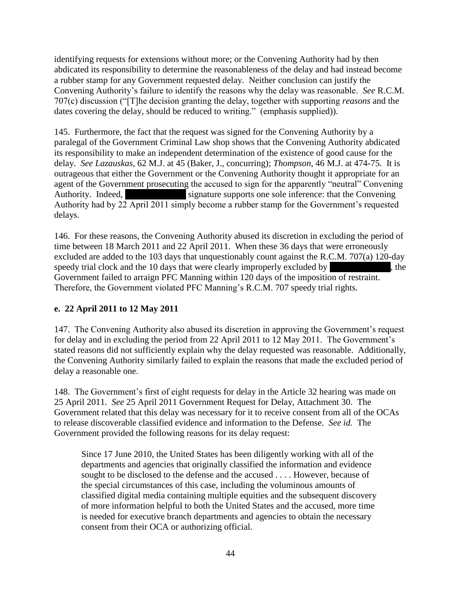identifying requests for extensions without more; or the Convening Authority had by then abdicated its responsibility to determine the reasonableness of the delay and had instead become a rubber stamp for any Government requested delay. Neither conclusion can justify the Convening Authority's failure to identify the reasons why the delay was reasonable. *See* R.C.M. 707(c) discussion ("[T]he decision granting the delay, together with supporting *reasons* and the dates covering the delay, should be reduced to writing." (emphasis supplied)).

145. Furthermore, the fact that the request was signed for the Convening Authority by a paralegal of the Government Criminal Law shop shows that the Convening Authority abdicated its responsibility to make an independent determination of the existence of good cause for the delay. *See Lazauskas*, 62 M.J. at 45 (Baker, J., concurring); *Thompson*, 46 M.J. at 474-75. It is outrageous that either the Government or the Convening Authority thought it appropriate for an agent of the Government prosecuting the accused to sign for the apparently "neutral" Convening Authority. Indeed, \*\*\*\* signature supports one sole inference: that the Convening Authority had by 22 April 2011 simply become a rubber stamp for the Government's requested delays.

146. For these reasons, the Convening Authority abused its discretion in excluding the period of time between 18 March 2011 and 22 April 2011. When these 36 days that were erroneously excluded are added to the 103 days that unquestionably count against the R.C.M. 707(a) 120-day speedy trial clock and the  $10$  days that were clearly improperly excluded by  $\blacksquare$ , the Government failed to arraign PFC Manning within 120 days of the imposition of restraint. Therefore, the Government violated PFC Manning's R.C.M. 707 speedy trial rights.

# **e. 22 April 2011 to 12 May 2011**

147. The Convening Authority also abused its discretion in approving the Government's request for delay and in excluding the period from 22 April 2011 to 12 May 2011. The Government's stated reasons did not sufficiently explain why the delay requested was reasonable. Additionally, the Convening Authority similarly failed to explain the reasons that made the excluded period of delay a reasonable one.

148. The Government's first of eight requests for delay in the Article 32 hearing was made on 25 April 2011. *See* 25 April 2011 Government Request for Delay, Attachment 30. The Government related that this delay was necessary for it to receive consent from all of the OCAs to release discoverable classified evidence and information to the Defense. *See id.* The Government provided the following reasons for its delay request:

Since 17 June 2010, the United States has been diligently working with all of the departments and agencies that originally classified the information and evidence sought to be disclosed to the defense and the accused . . . . However, because of the special circumstances of this case, including the voluminous amounts of classified digital media containing multiple equities and the subsequent discovery of more information helpful to both the United States and the accused, more time is needed for executive branch departments and agencies to obtain the necessary consent from their OCA or authorizing official.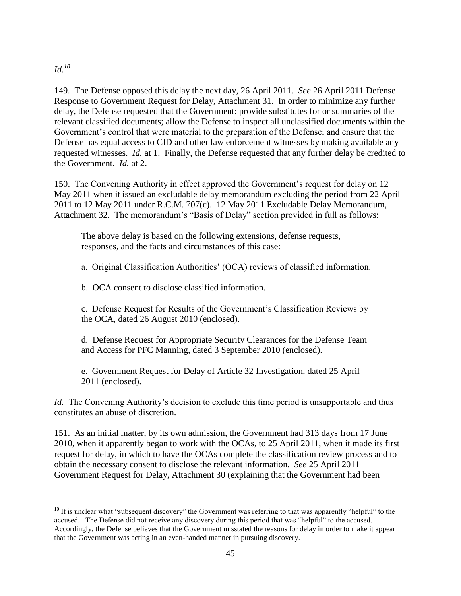### *Id.<sup>10</sup>*

 $\overline{\phantom{a}}$ 

149. The Defense opposed this delay the next day, 26 April 2011. *See* 26 April 2011 Defense Response to Government Request for Delay, Attachment 31. In order to minimize any further delay, the Defense requested that the Government: provide substitutes for or summaries of the relevant classified documents; allow the Defense to inspect all unclassified documents within the Government's control that were material to the preparation of the Defense; and ensure that the Defense has equal access to CID and other law enforcement witnesses by making available any requested witnesses. *Id.* at 1. Finally, the Defense requested that any further delay be credited to the Government. *Id.* at 2.

150. The Convening Authority in effect approved the Government's request for delay on 12 May 2011 when it issued an excludable delay memorandum excluding the period from 22 April 2011 to 12 May 2011 under R.C.M. 707(c). 12 May 2011 Excludable Delay Memorandum, Attachment 32. The memorandum's "Basis of Delay" section provided in full as follows:

The above delay is based on the following extensions, defense requests, responses, and the facts and circumstances of this case:

a. Original Classification Authorities' (OCA) reviews of classified information.

b. OCA consent to disclose classified information.

c. Defense Request for Results of the Government's Classification Reviews by the OCA, dated 26 August 2010 (enclosed).

d. Defense Request for Appropriate Security Clearances for the Defense Team and Access for PFC Manning, dated 3 September 2010 (enclosed).

e. Government Request for Delay of Article 32 Investigation, dated 25 April 2011 (enclosed).

*Id.* The Convening Authority's decision to exclude this time period is unsupportable and thus constitutes an abuse of discretion.

151. As an initial matter, by its own admission, the Government had 313 days from 17 June 2010, when it apparently began to work with the OCAs, to 25 April 2011, when it made its first request for delay, in which to have the OCAs complete the classification review process and to obtain the necessary consent to disclose the relevant information. *See* 25 April 2011 Government Request for Delay, Attachment 30 (explaining that the Government had been

 $10$  It is unclear what "subsequent discovery" the Government was referring to that was apparently "helpful" to the accused. The Defense did not receive any discovery during this period that was "helpful" to the accused. Accordingly, the Defense believes that the Government misstated the reasons for delay in order to make it appear that the Government was acting in an even-handed manner in pursuing discovery.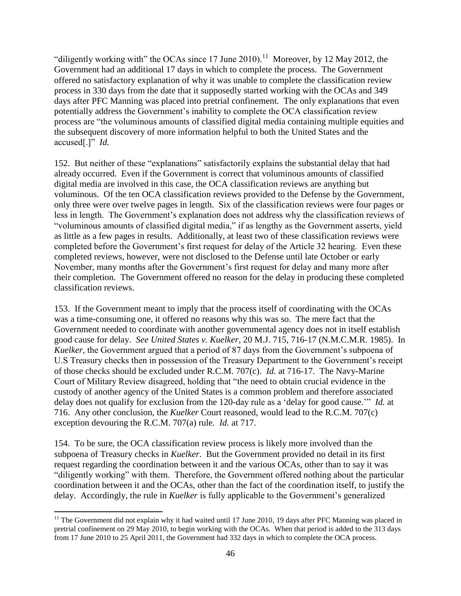"diligently working with" the OCAs since 17 June 2010).<sup>11</sup> Moreover, by 12 May 2012, the Government had an additional 17 days in which to complete the process. The Government offered no satisfactory explanation of why it was unable to complete the classification review process in 330 days from the date that it supposedly started working with the OCAs and 349 days after PFC Manning was placed into pretrial confinement. The only explanations that even potentially address the Government's inability to complete the OCA classification review process are "the voluminous amounts of classified digital media containing multiple equities and the subsequent discovery of more information helpful to both the United States and the accused[.]" *Id.*

152. But neither of these "explanations" satisfactorily explains the substantial delay that had already occurred. Even if the Government is correct that voluminous amounts of classified digital media are involved in this case, the OCA classification reviews are anything but voluminous. Of the ten OCA classification reviews provided to the Defense by the Government, only three were over twelve pages in length. Six of the classification reviews were four pages or less in length. The Government's explanation does not address why the classification reviews of "voluminous amounts of classified digital media," if as lengthy as the Government asserts, yield as little as a few pages in results. Additionally, at least two of these classification reviews were completed before the Government's first request for delay of the Article 32 hearing. Even these completed reviews, however, were not disclosed to the Defense until late October or early November, many months after the Government's first request for delay and many more after their completion. The Government offered no reason for the delay in producing these completed classification reviews.

153. If the Government meant to imply that the process itself of coordinating with the OCAs was a time-consuming one, it offered no reasons why this was so. The mere fact that the Government needed to coordinate with another governmental agency does not in itself establish good cause for delay. *See United States v. Kuelker*, 20 M.J. 715, 716-17 (N.M.C.M.R. 1985). In *Kuelker*, the Government argued that a period of 87 days from the Government's subpoena of U.S Treasury checks then in possession of the Treasury Department to the Government's receipt of those checks should be excluded under R.C.M. 707(c). *Id.* at 716-17. The Navy-Marine Court of Military Review disagreed, holding that "the need to obtain crucial evidence in the custody of another agency of the United States is a common problem and therefore associated delay does not qualify for exclusion from the 120-day rule as a 'delay for good cause.'" *Id.* at 716. Any other conclusion, the *Kuelker* Court reasoned, would lead to the R.C.M. 707(c) exception devouring the R.C.M. 707(a) rule. *Id.* at 717.

154. To be sure, the OCA classification review process is likely more involved than the subpoena of Treasury checks in *Kuelker*. But the Government provided no detail in its first request regarding the coordination between it and the various OCAs, other than to say it was "diligently working" with them. Therefore, the Government offered nothing about the particular coordination between it and the OCAs, other than the fact of the coordination itself, to justify the delay. Accordingly, the rule in *Kuelker* is fully applicable to the Government's generalized

 $\overline{\phantom{a}}$  $11$  The Government did not explain why it had waited until 17 June 2010, 19 days after PFC Manning was placed in pretrial confinement on 29 May 2010, to begin working with the OCAs. When that period is added to the 313 days from 17 June 2010 to 25 April 2011, the Government had 332 days in which to complete the OCA process.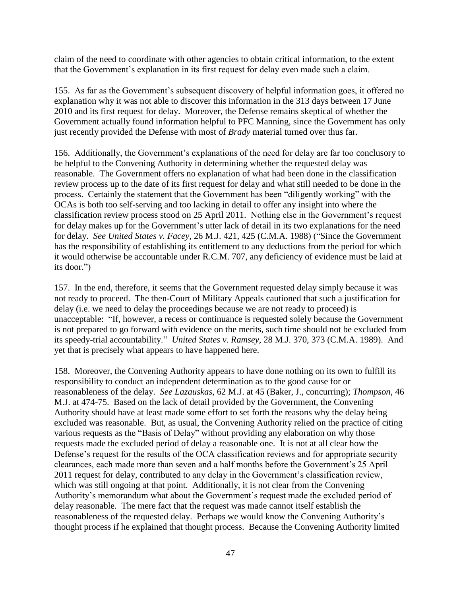claim of the need to coordinate with other agencies to obtain critical information, to the extent that the Government's explanation in its first request for delay even made such a claim.

155. As far as the Government's subsequent discovery of helpful information goes, it offered no explanation why it was not able to discover this information in the 313 days between 17 June 2010 and its first request for delay. Moreover, the Defense remains skeptical of whether the Government actually found information helpful to PFC Manning, since the Government has only just recently provided the Defense with most of *Brady* material turned over thus far.

156. Additionally, the Government's explanations of the need for delay are far too conclusory to be helpful to the Convening Authority in determining whether the requested delay was reasonable. The Government offers no explanation of what had been done in the classification review process up to the date of its first request for delay and what still needed to be done in the process. Certainly the statement that the Government has been "diligently working" with the OCAs is both too self-serving and too lacking in detail to offer any insight into where the classification review process stood on 25 April 2011. Nothing else in the Government's request for delay makes up for the Government's utter lack of detail in its two explanations for the need for delay. *See United States v. Facey*, 26 M.J. 421, 425 (C.M.A. 1988) ("Since the Government has the responsibility of establishing its entitlement to any deductions from the period for which it would otherwise be accountable under R.C.M. 707, any deficiency of evidence must be laid at its door.")

157. In the end, therefore, it seems that the Government requested delay simply because it was not ready to proceed. The then-Court of Military Appeals cautioned that such a justification for delay (i.e. we need to delay the proceedings because we are not ready to proceed) is unacceptable: "If, however, a recess or continuance is requested solely because the Government is not prepared to go forward with evidence on the merits, such time should not be excluded from its speedy-trial accountability." *United States v. Ramsey*, 28 M.J. 370, 373 (C.M.A. 1989). And yet that is precisely what appears to have happened here.

158. Moreover, the Convening Authority appears to have done nothing on its own to fulfill its responsibility to conduct an independent determination as to the good cause for or reasonableness of the delay. *See Lazauskas*, 62 M.J. at 45 (Baker, J., concurring); *Thompson*, 46 M.J. at 474-75. Based on the lack of detail provided by the Government, the Convening Authority should have at least made some effort to set forth the reasons why the delay being excluded was reasonable. But, as usual, the Convening Authority relied on the practice of citing various requests as the "Basis of Delay" without providing any elaboration on why those requests made the excluded period of delay a reasonable one. It is not at all clear how the Defense's request for the results of the OCA classification reviews and for appropriate security clearances, each made more than seven and a half months before the Government's 25 April 2011 request for delay, contributed to any delay in the Government's classification review, which was still ongoing at that point. Additionally, it is not clear from the Convening Authority's memorandum what about the Government's request made the excluded period of delay reasonable. The mere fact that the request was made cannot itself establish the reasonableness of the requested delay. Perhaps we would know the Convening Authority's thought process if he explained that thought process. Because the Convening Authority limited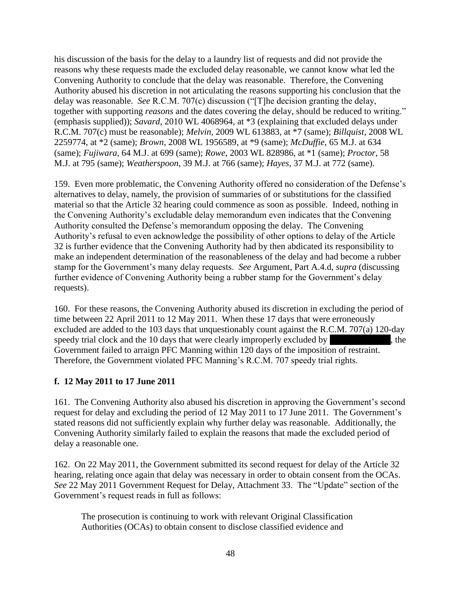his discussion of the basis for the delay to a laundry list of requests and did not provide the reasons why these requests made the excluded delay reasonable, we cannot know what led the Convening Authority to conclude that the delay was reasonable. Therefore, the Convening Authority abused his discretion in not articulating the reasons supporting his conclusion that the delay was reasonable. *See* R.C.M. 707(c) discussion ("[T]he decision granting the delay, together with supporting *reasons* and the dates covering the delay, should be reduced to writing." (emphasis supplied)); *Savard*, 2010 WL 4068964, at \*3 (explaining that excluded delays under R.C.M. 707(c) must be reasonable); *Melvin*, 2009 WL 613883, at \*7 (same); *Billquist*, 2008 WL 2259774, at \*2 (same); *Brown*, 2008 WL 1956589, at \*9 (same); *McDuffie*, 65 M.J. at 634 (same); *Fujiwara*, 64 M.J. at 699 (same); *Rowe*, 2003 WL 828986, at \*1 (same); *Proctor*, 58 M.J. at 795 (same); *Weatherspoon*, 39 M.J. at 766 (same); *Hayes*, 37 M.J. at 772 (same).

159. Even more problematic, the Convening Authority offered no consideration of the Defense's alternatives to delay, namely, the provision of summaries of or substitutions for the classified material so that the Article 32 hearing could commence as soon as possible. Indeed, nothing in the Convening Authority's excludable delay memorandum even indicates that the Convening Authority consulted the Defense's memorandum opposing the delay. The Convening Authority's refusal to even acknowledge the possibility of other options to delay of the Article 32 is further evidence that the Convening Authority had by then abdicated its responsibility to make an independent determination of the reasonableness of the delay and had become a rubber stamp for the Government's many delay requests. *See* Argument, Part A.4.d, *supra* (discussing further evidence of Convening Authority being a rubber stamp for the Government's delay requests).

160. For these reasons, the Convening Authority abused its discretion in excluding the period of time between 22 April 2011 to 12 May 2011. When these 17 days that were erroneously excluded are added to the 103 days that unquestionably count against the R.C.M. 707(a) 120-day speedy trial clock and the 10 days that were clearly improperly excluded by  $\blacksquare$ , the Government failed to arraign PFC Manning within 120 days of the imposition of restraint. Therefore, the Government violated PFC Manning's R.C.M. 707 speedy trial rights.

### **f. 12 May 2011 to 17 June 2011**

161. The Convening Authority also abused his discretion in approving the Government's second request for delay and excluding the period of 12 May 2011 to 17 June 2011. The Government's stated reasons did not sufficiently explain why further delay was reasonable. Additionally, the Convening Authority similarly failed to explain the reasons that made the excluded period of delay a reasonable one.

162. On 22 May 2011, the Government submitted its second request for delay of the Article 32 hearing, relating once again that delay was necessary in order to obtain consent from the OCAs. *See* 22 May 2011 Government Request for Delay, Attachment 33. The "Update" section of the Government's request reads in full as follows:

The prosecution is continuing to work with relevant Original Classification Authorities (OCAs) to obtain consent to disclose classified evidence and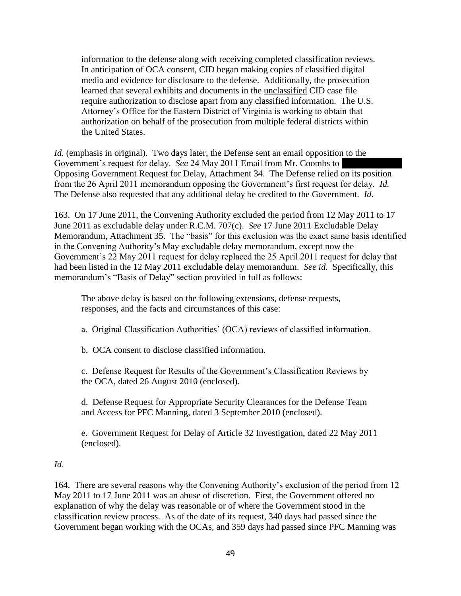information to the defense along with receiving completed classification reviews. In anticipation of OCA consent, CID began making copies of classified digital media and evidence for disclosure to the defense. Additionally, the prosecution learned that several exhibits and documents in the unclassified CID case file require authorization to disclose apart from any classified information. The U.S. Attorney's Office for the Eastern District of Virginia is working to obtain that authorization on behalf of the prosecution from multiple federal districts within the United States.

*Id.* (emphasis in original). Two days later, the Defense sent an email opposition to the Government's request for delay. *See* 24 May 2011 Email from Mr. Coombs to Opposing Government Request for Delay, Attachment 34. The Defense relied on its position from the 26 April 2011 memorandum opposing the Government's first request for delay. *Id.* The Defense also requested that any additional delay be credited to the Government. *Id.*

163. On 17 June 2011, the Convening Authority excluded the period from 12 May 2011 to 17 June 2011 as excludable delay under R.C.M. 707(c). *See* 17 June 2011 Excludable Delay Memorandum, Attachment 35. The "basis" for this exclusion was the exact same basis identified in the Convening Authority's May excludable delay memorandum, except now the Government's 22 May 2011 request for delay replaced the 25 April 2011 request for delay that had been listed in the 12 May 2011 excludable delay memorandum. *See id.* Specifically, this memorandum's "Basis of Delay" section provided in full as follows:

The above delay is based on the following extensions, defense requests, responses, and the facts and circumstances of this case:

a. Original Classification Authorities' (OCA) reviews of classified information.

b. OCA consent to disclose classified information.

c. Defense Request for Results of the Government's Classification Reviews by the OCA, dated 26 August 2010 (enclosed).

d. Defense Request for Appropriate Security Clearances for the Defense Team and Access for PFC Manning, dated 3 September 2010 (enclosed).

e. Government Request for Delay of Article 32 Investigation, dated 22 May 2011 (enclosed).

# *Id.*

164. There are several reasons why the Convening Authority's exclusion of the period from 12 May 2011 to 17 June 2011 was an abuse of discretion. First, the Government offered no explanation of why the delay was reasonable or of where the Government stood in the classification review process. As of the date of its request, 340 days had passed since the Government began working with the OCAs, and 359 days had passed since PFC Manning was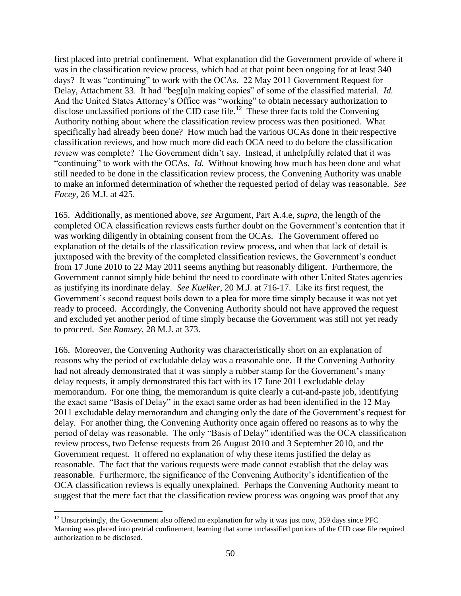first placed into pretrial confinement. What explanation did the Government provide of where it was in the classification review process, which had at that point been ongoing for at least 340 days? It was "continuing" to work with the OCAs. 22 May 2011 Government Request for Delay, Attachment 33. It had "beg[u]n making copies" of some of the classified material. *Id.* And the United States Attorney's Office was "working" to obtain necessary authorization to disclose unclassified portions of the CID case file.<sup>12</sup> These three facts told the Convening Authority nothing about where the classification review process was then positioned. What specifically had already been done? How much had the various OCAs done in their respective classification reviews, and how much more did each OCA need to do before the classification review was complete? The Government didn't say. Instead, it unhelpfully related that it was "continuing" to work with the OCAs. *Id.* Without knowing how much has been done and what still needed to be done in the classification review process, the Convening Authority was unable to make an informed determination of whether the requested period of delay was reasonable. *See Facey*, 26 M.J. at 425.

165. Additionally, as mentioned above, *see* Argument, Part A.4.e, *supra*, the length of the completed OCA classification reviews casts further doubt on the Government's contention that it was working diligently in obtaining consent from the OCAs. The Government offered no explanation of the details of the classification review process, and when that lack of detail is juxtaposed with the brevity of the completed classification reviews, the Government's conduct from 17 June 2010 to 22 May 2011 seems anything but reasonably diligent. Furthermore, the Government cannot simply hide behind the need to coordinate with other United States agencies as justifying its inordinate delay. *See Kuelker*, 20 M.J. at 716-17. Like its first request, the Government's second request boils down to a plea for more time simply because it was not yet ready to proceed. Accordingly, the Convening Authority should not have approved the request and excluded yet another period of time simply because the Government was still not yet ready to proceed. *See Ramsey*, 28 M.J. at 373.

166. Moreover, the Convening Authority was characteristically short on an explanation of reasons why the period of excludable delay was a reasonable one. If the Convening Authority had not already demonstrated that it was simply a rubber stamp for the Government's many delay requests, it amply demonstrated this fact with its 17 June 2011 excludable delay memorandum. For one thing, the memorandum is quite clearly a cut-and-paste job, identifying the exact same "Basis of Delay" in the exact same order as had been identified in the 12 May 2011 excludable delay memorandum and changing only the date of the Government's request for delay. For another thing, the Convening Authority once again offered no reasons as to why the period of delay was reasonable. The only "Basis of Delay" identified was the OCA classification review process, two Defense requests from 26 August 2010 and 3 September 2010, and the Government request. It offered no explanation of why these items justified the delay as reasonable. The fact that the various requests were made cannot establish that the delay was reasonable. Furthermore, the significance of the Convening Authority's identification of the OCA classification reviews is equally unexplained. Perhaps the Convening Authority meant to suggest that the mere fact that the classification review process was ongoing was proof that any

 $\overline{\phantom{a}}$  $12$  Unsurprisingly, the Government also offered no explanation for why it was just now, 359 days since PFC Manning was placed into pretrial confinement, learning that some unclassified portions of the CID case file required authorization to be disclosed.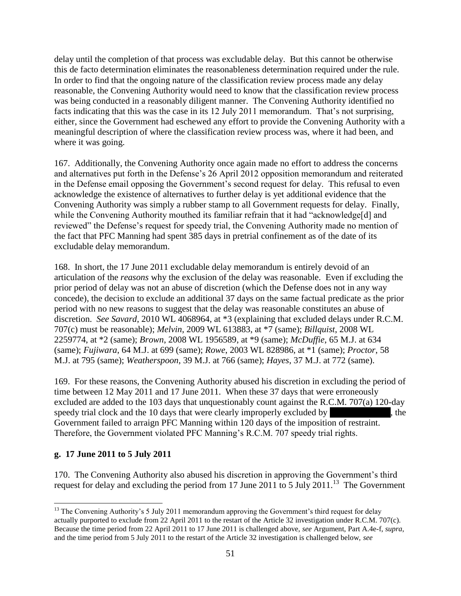delay until the completion of that process was excludable delay. But this cannot be otherwise this de facto determination eliminates the reasonableness determination required under the rule. In order to find that the ongoing nature of the classification review process made any delay reasonable, the Convening Authority would need to know that the classification review process was being conducted in a reasonably diligent manner. The Convening Authority identified no facts indicating that this was the case in its 12 July 2011 memorandum. That's not surprising, either, since the Government had eschewed any effort to provide the Convening Authority with a meaningful description of where the classification review process was, where it had been, and where it was going.

167. Additionally, the Convening Authority once again made no effort to address the concerns and alternatives put forth in the Defense's 26 April 2012 opposition memorandum and reiterated in the Defense email opposing the Government's second request for delay. This refusal to even acknowledge the existence of alternatives to further delay is yet additional evidence that the Convening Authority was simply a rubber stamp to all Government requests for delay. Finally, while the Convening Authority mouthed its familiar refrain that it had "acknowledge[d] and reviewed" the Defense's request for speedy trial, the Convening Authority made no mention of the fact that PFC Manning had spent 385 days in pretrial confinement as of the date of its excludable delay memorandum.

168. In short, the 17 June 2011 excludable delay memorandum is entirely devoid of an articulation of the *reasons* why the exclusion of the delay was reasonable. Even if excluding the prior period of delay was not an abuse of discretion (which the Defense does not in any way concede), the decision to exclude an additional 37 days on the same factual predicate as the prior period with no new reasons to suggest that the delay was reasonable constitutes an abuse of discretion. *See Savard*, 2010 WL 4068964, at \*3 (explaining that excluded delays under R.C.M. 707(c) must be reasonable); *Melvin*, 2009 WL 613883, at \*7 (same); *Billquist*, 2008 WL 2259774, at \*2 (same); *Brown*, 2008 WL 1956589, at \*9 (same); *McDuffie*, 65 M.J. at 634 (same); *Fujiwara*, 64 M.J. at 699 (same); *Rowe*, 2003 WL 828986, at \*1 (same); *Proctor*, 58 M.J. at 795 (same); *Weatherspoon*, 39 M.J. at 766 (same); *Hayes*, 37 M.J. at 772 (same).

169. For these reasons, the Convening Authority abused his discretion in excluding the period of time between 12 May 2011 and 17 June 2011. When these 37 days that were erroneously excluded are added to the 103 days that unquestionably count against the R.C.M. 707(a) 120-day speedy trial clock and the 10 days that were clearly improperly excluded by  $\blacksquare$ , the Government failed to arraign PFC Manning within 120 days of the imposition of restraint. Therefore, the Government violated PFC Manning's R.C.M. 707 speedy trial rights.

### **g. 17 June 2011 to 5 July 2011**

170. The Convening Authority also abused his discretion in approving the Government's third request for delay and excluding the period from 17 June 2011 to 5 July 2011.<sup>13</sup> The Government

 $\overline{\phantom{a}}$ <sup>13</sup> The Convening Authority's 5 July 2011 memorandum approving the Government's third request for delay actually purported to exclude from 22 April 2011 to the restart of the Article 32 investigation under R.C.M. 707(c). Because the time period from 22 April 2011 to 17 June 2011 is challenged above, *see* Argument, Part A.4e-f, *supra*, and the time period from 5 July 2011 to the restart of the Article 32 investigation is challenged below, *see*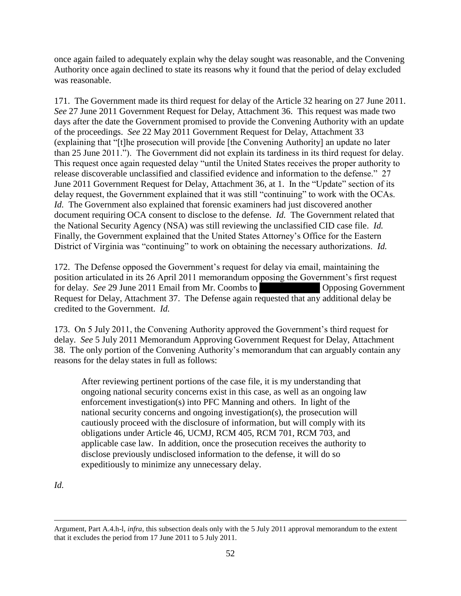once again failed to adequately explain why the delay sought was reasonable, and the Convening Authority once again declined to state its reasons why it found that the period of delay excluded was reasonable.

171. The Government made its third request for delay of the Article 32 hearing on 27 June 2011. *See* 27 June 2011 Government Request for Delay, Attachment 36. This request was made two days after the date the Government promised to provide the Convening Authority with an update of the proceedings. *See* 22 May 2011 Government Request for Delay, Attachment 33 (explaining that "[t]he prosecution will provide [the Convening Authority] an update no later than 25 June 2011."). The Government did not explain its tardiness in its third request for delay. This request once again requested delay "until the United States receives the proper authority to release discoverable unclassified and classified evidence and information to the defense." 27 June 2011 Government Request for Delay, Attachment 36, at 1. In the "Update" section of its delay request, the Government explained that it was still "continuing" to work with the OCAs. *Id.* The Government also explained that forensic examiners had just discovered another document requiring OCA consent to disclose to the defense. *Id.* The Government related that the National Security Agency (NSA) was still reviewing the unclassified CID case file. *Id.* Finally, the Government explained that the United States Attorney's Office for the Eastern District of Virginia was "continuing" to work on obtaining the necessary authorizations. *Id.*

172. The Defense opposed the Government's request for delay via email, maintaining the position articulated in its 26 April 2011 memorandum opposing the Government's first request for delay. *See* 29 June 2011 Email from Mr. Coombs to \*\*\*\* Opposing Government Request for Delay, Attachment 37. The Defense again requested that any additional delay be credited to the Government. *Id.*

173. On 5 July 2011, the Convening Authority approved the Government's third request for delay. *See* 5 July 2011 Memorandum Approving Government Request for Delay, Attachment 38. The only portion of the Convening Authority's memorandum that can arguably contain any reasons for the delay states in full as follows:

After reviewing pertinent portions of the case file, it is my understanding that ongoing national security concerns exist in this case, as well as an ongoing law enforcement investigation(s) into PFC Manning and others. In light of the national security concerns and ongoing investigation(s), the prosecution will cautiously proceed with the disclosure of information, but will comply with its obligations under Article 46, UCMJ, RCM 405, RCM 701, RCM 703, and applicable case law. In addition, once the prosecution receives the authority to disclose previously undisclosed information to the defense, it will do so expeditiously to minimize any unnecessary delay.

*Id.*

 $\overline{\phantom{a}}$ Argument, Part A.4.h-l, *infra*, this subsection deals only with the 5 July 2011 approval memorandum to the extent that it excludes the period from 17 June 2011 to 5 July 2011.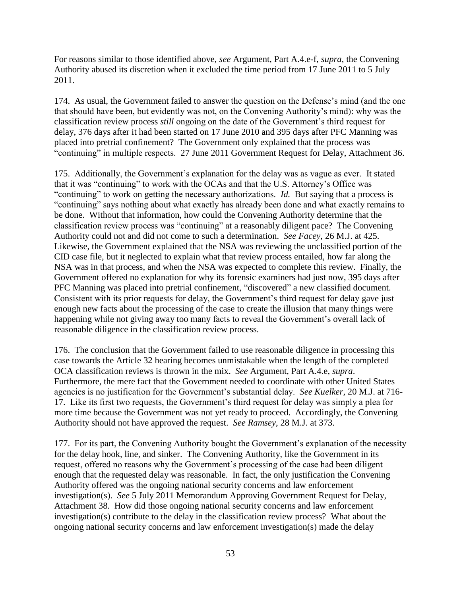For reasons similar to those identified above, *see* Argument, Part A.4.e-f, *supra*, the Convening Authority abused its discretion when it excluded the time period from 17 June 2011 to 5 July 2011.

174. As usual, the Government failed to answer the question on the Defense's mind (and the one that should have been, but evidently was not, on the Convening Authority's mind): why was the classification review process *still* ongoing on the date of the Government's third request for delay, 376 days after it had been started on 17 June 2010 and 395 days after PFC Manning was placed into pretrial confinement? The Government only explained that the process was "continuing" in multiple respects. 27 June 2011 Government Request for Delay, Attachment 36.

175. Additionally, the Government's explanation for the delay was as vague as ever. It stated that it was "continuing" to work with the OCAs and that the U.S. Attorney's Office was "continuing" to work on getting the necessary authorizations. *Id.* But saying that a process is "continuing" says nothing about what exactly has already been done and what exactly remains to be done. Without that information, how could the Convening Authority determine that the classification review process was "continuing" at a reasonably diligent pace? The Convening Authority could not and did not come to such a determination. *See Facey*, 26 M.J. at 425. Likewise, the Government explained that the NSA was reviewing the unclassified portion of the CID case file, but it neglected to explain what that review process entailed, how far along the NSA was in that process, and when the NSA was expected to complete this review. Finally, the Government offered no explanation for why its forensic examiners had just now, 395 days after PFC Manning was placed into pretrial confinement, "discovered" a new classified document. Consistent with its prior requests for delay, the Government's third request for delay gave just enough new facts about the processing of the case to create the illusion that many things were happening while not giving away too many facts to reveal the Government's overall lack of reasonable diligence in the classification review process.

176. The conclusion that the Government failed to use reasonable diligence in processing this case towards the Article 32 hearing becomes unmistakable when the length of the completed OCA classification reviews is thrown in the mix. *See* Argument, Part A.4.e, *supra*. Furthermore, the mere fact that the Government needed to coordinate with other United States agencies is no justification for the Government's substantial delay. *See Kuelker*, 20 M.J. at 716- 17. Like its first two requests, the Government's third request for delay was simply a plea for more time because the Government was not yet ready to proceed. Accordingly, the Convening Authority should not have approved the request. *See Ramsey*, 28 M.J. at 373.

177. For its part, the Convening Authority bought the Government's explanation of the necessity for the delay hook, line, and sinker. The Convening Authority, like the Government in its request, offered no reasons why the Government's processing of the case had been diligent enough that the requested delay was reasonable. In fact, the only justification the Convening Authority offered was the ongoing national security concerns and law enforcement investigation(s). *See* 5 July 2011 Memorandum Approving Government Request for Delay, Attachment 38. How did those ongoing national security concerns and law enforcement investigation(s) contribute to the delay in the classification review process? What about the ongoing national security concerns and law enforcement investigation(s) made the delay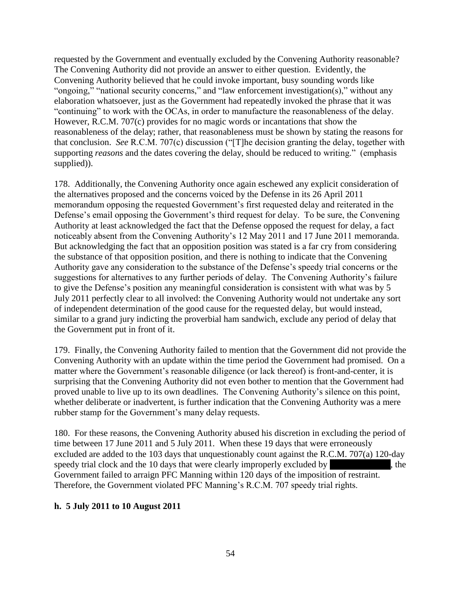requested by the Government and eventually excluded by the Convening Authority reasonable? The Convening Authority did not provide an answer to either question. Evidently, the Convening Authority believed that he could invoke important, busy sounding words like "ongoing," "national security concerns," and "law enforcement investigation(s)," without any elaboration whatsoever, just as the Government had repeatedly invoked the phrase that it was "continuing" to work with the OCAs, in order to manufacture the reasonableness of the delay. However, R.C.M. 707(c) provides for no magic words or incantations that show the reasonableness of the delay; rather, that reasonableness must be shown by stating the reasons for that conclusion. *See* R.C.M. 707(c) discussion ("[T]he decision granting the delay, together with supporting *reasons* and the dates covering the delay, should be reduced to writing." (emphasis supplied)).

178. Additionally, the Convening Authority once again eschewed any explicit consideration of the alternatives proposed and the concerns voiced by the Defense in its 26 April 2011 memorandum opposing the requested Government's first requested delay and reiterated in the Defense's email opposing the Government's third request for delay. To be sure, the Convening Authority at least acknowledged the fact that the Defense opposed the request for delay, a fact noticeably absent from the Convening Authority's 12 May 2011 and 17 June 2011 memoranda. But acknowledging the fact that an opposition position was stated is a far cry from considering the substance of that opposition position, and there is nothing to indicate that the Convening Authority gave any consideration to the substance of the Defense's speedy trial concerns or the suggestions for alternatives to any further periods of delay. The Convening Authority's failure to give the Defense's position any meaningful consideration is consistent with what was by 5 July 2011 perfectly clear to all involved: the Convening Authority would not undertake any sort of independent determination of the good cause for the requested delay, but would instead, similar to a grand jury indicting the proverbial ham sandwich, exclude any period of delay that the Government put in front of it.

179. Finally, the Convening Authority failed to mention that the Government did not provide the Convening Authority with an update within the time period the Government had promised. On a matter where the Government's reasonable diligence (or lack thereof) is front-and-center, it is surprising that the Convening Authority did not even bother to mention that the Government had proved unable to live up to its own deadlines. The Convening Authority's silence on this point, whether deliberate or inadvertent, is further indication that the Convening Authority was a mere rubber stamp for the Government's many delay requests.

180. For these reasons, the Convening Authority abused his discretion in excluding the period of time between 17 June 2011 and 5 July 2011. When these 19 days that were erroneously excluded are added to the 103 days that unquestionably count against the R.C.M. 707(a) 120-day speedy trial clock and the 10 days that were clearly improperly excluded by  $\blacksquare$ , the Government failed to arraign PFC Manning within 120 days of the imposition of restraint. Therefore, the Government violated PFC Manning's R.C.M. 707 speedy trial rights.

#### **h. 5 July 2011 to 10 August 2011**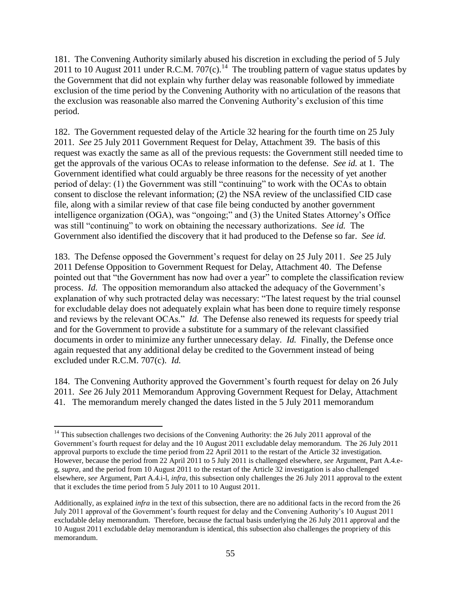181. The Convening Authority similarly abused his discretion in excluding the period of 5 July 2011 to 10 August 2011 under R.C.M. 707(c).<sup>14</sup> The troubling pattern of vague status updates by the Government that did not explain why further delay was reasonable followed by immediate exclusion of the time period by the Convening Authority with no articulation of the reasons that the exclusion was reasonable also marred the Convening Authority's exclusion of this time period.

182. The Government requested delay of the Article 32 hearing for the fourth time on 25 July 2011. *See* 25 July 2011 Government Request for Delay, Attachment 39. The basis of this request was exactly the same as all of the previous requests: the Government still needed time to get the approvals of the various OCAs to release information to the defense. *See id.* at 1. The Government identified what could arguably be three reasons for the necessity of yet another period of delay: (1) the Government was still "continuing" to work with the OCAs to obtain consent to disclose the relevant information; (2) the NSA review of the unclassified CID case file, along with a similar review of that case file being conducted by another government intelligence organization (OGA), was "ongoing;" and (3) the United States Attorney's Office was still "continuing" to work on obtaining the necessary authorizations. *See id.* The Government also identified the discovery that it had produced to the Defense so far. *See id.*

183. The Defense opposed the Government's request for delay on 25 July 2011. *See* 25 July 2011 Defense Opposition to Government Request for Delay, Attachment 40. The Defense pointed out that "the Government has now had over a year" to complete the classification review process. *Id.* The opposition memorandum also attacked the adequacy of the Government's explanation of why such protracted delay was necessary: "The latest request by the trial counsel for excludable delay does not adequately explain what has been done to require timely response and reviews by the relevant OCAs." *Id.* The Defense also renewed its requests for speedy trial and for the Government to provide a substitute for a summary of the relevant classified documents in order to minimize any further unnecessary delay. *Id.* Finally, the Defense once again requested that any additional delay be credited to the Government instead of being excluded under R.C.M. 707(c). *Id.*

184. The Convening Authority approved the Government's fourth request for delay on 26 July 2011. *See* 26 July 2011 Memorandum Approving Government Request for Delay, Attachment 41. The memorandum merely changed the dates listed in the 5 July 2011 memorandum

 $\overline{\phantom{a}}$ 

 $14$  This subsection challenges two decisions of the Convening Authority: the 26 July 2011 approval of the Government's fourth request for delay and the 10 August 2011 excludable delay memorandum. The 26 July 2011 approval purports to exclude the time period from 22 April 2011 to the restart of the Article 32 investigation. However, because the period from 22 April 2011 to 5 July 2011 is challenged elsewhere, *see* Argument, Part A.4.eg, *supra*, and the period from 10 August 2011 to the restart of the Article 32 investigation is also challenged elsewhere, *see* Argument, Part A.4.i-l, *infra*, this subsection only challenges the 26 July 2011 approval to the extent that it excludes the time period from 5 July 2011 to 10 August 2011.

Additionally, as explained *infra* in the text of this subsection, there are no additional facts in the record from the 26 July 2011 approval of the Government's fourth request for delay and the Convening Authority's 10 August 2011 excludable delay memorandum. Therefore, because the factual basis underlying the 26 July 2011 approval and the 10 August 2011 excludable delay memorandum is identical, this subsection also challenges the propriety of this memorandum.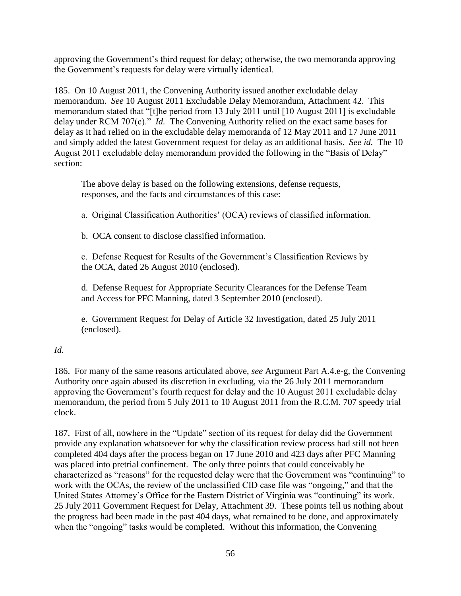approving the Government's third request for delay; otherwise, the two memoranda approving the Government's requests for delay were virtually identical.

185. On 10 August 2011, the Convening Authority issued another excludable delay memorandum. *See* 10 August 2011 Excludable Delay Memorandum, Attachment 42. This memorandum stated that "[t]he period from 13 July 2011 until [10 August 2011] is excludable delay under RCM 707(c)." *Id.* The Convening Authority relied on the exact same bases for delay as it had relied on in the excludable delay memoranda of 12 May 2011 and 17 June 2011 and simply added the latest Government request for delay as an additional basis. *See id.* The 10 August 2011 excludable delay memorandum provided the following in the "Basis of Delay" section:

The above delay is based on the following extensions, defense requests, responses, and the facts and circumstances of this case:

a. Original Classification Authorities' (OCA) reviews of classified information.

b. OCA consent to disclose classified information.

c. Defense Request for Results of the Government's Classification Reviews by the OCA, dated 26 August 2010 (enclosed).

d. Defense Request for Appropriate Security Clearances for the Defense Team and Access for PFC Manning, dated 3 September 2010 (enclosed).

e. Government Request for Delay of Article 32 Investigation, dated 25 July 2011 (enclosed).

# *Id.*

186. For many of the same reasons articulated above, *see* Argument Part A.4.e-g, the Convening Authority once again abused its discretion in excluding, via the 26 July 2011 memorandum approving the Government's fourth request for delay and the 10 August 2011 excludable delay memorandum, the period from 5 July 2011 to 10 August 2011 from the R.C.M. 707 speedy trial clock.

187. First of all, nowhere in the "Update" section of its request for delay did the Government provide any explanation whatsoever for why the classification review process had still not been completed 404 days after the process began on 17 June 2010 and 423 days after PFC Manning was placed into pretrial confinement. The only three points that could conceivably be characterized as "reasons" for the requested delay were that the Government was "continuing" to work with the OCAs, the review of the unclassified CID case file was "ongoing," and that the United States Attorney's Office for the Eastern District of Virginia was "continuing" its work. 25 July 2011 Government Request for Delay, Attachment 39. These points tell us nothing about the progress had been made in the past 404 days, what remained to be done, and approximately when the "ongoing" tasks would be completed. Without this information, the Convening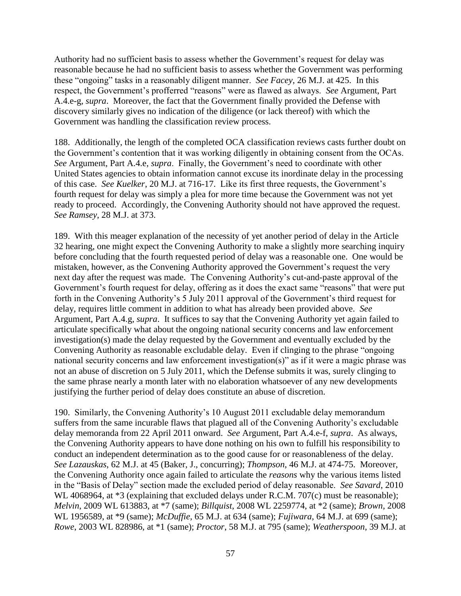Authority had no sufficient basis to assess whether the Government's request for delay was reasonable because he had no sufficient basis to assess whether the Government was performing these "ongoing" tasks in a reasonably diligent manner. *See Facey*, 26 M.J. at 425. In this respect, the Government's profferred "reasons" were as flawed as always. *See* Argument, Part A.4.e-g, *supra*. Moreover, the fact that the Government finally provided the Defense with discovery similarly gives no indication of the diligence (or lack thereof) with which the Government was handling the classification review process.

188. Additionally, the length of the completed OCA classification reviews casts further doubt on the Government's contention that it was working diligently in obtaining consent from the OCAs. *See* Argument, Part A.4.e, *supra*. Finally, the Government's need to coordinate with other United States agencies to obtain information cannot excuse its inordinate delay in the processing of this case. *See Kuelker*, 20 M.J. at 716-17. Like its first three requests, the Government's fourth request for delay was simply a plea for more time because the Government was not yet ready to proceed. Accordingly, the Convening Authority should not have approved the request. *See Ramsey*, 28 M.J. at 373.

189. With this meager explanation of the necessity of yet another period of delay in the Article 32 hearing, one might expect the Convening Authority to make a slightly more searching inquiry before concluding that the fourth requested period of delay was a reasonable one. One would be mistaken, however, as the Convening Authority approved the Government's request the very next day after the request was made. The Convening Authority's cut-and-paste approval of the Government's fourth request for delay, offering as it does the exact same "reasons" that were put forth in the Convening Authority's 5 July 2011 approval of the Government's third request for delay, requires little comment in addition to what has already been provided above. *See* Argument, Part A.4.g, *supra*. It suffices to say that the Convening Authority yet again failed to articulate specifically what about the ongoing national security concerns and law enforcement investigation(s) made the delay requested by the Government and eventually excluded by the Convening Authority as reasonable excludable delay. Even if clinging to the phrase "ongoing national security concerns and law enforcement investigation(s)" as if it were a magic phrase was not an abuse of discretion on 5 July 2011, which the Defense submits it was, surely clinging to the same phrase nearly a month later with no elaboration whatsoever of any new developments justifying the further period of delay does constitute an abuse of discretion.

190. Similarly, the Convening Authority's 10 August 2011 excludable delay memorandum suffers from the same incurable flaws that plagued all of the Convening Authority's excludable delay memoranda from 22 April 2011 onward. *See* Argument, Part A.4.e-f, *supra*. As always, the Convening Authority appears to have done nothing on his own to fulfill his responsibility to conduct an independent determination as to the good cause for or reasonableness of the delay. *See Lazauskas*, 62 M.J. at 45 (Baker, J., concurring); *Thompson*, 46 M.J. at 474-75. Moreover, the Convening Authority once again failed to articulate the *reasons* why the various items listed in the "Basis of Delay" section made the excluded period of delay reasonable. *See Savard*, 2010 WL 4068964, at  $*3$  (explaining that excluded delays under R.C.M. 707(c) must be reasonable); *Melvin*, 2009 WL 613883, at \*7 (same); *Billquist*, 2008 WL 2259774, at \*2 (same); *Brown*, 2008 WL 1956589, at \*9 (same); *McDuffie*, 65 M.J. at 634 (same); *Fujiwara*, 64 M.J. at 699 (same); *Rowe*, 2003 WL 828986, at \*1 (same); *Proctor*, 58 M.J. at 795 (same); *Weatherspoon*, 39 M.J. at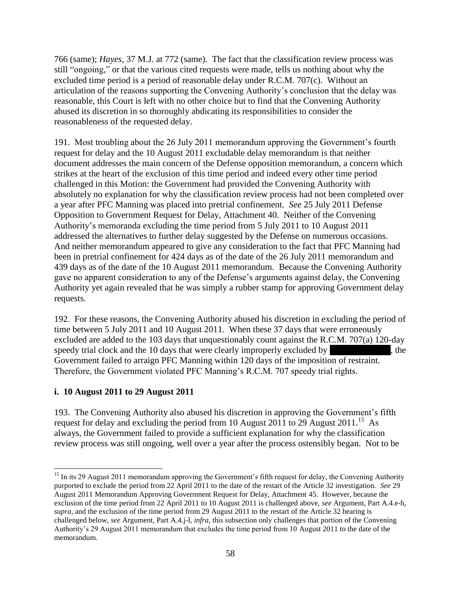766 (same); *Hayes*, 37 M.J. at 772 (same). The fact that the classification review process was still "ongoing," or that the various cited requests were made, tells us nothing about why the excluded time period is a period of reasonable delay under R.C.M. 707(c). Without an articulation of the reasons supporting the Convening Authority's conclusion that the delay was reasonable, this Court is left with no other choice but to find that the Convening Authority abused its discretion in so thoroughly abdicating its responsibilities to consider the reasonableness of the requested delay.

191. Most troubling about the 26 July 2011 memorandum approving the Government's fourth request for delay and the 10 August 2011 excludable delay memorandum is that neither document addresses the main concern of the Defense opposition memorandum, a concern which strikes at the heart of the exclusion of this time period and indeed every other time period challenged in this Motion: the Government had provided the Convening Authority with absolutely no explanation for why the classification review process had not been completed over a year after PFC Manning was placed into pretrial confinement. *See* 25 July 2011 Defense Opposition to Government Request for Delay, Attachment 40. Neither of the Convening Authority's memoranda excluding the time period from 5 July 2011 to 10 August 2011 addressed the alternatives to further delay suggested by the Defense on numerous occasions. And neither memorandum appeared to give any consideration to the fact that PFC Manning had been in pretrial confinement for 424 days as of the date of the 26 July 2011 memorandum and 439 days as of the date of the 10 August 2011 memorandum. Because the Convening Authority gave no apparent consideration to any of the Defense's arguments against delay, the Convening Authority yet again revealed that he was simply a rubber stamp for approving Government delay requests.

192. For these reasons, the Convening Authority abused his discretion in excluding the period of time between 5 July 2011 and 10 August 2011. When these 37 days that were erroneously excluded are added to the 103 days that unquestionably count against the R.C.M. 707(a) 120-day speedy trial clock and the  $10$  days that were clearly improperly excluded by  $\blacksquare$ , the Government failed to arraign PFC Manning within 120 days of the imposition of restraint. Therefore, the Government violated PFC Manning's R.C.M. 707 speedy trial rights.

#### **i. 10 August 2011 to 29 August 2011**

193. The Convening Authority also abused his discretion in approving the Government's fifth request for delay and excluding the period from 10 August 2011 to 29 August 2011.<sup>15</sup> As always, the Government failed to provide a sufficient explanation for why the classification review process was still ongoing, well over a year after the process ostensibly began. Not to be

 $\overline{a}$ <sup>15</sup> In its 29 August 2011 memorandum approving the Government's fifth request for delay, the Convening Authority purported to exclude the period from 22 April 2011 to the date of the restart of the Article 32 investigation. *See* 29 August 2011 Memorandum Approving Government Request for Delay, Attachment 45. However, because the exclusion of the time period from 22 April 2011 to 10 August 2011 is challenged above, *see* Argument, Part A.4.e-h, *supra*, and the exclusion of the time period from 29 August 2011 to the restart of the Article 32 hearing is challenged below, *see* Argument, Part A.4.j-l, *infra*, this subsection only challenges that portion of the Convening Authority's 29 August 2011 memorandum that excludes the time period from 10 August 2011 to the date of the memorandum.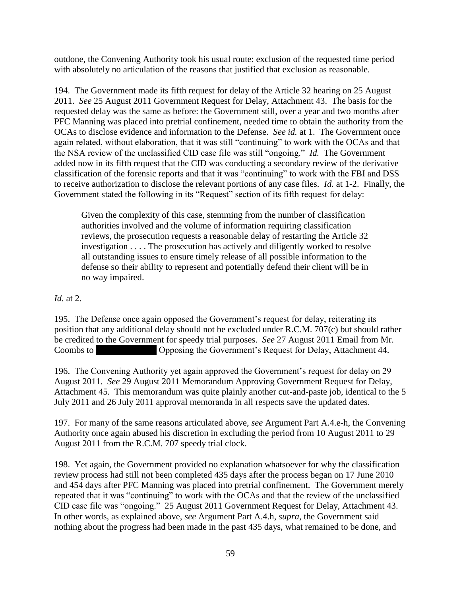outdone, the Convening Authority took his usual route: exclusion of the requested time period with absolutely no articulation of the reasons that justified that exclusion as reasonable.

194. The Government made its fifth request for delay of the Article 32 hearing on 25 August 2011. *See* 25 August 2011 Government Request for Delay, Attachment 43. The basis for the requested delay was the same as before: the Government still, over a year and two months after PFC Manning was placed into pretrial confinement, needed time to obtain the authority from the OCAs to disclose evidence and information to the Defense. *See id.* at 1. The Government once again related, without elaboration, that it was still "continuing" to work with the OCAs and that the NSA review of the unclassified CID case file was still "ongoing." *Id.* The Government added now in its fifth request that the CID was conducting a secondary review of the derivative classification of the forensic reports and that it was "continuing" to work with the FBI and DSS to receive authorization to disclose the relevant portions of any case files. *Id.* at 1-2. Finally, the Government stated the following in its "Request" section of its fifth request for delay:

Given the complexity of this case, stemming from the number of classification authorities involved and the volume of information requiring classification reviews, the prosecution requests a reasonable delay of restarting the Article 32 investigation . . . . The prosecution has actively and diligently worked to resolve all outstanding issues to ensure timely release of all possible information to the defense so their ability to represent and potentially defend their client will be in no way impaired.

### *Id.* at 2.

195. The Defense once again opposed the Government's request for delay, reiterating its position that any additional delay should not be excluded under R.C.M. 707(c) but should rather be credited to the Government for speedy trial purposes. *See* 27 August 2011 Email from Mr. Coombs to \*\*\*\*\* Opposing the Government's Request for Delay, Attachment 44.

196. The Convening Authority yet again approved the Government's request for delay on 29 August 2011. *See* 29 August 2011 Memorandum Approving Government Request for Delay, Attachment 45. This memorandum was quite plainly another cut-and-paste job, identical to the 5 July 2011 and 26 July 2011 approval memoranda in all respects save the updated dates.

197. For many of the same reasons articulated above, *see* Argument Part A.4.e-h, the Convening Authority once again abused his discretion in excluding the period from 10 August 2011 to 29 August 2011 from the R.C.M. 707 speedy trial clock.

198. Yet again, the Government provided no explanation whatsoever for why the classification review process had still not been completed 435 days after the process began on 17 June 2010 and 454 days after PFC Manning was placed into pretrial confinement. The Government merely repeated that it was "continuing" to work with the OCAs and that the review of the unclassified CID case file was "ongoing." 25 August 2011 Government Request for Delay, Attachment 43. In other words, as explained above, *see* Argument Part A.4.h, *supra*, the Government said nothing about the progress had been made in the past 435 days, what remained to be done, and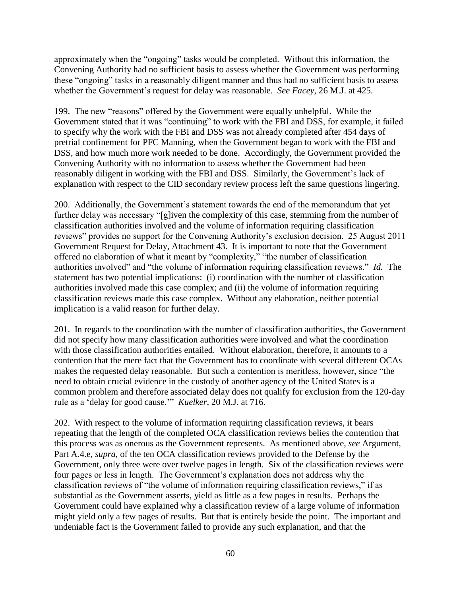approximately when the "ongoing" tasks would be completed. Without this information, the Convening Authority had no sufficient basis to assess whether the Government was performing these "ongoing" tasks in a reasonably diligent manner and thus had no sufficient basis to assess whether the Government's request for delay was reasonable. *See Facey*, 26 M.J. at 425.

199. The new "reasons" offered by the Government were equally unhelpful. While the Government stated that it was "continuing" to work with the FBI and DSS, for example, it failed to specify why the work with the FBI and DSS was not already completed after 454 days of pretrial confinement for PFC Manning, when the Government began to work with the FBI and DSS, and how much more work needed to be done. Accordingly, the Government provided the Convening Authority with no information to assess whether the Government had been reasonably diligent in working with the FBI and DSS. Similarly, the Government's lack of explanation with respect to the CID secondary review process left the same questions lingering.

200. Additionally, the Government's statement towards the end of the memorandum that yet further delay was necessary "[g]iven the complexity of this case, stemming from the number of classification authorities involved and the volume of information requiring classification reviews" provides no support for the Convening Authority's exclusion decision. 25 August 2011 Government Request for Delay, Attachment 43. It is important to note that the Government offered no elaboration of what it meant by "complexity," "the number of classification authorities involved" and "the volume of information requiring classification reviews." *Id.* The statement has two potential implications: (i) coordination with the number of classification authorities involved made this case complex; and (ii) the volume of information requiring classification reviews made this case complex. Without any elaboration, neither potential implication is a valid reason for further delay.

201. In regards to the coordination with the number of classification authorities, the Government did not specify how many classification authorities were involved and what the coordination with those classification authorities entailed. Without elaboration, therefore, it amounts to a contention that the mere fact that the Government has to coordinate with several different OCAs makes the requested delay reasonable. But such a contention is meritless, however, since "the need to obtain crucial evidence in the custody of another agency of the United States is a common problem and therefore associated delay does not qualify for exclusion from the 120-day rule as a 'delay for good cause.'" *Kuelker*, 20 M.J. at 716.

202. With respect to the volume of information requiring classification reviews, it bears repeating that the length of the completed OCA classification reviews belies the contention that this process was as onerous as the Government represents. As mentioned above, *see* Argument, Part A.4.e, *supra*, of the ten OCA classification reviews provided to the Defense by the Government, only three were over twelve pages in length. Six of the classification reviews were four pages or less in length. The Government's explanation does not address why the classification reviews of "the volume of information requiring classification reviews," if as substantial as the Government asserts, yield as little as a few pages in results. Perhaps the Government could have explained why a classification review of a large volume of information might yield only a few pages of results. But that is entirely beside the point. The important and undeniable fact is the Government failed to provide any such explanation, and that the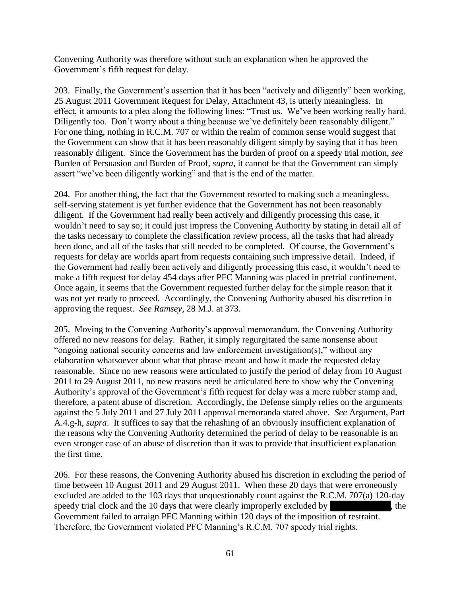Convening Authority was therefore without such an explanation when he approved the Government's fifth request for delay.

203. Finally, the Government's assertion that it has been "actively and diligently" been working, 25 August 2011 Government Request for Delay, Attachment 43, is utterly meaningless. In effect, it amounts to a plea along the following lines: "Trust us. We've been working really hard. Diligently too. Don't worry about a thing because we've definitely been reasonably diligent." For one thing, nothing in R.C.M. 707 or within the realm of common sense would suggest that the Government can show that it has been reasonably diligent simply by saying that it has been reasonably diligent. Since the Government has the burden of proof on a speedy trial motion, *see*  Burden of Persuasion and Burden of Proof, *supra*, it cannot be that the Government can simply assert "we've been diligently working" and that is the end of the matter.

204. For another thing, the fact that the Government resorted to making such a meaningless, self-serving statement is yet further evidence that the Government has not been reasonably diligent. If the Government had really been actively and diligently processing this case, it wouldn't need to say so; it could just impress the Convening Authority by stating in detail all of the tasks necessary to complete the classification review process, all the tasks that had already been done, and all of the tasks that still needed to be completed. Of course, the Government's requests for delay are worlds apart from requests containing such impressive detail. Indeed, if the Government had really been actively and diligently processing this case, it wouldn't need to make a fifth request for delay 454 days after PFC Manning was placed in pretrial confinement. Once again, it seems that the Government requested further delay for the simple reason that it was not yet ready to proceed. Accordingly, the Convening Authority abused his discretion in approving the request. *See Ramsey*, 28 M.J. at 373.

205. Moving to the Convening Authority's approval memorandum, the Convening Authority offered no new reasons for delay. Rather, it simply regurgitated the same nonsense about "ongoing national security concerns and law enforcement investigation(s)," without any elaboration whatsoever about what that phrase meant and how it made the requested delay reasonable. Since no new reasons were articulated to justify the period of delay from 10 August 2011 to 29 August 2011, no new reasons need be articulated here to show why the Convening Authority's approval of the Government's fifth request for delay was a mere rubber stamp and, therefore, a patent abuse of discretion. Accordingly, the Defense simply relies on the arguments against the 5 July 2011 and 27 July 2011 approval memoranda stated above. *See* Argument, Part A.4.g-h, *supra*. It suffices to say that the rehashing of an obviously insufficient explanation of the reasons why the Convening Authority determined the period of delay to be reasonable is an even stronger case of an abuse of discretion than it was to provide that insufficient explanation the first time.

206. For these reasons, the Convening Authority abused his discretion in excluding the period of time between 10 August 2011 and 29 August 2011. When these 20 days that were erroneously excluded are added to the 103 days that unquestionably count against the R.C.M. 707(a) 120-day speedy trial clock and the  $10$  days that were clearly improperly excluded by  $\blacksquare$ , the Government failed to arraign PFC Manning within 120 days of the imposition of restraint. Therefore, the Government violated PFC Manning's R.C.M. 707 speedy trial rights.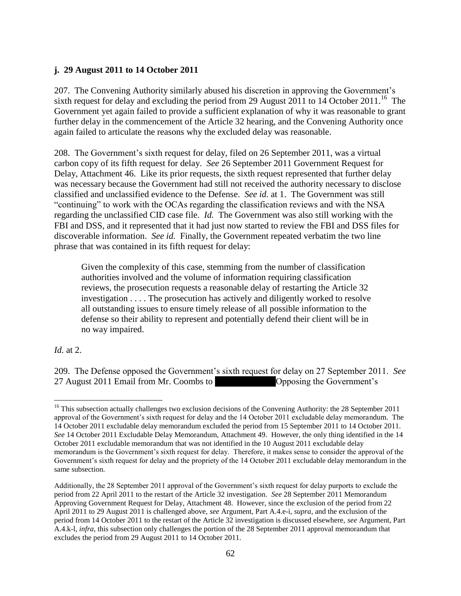### **j. 29 August 2011 to 14 October 2011**

207. The Convening Authority similarly abused his discretion in approving the Government's sixth request for delay and excluding the period from 29 August 2011 to 14 October 2011.<sup>16</sup> The Government yet again failed to provide a sufficient explanation of why it was reasonable to grant further delay in the commencement of the Article 32 hearing, and the Convening Authority once again failed to articulate the reasons why the excluded delay was reasonable.

208. The Government's sixth request for delay, filed on 26 September 2011, was a virtual carbon copy of its fifth request for delay. *See* 26 September 2011 Government Request for Delay, Attachment 46. Like its prior requests, the sixth request represented that further delay was necessary because the Government had still not received the authority necessary to disclose classified and unclassified evidence to the Defense. *See id.* at 1. The Government was still "continuing" to work with the OCAs regarding the classification reviews and with the NSA regarding the unclassified CID case file. *Id.* The Government was also still working with the FBI and DSS, and it represented that it had just now started to review the FBI and DSS files for discoverable information. *See id.* Finally, the Government repeated verbatim the two line phrase that was contained in its fifth request for delay:

Given the complexity of this case, stemming from the number of classification authorities involved and the volume of information requiring classification reviews, the prosecution requests a reasonable delay of restarting the Article 32 investigation . . . . The prosecution has actively and diligently worked to resolve all outstanding issues to ensure timely release of all possible information to the defense so their ability to represent and potentially defend their client will be in no way impaired.

*Id.* at 2.

209. The Defense opposed the Government's sixth request for delay on 27 September 2011. *See*  27 August 2011 Email from Mr. Coombs to \*\*\*\*\*\*\*\*\*\*\*Opposing the Government's

 $\overline{\phantom{a}}$  $16$  This subsection actually challenges two exclusion decisions of the Convening Authority: the 28 September 2011 approval of the Government's sixth request for delay and the 14 October 2011 excludable delay memorandum. The 14 October 2011 excludable delay memorandum excluded the period from 15 September 2011 to 14 October 2011. *See* 14 October 2011 Excludable Delay Memorandum, Attachment 49. However, the only thing identified in the 14 October 2011 excludable memorandum that was not identified in the 10 August 2011 excludable delay memorandum is the Government's sixth request for delay. Therefore, it makes sense to consider the approval of the Government's sixth request for delay and the propriety of the 14 October 2011 excludable delay memorandum in the same subsection.

Additionally, the 28 September 2011 approval of the Government's sixth request for delay purports to exclude the period from 22 April 2011 to the restart of the Article 32 investigation. *See* 28 September 2011 Memorandum Approving Government Request for Delay, Attachment 48. However, since the exclusion of the period from 22 April 2011 to 29 August 2011 is challenged above, *see* Argument, Part A.4.e-i, *supra*, and the exclusion of the period from 14 October 2011 to the restart of the Article 32 investigation is discussed elsewhere, *see* Argument, Part A.4.k-l, *infra*, this subsection only challenges the portion of the 28 September 2011 approval memorandum that excludes the period from 29 August 2011 to 14 October 2011.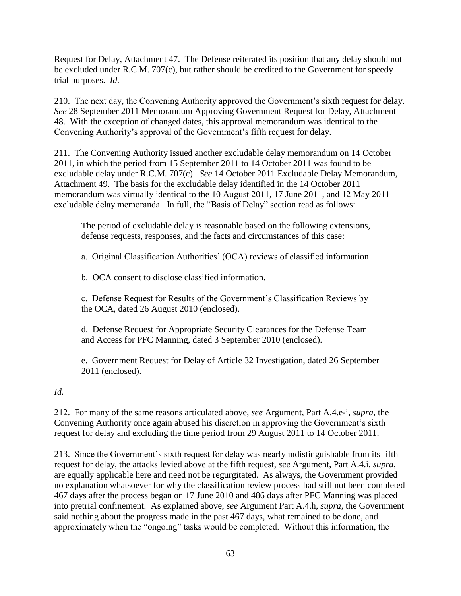Request for Delay, Attachment 47. The Defense reiterated its position that any delay should not be excluded under R.C.M. 707(c), but rather should be credited to the Government for speedy trial purposes. *Id.*

210. The next day, the Convening Authority approved the Government's sixth request for delay. *See* 28 September 2011 Memorandum Approving Government Request for Delay, Attachment 48. With the exception of changed dates, this approval memorandum was identical to the Convening Authority's approval of the Government's fifth request for delay.

211. The Convening Authority issued another excludable delay memorandum on 14 October 2011, in which the period from 15 September 2011 to 14 October 2011 was found to be excludable delay under R.C.M. 707(c). *See* 14 October 2011 Excludable Delay Memorandum, Attachment 49. The basis for the excludable delay identified in the 14 October 2011 memorandum was virtually identical to the 10 August 2011, 17 June 2011, and 12 May 2011 excludable delay memoranda. In full, the "Basis of Delay" section read as follows:

The period of excludable delay is reasonable based on the following extensions, defense requests, responses, and the facts and circumstances of this case:

a. Original Classification Authorities' (OCA) reviews of classified information.

b. OCA consent to disclose classified information.

c. Defense Request for Results of the Government's Classification Reviews by the OCA, dated 26 August 2010 (enclosed).

d. Defense Request for Appropriate Security Clearances for the Defense Team and Access for PFC Manning, dated 3 September 2010 (enclosed).

e. Government Request for Delay of Article 32 Investigation, dated 26 September 2011 (enclosed).

*Id.* 

212. For many of the same reasons articulated above, *see* Argument, Part A.4.e-i, *supra*, the Convening Authority once again abused his discretion in approving the Government's sixth request for delay and excluding the time period from 29 August 2011 to 14 October 2011.

213. Since the Government's sixth request for delay was nearly indistinguishable from its fifth request for delay, the attacks levied above at the fifth request, *see* Argument, Part A.4.i, *supra*, are equally applicable here and need not be regurgitated. As always, the Government provided no explanation whatsoever for why the classification review process had still not been completed 467 days after the process began on 17 June 2010 and 486 days after PFC Manning was placed into pretrial confinement. As explained above, *see* Argument Part A.4.h, *supra*, the Government said nothing about the progress made in the past 467 days, what remained to be done, and approximately when the "ongoing" tasks would be completed. Without this information, the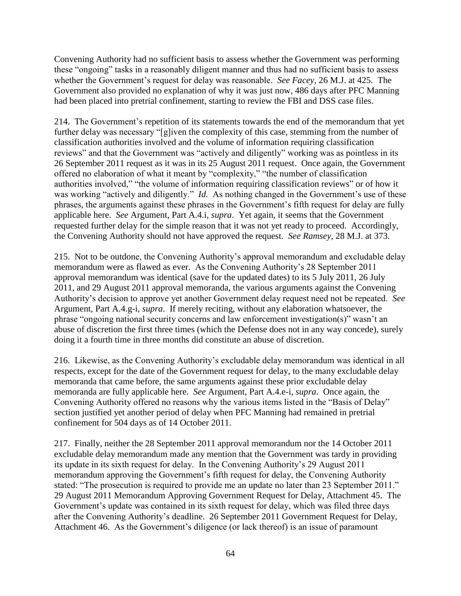Convening Authority had no sufficient basis to assess whether the Government was performing these "ongoing" tasks in a reasonably diligent manner and thus had no sufficient basis to assess whether the Government's request for delay was reasonable. *See Facey*, 26 M.J. at 425. The Government also provided no explanation of why it was just now, 486 days after PFC Manning had been placed into pretrial confinement, starting to review the FBI and DSS case files.

214. The Government's repetition of its statements towards the end of the memorandum that yet further delay was necessary "[g]iven the complexity of this case, stemming from the number of classification authorities involved and the volume of information requiring classification reviews" and that the Government was "actively and diligently" working was as pointless in its 26 September 2011 request as it was in its 25 August 2011 request. Once again, the Government offered no elaboration of what it meant by "complexity," "the number of classification authorities involved," "the volume of information requiring classification reviews" or of how it was working "actively and diligently." *Id.* As nothing changed in the Government's use of these phrases, the arguments against these phrases in the Government's fifth request for delay are fully applicable here. *See* Argument, Part A.4.i, *supra*. Yet again, it seems that the Government requested further delay for the simple reason that it was not yet ready to proceed. Accordingly, the Convening Authority should not have approved the request. *See Ramsey*, 28 M.J. at 373.

215. Not to be outdone, the Convening Authority's approval memorandum and excludable delay memorandum were as flawed as ever. As the Convening Authority's 28 September 2011 approval memorandum was identical (save for the updated dates) to its 5 July 2011, 26 July 2011, and 29 August 2011 approval memoranda, the various arguments against the Convening Authority's decision to approve yet another Government delay request need not be repeated. *See* Argument, Part A.4.g-i, *supra*. If merely reciting, without any elaboration whatsoever, the phrase "ongoing national security concerns and law enforcement investigation(s)" wasn't an abuse of discretion the first three times (which the Defense does not in any way concede), surely doing it a fourth time in three months did constitute an abuse of discretion.

216. Likewise, as the Convening Authority's excludable delay memorandum was identical in all respects, except for the date of the Government request for delay, to the many excludable delay memoranda that came before, the same arguments against these prior excludable delay memoranda are fully applicable here. *See* Argument, Part A.4.e-i, *supra*. Once again, the Convening Authority offered no reasons why the various items listed in the "Basis of Delay" section justified yet another period of delay when PFC Manning had remained in pretrial confinement for 504 days as of 14 October 2011.

217. Finally, neither the 28 September 2011 approval memorandum nor the 14 October 2011 excludable delay memorandum made any mention that the Government was tardy in providing its update in its sixth request for delay. In the Convening Authority's 29 August 2011 memorandum approving the Government's fifth request for delay, the Convening Authority stated: "The prosecution is required to provide me an update no later than 23 September 2011." 29 August 2011 Memorandum Approving Government Request for Delay, Attachment 45. The Government's update was contained in its sixth request for delay, which was filed three days after the Convening Authority's deadline. 26 September 2011 Government Request for Delay, Attachment 46. As the Government's diligence (or lack thereof) is an issue of paramount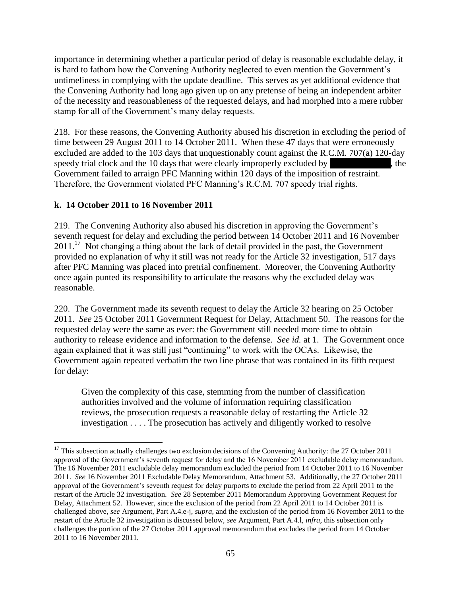importance in determining whether a particular period of delay is reasonable excludable delay, it is hard to fathom how the Convening Authority neglected to even mention the Government's untimeliness in complying with the update deadline. This serves as yet additional evidence that the Convening Authority had long ago given up on any pretense of being an independent arbiter of the necessity and reasonableness of the requested delays, and had morphed into a mere rubber stamp for all of the Government's many delay requests.

218. For these reasons, the Convening Authority abused his discretion in excluding the period of time between 29 August 2011 to 14 October 2011. When these 47 days that were erroneously excluded are added to the 103 days that unquestionably count against the R.C.M. 707(a) 120-day speedy trial clock and the  $10$  days that were clearly improperly excluded by  $\blacksquare$ , the Government failed to arraign PFC Manning within 120 days of the imposition of restraint. Therefore, the Government violated PFC Manning's R.C.M. 707 speedy trial rights.

### **k. 14 October 2011 to 16 November 2011**

219. The Convening Authority also abused his discretion in approving the Government's seventh request for delay and excluding the period between 14 October 2011 and 16 November 2011.<sup>17</sup> Not changing a thing about the lack of detail provided in the past, the Government provided no explanation of why it still was not ready for the Article 32 investigation, 517 days after PFC Manning was placed into pretrial confinement. Moreover, the Convening Authority once again punted its responsibility to articulate the reasons why the excluded delay was reasonable.

220. The Government made its seventh request to delay the Article 32 hearing on 25 October 2011. *See* 25 October 2011 Government Request for Delay, Attachment 50. The reasons for the requested delay were the same as ever: the Government still needed more time to obtain authority to release evidence and information to the defense. *See id.* at 1. The Government once again explained that it was still just "continuing" to work with the OCAs. Likewise, the Government again repeated verbatim the two line phrase that was contained in its fifth request for delay:

Given the complexity of this case, stemming from the number of classification authorities involved and the volume of information requiring classification reviews, the prosecution requests a reasonable delay of restarting the Article 32 investigation . . . . The prosecution has actively and diligently worked to resolve

 $\overline{\phantom{a}}$  $17$  This subsection actually challenges two exclusion decisions of the Convening Authority: the 27 October 2011 approval of the Government's seventh request for delay and the 16 November 2011 excludable delay memorandum. The 16 November 2011 excludable delay memorandum excluded the period from 14 October 2011 to 16 November 2011. *See* 16 November 2011 Excludable Delay Memorandum, Attachment 53. Additionally, the 27 October 2011 approval of the Government's seventh request for delay purports to exclude the period from 22 April 2011 to the restart of the Article 32 investigation. *See* 28 September 2011 Memorandum Approving Government Request for Delay, Attachment 52. However, since the exclusion of the period from 22 April 2011 to 14 October 2011 is challenged above, *see* Argument, Part A.4.e-j, *supra*, and the exclusion of the period from 16 November 2011 to the restart of the Article 32 investigation is discussed below, *see* Argument, Part A.4.l, *infra*, this subsection only challenges the portion of the 27 October 2011 approval memorandum that excludes the period from 14 October 2011 to 16 November 2011.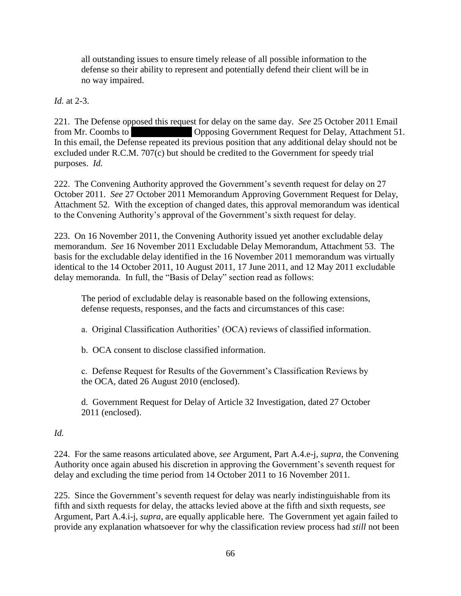all outstanding issues to ensure timely release of all possible information to the defense so their ability to represent and potentially defend their client will be in no way impaired.

*Id.* at 2-3.

221. The Defense opposed this request for delay on the same day. *See* 25 October 2011 Email from Mr. Coombs to \*\*\*\*\* Opposing Government Request for Delay, Attachment 51. In this email, the Defense repeated its previous position that any additional delay should not be excluded under R.C.M. 707(c) but should be credited to the Government for speedy trial purposes. *Id.*

222. The Convening Authority approved the Government's seventh request for delay on 27 October 2011. *See* 27 October 2011 Memorandum Approving Government Request for Delay, Attachment 52. With the exception of changed dates, this approval memorandum was identical to the Convening Authority's approval of the Government's sixth request for delay.

223. On 16 November 2011, the Convening Authority issued yet another excludable delay memorandum. *See* 16 November 2011 Excludable Delay Memorandum, Attachment 53. The basis for the excludable delay identified in the 16 November 2011 memorandum was virtually identical to the 14 October 2011, 10 August 2011, 17 June 2011, and 12 May 2011 excludable delay memoranda. In full, the "Basis of Delay" section read as follows:

The period of excludable delay is reasonable based on the following extensions, defense requests, responses, and the facts and circumstances of this case:

a. Original Classification Authorities' (OCA) reviews of classified information.

b. OCA consent to disclose classified information.

c. Defense Request for Results of the Government's Classification Reviews by the OCA, dated 26 August 2010 (enclosed).

d. Government Request for Delay of Article 32 Investigation, dated 27 October 2011 (enclosed).

*Id.* 

224. For the same reasons articulated above, *see* Argument, Part A.4.e-j, *supra*, the Convening Authority once again abused his discretion in approving the Government's seventh request for delay and excluding the time period from 14 October 2011 to 16 November 2011.

225. Since the Government's seventh request for delay was nearly indistinguishable from its fifth and sixth requests for delay, the attacks levied above at the fifth and sixth requests, *see* Argument, Part A.4.i-j, *supra*, are equally applicable here. The Government yet again failed to provide any explanation whatsoever for why the classification review process had *still* not been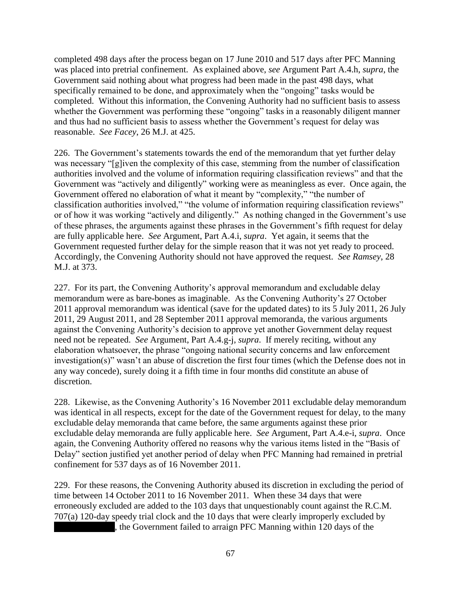completed 498 days after the process began on 17 June 2010 and 517 days after PFC Manning was placed into pretrial confinement. As explained above, *see* Argument Part A.4.h, *supra*, the Government said nothing about what progress had been made in the past 498 days, what specifically remained to be done, and approximately when the "ongoing" tasks would be completed. Without this information, the Convening Authority had no sufficient basis to assess whether the Government was performing these "ongoing" tasks in a reasonably diligent manner and thus had no sufficient basis to assess whether the Government's request for delay was reasonable. *See Facey*, 26 M.J. at 425.

226. The Government's statements towards the end of the memorandum that yet further delay was necessary "[g]iven the complexity of this case, stemming from the number of classification authorities involved and the volume of information requiring classification reviews" and that the Government was "actively and diligently" working were as meaningless as ever. Once again, the Government offered no elaboration of what it meant by "complexity," "the number of classification authorities involved," "the volume of information requiring classification reviews" or of how it was working "actively and diligently." As nothing changed in the Government's use of these phrases, the arguments against these phrases in the Government's fifth request for delay are fully applicable here. *See* Argument, Part A.4.i, *supra*. Yet again, it seems that the Government requested further delay for the simple reason that it was not yet ready to proceed. Accordingly, the Convening Authority should not have approved the request. *See Ramsey*, 28 M.J. at 373.

227. For its part, the Convening Authority's approval memorandum and excludable delay memorandum were as bare-bones as imaginable. As the Convening Authority's 27 October 2011 approval memorandum was identical (save for the updated dates) to its 5 July 2011, 26 July 2011, 29 August 2011, and 28 September 2011 approval memoranda, the various arguments against the Convening Authority's decision to approve yet another Government delay request need not be repeated. *See* Argument, Part A.4.g-j, *supra*. If merely reciting, without any elaboration whatsoever, the phrase "ongoing national security concerns and law enforcement investigation(s)" wasn't an abuse of discretion the first four times (which the Defense does not in any way concede), surely doing it a fifth time in four months did constitute an abuse of discretion.

228. Likewise, as the Convening Authority's 16 November 2011 excludable delay memorandum was identical in all respects, except for the date of the Government request for delay, to the many excludable delay memoranda that came before, the same arguments against these prior excludable delay memoranda are fully applicable here. *See* Argument, Part A.4.e-i, *supra*. Once again, the Convening Authority offered no reasons why the various items listed in the "Basis of Delay" section justified yet another period of delay when PFC Manning had remained in pretrial confinement for 537 days as of 16 November 2011.

229. For these reasons, the Convening Authority abused its discretion in excluding the period of time between 14 October 2011 to 16 November 2011. When these 34 days that were erroneously excluded are added to the 103 days that unquestionably count against the R.C.M. 707(a) 120-day speedy trial clock and the 10 days that were clearly improperly excluded by , the Government failed to arraign PFC Manning within 120 days of the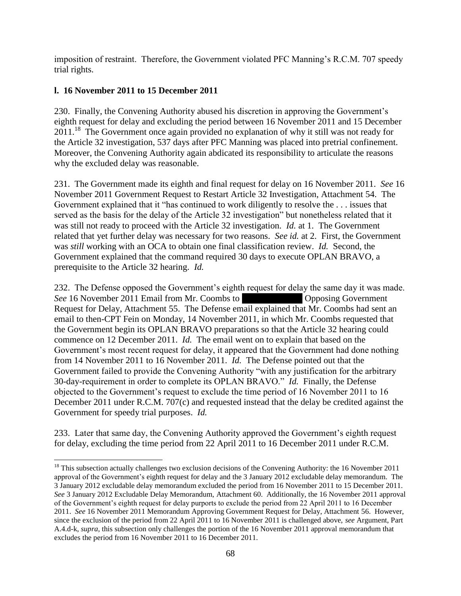imposition of restraint. Therefore, the Government violated PFC Manning's R.C.M. 707 speedy trial rights.

## **l. 16 November 2011 to 15 December 2011**

230. Finally, the Convening Authority abused his discretion in approving the Government's eighth request for delay and excluding the period between 16 November 2011 and 15 December 2011.<sup>18</sup> The Government once again provided no explanation of why it still was not ready for the Article 32 investigation, 537 days after PFC Manning was placed into pretrial confinement. Moreover, the Convening Authority again abdicated its responsibility to articulate the reasons why the excluded delay was reasonable.

231. The Government made its eighth and final request for delay on 16 November 2011. *See* 16 November 2011 Government Request to Restart Article 32 Investigation, Attachment 54. The Government explained that it "has continued to work diligently to resolve the . . . issues that served as the basis for the delay of the Article 32 investigation" but nonetheless related that it was still not ready to proceed with the Article 32 investigation. *Id.* at 1. The Government related that yet further delay was necessary for two reasons. *See id.* at 2. First, the Government was *still* working with an OCA to obtain one final classification review. *Id.* Second, the Government explained that the command required 30 days to execute OPLAN BRAVO, a prerequisite to the Article 32 hearing. *Id.*

232. The Defense opposed the Government's eighth request for delay the same day it was made. *See* 16 November 2011 Email from Mr. Coombs to \*\*\*\*\* Opposing Government Request for Delay, Attachment 55. The Defense email explained that Mr. Coombs had sent an email to then-CPT Fein on Monday, 14 November 2011, in which Mr. Coombs requested that the Government begin its OPLAN BRAVO preparations so that the Article 32 hearing could commence on 12 December 2011. *Id.* The email went on to explain that based on the Government's most recent request for delay, it appeared that the Government had done nothing from 14 November 2011 to 16 November 2011. *Id.* The Defense pointed out that the Government failed to provide the Convening Authority "with any justification for the arbitrary 30-day-requirement in order to complete its OPLAN BRAVO." *Id.* Finally, the Defense objected to the Government's request to exclude the time period of 16 November 2011 to 16 December 2011 under R.C.M. 707(c) and requested instead that the delay be credited against the Government for speedy trial purposes. *Id.*

233. Later that same day, the Convening Authority approved the Government's eighth request for delay, excluding the time period from 22 April 2011 to 16 December 2011 under R.C.M.

 $\overline{\phantom{a}}$  $18$  This subsection actually challenges two exclusion decisions of the Convening Authority: the 16 November 2011 approval of the Government's eighth request for delay and the 3 January 2012 excludable delay memorandum. The 3 January 2012 excludable delay memorandum excluded the period from 16 November 2011 to 15 December 2011. *See* 3 January 2012 Excludable Delay Memorandum, Attachment 60. Additionally, the 16 November 2011 approval of the Government's eighth request for delay purports to exclude the period from 22 April 2011 to 16 December 2011. *See* 16 November 2011 Memorandum Approving Government Request for Delay, Attachment 56. However, since the exclusion of the period from 22 April 2011 to 16 November 2011 is challenged above, *see* Argument, Part A.4.d-k, *supra*, this subsection only challenges the portion of the 16 November 2011 approval memorandum that excludes the period from 16 November 2011 to 16 December 2011.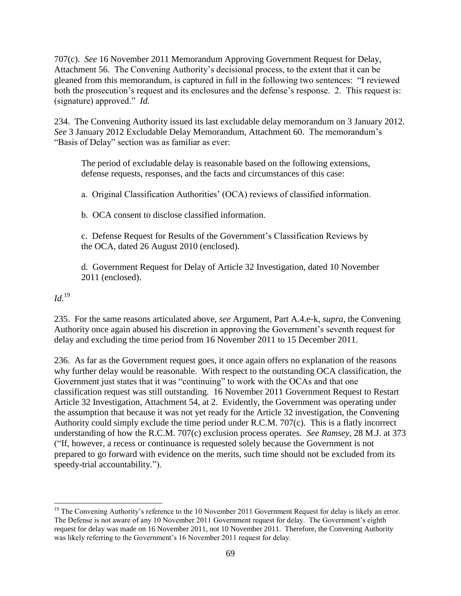707(c). *See* 16 November 2011 Memorandum Approving Government Request for Delay, Attachment 56. The Convening Authority's decisional process, to the extent that it can be gleaned from this memorandum, is captured in full in the following two sentences: "I reviewed both the prosecution's request and its enclosures and the defense's response. 2. This request is: (signature) approved." *Id.*

234. The Convening Authority issued its last excludable delay memorandum on 3 January 2012. *See* 3 January 2012 Excludable Delay Memorandum, Attachment 60. The memorandum's "Basis of Delay" section was as familiar as ever:

The period of excludable delay is reasonable based on the following extensions, defense requests, responses, and the facts and circumstances of this case:

a. Original Classification Authorities' (OCA) reviews of classified information.

b. OCA consent to disclose classified information.

c. Defense Request for Results of the Government's Classification Reviews by the OCA, dated 26 August 2010 (enclosed).

d. Government Request for Delay of Article 32 Investigation, dated 10 November 2011 (enclosed).

*Id.*<sup>19</sup>

 $\overline{\phantom{a}}$ 

235. For the same reasons articulated above, *see* Argument, Part A.4.e-k, *supra*, the Convening Authority once again abused his discretion in approving the Government's seventh request for delay and excluding the time period from 16 November 2011 to 15 December 2011.

236. As far as the Government request goes, it once again offers no explanation of the reasons why further delay would be reasonable. With respect to the outstanding OCA classification, the Government just states that it was "continuing" to work with the OCAs and that one classification request was still outstanding. 16 November 2011 Government Request to Restart Article 32 Investigation, Attachment 54, at 2. Evidently, the Government was operating under the assumption that because it was not yet ready for the Article 32 investigation, the Convening Authority could simply exclude the time period under R.C.M. 707(c). This is a flatly incorrect understanding of how the R.C.M. 707(c) exclusion process operates. *See Ramsey*, 28 M.J. at 373 ("If, however, a recess or continuance is requested solely because the Government is not prepared to go forward with evidence on the merits, such time should not be excluded from its speedy-trial accountability.").

<sup>&</sup>lt;sup>19</sup> The Convening Authority's reference to the 10 November 2011 Government Request for delay is likely an error. The Defense is not aware of any 10 November 2011 Government request for delay. The Government's eighth request for delay was made on 16 November 2011, not 10 November 2011. Therefore, the Convening Authority was likely referring to the Government's 16 November 2011 request for delay.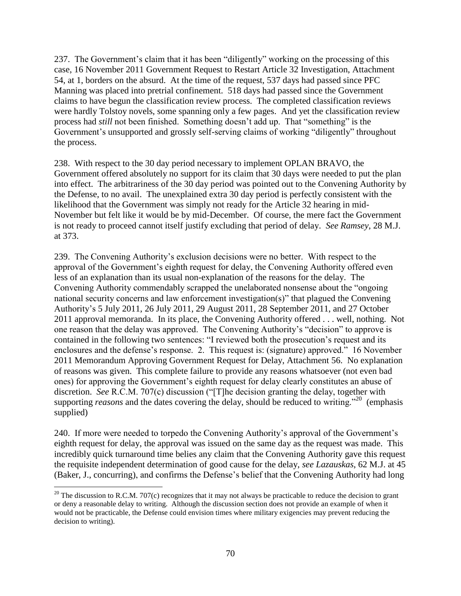237. The Government's claim that it has been "diligently" working on the processing of this case, 16 November 2011 Government Request to Restart Article 32 Investigation, Attachment 54, at 1, borders on the absurd. At the time of the request, 537 days had passed since PFC Manning was placed into pretrial confinement. 518 days had passed since the Government claims to have begun the classification review process. The completed classification reviews were hardly Tolstoy novels, some spanning only a few pages. And yet the classification review process had *still* not been finished. Something doesn't add up. That "something" is the Government's unsupported and grossly self-serving claims of working "diligently" throughout the process.

238. With respect to the 30 day period necessary to implement OPLAN BRAVO, the Government offered absolutely no support for its claim that 30 days were needed to put the plan into effect. The arbitrariness of the 30 day period was pointed out to the Convening Authority by the Defense, to no avail. The unexplained extra 30 day period is perfectly consistent with the likelihood that the Government was simply not ready for the Article 32 hearing in mid-November but felt like it would be by mid-December. Of course, the mere fact the Government is not ready to proceed cannot itself justify excluding that period of delay. *See Ramsey*, 28 M.J. at 373.

239. The Convening Authority's exclusion decisions were no better. With respect to the approval of the Government's eighth request for delay, the Convening Authority offered even less of an explanation than its usual non-explanation of the reasons for the delay. The Convening Authority commendably scrapped the unelaborated nonsense about the "ongoing national security concerns and law enforcement investigation(s)" that plagued the Convening Authority's 5 July 2011, 26 July 2011, 29 August 2011, 28 September 2011, and 27 October 2011 approval memoranda. In its place, the Convening Authority offered . . . well, nothing. Not one reason that the delay was approved. The Convening Authority's "decision" to approve is contained in the following two sentences: "I reviewed both the prosecution's request and its enclosures and the defense's response. 2. This request is: (signature) approved." 16 November 2011 Memorandum Approving Government Request for Delay, Attachment 56. No explanation of reasons was given. This complete failure to provide any reasons whatsoever (not even bad ones) for approving the Government's eighth request for delay clearly constitutes an abuse of discretion. *See* R.C.M. 707(c) discussion ("[T]he decision granting the delay, together with supporting *reasons* and the dates covering the delay, should be reduced to writing."<sup>20</sup> (emphasis supplied)

240. If more were needed to torpedo the Convening Authority's approval of the Government's eighth request for delay, the approval was issued on the same day as the request was made. This incredibly quick turnaround time belies any claim that the Convening Authority gave this request the requisite independent determination of good cause for the delay, *see Lazauskas*, 62 M.J. at 45 (Baker, J., concurring), and confirms the Defense's belief that the Convening Authority had long

 $\overline{\phantom{a}}$ 

<sup>&</sup>lt;sup>20</sup> The discussion to R.C.M. 707(c) recognizes that it may not always be practicable to reduce the decision to grant or deny a reasonable delay to writing. Although the discussion section does not provide an example of when it would not be practicable, the Defense could envision times where military exigencies may prevent reducing the decision to writing).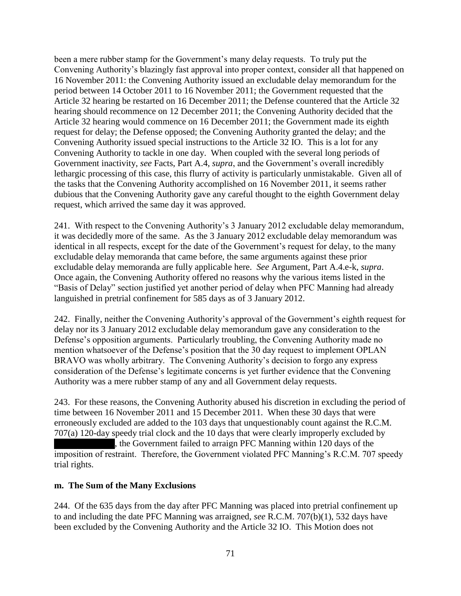been a mere rubber stamp for the Government's many delay requests. To truly put the Convening Authority's blazingly fast approval into proper context, consider all that happened on 16 November 2011: the Convening Authority issued an excludable delay memorandum for the period between 14 October 2011 to 16 November 2011; the Government requested that the Article 32 hearing be restarted on 16 December 2011; the Defense countered that the Article 32 hearing should recommence on 12 December 2011; the Convening Authority decided that the Article 32 hearing would commence on 16 December 2011; the Government made its eighth request for delay; the Defense opposed; the Convening Authority granted the delay; and the Convening Authority issued special instructions to the Article 32 IO. This is a lot for any Convening Authority to tackle in one day. When coupled with the several long periods of Government inactivity, *see* Facts, Part A.4, *supra*, and the Government's overall incredibly lethargic processing of this case, this flurry of activity is particularly unmistakable. Given all of the tasks that the Convening Authority accomplished on 16 November 2011, it seems rather dubious that the Convening Authority gave any careful thought to the eighth Government delay request, which arrived the same day it was approved.

241. With respect to the Convening Authority's 3 January 2012 excludable delay memorandum, it was decidedly more of the same. As the 3 January 2012 excludable delay memorandum was identical in all respects, except for the date of the Government's request for delay, to the many excludable delay memoranda that came before, the same arguments against these prior excludable delay memoranda are fully applicable here. *See* Argument, Part A.4.e-k, *supra*. Once again, the Convening Authority offered no reasons why the various items listed in the "Basis of Delay" section justified yet another period of delay when PFC Manning had already languished in pretrial confinement for 585 days as of 3 January 2012.

242. Finally, neither the Convening Authority's approval of the Government's eighth request for delay nor its 3 January 2012 excludable delay memorandum gave any consideration to the Defense's opposition arguments. Particularly troubling, the Convening Authority made no mention whatsoever of the Defense's position that the 30 day request to implement OPLAN BRAVO was wholly arbitrary. The Convening Authority's decision to forgo any express consideration of the Defense's legitimate concerns is yet further evidence that the Convening Authority was a mere rubber stamp of any and all Government delay requests.

243. For these reasons, the Convening Authority abused his discretion in excluding the period of time between 16 November 2011 and 15 December 2011. When these 30 days that were erroneously excluded are added to the 103 days that unquestionably count against the R.C.M. 707(a) 120-day speedy trial clock and the 10 days that were clearly improperly excluded by

the Government failed to arraign PFC Manning within 120 days of the imposition of restraint. Therefore, the Government violated PFC Manning's R.C.M. 707 speedy trial rights.

### **m. The Sum of the Many Exclusions**

244. Of the 635 days from the day after PFC Manning was placed into pretrial confinement up to and including the date PFC Manning was arraigned, *see* R.C.M. 707(b)(1), 532 days have been excluded by the Convening Authority and the Article 32 IO. This Motion does not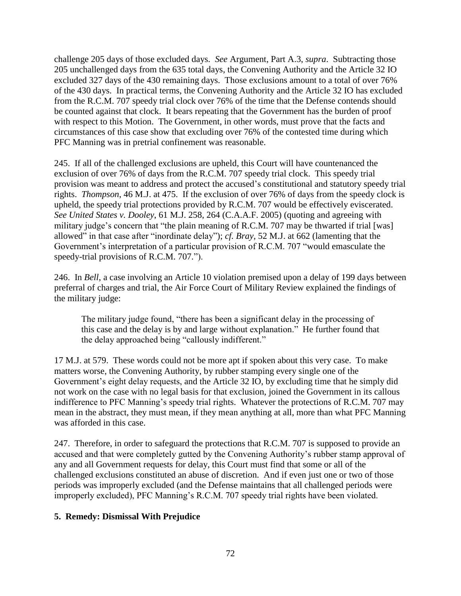challenge 205 days of those excluded days. *See* Argument, Part A.3, *supra*. Subtracting those 205 unchallenged days from the 635 total days, the Convening Authority and the Article 32 IO excluded 327 days of the 430 remaining days. Those exclusions amount to a total of over 76% of the 430 days. In practical terms, the Convening Authority and the Article 32 IO has excluded from the R.C.M. 707 speedy trial clock over 76% of the time that the Defense contends should be counted against that clock. It bears repeating that the Government has the burden of proof with respect to this Motion. The Government, in other words, must prove that the facts and circumstances of this case show that excluding over 76% of the contested time during which PFC Manning was in pretrial confinement was reasonable.

245. If all of the challenged exclusions are upheld, this Court will have countenanced the exclusion of over 76% of days from the R.C.M. 707 speedy trial clock. This speedy trial provision was meant to address and protect the accused's constitutional and statutory speedy trial rights. *Thompson*, 46 M.J. at 475. If the exclusion of over 76% of days from the speedy clock is upheld, the speedy trial protections provided by R.C.M. 707 would be effectively eviscerated. *See United States v. Dooley*, 61 M.J. 258, 264 (C.A.A.F. 2005) (quoting and agreeing with military judge's concern that "the plain meaning of R.C.M. 707 may be thwarted if trial [was] allowed" in that case after "inordinate delay"); *cf. Bray*, 52 M.J. at 662 (lamenting that the Government's interpretation of a particular provision of R.C.M. 707 "would emasculate the speedy-trial provisions of R.C.M. 707.").

246. In *Bell*, a case involving an Article 10 violation premised upon a delay of 199 days between preferral of charges and trial, the Air Force Court of Military Review explained the findings of the military judge:

The military judge found, "there has been a significant delay in the processing of this case and the delay is by and large without explanation." He further found that the delay approached being "callously indifferent."

17 M.J. at 579. These words could not be more apt if spoken about this very case. To make matters worse, the Convening Authority, by rubber stamping every single one of the Government's eight delay requests, and the Article 32 IO, by excluding time that he simply did not work on the case with no legal basis for that exclusion, joined the Government in its callous indifference to PFC Manning's speedy trial rights. Whatever the protections of R.C.M. 707 may mean in the abstract, they must mean, if they mean anything at all, more than what PFC Manning was afforded in this case.

247. Therefore, in order to safeguard the protections that R.C.M. 707 is supposed to provide an accused and that were completely gutted by the Convening Authority's rubber stamp approval of any and all Government requests for delay, this Court must find that some or all of the challenged exclusions constituted an abuse of discretion. And if even just one or two of those periods was improperly excluded (and the Defense maintains that all challenged periods were improperly excluded), PFC Manning's R.C.M. 707 speedy trial rights have been violated.

### **5. Remedy: Dismissal With Prejudice**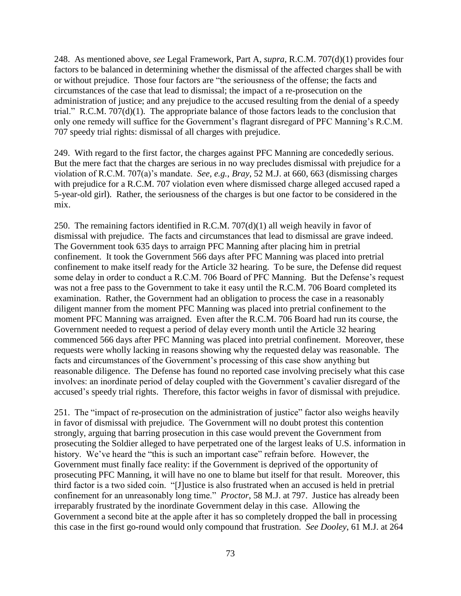248. As mentioned above, *see* Legal Framework, Part A, *supra*, R.C.M. 707(d)(1) provides four factors to be balanced in determining whether the dismissal of the affected charges shall be with or without prejudice. Those four factors are "the seriousness of the offense; the facts and circumstances of the case that lead to dismissal; the impact of a re-prosecution on the administration of justice; and any prejudice to the accused resulting from the denial of a speedy trial." R.C.M. 707(d)(1). The appropriate balance of those factors leads to the conclusion that only one remedy will suffice for the Government's flagrant disregard of PFC Manning's R.C.M. 707 speedy trial rights: dismissal of all charges with prejudice.

249. With regard to the first factor, the charges against PFC Manning are concededly serious. But the mere fact that the charges are serious in no way precludes dismissal with prejudice for a violation of R.C.M. 707(a)'s mandate. *See, e.g.*, *Bray*, 52 M.J. at 660, 663 (dismissing charges with prejudice for a R.C.M. 707 violation even where dismissed charge alleged accused raped a 5-year-old girl). Rather, the seriousness of the charges is but one factor to be considered in the mix.

250. The remaining factors identified in R.C.M. 707(d)(1) all weigh heavily in favor of dismissal with prejudice. The facts and circumstances that lead to dismissal are grave indeed. The Government took 635 days to arraign PFC Manning after placing him in pretrial confinement. It took the Government 566 days after PFC Manning was placed into pretrial confinement to make itself ready for the Article 32 hearing. To be sure, the Defense did request some delay in order to conduct a R.C.M. 706 Board of PFC Manning. But the Defense's request was not a free pass to the Government to take it easy until the R.C.M. 706 Board completed its examination. Rather, the Government had an obligation to process the case in a reasonably diligent manner from the moment PFC Manning was placed into pretrial confinement to the moment PFC Manning was arraigned. Even after the R.C.M. 706 Board had run its course, the Government needed to request a period of delay every month until the Article 32 hearing commenced 566 days after PFC Manning was placed into pretrial confinement. Moreover, these requests were wholly lacking in reasons showing why the requested delay was reasonable. The facts and circumstances of the Government's processing of this case show anything but reasonable diligence. The Defense has found no reported case involving precisely what this case involves: an inordinate period of delay coupled with the Government's cavalier disregard of the accused's speedy trial rights. Therefore, this factor weighs in favor of dismissal with prejudice.

251. The "impact of re-prosecution on the administration of justice" factor also weighs heavily in favor of dismissal with prejudice. The Government will no doubt protest this contention strongly, arguing that barring prosecution in this case would prevent the Government from prosecuting the Soldier alleged to have perpetrated one of the largest leaks of U.S. information in history. We've heard the "this is such an important case" refrain before. However, the Government must finally face reality: if the Government is deprived of the opportunity of prosecuting PFC Manning, it will have no one to blame but itself for that result. Moreover, this third factor is a two sided coin. "[J]ustice is also frustrated when an accused is held in pretrial confinement for an unreasonably long time." *Proctor*, 58 M.J. at 797. Justice has already been irreparably frustrated by the inordinate Government delay in this case. Allowing the Government a second bite at the apple after it has so completely dropped the ball in processing this case in the first go-round would only compound that frustration. *See Dooley*, 61 M.J. at 264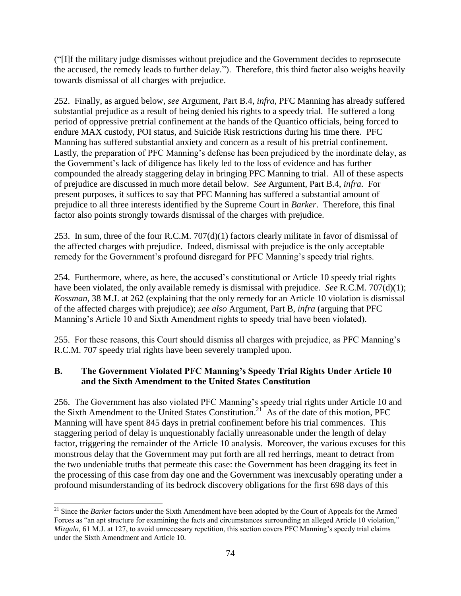("[I]f the military judge dismisses without prejudice and the Government decides to reprosecute the accused, the remedy leads to further delay."). Therefore, this third factor also weighs heavily towards dismissal of all charges with prejudice.

252. Finally, as argued below, *see* Argument, Part B.4, *infra*, PFC Manning has already suffered substantial prejudice as a result of being denied his rights to a speedy trial. He suffered a long period of oppressive pretrial confinement at the hands of the Quantico officials, being forced to endure MAX custody, POI status, and Suicide Risk restrictions during his time there. PFC Manning has suffered substantial anxiety and concern as a result of his pretrial confinement. Lastly, the preparation of PFC Manning's defense has been prejudiced by the inordinate delay, as the Government's lack of diligence has likely led to the loss of evidence and has further compounded the already staggering delay in bringing PFC Manning to trial. All of these aspects of prejudice are discussed in much more detail below. *See* Argument, Part B.4, *infra*. For present purposes, it suffices to say that PFC Manning has suffered a substantial amount of prejudice to all three interests identified by the Supreme Court in *Barker*. Therefore, this final factor also points strongly towards dismissal of the charges with prejudice.

253. In sum, three of the four R.C.M. 707(d)(1) factors clearly militate in favor of dismissal of the affected charges with prejudice. Indeed, dismissal with prejudice is the only acceptable remedy for the Government's profound disregard for PFC Manning's speedy trial rights.

254. Furthermore, where, as here, the accused's constitutional or Article 10 speedy trial rights have been violated, the only available remedy is dismissal with prejudice. *See* R.C.M. 707(d)(1); *Kossman*, 38 M.J. at 262 (explaining that the only remedy for an Article 10 violation is dismissal of the affected charges with prejudice); *see also* Argument, Part B, *infra* (arguing that PFC Manning's Article 10 and Sixth Amendment rights to speedy trial have been violated).

255. For these reasons, this Court should dismiss all charges with prejudice, as PFC Manning's R.C.M. 707 speedy trial rights have been severely trampled upon.

## **B. The Government Violated PFC Manning's Speedy Trial Rights Under Article 10 and the Sixth Amendment to the United States Constitution**

256. The Government has also violated PFC Manning's speedy trial rights under Article 10 and the Sixth Amendment to the United States Constitution.<sup>21</sup> As of the date of this motion, PFC Manning will have spent 845 days in pretrial confinement before his trial commences. This staggering period of delay is unquestionably facially unreasonable under the length of delay factor, triggering the remainder of the Article 10 analysis. Moreover, the various excuses for this monstrous delay that the Government may put forth are all red herrings, meant to detract from the two undeniable truths that permeate this case: the Government has been dragging its feet in the processing of this case from day one and the Government was inexcusably operating under a profound misunderstanding of its bedrock discovery obligations for the first 698 days of this

 $\overline{\phantom{a}}$ <sup>21</sup> Since the *Barker* factors under the Sixth Amendment have been adopted by the Court of Appeals for the Armed Forces as "an apt structure for examining the facts and circumstances surrounding an alleged Article 10 violation," *Mizgala*, 61 M.J. at 127, to avoid unnecessary repetition, this section covers PFC Manning's speedy trial claims under the Sixth Amendment and Article 10.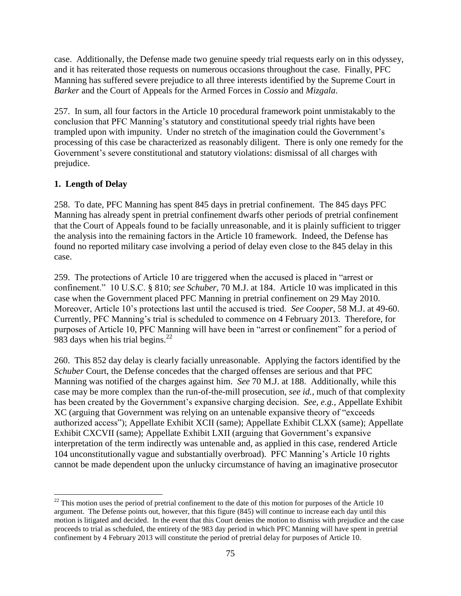case. Additionally, the Defense made two genuine speedy trial requests early on in this odyssey, and it has reiterated those requests on numerous occasions throughout the case. Finally, PFC Manning has suffered severe prejudice to all three interests identified by the Supreme Court in *Barker* and the Court of Appeals for the Armed Forces in *Cossio* and *Mizgala*.

257. In sum, all four factors in the Article 10 procedural framework point unmistakably to the conclusion that PFC Manning's statutory and constitutional speedy trial rights have been trampled upon with impunity. Under no stretch of the imagination could the Government's processing of this case be characterized as reasonably diligent. There is only one remedy for the Government's severe constitutional and statutory violations: dismissal of all charges with prejudice.

# **1. Length of Delay**

258. To date, PFC Manning has spent 845 days in pretrial confinement. The 845 days PFC Manning has already spent in pretrial confinement dwarfs other periods of pretrial confinement that the Court of Appeals found to be facially unreasonable, and it is plainly sufficient to trigger the analysis into the remaining factors in the Article 10 framework. Indeed, the Defense has found no reported military case involving a period of delay even close to the 845 delay in this case.

259. The protections of Article 10 are triggered when the accused is placed in "arrest or confinement." 10 U.S.C. § 810; *see Schuber*, 70 M.J. at 184. Article 10 was implicated in this case when the Government placed PFC Manning in pretrial confinement on 29 May 2010. Moreover, Article 10's protections last until the accused is tried. *See Cooper*, 58 M.J. at 49-60. Currently, PFC Manning's trial is scheduled to commence on 4 February 2013. Therefore, for purposes of Article 10, PFC Manning will have been in "arrest or confinement" for a period of 983 days when his trial begins. $^{22}$ 

260. This 852 day delay is clearly facially unreasonable. Applying the factors identified by the *Schuber* Court, the Defense concedes that the charged offenses are serious and that PFC Manning was notified of the charges against him. *See* 70 M.J. at 188. Additionally, while this case may be more complex than the run-of-the-mill prosecution, *see id.*, much of that complexity has been created by the Government's expansive charging decision. *See, e.g.*, Appellate Exhibit XC (arguing that Government was relying on an untenable expansive theory of "exceeds authorized access"); Appellate Exhibit XCII (same); Appellate Exhibit CLXX (same); Appellate Exhibit CXCVII (same); Appellate Exhibit LXII (arguing that Government's expansive interpretation of the term indirectly was untenable and, as applied in this case, rendered Article 104 unconstitutionally vague and substantially overbroad). PFC Manning's Article 10 rights cannot be made dependent upon the unlucky circumstance of having an imaginative prosecutor

 $\overline{a}$  $22$  This motion uses the period of pretrial confinement to the date of this motion for purposes of the Article 10 argument. The Defense points out, however, that this figure (845) will continue to increase each day until this motion is litigated and decided. In the event that this Court denies the motion to dismiss with prejudice and the case proceeds to trial as scheduled, the entirety of the 983 day period in which PFC Manning will have spent in pretrial confinement by 4 February 2013 will constitute the period of pretrial delay for purposes of Article 10.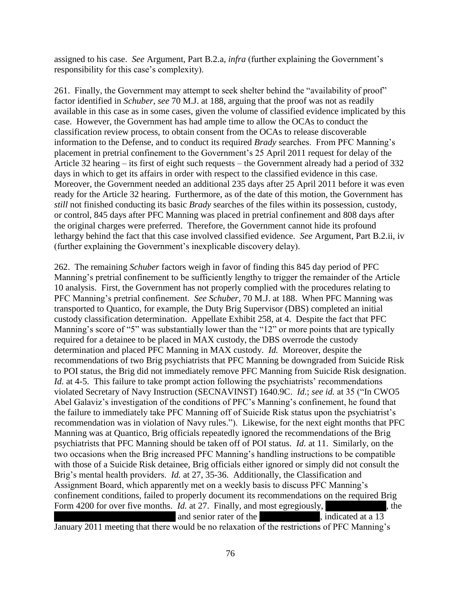assigned to his case. *See* Argument, Part B.2.a, *infra* (further explaining the Government's responsibility for this case's complexity).

261. Finally, the Government may attempt to seek shelter behind the "availability of proof" factor identified in *Schuber*, *see* 70 M.J. at 188, arguing that the proof was not as readily available in this case as in some cases, given the volume of classified evidence implicated by this case. However, the Government has had ample time to allow the OCAs to conduct the classification review process, to obtain consent from the OCAs to release discoverable information to the Defense, and to conduct its required *Brady* searches. From PFC Manning's placement in pretrial confinement to the Government's 25 April 2011 request for delay of the Article 32 hearing – its first of eight such requests – the Government already had a period of 332 days in which to get its affairs in order with respect to the classified evidence in this case. Moreover, the Government needed an additional 235 days after 25 April 2011 before it was even ready for the Article 32 hearing. Furthermore, as of the date of this motion, the Government has *still* not finished conducting its basic *Brady* searches of the files within its possession, custody, or control, 845 days after PFC Manning was placed in pretrial confinement and 808 days after the original charges were preferred. Therefore, the Government cannot hide its profound lethargy behind the fact that this case involved classified evidence. *See* Argument, Part B.2.ii, iv (further explaining the Government's inexplicable discovery delay).

262. The remaining *Schuber* factors weigh in favor of finding this 845 day period of PFC Manning's pretrial confinement to be sufficiently lengthy to trigger the remainder of the Article 10 analysis. First, the Government has not properly complied with the procedures relating to PFC Manning's pretrial confinement. *See Schuber*, 70 M.J. at 188. When PFC Manning was transported to Quantico, for example, the Duty Brig Supervisor (DBS) completed an initial custody classification determination. Appellate Exhibit 258, at 4. Despite the fact that PFC Manning's score of "5" was substantially lower than the "12" or more points that are typically required for a detainee to be placed in MAX custody, the DBS overrode the custody determination and placed PFC Manning in MAX custody. *Id.* Moreover, despite the recommendations of two Brig psychiatrists that PFC Manning be downgraded from Suicide Risk to POI status, the Brig did not immediately remove PFC Manning from Suicide Risk designation. *Id.* at 4-5. This failure to take prompt action following the psychiatrists' recommendations violated Secretary of Navy Instruction (SECNAVINST) 1640.9C. *Id.*; *see id.* at 35 ("In CWO5 Abel Galaviz's investigation of the conditions of PFC's Manning's confinement, he found that the failure to immediately take PFC Manning off of Suicide Risk status upon the psychiatrist's recommendation was in violation of Navy rules."). Likewise, for the next eight months that PFC Manning was at Quantico, Brig officials repeatedly ignored the recommendations of the Brig psychiatrists that PFC Manning should be taken off of POI status. *Id.* at 11. Similarly, on the two occasions when the Brig increased PFC Manning's handling instructions to be compatible with those of a Suicide Risk detainee, Brig officials either ignored or simply did not consult the Brig's mental health providers. *Id.* at 27, 35-36. Additionally, the Classification and Assignment Board, which apparently met on a weekly basis to discuss PFC Manning's confinement conditions, failed to properly document its recommendations on the required Brig Form 4200 for over five months. *Id.* at 27. Finally, and most egregiously,  $\blacksquare$ , the and senior rater of the \*\*\*\*\*, indicated at a 13

January 2011 meeting that there would be no relaxation of the restrictions of PFC Manning's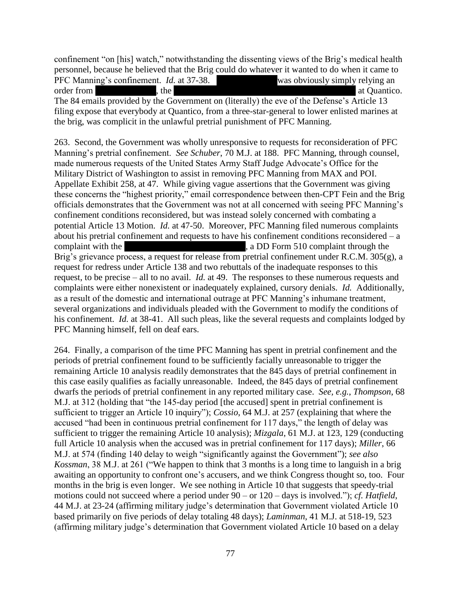confinement "on [his] watch," notwithstanding the dissenting views of the Brig's medical health personnel, because he believed that the Brig could do whatever it wanted to do when it came to PFC Manning's confinement. *Id.* at 37-38. \*\*\*Redacted\*\*\*was obviously simply relying an order from \*\*\*\*, the \*\*\* The 84 emails provided by the Government on (literally) the eve of the Defense's Article 13 filing expose that everybody at Quantico, from a three-star-general to lower enlisted marines at the brig, was complicit in the unlawful pretrial punishment of PFC Manning.

263. Second, the Government was wholly unresponsive to requests for reconsideration of PFC Manning's pretrial confinement. *See Schuber*, 70 M.J. at 188. PFC Manning, through counsel, made numerous requests of the United States Army Staff Judge Advocate's Office for the Military District of Washington to assist in removing PFC Manning from MAX and POI. Appellate Exhibit 258, at 47. While giving vague assertions that the Government was giving these concerns the "highest priority," email correspondence between then-CPT Fein and the Brig officials demonstrates that the Government was not at all concerned with seeing PFC Manning's confinement conditions reconsidered, but was instead solely concerned with combating a potential Article 13 Motion. *Id.* at 47-50. Moreover, PFC Manning filed numerous complaints about his pretrial confinement and requests to have his confinement conditions reconsidered  $-$  a complaint with the \*\*\*Redacted\*\*\*\*\*\*Redacted\*\*\*, a DD Form 510 complaint through the Brig's grievance process, a request for release from pretrial confinement under R.C.M. 305(g), a request for redress under Article 138 and two rebuttals of the inadequate responses to this request, to be precise – all to no avail. *Id.* at 49. The responses to these numerous requests and complaints were either nonexistent or inadequately explained, cursory denials. *Id.* Additionally, as a result of the domestic and international outrage at PFC Manning's inhumane treatment, several organizations and individuals pleaded with the Government to modify the conditions of his confinement. *Id.* at 38-41. All such pleas, like the several requests and complaints lodged by PFC Manning himself, fell on deaf ears.

264. Finally, a comparison of the time PFC Manning has spent in pretrial confinement and the periods of pretrial confinement found to be sufficiently facially unreasonable to trigger the remaining Article 10 analysis readily demonstrates that the 845 days of pretrial confinement in this case easily qualifies as facially unreasonable. Indeed, the 845 days of pretrial confinement dwarfs the periods of pretrial confinement in any reported military case. *See, e.g.*, *Thompson*, 68 M.J. at 312 (holding that "the 145-day period [the accused] spent in pretrial confinement is sufficient to trigger an Article 10 inquiry"); *Cossio*, 64 M.J. at 257 (explaining that where the accused "had been in continuous pretrial confinement for 117 days," the length of delay was sufficient to trigger the remaining Article 10 analysis); *Mizgala*, 61 M.J. at 123, 129 (conducting full Article 10 analysis when the accused was in pretrial confinement for 117 days); *Miller*, 66 M.J. at 574 (finding 140 delay to weigh "significantly against the Government"); *see also Kossman*, 38 M.J. at 261 ("We happen to think that 3 months is a long time to languish in a brig awaiting an opportunity to confront one's accusers, and we think Congress thought so, too. Four months in the brig is even longer. We see nothing in Article 10 that suggests that speedy-trial motions could not succeed where a period under 90 – or 120 – days is involved."); *cf. Hatfield*, 44 M.J. at 23-24 (affirming military judge's determination that Government violated Article 10 based primarily on five periods of delay totaling 48 days); *Laminman*, 41 M.J. at 518-19, 523 (affirming military judge's determination that Government violated Article 10 based on a delay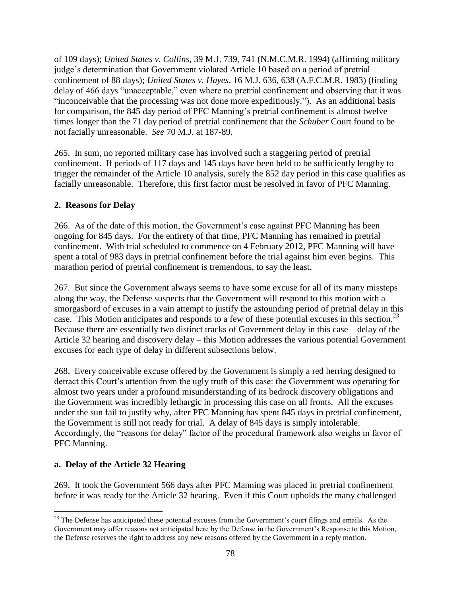of 109 days); *United States v. Collins*, 39 M.J. 739, 741 (N.M.C.M.R. 1994) (affirming military judge's determination that Government violated Article 10 based on a period of pretrial confinement of 88 days); *United States v. Hayes*, 16 M.J. 636, 638 (A.F.C.M.R. 1983) (finding delay of 466 days "unacceptable," even where no pretrial confinement and observing that it was "inconceivable that the processing was not done more expeditiously."). As an additional basis for comparison, the 845 day period of PFC Manning's pretrial confinement is almost twelve times longer than the 71 day period of pretrial confinement that the *Schuber* Court found to be not facially unreasonable. *See* 70 M.J. at 187-89.

265. In sum, no reported military case has involved such a staggering period of pretrial confinement. If periods of 117 days and 145 days have been held to be sufficiently lengthy to trigger the remainder of the Article 10 analysis, surely the 852 day period in this case qualifies as facially unreasonable. Therefore, this first factor must be resolved in favor of PFC Manning.

## **2. Reasons for Delay**

266. As of the date of this motion, the Government's case against PFC Manning has been ongoing for 845 days. For the entirety of that time, PFC Manning has remained in pretrial confinement. With trial scheduled to commence on 4 February 2012, PFC Manning will have spent a total of 983 days in pretrial confinement before the trial against him even begins. This marathon period of pretrial confinement is tremendous, to say the least.

267. But since the Government always seems to have some excuse for all of its many missteps along the way, the Defense suspects that the Government will respond to this motion with a smorgasbord of excuses in a vain attempt to justify the astounding period of pretrial delay in this case. This Motion anticipates and responds to a few of these potential excuses in this section.<sup>23</sup> Because there are essentially two distinct tracks of Government delay in this case – delay of the Article 32 hearing and discovery delay – this Motion addresses the various potential Government excuses for each type of delay in different subsections below.

268. Every conceivable excuse offered by the Government is simply a red herring designed to detract this Court's attention from the ugly truth of this case: the Government was operating for almost two years under a profound misunderstanding of its bedrock discovery obligations and the Government was incredibly lethargic in processing this case on all fronts. All the excuses under the sun fail to justify why, after PFC Manning has spent 845 days in pretrial confinement, the Government is still not ready for trial. A delay of 845 days is simply intolerable. Accordingly, the "reasons for delay" factor of the procedural framework also weighs in favor of PFC Manning.

## **a. Delay of the Article 32 Hearing**

269. It took the Government 566 days after PFC Manning was placed in pretrial confinement before it was ready for the Article 32 hearing. Even if this Court upholds the many challenged

 $\overline{\phantom{a}}$  $23$  The Defense has anticipated these potential excuses from the Government's court filings and emails. As the Government may offer reasons not anticipated here by the Defense in the Government's Response to this Motion, the Defense reserves the right to address any new reasons offered by the Government in a reply motion.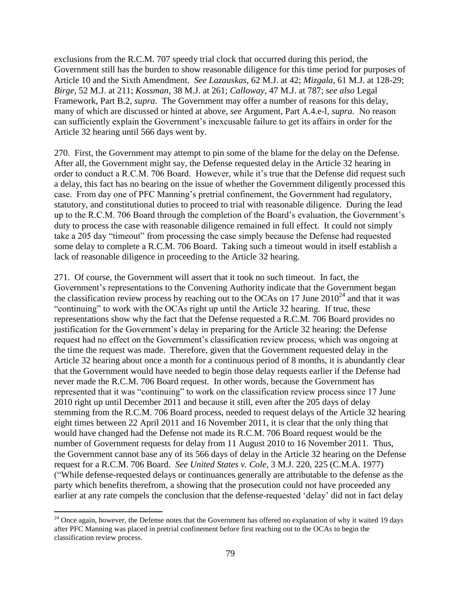exclusions from the R.C.M. 707 speedy trial clock that occurred during this period, the Government still has the burden to show reasonable diligence for this time period for purposes of Article 10 and the Sixth Amendment. *See Lazauskas*, 62 M.J. at 42; *Mizgala*, 61 M.J. at 128-29; *Birge*, 52 M.J. at 211; *Kossman*, 38 M.J. at 261; *Calloway*, 47 M.J. at 787; *see also* Legal Framework, Part B.2, *supra*. The Government may offer a number of reasons for this delay, many of which are discussed or hinted at above, *see* Argument, Part A.4.e-l, *supra*. No reason can sufficiently explain the Government's inexcusable failure to get its affairs in order for the Article 32 hearing until 566 days went by.

270. First, the Government may attempt to pin some of the blame for the delay on the Defense. After all, the Government might say, the Defense requested delay in the Article 32 hearing in order to conduct a R.C.M. 706 Board. However, while it's true that the Defense did request such a delay, this fact has no bearing on the issue of whether the Government diligently processed this case. From day one of PFC Manning's pretrial confinement, the Government had regulatory, statutory, and constitutional duties to proceed to trial with reasonable diligence. During the lead up to the R.C.M. 706 Board through the completion of the Board's evaluation, the Government's duty to process the case with reasonable diligence remained in full effect. It could not simply take a 205 day "timeout" from processing the case simply because the Defense had requested some delay to complete a R.C.M. 706 Board. Taking such a timeout would in itself establish a lack of reasonable diligence in proceeding to the Article 32 hearing.

271. Of course, the Government will assert that it took no such timeout. In fact, the Government's representations to the Convening Authority indicate that the Government began the classification review process by reaching out to the OCAs on 17 June  $2010^{24}$  and that it was "continuing" to work with the OCAs right up until the Article 32 hearing. If true, these representations show why the fact that the Defense requested a R.C.M. 706 Board provides no justification for the Government's delay in preparing for the Article 32 hearing: the Defense request had no effect on the Government's classification review process, which was ongoing at the time the request was made. Therefore, given that the Government requested delay in the Article 32 hearing about once a month for a continuous period of 8 months, it is abundantly clear that the Government would have needed to begin those delay requests earlier if the Defense had never made the R.C.M. 706 Board request. In other words, because the Government has represented that it was "continuing" to work on the classification review process since 17 June 2010 right up until December 2011 and because it still, even after the 205 days of delay stemming from the R.C.M. 706 Board process, needed to request delays of the Article 32 hearing eight times between 22 April 2011 and 16 November 2011, it is clear that the only thing that would have changed had the Defense not made its R.C.M. 706 Board request would be the number of Government requests for delay from 11 August 2010 to 16 November 2011. Thus, the Government cannot base any of its 566 days of delay in the Article 32 hearing on the Defense request for a R.C.M. 706 Board. *See United States v. Cole*, 3 M.J. 220, 225 (C.M.A. 1977) ("While defense-requested delays or continuances generally are attributable to the defense as the party which benefits therefrom, a showing that the prosecution could not have proceeded any earlier at any rate compels the conclusion that the defense-requested 'delay' did not in fact delay

 $\overline{\phantom{a}}$  $24$  Once again, however, the Defense notes that the Government has offered no explanation of why it waited 19 days after PFC Manning was placed in pretrial confinement before first reaching out to the OCAs to begin the classification review process.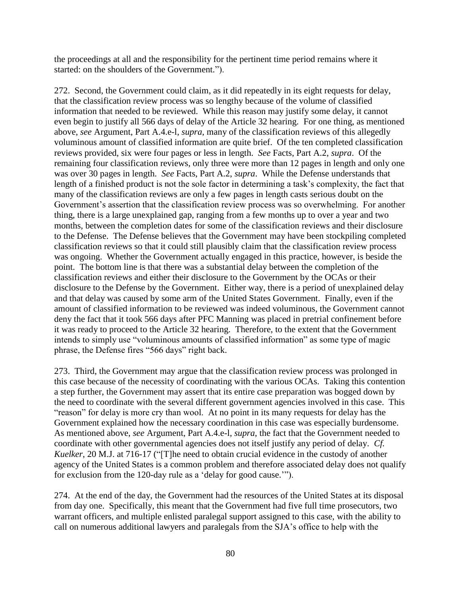the proceedings at all and the responsibility for the pertinent time period remains where it started: on the shoulders of the Government.").

272. Second, the Government could claim, as it did repeatedly in its eight requests for delay, that the classification review process was so lengthy because of the volume of classified information that needed to be reviewed. While this reason may justify some delay, it cannot even begin to justify all 566 days of delay of the Article 32 hearing. For one thing, as mentioned above, *see* Argument, Part A.4.e-l, *supra*, many of the classification reviews of this allegedly voluminous amount of classified information are quite brief. Of the ten completed classification reviews provided, six were four pages or less in length. *See* Facts, Part A.2, *supra*. Of the remaining four classification reviews, only three were more than 12 pages in length and only one was over 30 pages in length. *See* Facts, Part A.2, *supra*. While the Defense understands that length of a finished product is not the sole factor in determining a task's complexity, the fact that many of the classification reviews are only a few pages in length casts serious doubt on the Government's assertion that the classification review process was so overwhelming. For another thing, there is a large unexplained gap, ranging from a few months up to over a year and two months, between the completion dates for some of the classification reviews and their disclosure to the Defense. The Defense believes that the Government may have been stockpiling completed classification reviews so that it could still plausibly claim that the classification review process was ongoing. Whether the Government actually engaged in this practice, however, is beside the point. The bottom line is that there was a substantial delay between the completion of the classification reviews and either their disclosure to the Government by the OCAs or their disclosure to the Defense by the Government. Either way, there is a period of unexplained delay and that delay was caused by some arm of the United States Government. Finally, even if the amount of classified information to be reviewed was indeed voluminous, the Government cannot deny the fact that it took 566 days after PFC Manning was placed in pretrial confinement before it was ready to proceed to the Article 32 hearing. Therefore, to the extent that the Government intends to simply use "voluminous amounts of classified information" as some type of magic phrase, the Defense fires "566 days" right back.

273. Third, the Government may argue that the classification review process was prolonged in this case because of the necessity of coordinating with the various OCAs. Taking this contention a step further, the Government may assert that its entire case preparation was bogged down by the need to coordinate with the several different government agencies involved in this case. This "reason" for delay is more cry than wool. At no point in its many requests for delay has the Government explained how the necessary coordination in this case was especially burdensome. As mentioned above, *see* Argument, Part A.4.e-l, *supra*, the fact that the Government needed to coordinate with other governmental agencies does not itself justify any period of delay. *Cf. Kuelker*, 20 M.J. at 716-17 ("[T]he need to obtain crucial evidence in the custody of another agency of the United States is a common problem and therefore associated delay does not qualify for exclusion from the 120-day rule as a 'delay for good cause.'").

274. At the end of the day, the Government had the resources of the United States at its disposal from day one. Specifically, this meant that the Government had five full time prosecutors, two warrant officers, and multiple enlisted paralegal support assigned to this case, with the ability to call on numerous additional lawyers and paralegals from the SJA's office to help with the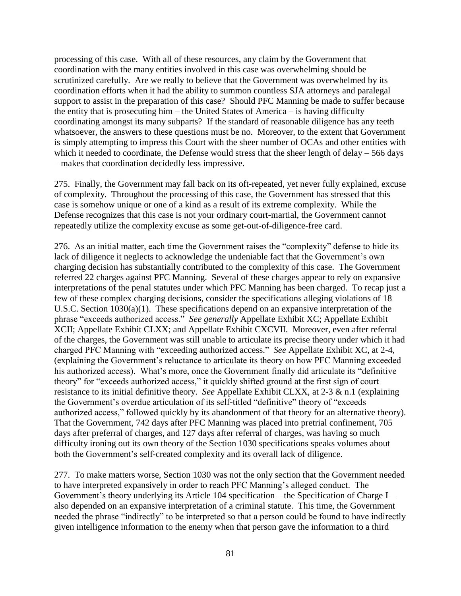processing of this case. With all of these resources, any claim by the Government that coordination with the many entities involved in this case was overwhelming should be scrutinized carefully. Are we really to believe that the Government was overwhelmed by its coordination efforts when it had the ability to summon countless SJA attorneys and paralegal support to assist in the preparation of this case? Should PFC Manning be made to suffer because the entity that is prosecuting him – the United States of America – is having difficulty coordinating amongst its many subparts? If the standard of reasonable diligence has any teeth whatsoever, the answers to these questions must be no. Moreover, to the extent that Government is simply attempting to impress this Court with the sheer number of OCAs and other entities with which it needed to coordinate, the Defense would stress that the sheer length of delay – 566 days – makes that coordination decidedly less impressive.

275. Finally, the Government may fall back on its oft-repeated, yet never fully explained, excuse of complexity. Throughout the processing of this case, the Government has stressed that this case is somehow unique or one of a kind as a result of its extreme complexity. While the Defense recognizes that this case is not your ordinary court-martial, the Government cannot repeatedly utilize the complexity excuse as some get-out-of-diligence-free card.

276. As an initial matter, each time the Government raises the "complexity" defense to hide its lack of diligence it neglects to acknowledge the undeniable fact that the Government's own charging decision has substantially contributed to the complexity of this case. The Government referred 22 charges against PFC Manning. Several of these charges appear to rely on expansive interpretations of the penal statutes under which PFC Manning has been charged. To recap just a few of these complex charging decisions, consider the specifications alleging violations of 18 U.S.C. Section 1030(a)(1). These specifications depend on an expansive interpretation of the phrase "exceeds authorized access." *See generally* Appellate Exhibit XC; Appellate Exhibit XCII; Appellate Exhibit CLXX; and Appellate Exhibit CXCVII. Moreover, even after referral of the charges, the Government was still unable to articulate its precise theory under which it had charged PFC Manning with "exceeding authorized access." *See* Appellate Exhibit XC, at 2-4, (explaining the Government's reluctance to articulate its theory on how PFC Manning exceeded his authorized access). What's more, once the Government finally did articulate its "definitive theory" for "exceeds authorized access," it quickly shifted ground at the first sign of court resistance to its initial definitive theory. *See* Appellate Exhibit CLXX, at 2-3 & n.1 (explaining the Government's overdue articulation of its self-titled "definitive" theory of "exceeds authorized access," followed quickly by its abandonment of that theory for an alternative theory). That the Government, 742 days after PFC Manning was placed into pretrial confinement, 705 days after preferral of charges, and 127 days after referral of charges, was having so much difficulty ironing out its own theory of the Section 1030 specifications speaks volumes about both the Government's self-created complexity and its overall lack of diligence.

277. To make matters worse, Section 1030 was not the only section that the Government needed to have interpreted expansively in order to reach PFC Manning's alleged conduct. The Government's theory underlying its Article 104 specification – the Specification of Charge I – also depended on an expansive interpretation of a criminal statute. This time, the Government needed the phrase "indirectly" to be interpreted so that a person could be found to have indirectly given intelligence information to the enemy when that person gave the information to a third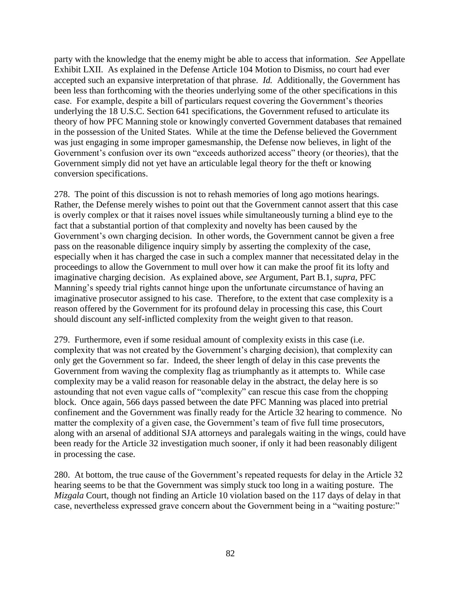party with the knowledge that the enemy might be able to access that information. *See* Appellate Exhibit LXII. As explained in the Defense Article 104 Motion to Dismiss, no court had ever accepted such an expansive interpretation of that phrase. *Id.* Additionally, the Government has been less than forthcoming with the theories underlying some of the other specifications in this case. For example, despite a bill of particulars request covering the Government's theories underlying the 18 U.S.C. Section 641 specifications, the Government refused to articulate its theory of how PFC Manning stole or knowingly converted Government databases that remained in the possession of the United States. While at the time the Defense believed the Government was just engaging in some improper gamesmanship, the Defense now believes, in light of the Government's confusion over its own "exceeds authorized access" theory (or theories), that the Government simply did not yet have an articulable legal theory for the theft or knowing conversion specifications.

278. The point of this discussion is not to rehash memories of long ago motions hearings. Rather, the Defense merely wishes to point out that the Government cannot assert that this case is overly complex or that it raises novel issues while simultaneously turning a blind eye to the fact that a substantial portion of that complexity and novelty has been caused by the Government's own charging decision. In other words, the Government cannot be given a free pass on the reasonable diligence inquiry simply by asserting the complexity of the case, especially when it has charged the case in such a complex manner that necessitated delay in the proceedings to allow the Government to mull over how it can make the proof fit its lofty and imaginative charging decision. As explained above, *see* Argument, Part B.1, *supra*, PFC Manning's speedy trial rights cannot hinge upon the unfortunate circumstance of having an imaginative prosecutor assigned to his case. Therefore, to the extent that case complexity is a reason offered by the Government for its profound delay in processing this case, this Court should discount any self-inflicted complexity from the weight given to that reason.

279. Furthermore, even if some residual amount of complexity exists in this case (i.e. complexity that was not created by the Government's charging decision), that complexity can only get the Government so far. Indeed, the sheer length of delay in this case prevents the Government from waving the complexity flag as triumphantly as it attempts to. While case complexity may be a valid reason for reasonable delay in the abstract, the delay here is so astounding that not even vague calls of "complexity" can rescue this case from the chopping block. Once again, 566 days passed between the date PFC Manning was placed into pretrial confinement and the Government was finally ready for the Article 32 hearing to commence. No matter the complexity of a given case, the Government's team of five full time prosecutors, along with an arsenal of additional SJA attorneys and paralegals waiting in the wings, could have been ready for the Article 32 investigation much sooner, if only it had been reasonably diligent in processing the case.

280. At bottom, the true cause of the Government's repeated requests for delay in the Article 32 hearing seems to be that the Government was simply stuck too long in a waiting posture. The *Mizgala* Court, though not finding an Article 10 violation based on the 117 days of delay in that case, nevertheless expressed grave concern about the Government being in a "waiting posture:"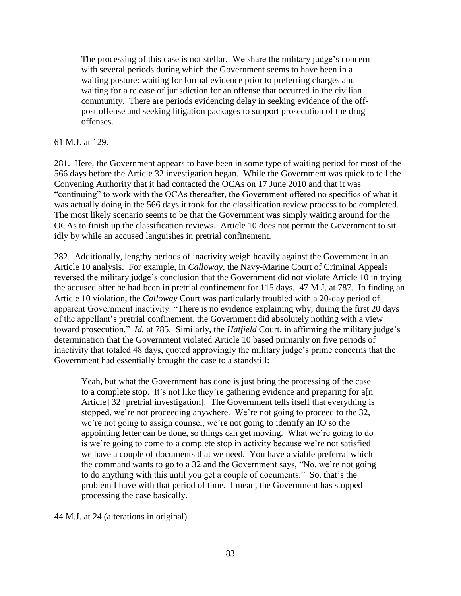The processing of this case is not stellar. We share the military judge's concern with several periods during which the Government seems to have been in a waiting posture: waiting for formal evidence prior to preferring charges and waiting for a release of jurisdiction for an offense that occurred in the civilian community. There are periods evidencing delay in seeking evidence of the offpost offense and seeking litigation packages to support prosecution of the drug offenses.

#### 61 M.J. at 129.

281. Here, the Government appears to have been in some type of waiting period for most of the 566 days before the Article 32 investigation began. While the Government was quick to tell the Convening Authority that it had contacted the OCAs on 17 June 2010 and that it was "continuing" to work with the OCAs thereafter, the Government offered no specifics of what it was actually doing in the 566 days it took for the classification review process to be completed. The most likely scenario seems to be that the Government was simply waiting around for the OCAs to finish up the classification reviews. Article 10 does not permit the Government to sit idly by while an accused languishes in pretrial confinement.

282. Additionally, lengthy periods of inactivity weigh heavily against the Government in an Article 10 analysis. For example, in *Calloway*, the Navy-Marine Court of Criminal Appeals reversed the military judge's conclusion that the Government did not violate Article 10 in trying the accused after he had been in pretrial confinement for 115 days. 47 M.J. at 787. In finding an Article 10 violation, the *Calloway* Court was particularly troubled with a 20-day period of apparent Government inactivity: "There is no evidence explaining why, during the first 20 days of the appellant's pretrial confinement, the Government did absolutely nothing with a view toward prosecution." *Id.* at 785. Similarly, the *Hatfield* Court, in affirming the military judge's determination that the Government violated Article 10 based primarily on five periods of inactivity that totaled 48 days, quoted approvingly the military judge's prime concerns that the Government had essentially brought the case to a standstill:

Yeah, but what the Government has done is just bring the processing of the case to a complete stop. It's not like they're gathering evidence and preparing for  $a[n]$ Article] 32 [pretrial investigation]. The Government tells itself that everything is stopped, we're not proceeding anywhere. We're not going to proceed to the 32, we're not going to assign counsel, we're not going to identify an IO so the appointing letter can be done, so things can get moving. What we're going to do is we're going to come to a complete stop in activity because we're not satisfied we have a couple of documents that we need. You have a viable preferral which the command wants to go to a 32 and the Government says, "No, we're not going to do anything with this until you get a couple of documents." So, that's the problem I have with that period of time. I mean, the Government has stopped processing the case basically.

44 M.J. at 24 (alterations in original).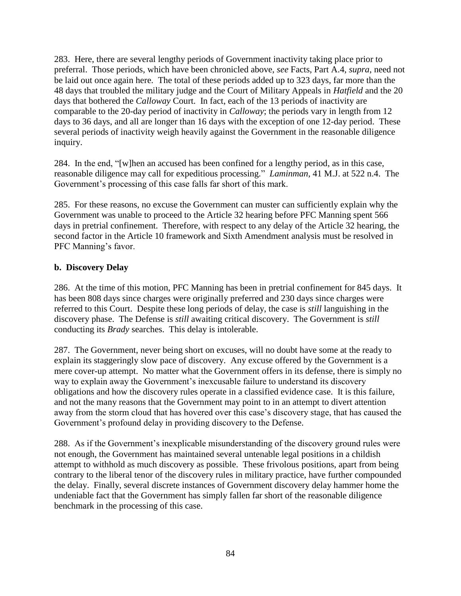283. Here, there are several lengthy periods of Government inactivity taking place prior to preferral. Those periods, which have been chronicled above, *see* Facts, Part A.4, *supra*, need not be laid out once again here. The total of these periods added up to 323 days, far more than the 48 days that troubled the military judge and the Court of Military Appeals in *Hatfield* and the 20 days that bothered the *Calloway* Court. In fact, each of the 13 periods of inactivity are comparable to the 20-day period of inactivity in *Calloway*; the periods vary in length from 12 days to 36 days, and all are longer than 16 days with the exception of one 12-day period. These several periods of inactivity weigh heavily against the Government in the reasonable diligence inquiry.

284. In the end, "[w]hen an accused has been confined for a lengthy period, as in this case, reasonable diligence may call for expeditious processing." *Laminman*, 41 M.J. at 522 n.4. The Government's processing of this case falls far short of this mark.

285. For these reasons, no excuse the Government can muster can sufficiently explain why the Government was unable to proceed to the Article 32 hearing before PFC Manning spent 566 days in pretrial confinement. Therefore, with respect to any delay of the Article 32 hearing, the second factor in the Article 10 framework and Sixth Amendment analysis must be resolved in PFC Manning's favor.

## **b. Discovery Delay**

286. At the time of this motion, PFC Manning has been in pretrial confinement for 845 days. It has been 808 days since charges were originally preferred and 230 days since charges were referred to this Court. Despite these long periods of delay, the case is *still* languishing in the discovery phase. The Defense is *still* awaiting critical discovery. The Government is *still* conducting its *Brady* searches. This delay is intolerable.

287. The Government, never being short on excuses, will no doubt have some at the ready to explain its staggeringly slow pace of discovery. Any excuse offered by the Government is a mere cover-up attempt. No matter what the Government offers in its defense, there is simply no way to explain away the Government's inexcusable failure to understand its discovery obligations and how the discovery rules operate in a classified evidence case. It is this failure, and not the many reasons that the Government may point to in an attempt to divert attention away from the storm cloud that has hovered over this case's discovery stage, that has caused the Government's profound delay in providing discovery to the Defense.

288. As if the Government's inexplicable misunderstanding of the discovery ground rules were not enough, the Government has maintained several untenable legal positions in a childish attempt to withhold as much discovery as possible. These frivolous positions, apart from being contrary to the liberal tenor of the discovery rules in military practice, have further compounded the delay. Finally, several discrete instances of Government discovery delay hammer home the undeniable fact that the Government has simply fallen far short of the reasonable diligence benchmark in the processing of this case.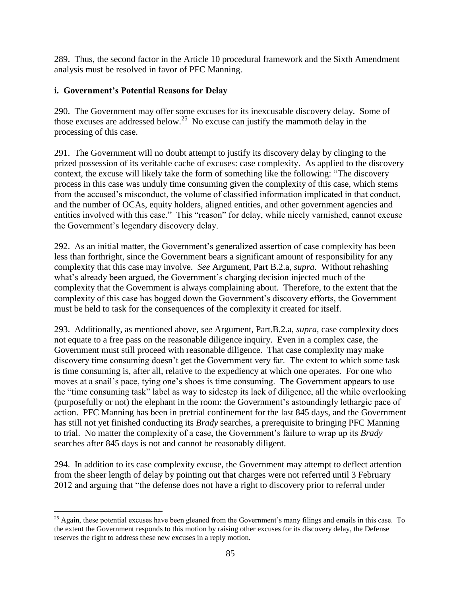289. Thus, the second factor in the Article 10 procedural framework and the Sixth Amendment analysis must be resolved in favor of PFC Manning.

## **i. Government's Potential Reasons for Delay**

290. The Government may offer some excuses for its inexcusable discovery delay. Some of those excuses are addressed below.<sup>25</sup> No excuse can justify the mammoth delay in the processing of this case.

291. The Government will no doubt attempt to justify its discovery delay by clinging to the prized possession of its veritable cache of excuses: case complexity. As applied to the discovery context, the excuse will likely take the form of something like the following: "The discovery process in this case was unduly time consuming given the complexity of this case, which stems from the accused's misconduct, the volume of classified information implicated in that conduct, and the number of OCAs, equity holders, aligned entities, and other government agencies and entities involved with this case." This "reason" for delay, while nicely varnished, cannot excuse the Government's legendary discovery delay.

292. As an initial matter, the Government's generalized assertion of case complexity has been less than forthright, since the Government bears a significant amount of responsibility for any complexity that this case may involve. *See* Argument, Part B.2.a, *supra*. Without rehashing what's already been argued, the Government's charging decision injected much of the complexity that the Government is always complaining about. Therefore, to the extent that the complexity of this case has bogged down the Government's discovery efforts, the Government must be held to task for the consequences of the complexity it created for itself.

293. Additionally, as mentioned above, *see* Argument, Part.B.2.a, *supra*, case complexity does not equate to a free pass on the reasonable diligence inquiry. Even in a complex case, the Government must still proceed with reasonable diligence. That case complexity may make discovery time consuming doesn't get the Government very far. The extent to which some task is time consuming is, after all, relative to the expediency at which one operates. For one who moves at a snail's pace, tying one's shoes is time consuming. The Government appears to use the "time consuming task" label as way to sidestep its lack of diligence, all the while overlooking (purposefully or not) the elephant in the room: the Government's astoundingly lethargic pace of action. PFC Manning has been in pretrial confinement for the last 845 days, and the Government has still not yet finished conducting its *Brady* searches, a prerequisite to bringing PFC Manning to trial. No matter the complexity of a case, the Government's failure to wrap up its *Brady* searches after 845 days is not and cannot be reasonably diligent.

294. In addition to its case complexity excuse, the Government may attempt to deflect attention from the sheer length of delay by pointing out that charges were not referred until 3 February 2012 and arguing that "the defense does not have a right to discovery prior to referral under

 $\overline{\phantom{a}}$  $^{25}$  Again, these potential excuses have been gleaned from the Government's many filings and emails in this case. To the extent the Government responds to this motion by raising other excuses for its discovery delay, the Defense reserves the right to address these new excuses in a reply motion.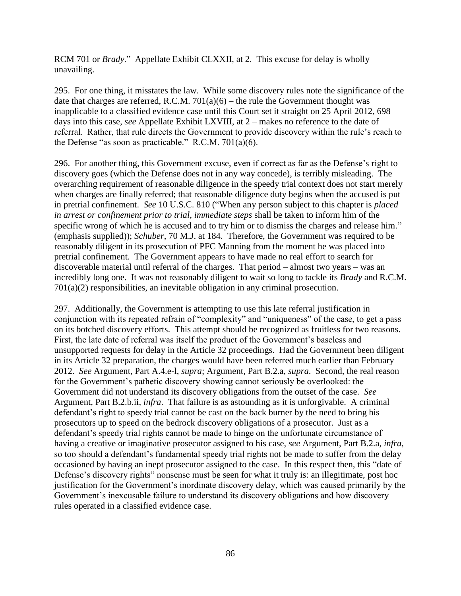RCM 701 or *Brady*." Appellate Exhibit CLXXII, at 2. This excuse for delay is wholly unavailing.

295. For one thing, it misstates the law. While some discovery rules note the significance of the date that charges are referred, R.C.M.  $701(a)(6)$  – the rule the Government thought was inapplicable to a classified evidence case until this Court set it straight on 25 April 2012, 698 days into this case, *see* Appellate Exhibit LXVIII, at 2 – makes no reference to the date of referral. Rather, that rule directs the Government to provide discovery within the rule's reach to the Defense "as soon as practicable." R.C.M.  $701(a)(6)$ .

296. For another thing, this Government excuse, even if correct as far as the Defense's right to discovery goes (which the Defense does not in any way concede), is terribly misleading. The overarching requirement of reasonable diligence in the speedy trial context does not start merely when charges are finally referred; that reasonable diligence duty begins when the accused is put in pretrial confinement. *See* 10 U.S.C. 810 ("When any person subject to this chapter is *placed in arrest or confinement prior to trial, immediate steps* shall be taken to inform him of the specific wrong of which he is accused and to try him or to dismiss the charges and release him." (emphasis supplied)); *Schuber*, 70 M.J. at 184. Therefore, the Government was required to be reasonably diligent in its prosecution of PFC Manning from the moment he was placed into pretrial confinement. The Government appears to have made no real effort to search for discoverable material until referral of the charges. That period – almost two years – was an incredibly long one. It was not reasonably diligent to wait so long to tackle its *Brady* and R.C.M. 701(a)(2) responsibilities, an inevitable obligation in any criminal prosecution.

297. Additionally, the Government is attempting to use this late referral justification in conjunction with its repeated refrain of "complexity" and "uniqueness" of the case, to get a pass on its botched discovery efforts. This attempt should be recognized as fruitless for two reasons. First, the late date of referral was itself the product of the Government's baseless and unsupported requests for delay in the Article 32 proceedings. Had the Government been diligent in its Article 32 preparation, the charges would have been referred much earlier than February 2012. *See* Argument, Part A.4.e-l, *supra*; Argument, Part B.2.a, *supra*. Second, the real reason for the Government's pathetic discovery showing cannot seriously be overlooked: the Government did not understand its discovery obligations from the outset of the case. *See*  Argument, Part B.2.b.ii, *infra*. That failure is as astounding as it is unforgivable. A criminal defendant's right to speedy trial cannot be cast on the back burner by the need to bring his prosecutors up to speed on the bedrock discovery obligations of a prosecutor. Just as a defendant's speedy trial rights cannot be made to hinge on the unfortunate circumstance of having a creative or imaginative prosecutor assigned to his case, *see* Argument, Part B.2.a, *infra*, so too should a defendant's fundamental speedy trial rights not be made to suffer from the delay occasioned by having an inept prosecutor assigned to the case. In this respect then, this "date of Defense's discovery rights" nonsense must be seen for what it truly is: an illegitimate, post hoc justification for the Government's inordinate discovery delay, which was caused primarily by the Government's inexcusable failure to understand its discovery obligations and how discovery rules operated in a classified evidence case.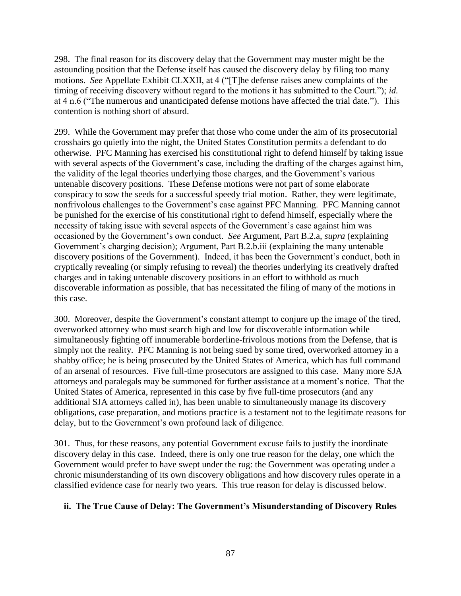298. The final reason for its discovery delay that the Government may muster might be the astounding position that the Defense itself has caused the discovery delay by filing too many motions. *See* Appellate Exhibit CLXXII, at 4 ("[T]he defense raises anew complaints of the timing of receiving discovery without regard to the motions it has submitted to the Court."); *id.* at 4 n.6 ("The numerous and unanticipated defense motions have affected the trial date."). This contention is nothing short of absurd.

299. While the Government may prefer that those who come under the aim of its prosecutorial crosshairs go quietly into the night, the United States Constitution permits a defendant to do otherwise. PFC Manning has exercised his constitutional right to defend himself by taking issue with several aspects of the Government's case, including the drafting of the charges against him, the validity of the legal theories underlying those charges, and the Government's various untenable discovery positions. These Defense motions were not part of some elaborate conspiracy to sow the seeds for a successful speedy trial motion. Rather, they were legitimate, nonfrivolous challenges to the Government's case against PFC Manning. PFC Manning cannot be punished for the exercise of his constitutional right to defend himself, especially where the necessity of taking issue with several aspects of the Government's case against him was occasioned by the Government's own conduct. *See* Argument, Part B.2.a, *supra* (explaining Government's charging decision); Argument, Part B.2.b.iii (explaining the many untenable discovery positions of the Government). Indeed, it has been the Government's conduct, both in cryptically revealing (or simply refusing to reveal) the theories underlying its creatively drafted charges and in taking untenable discovery positions in an effort to withhold as much discoverable information as possible, that has necessitated the filing of many of the motions in this case.

300. Moreover, despite the Government's constant attempt to conjure up the image of the tired, overworked attorney who must search high and low for discoverable information while simultaneously fighting off innumerable borderline-frivolous motions from the Defense, that is simply not the reality. PFC Manning is not being sued by some tired, overworked attorney in a shabby office; he is being prosecuted by the United States of America, which has full command of an arsenal of resources. Five full-time prosecutors are assigned to this case. Many more SJA attorneys and paralegals may be summoned for further assistance at a moment's notice. That the United States of America, represented in this case by five full-time prosecutors (and any additional SJA attorneys called in), has been unable to simultaneously manage its discovery obligations, case preparation, and motions practice is a testament not to the legitimate reasons for delay, but to the Government's own profound lack of diligence.

301. Thus, for these reasons, any potential Government excuse fails to justify the inordinate discovery delay in this case. Indeed, there is only one true reason for the delay, one which the Government would prefer to have swept under the rug: the Government was operating under a chronic misunderstanding of its own discovery obligations and how discovery rules operate in a classified evidence case for nearly two years. This true reason for delay is discussed below.

## **ii. The True Cause of Delay: The Government's Misunderstanding of Discovery Rules**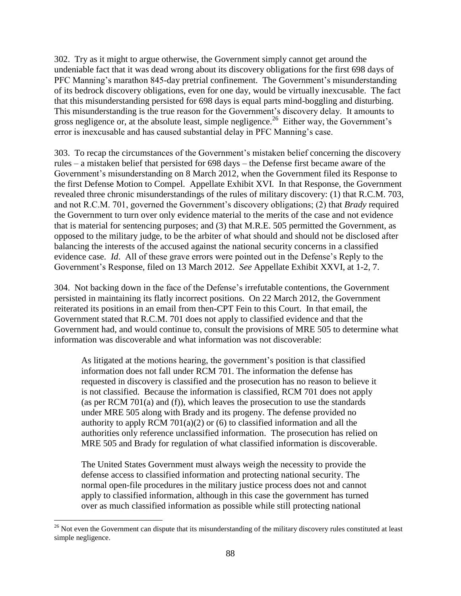302. Try as it might to argue otherwise, the Government simply cannot get around the undeniable fact that it was dead wrong about its discovery obligations for the first 698 days of PFC Manning's marathon 845-day pretrial confinement. The Government's misunderstanding of its bedrock discovery obligations, even for one day, would be virtually inexcusable. The fact that this misunderstanding persisted for 698 days is equal parts mind-boggling and disturbing. This misunderstanding is the true reason for the Government's discovery delay. It amounts to gross negligence or, at the absolute least, simple negligence.<sup>26</sup> Either way, the Government's error is inexcusable and has caused substantial delay in PFC Manning's case.

303. To recap the circumstances of the Government's mistaken belief concerning the discovery rules – a mistaken belief that persisted for 698 days – the Defense first became aware of the Government's misunderstanding on 8 March 2012, when the Government filed its Response to the first Defense Motion to Compel. Appellate Exhibit XVI. In that Response, the Government revealed three chronic misunderstandings of the rules of military discovery: (1) that R.C.M. 703, and not R.C.M. 701, governed the Government's discovery obligations; (2) that *Brady* required the Government to turn over only evidence material to the merits of the case and not evidence that is material for sentencing purposes; and (3) that M.R.E. 505 permitted the Government, as opposed to the military judge, to be the arbiter of what should and should not be disclosed after balancing the interests of the accused against the national security concerns in a classified evidence case. *Id*. All of these grave errors were pointed out in the Defense's Reply to the Government's Response, filed on 13 March 2012. *See* Appellate Exhibit XXVI, at 1-2, 7.

304. Not backing down in the face of the Defense's irrefutable contentions, the Government persisted in maintaining its flatly incorrect positions. On 22 March 2012, the Government reiterated its positions in an email from then-CPT Fein to this Court. In that email, the Government stated that R.C.M. 701 does not apply to classified evidence and that the Government had, and would continue to, consult the provisions of MRE 505 to determine what information was discoverable and what information was not discoverable:

As litigated at the motions hearing, the government's position is that classified information does not fall under RCM 701. The information the defense has requested in discovery is classified and the prosecution has no reason to believe it is not classified. Because the information is classified, RCM 701 does not apply (as per RCM 701(a) and (f)), which leaves the prosecution to use the standards under MRE 505 along with Brady and its progeny. The defense provided no authority to apply RCM 701(a)(2) or (6) to classified information and all the authorities only reference unclassified information. The prosecution has relied on MRE 505 and Brady for regulation of what classified information is discoverable.

The United States Government must always weigh the necessity to provide the defense access to classified information and protecting national security. The normal open-file procedures in the military justice process does not and cannot apply to classified information, although in this case the government has turned over as much classified information as possible while still protecting national

 $\overline{\phantom{a}}$  $26$  Not even the Government can dispute that its misunderstanding of the military discovery rules constituted at least simple negligence.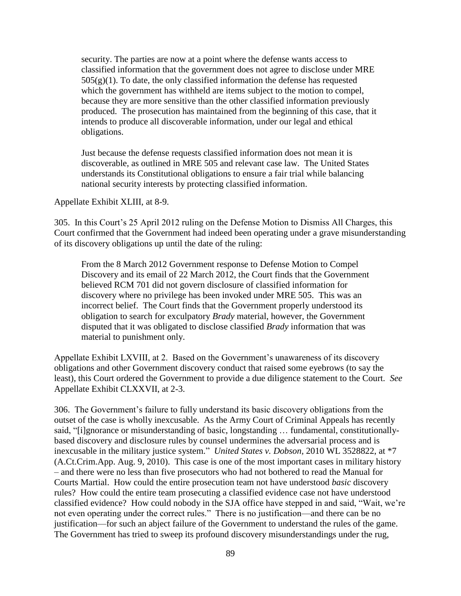security. The parties are now at a point where the defense wants access to classified information that the government does not agree to disclose under MRE  $505(g)(1)$ . To date, the only classified information the defense has requested which the government has withheld are items subject to the motion to compel, because they are more sensitive than the other classified information previously produced. The prosecution has maintained from the beginning of this case, that it intends to produce all discoverable information, under our legal and ethical obligations.

Just because the defense requests classified information does not mean it is discoverable, as outlined in MRE 505 and relevant case law. The United States understands its Constitutional obligations to ensure a fair trial while balancing national security interests by protecting classified information.

Appellate Exhibit XLIII, at 8-9.

305. In this Court's 25 April 2012 ruling on the Defense Motion to Dismiss All Charges, this Court confirmed that the Government had indeed been operating under a grave misunderstanding of its discovery obligations up until the date of the ruling:

From the 8 March 2012 Government response to Defense Motion to Compel Discovery and its email of 22 March 2012, the Court finds that the Government believed RCM 701 did not govern disclosure of classified information for discovery where no privilege has been invoked under MRE 505. This was an incorrect belief. The Court finds that the Government properly understood its obligation to search for exculpatory *Brady* material, however, the Government disputed that it was obligated to disclose classified *Brady* information that was material to punishment only.

Appellate Exhibit LXVIII, at 2. Based on the Government's unawareness of its discovery obligations and other Government discovery conduct that raised some eyebrows (to say the least), this Court ordered the Government to provide a due diligence statement to the Court. *See* Appellate Exhibit CLXXVII, at 2-3.

306. The Government's failure to fully understand its basic discovery obligations from the outset of the case is wholly inexcusable. As the Army Court of Criminal Appeals has recently said, "[i]gnorance or misunderstanding of basic, longstanding … fundamental, constitutionallybased discovery and disclosure rules by counsel undermines the adversarial process and is inexcusable in the military justice system." *United States v. Dobson,* 2010 WL 3528822, at \*7 (A.Ct.Crim.App. Aug. 9, 2010). This case is one of the most important cases in military history – and there were no less than five prosecutors who had not bothered to read the Manual for Courts Martial. How could the entire prosecution team not have understood *basic* discovery rules? How could the entire team prosecuting a classified evidence case not have understood classified evidence? How could nobody in the SJA office have stepped in and said, "Wait, we're not even operating under the correct rules." There is no justification—and there can be no justification—for such an abject failure of the Government to understand the rules of the game. The Government has tried to sweep its profound discovery misunderstandings under the rug,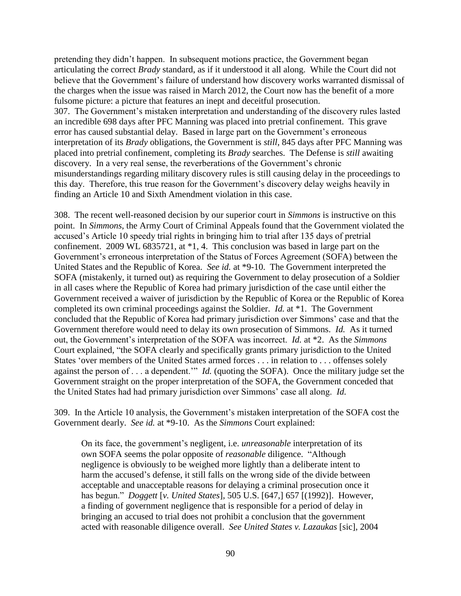pretending they didn't happen. In subsequent motions practice, the Government began articulating the correct *Brady* standard, as if it understood it all along. While the Court did not believe that the Government's failure of understand how discovery works warranted dismissal of the charges when the issue was raised in March 2012, the Court now has the benefit of a more fulsome picture: a picture that features an inept and deceitful prosecution. 307. The Government's mistaken interpretation and understanding of the discovery rules lasted an incredible 698 days after PFC Manning was placed into pretrial confinement. This grave error has caused substantial delay. Based in large part on the Government's erroneous interpretation of its *Brady* obligations, the Government is *still*, 845 days after PFC Manning was placed into pretrial confinement, completing its *Brady* searches. The Defense is *still* awaiting discovery. In a very real sense, the reverberations of the Government's chronic misunderstandings regarding military discovery rules is still causing delay in the proceedings to this day. Therefore, this true reason for the Government's discovery delay weighs heavily in finding an Article 10 and Sixth Amendment violation in this case.

308. The recent well-reasoned decision by our superior court in *Simmons* is instructive on this point. In *Simmons*, the Army Court of Criminal Appeals found that the Government violated the accused's Article 10 speedy trial rights in bringing him to trial after 135 days of pretrial confinement. 2009 WL 6835721, at \*1, 4. This conclusion was based in large part on the Government's erroneous interpretation of the Status of Forces Agreement (SOFA) between the United States and the Republic of Korea. *See id.* at \*9-10. The Government interpreted the SOFA (mistakenly, it turned out) as requiring the Government to delay prosecution of a Soldier in all cases where the Republic of Korea had primary jurisdiction of the case until either the Government received a waiver of jurisdiction by the Republic of Korea or the Republic of Korea completed its own criminal proceedings against the Soldier. *Id.* at \*1. The Government concluded that the Republic of Korea had primary jurisdiction over Simmons' case and that the Government therefore would need to delay its own prosecution of Simmons. *Id.* As it turned out, the Government's interpretation of the SOFA was incorrect. *Id.* at \*2. As the *Simmons* Court explained, "the SOFA clearly and specifically grants primary jurisdiction to the United States 'over members of the United States armed forces . . . in relation to . . . offenses solely against the person of . . . a dependent.'" *Id.* (quoting the SOFA). Once the military judge set the Government straight on the proper interpretation of the SOFA, the Government conceded that the United States had had primary jurisdiction over Simmons' case all along. *Id.*

309. In the Article 10 analysis, the Government's mistaken interpretation of the SOFA cost the Government dearly. *See id.* at \*9-10. As the *Simmons* Court explained:

On its face, the government's negligent, i.e. *unreasonable* interpretation of its own SOFA seems the polar opposite of *reasonable* diligence. "Although negligence is obviously to be weighed more lightly than a deliberate intent to harm the accused's defense, it still falls on the wrong side of the divide between acceptable and unacceptable reasons for delaying a criminal prosecution once it has begun." *Doggett* [*v. United States*], 505 U.S. [647,] 657 [(1992)]. However, a finding of government negligence that is responsible for a period of delay in bringing an accused to trial does not prohibit a conclusion that the government acted with reasonable diligence overall. *See United States v. Lazaukas* [sic]*,* 2004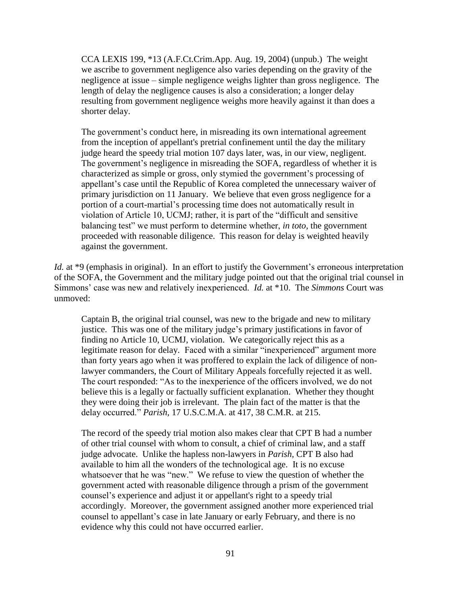CCA LEXIS 199, \*13 (A.F.Ct.Crim.App. Aug. 19, 2004) (unpub.) The weight we ascribe to government negligence also varies depending on the gravity of the negligence at issue – simple negligence weighs lighter than gross negligence. The length of delay the negligence causes is also a consideration; a longer delay resulting from government negligence weighs more heavily against it than does a shorter delay.

The government's conduct here, in misreading its own international agreement from the inception of appellant's pretrial confinement until the day the military judge heard the speedy trial motion 107 days later, was, in our view, negligent. The government's negligence in misreading the SOFA, regardless of whether it is characterized as simple or gross, only stymied the government's processing of appellant's case until the Republic of Korea completed the unnecessary waiver of primary jurisdiction on 11 January. We believe that even gross negligence for a portion of a court-martial's processing time does not automatically result in violation of Article 10, UCMJ; rather, it is part of the "difficult and sensitive balancing test" we must perform to determine whether, *in toto,* the government proceeded with reasonable diligence. This reason for delay is weighted heavily against the government.

*Id.* at \*9 (emphasis in original). In an effort to justify the Government's erroneous interpretation of the SOFA, the Government and the military judge pointed out that the original trial counsel in Simmons' case was new and relatively inexperienced. *Id.* at \*10. The *Simmons* Court was unmoved:

Captain B, the original trial counsel, was new to the brigade and new to military justice. This was one of the military judge's primary justifications in favor of finding no Article 10, UCMJ, violation. We categorically reject this as a legitimate reason for delay. Faced with a similar "inexperienced" argument more than forty years ago when it was proffered to explain the lack of diligence of nonlawyer commanders, the Court of Military Appeals forcefully rejected it as well. The court responded: "As to the inexperience of the officers involved, we do not believe this is a legally or factually sufficient explanation. Whether they thought they were doing their job is irrelevant. The plain fact of the matter is that the delay occurred." *Parish,* 17 U.S.C.M.A. at 417, 38 C.M.R. at 215.

The record of the speedy trial motion also makes clear that CPT B had a number of other trial counsel with whom to consult, a chief of criminal law, and a staff judge advocate. Unlike the hapless non-lawyers in *Parish,* CPT B also had available to him all the wonders of the technological age. It is no excuse whatsoever that he was "new." We refuse to view the question of whether the government acted with reasonable diligence through a prism of the government counsel's experience and adjust it or appellant's right to a speedy trial accordingly. Moreover, the government assigned another more experienced trial counsel to appellant's case in late January or early February, and there is no evidence why this could not have occurred earlier.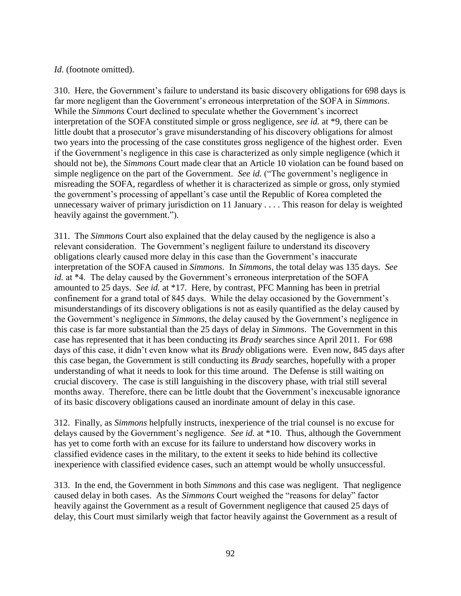#### *Id.* (footnote omitted).

310. Here, the Government's failure to understand its basic discovery obligations for 698 days is far more negligent than the Government's erroneous interpretation of the SOFA in *Simmons*. While the *Simmons* Court declined to speculate whether the Government's incorrect interpretation of the SOFA constituted simple or gross negligence, *see id.* at \*9, there can be little doubt that a prosecutor's grave misunderstanding of his discovery obligations for almost two years into the processing of the case constitutes gross negligence of the highest order. Even if the Government's negligence in this case is characterized as only simple negligence (which it should not be), the *Simmons* Court made clear that an Article 10 violation can be found based on simple negligence on the part of the Government. *See id.* ("The government's negligence in misreading the SOFA, regardless of whether it is characterized as simple or gross, only stymied the government's processing of appellant's case until the Republic of Korea completed the unnecessary waiver of primary jurisdiction on 11 January . . . . This reason for delay is weighted heavily against the government.").

311. The *Simmons* Court also explained that the delay caused by the negligence is also a relevant consideration. The Government's negligent failure to understand its discovery obligations clearly caused more delay in this case than the Government's inaccurate interpretation of the SOFA caused in *Simmons*. In *Simmons*, the total delay was 135 days. *See id.* at \*4. The delay caused by the Government's erroneous interpretation of the SOFA amounted to 25 days. *See id.* at \*17. Here, by contrast, PFC Manning has been in pretrial confinement for a grand total of 845 days. While the delay occasioned by the Government's misunderstandings of its discovery obligations is not as easily quantified as the delay caused by the Government's negligence in *Simmons*, the delay caused by the Government's negligence in this case is far more substantial than the 25 days of delay in *Simmons*. The Government in this case has represented that it has been conducting its *Brady* searches since April 2011. For 698 days of this case, it didn't even know what its *Brady* obligations were. Even now, 845 days after this case began, the Government is still conducting its *Brady* searches, hopefully with a proper understanding of what it needs to look for this time around. The Defense is still waiting on crucial discovery. The case is still languishing in the discovery phase, with trial still several months away. Therefore, there can be little doubt that the Government's inexcusable ignorance of its basic discovery obligations caused an inordinate amount of delay in this case.

312. Finally, as *Simmons* helpfully instructs, inexperience of the trial counsel is no excuse for delays caused by the Government's negligence. *See id.* at \*10. Thus, although the Government has yet to come forth with an excuse for its failure to understand how discovery works in classified evidence cases in the military, to the extent it seeks to hide behind its collective inexperience with classified evidence cases, such an attempt would be wholly unsuccessful.

313. In the end, the Government in both *Simmons* and this case was negligent. That negligence caused delay in both cases. As the *Simmons* Court weighed the "reasons for delay" factor heavily against the Government as a result of Government negligence that caused 25 days of delay, this Court must similarly weigh that factor heavily against the Government as a result of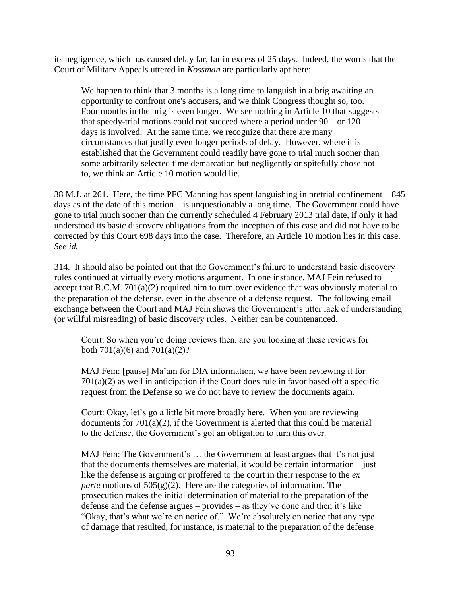its negligence, which has caused delay far, far in excess of 25 days. Indeed, the words that the Court of Military Appeals uttered in *Kossman* are particularly apt here:

We happen to think that 3 months is a long time to languish in a brig awaiting an opportunity to confront one's accusers, and we think Congress thought so, too. Four months in the brig is even longer. We see nothing in Article 10 that suggests that speedy-trial motions could not succeed where a period under  $90 -$  or  $120$ days is involved. At the same time, we recognize that there are many circumstances that justify even longer periods of delay. However, where it is established that the Government could readily have gone to trial much sooner than some arbitrarily selected time demarcation but negligently or spitefully chose not to, we think an Article 10 motion would lie.

38 M.J. at 261. Here, the time PFC Manning has spent languishing in pretrial confinement – 845 days as of the date of this motion – is unquestionably a long time. The Government could have gone to trial much sooner than the currently scheduled 4 February 2013 trial date, if only it had understood its basic discovery obligations from the inception of this case and did not have to be corrected by this Court 698 days into the case. Therefore, an Article 10 motion lies in this case. *See id.*

314. It should also be pointed out that the Government's failure to understand basic discovery rules continued at virtually every motions argument. In one instance, MAJ Fein refused to accept that R.C.M. 701(a)(2) required him to turn over evidence that was obviously material to the preparation of the defense, even in the absence of a defense request. The following email exchange between the Court and MAJ Fein shows the Government's utter lack of understanding (or willful misreading) of basic discovery rules. Neither can be countenanced.

Court: So when you're doing reviews then, are you looking at these reviews for both 701(a)(6) and 701(a)(2)?

MAJ Fein: [pause] Ma'am for DIA information, we have been reviewing it for  $701(a)(2)$  as well in anticipation if the Court does rule in favor based off a specific request from the Defense so we do not have to review the documents again.

Court: Okay, let's go a little bit more broadly here. When you are reviewing documents for  $701(a)(2)$ , if the Government is alerted that this could be material to the defense, the Government's got an obligation to turn this over.

MAJ Fein: The Government's … the Government at least argues that it's not just that the documents themselves are material, it would be certain information – just like the defense is arguing or proffered to the court in their response to the *ex parte* motions of  $505(g)(2)$ . Here are the categories of information. The prosecution makes the initial determination of material to the preparation of the defense and the defense argues – provides – as they've done and then it's like "Okay, that's what we're on notice of." We're absolutely on notice that any type of damage that resulted, for instance, is material to the preparation of the defense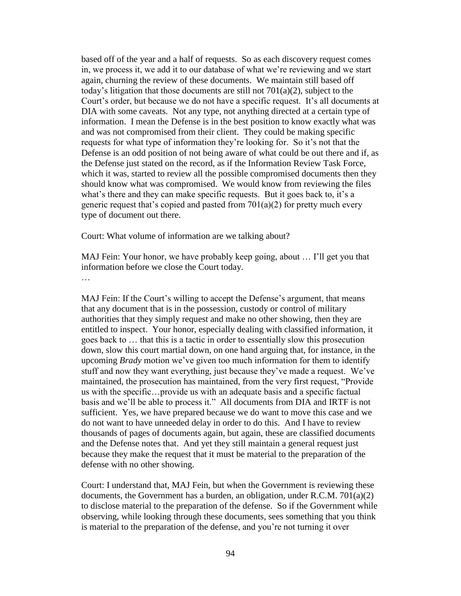based off of the year and a half of requests. So as each discovery request comes in, we process it, we add it to our database of what we're reviewing and we start again, churning the review of these documents. We maintain still based off today's litigation that those documents are still not 701(a)(2), subject to the Court's order, but because we do not have a specific request. It's all documents at DIA with some caveats. Not any type, not anything directed at a certain type of information. I mean the Defense is in the best position to know exactly what was and was not compromised from their client. They could be making specific requests for what type of information they're looking for. So it's not that the Defense is an odd position of not being aware of what could be out there and if, as the Defense just stated on the record, as if the Information Review Task Force, which it was, started to review all the possible compromised documents then they should know what was compromised. We would know from reviewing the files what's there and they can make specific requests. But it goes back to, it's a generic request that's copied and pasted from  $701(a)(2)$  for pretty much every type of document out there.

Court: What volume of information are we talking about?

MAJ Fein: Your honor, we have probably keep going, about … I'll get you that information before we close the Court today.

…

MAJ Fein: If the Court's willing to accept the Defense's argument, that means that any document that is in the possession, custody or control of military authorities that they simply request and make no other showing, then they are entitled to inspect. Your honor, especially dealing with classified information, it goes back to … that this is a tactic in order to essentially slow this prosecution down, slow this court martial down, on one hand arguing that, for instance, in the upcoming *Brady* motion we've given too much information for them to identify stuff and now they want everything, just because they've made a request. We've maintained, the prosecution has maintained, from the very first request, "Provide us with the specific…provide us with an adequate basis and a specific factual basis and we'll be able to process it." All documents from DIA and IRTF is not sufficient. Yes, we have prepared because we do want to move this case and we do not want to have unneeded delay in order to do this. And I have to review thousands of pages of documents again, but again, these are classified documents and the Defense notes that. And yet they still maintain a general request just because they make the request that it must be material to the preparation of the defense with no other showing.

Court: I understand that, MAJ Fein, but when the Government is reviewing these documents, the Government has a burden, an obligation, under R.C.M. 701(a)(2) to disclose material to the preparation of the defense. So if the Government while observing, while looking through these documents, sees something that you think is material to the preparation of the defense, and you're not turning it over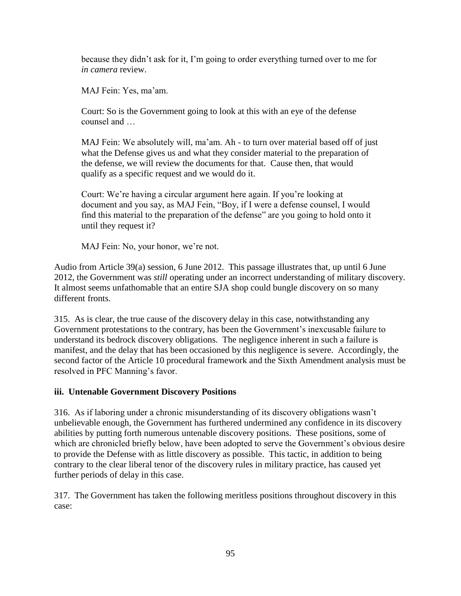because they didn't ask for it, I'm going to order everything turned over to me for *in camera* review.

MAJ Fein: Yes, ma'am.

Court: So is the Government going to look at this with an eye of the defense counsel and …

MAJ Fein: We absolutely will, ma'am. Ah - to turn over material based off of just what the Defense gives us and what they consider material to the preparation of the defense, we will review the documents for that. Cause then, that would qualify as a specific request and we would do it.

Court: We're having a circular argument here again. If you're looking at document and you say, as MAJ Fein, "Boy, if I were a defense counsel, I would find this material to the preparation of the defense" are you going to hold onto it until they request it?

MAJ Fein: No, your honor, we're not.

Audio from Article 39(a) session, 6 June 2012. This passage illustrates that, up until 6 June 2012, the Government was *still* operating under an incorrect understanding of military discovery. It almost seems unfathomable that an entire SJA shop could bungle discovery on so many different fronts.

315. As is clear, the true cause of the discovery delay in this case, notwithstanding any Government protestations to the contrary, has been the Government's inexcusable failure to understand its bedrock discovery obligations. The negligence inherent in such a failure is manifest, and the delay that has been occasioned by this negligence is severe. Accordingly, the second factor of the Article 10 procedural framework and the Sixth Amendment analysis must be resolved in PFC Manning's favor.

## **iii. Untenable Government Discovery Positions**

316. As if laboring under a chronic misunderstanding of its discovery obligations wasn't unbelievable enough, the Government has furthered undermined any confidence in its discovery abilities by putting forth numerous untenable discovery positions. These positions, some of which are chronicled briefly below, have been adopted to serve the Government's obvious desire to provide the Defense with as little discovery as possible. This tactic, in addition to being contrary to the clear liberal tenor of the discovery rules in military practice, has caused yet further periods of delay in this case.

317. The Government has taken the following meritless positions throughout discovery in this case: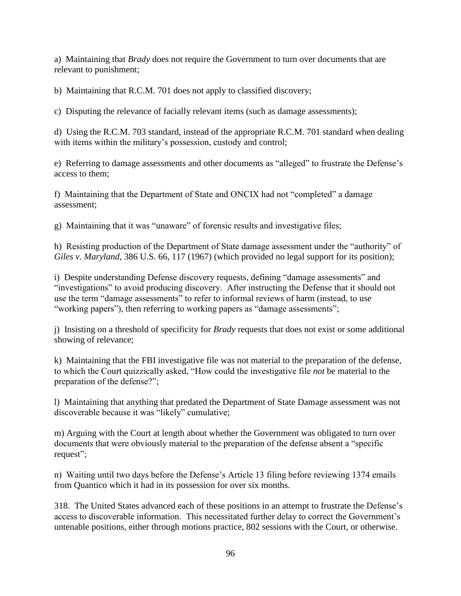a) Maintaining that *Brady* does not require the Government to turn over documents that are relevant to punishment;

b) Maintaining that R.C.M. 701 does not apply to classified discovery;

c) Disputing the relevance of facially relevant items (such as damage assessments);

d) Using the R.C.M. 703 standard, instead of the appropriate R.C.M. 701 standard when dealing with items within the military's possession, custody and control;

e) Referring to damage assessments and other documents as "alleged" to frustrate the Defense's access to them;

f) Maintaining that the Department of State and ONCIX had not "completed" a damage assessment;

g) Maintaining that it was "unaware" of forensic results and investigative files;

h) Resisting production of the Department of State damage assessment under the "authority" of *Giles v. Maryland*, 386 U.S. 66, 117 (1967) (which provided no legal support for its position);

i) Despite understanding Defense discovery requests, defining "damage assessments" and "investigations" to avoid producing discovery. After instructing the Defense that it should not use the term "damage assessments" to refer to informal reviews of harm (instead, to use "working papers"), then referring to working papers as "damage assessments";

j) Insisting on a threshold of specificity for *Brady* requests that does not exist or some additional showing of relevance;

k) Maintaining that the FBI investigative file was not material to the preparation of the defense, to which the Court quizzically asked, "How could the investigative file *not* be material to the preparation of the defense?";

l) Maintaining that anything that predated the Department of State Damage assessment was not discoverable because it was "likely" cumulative;

m) Arguing with the Court at length about whether the Government was obligated to turn over documents that were obviously material to the preparation of the defense absent a "specific request";

n) Waiting until two days before the Defense's Article 13 filing before reviewing 1374 emails from Quantico which it had in its possession for over six months.

318. The United States advanced each of these positions in an attempt to frustrate the Defense's access to discoverable information. This necessitated further delay to correct the Government's untenable positions, either through motions practice, 802 sessions with the Court, or otherwise.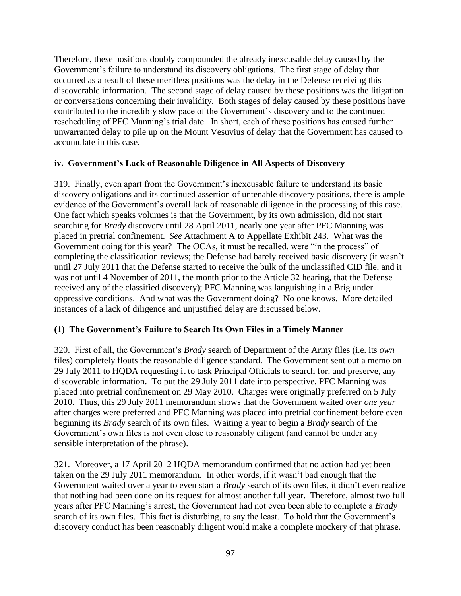Therefore, these positions doubly compounded the already inexcusable delay caused by the Government's failure to understand its discovery obligations. The first stage of delay that occurred as a result of these meritless positions was the delay in the Defense receiving this discoverable information. The second stage of delay caused by these positions was the litigation or conversations concerning their invalidity. Both stages of delay caused by these positions have contributed to the incredibly slow pace of the Government's discovery and to the continued rescheduling of PFC Manning's trial date. In short, each of these positions has caused further unwarranted delay to pile up on the Mount Vesuvius of delay that the Government has caused to accumulate in this case.

## **iv. Government's Lack of Reasonable Diligence in All Aspects of Discovery**

319. Finally, even apart from the Government's inexcusable failure to understand its basic discovery obligations and its continued assertion of untenable discovery positions, there is ample evidence of the Government's overall lack of reasonable diligence in the processing of this case. One fact which speaks volumes is that the Government, by its own admission, did not start searching for *Brady* discovery until 28 April 2011, nearly one year after PFC Manning was placed in pretrial confinement. *See* Attachment A to Appellate Exhibit 243. What was the Government doing for this year? The OCAs, it must be recalled, were "in the process" of completing the classification reviews; the Defense had barely received basic discovery (it wasn't until 27 July 2011 that the Defense started to receive the bulk of the unclassified CID file, and it was not until 4 November of 2011, the month prior to the Article 32 hearing, that the Defense received any of the classified discovery); PFC Manning was languishing in a Brig under oppressive conditions. And what was the Government doing? No one knows. More detailed instances of a lack of diligence and unjustified delay are discussed below.

## **(1) The Government's Failure to Search Its Own Files in a Timely Manner**

320. First of all, the Government's *Brady* search of Department of the Army files (i.e. its *own* files) completely flouts the reasonable diligence standard. The Government sent out a memo on 29 July 2011 to HQDA requesting it to task Principal Officials to search for, and preserve, any discoverable information. To put the 29 July 2011 date into perspective, PFC Manning was placed into pretrial confinement on 29 May 2010. Charges were originally preferred on 5 July 2010. Thus, this 29 July 2011 memorandum shows that the Government waited *over one year* after charges were preferred and PFC Manning was placed into pretrial confinement before even beginning its *Brady* search of its own files. Waiting a year to begin a *Brady* search of the Government's own files is not even close to reasonably diligent (and cannot be under any sensible interpretation of the phrase).

321. Moreover, a 17 April 2012 HQDA memorandum confirmed that no action had yet been taken on the 29 July 2011 memorandum. In other words, if it wasn't bad enough that the Government waited over a year to even start a *Brady* search of its own files, it didn't even realize that nothing had been done on its request for almost another full year. Therefore, almost two full years after PFC Manning's arrest, the Government had not even been able to complete a *Brady* search of its own files. This fact is disturbing, to say the least. To hold that the Government's discovery conduct has been reasonably diligent would make a complete mockery of that phrase.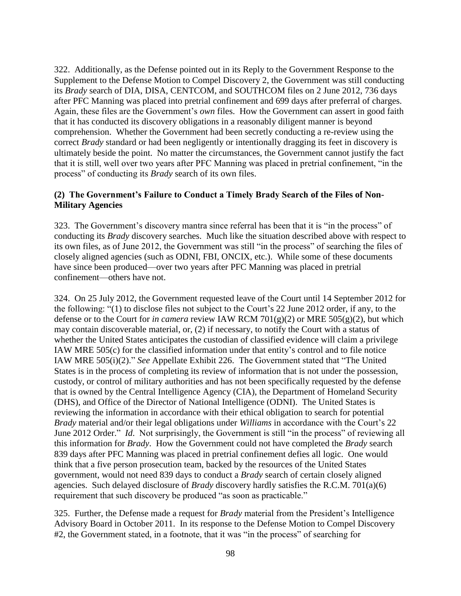322. Additionally, as the Defense pointed out in its Reply to the Government Response to the Supplement to the Defense Motion to Compel Discovery 2, the Government was still conducting its *Brady* search of DIA, DISA, CENTCOM, and SOUTHCOM files on 2 June 2012, 736 days after PFC Manning was placed into pretrial confinement and 699 days after preferral of charges. Again, these files are the Government's *own* files. How the Government can assert in good faith that it has conducted its discovery obligations in a reasonably diligent manner is beyond comprehension. Whether the Government had been secretly conducting a re-review using the correct *Brady* standard or had been negligently or intentionally dragging its feet in discovery is ultimately beside the point. No matter the circumstances, the Government cannot justify the fact that it is still, well over two years after PFC Manning was placed in pretrial confinement, "in the process" of conducting its *Brady* search of its own files.

#### **(2) The Government's Failure to Conduct a Timely Brady Search of the Files of Non-Military Agencies**

323. The Government's discovery mantra since referral has been that it is "in the process" of conducting its *Brady* discovery searches. Much like the situation described above with respect to its own files, as of June 2012, the Government was still "in the process" of searching the files of closely aligned agencies (such as ODNI, FBI, ONCIX, etc.). While some of these documents have since been produced—over two years after PFC Manning was placed in pretrial confinement—others have not.

324. On 25 July 2012, the Government requested leave of the Court until 14 September 2012 for the following: "(1) to disclose files not subject to the Court's 22 June 2012 order, if any, to the defense or to the Court for *in camera* review IAW RCM 701(g)(2) or MRE 505(g)(2), but which may contain discoverable material, or, (2) if necessary, to notify the Court with a status of whether the United States anticipates the custodian of classified evidence will claim a privilege IAW MRE 505(c) for the classified information under that entity's control and to file notice IAW MRE 505(i)(2)." *See* Appellate Exhibit 226. The Government stated that "The United States is in the process of completing its review of information that is not under the possession, custody, or control of military authorities and has not been specifically requested by the defense that is owned by the Central Intelligence Agency (CIA), the Department of Homeland Security (DHS), and Office of the Director of National Intelligence (ODNI). The United States is reviewing the information in accordance with their ethical obligation to search for potential *Brady* material and/or their legal obligations under *Williams* in accordance with the Court's 22 June 2012 Order." *Id.* Not surprisingly, the Government is still "in the process" of reviewing all this information for *Brady*. How the Government could not have completed the *Brady* search 839 days after PFC Manning was placed in pretrial confinement defies all logic. One would think that a five person prosecution team, backed by the resources of the United States government, would not need 839 days to conduct a *Brady* search of certain closely aligned agencies. Such delayed disclosure of *Brady* discovery hardly satisfies the R.C.M. 701(a)(6) requirement that such discovery be produced "as soon as practicable."

325. Further, the Defense made a request for *Brady* material from the President's Intelligence Advisory Board in October 2011. In its response to the Defense Motion to Compel Discovery #2, the Government stated, in a footnote, that it was "in the process" of searching for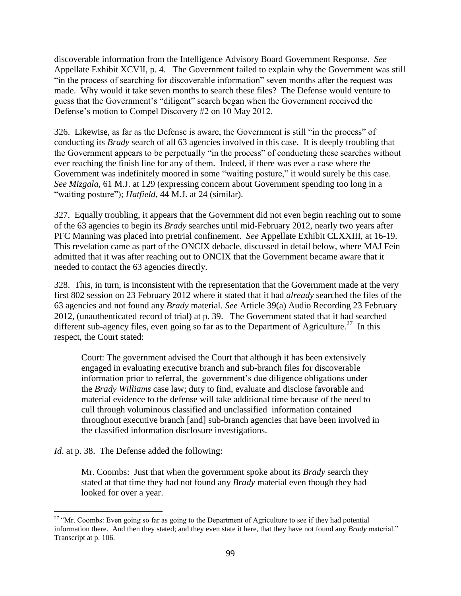discoverable information from the Intelligence Advisory Board Government Response. *See*  Appellate Exhibit XCVII, p. 4. The Government failed to explain why the Government was still "in the process of searching for discoverable information" seven months after the request was made. Why would it take seven months to search these files? The Defense would venture to guess that the Government's "diligent" search began when the Government received the Defense's motion to Compel Discovery #2 on 10 May 2012.

326. Likewise, as far as the Defense is aware, the Government is still "in the process" of conducting its *Brady* search of all 63 agencies involved in this case. It is deeply troubling that the Government appears to be perpetually "in the process" of conducting these searches without ever reaching the finish line for any of them. Indeed, if there was ever a case where the Government was indefinitely moored in some "waiting posture," it would surely be this case. *See Mizgala*, 61 M.J. at 129 (expressing concern about Government spending too long in a "waiting posture"); *Hatfield*, 44 M.J. at 24 (similar).

327. Equally troubling, it appears that the Government did not even begin reaching out to some of the 63 agencies to begin its *Brady* searches until mid-February 2012, nearly two years after PFC Manning was placed into pretrial confinement. *See* Appellate Exhibit CLXXIII, at 16-19. This revelation came as part of the ONCIX debacle, discussed in detail below, where MAJ Fein admitted that it was after reaching out to ONCIX that the Government became aware that it needed to contact the 63 agencies directly.

328. This, in turn, is inconsistent with the representation that the Government made at the very first 802 session on 23 February 2012 where it stated that it had *already* searched the files of the 63 agencies and not found any *Brady* material. *See* Article 39(a) Audio Recording 23 February 2012, (unauthenticated record of trial) at p. 39. The Government stated that it had searched different sub-agency files, even going so far as to the Department of Agriculture.<sup>27</sup> In this respect, the Court stated:

Court: The government advised the Court that although it has been extensively engaged in evaluating executive branch and sub-branch files for discoverable information prior to referral, the government's due diligence obligations under the *Brady Williams* case law; duty to find, evaluate and disclose favorable and material evidence to the defense will take additional time because of the need to cull through voluminous classified and unclassified information contained throughout executive branch [and] sub-branch agencies that have been involved in the classified information disclosure investigations.

*Id.* at p. 38. The Defense added the following:

Mr. Coombs: Just that when the government spoke about its *Brady* search they stated at that time they had not found any *Brady* material even though they had looked for over a year.

 $\overline{\phantom{a}}$ <sup>27</sup> "Mr. Coombs: Even going so far as going to the Department of Agriculture to see if they had potential information there. And then they stated; and they even state it here, that they have not found any *Brady* material." Transcript at p. 106.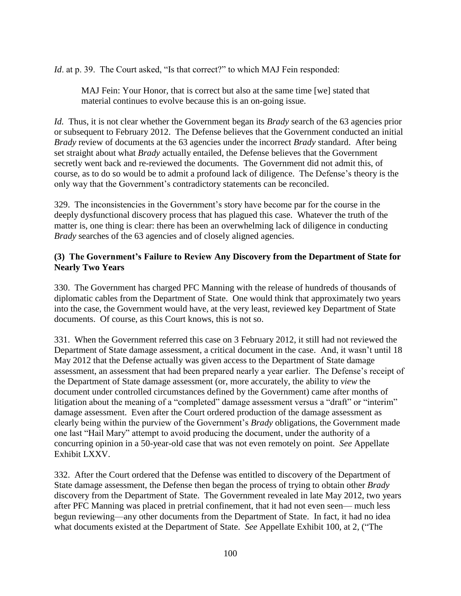*Id.* at p. 39. The Court asked, "Is that correct?" to which MAJ Fein responded:

MAJ Fein: Your Honor, that is correct but also at the same time [we] stated that material continues to evolve because this is an on-going issue.

*Id.* Thus, it is not clear whether the Government began its *Brady* search of the 63 agencies prior or subsequent to February 2012. The Defense believes that the Government conducted an initial *Brady* review of documents at the 63 agencies under the incorrect *Brady* standard. After being set straight about what *Brady* actually entailed, the Defense believes that the Government secretly went back and re-reviewed the documents. The Government did not admit this, of course, as to do so would be to admit a profound lack of diligence. The Defense's theory is the only way that the Government's contradictory statements can be reconciled.

329. The inconsistencies in the Government's story have become par for the course in the deeply dysfunctional discovery process that has plagued this case. Whatever the truth of the matter is, one thing is clear: there has been an overwhelming lack of diligence in conducting *Brady* searches of the 63 agencies and of closely aligned agencies.

## **(3) The Government's Failure to Review Any Discovery from the Department of State for Nearly Two Years**

330. The Government has charged PFC Manning with the release of hundreds of thousands of diplomatic cables from the Department of State. One would think that approximately two years into the case, the Government would have, at the very least, reviewed key Department of State documents. Of course, as this Court knows, this is not so.

331. When the Government referred this case on 3 February 2012, it still had not reviewed the Department of State damage assessment, a critical document in the case. And, it wasn't until 18 May 2012 that the Defense actually was given access to the Department of State damage assessment, an assessment that had been prepared nearly a year earlier. The Defense's receipt of the Department of State damage assessment (or, more accurately, the ability to *view* the document under controlled circumstances defined by the Government) came after months of litigation about the meaning of a "completed" damage assessment versus a "draft" or "interim" damage assessment. Even after the Court ordered production of the damage assessment as clearly being within the purview of the Government's *Brady* obligations, the Government made one last "Hail Mary" attempt to avoid producing the document, under the authority of a concurring opinion in a 50-year-old case that was not even remotely on point. *See* Appellate Exhibit LXXV.

332. After the Court ordered that the Defense was entitled to discovery of the Department of State damage assessment, the Defense then began the process of trying to obtain other *Brady*  discovery from the Department of State. The Government revealed in late May 2012, two years after PFC Manning was placed in pretrial confinement, that it had not even seen— much less begun reviewing—any other documents from the Department of State. In fact, it had no idea what documents existed at the Department of State. *See* Appellate Exhibit 100, at 2, ("The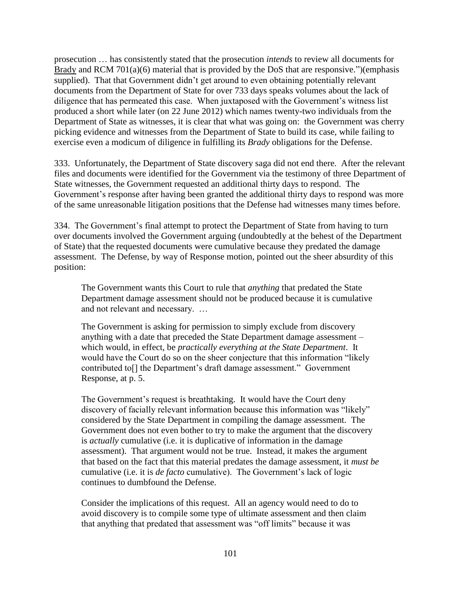prosecution … has consistently stated that the prosecution *intends* to review all documents for Brady and RCM 701(a)(6) material that is provided by the DoS that are responsive.")(emphasis supplied). That that Government didn't get around to even obtaining potentially relevant documents from the Department of State for over 733 days speaks volumes about the lack of diligence that has permeated this case. When juxtaposed with the Government's witness list produced a short while later (on 22 June 2012) which names twenty-two individuals from the Department of State as witnesses, it is clear that what was going on: the Government was cherry picking evidence and witnesses from the Department of State to build its case, while failing to exercise even a modicum of diligence in fulfilling its *Brady* obligations for the Defense.

333. Unfortunately, the Department of State discovery saga did not end there. After the relevant files and documents were identified for the Government via the testimony of three Department of State witnesses, the Government requested an additional thirty days to respond. The Government's response after having been granted the additional thirty days to respond was more of the same unreasonable litigation positions that the Defense had witnesses many times before.

334. The Government's final attempt to protect the Department of State from having to turn over documents involved the Government arguing (undoubtedly at the behest of the Department of State) that the requested documents were cumulative because they predated the damage assessment. The Defense, by way of Response motion, pointed out the sheer absurdity of this position:

The Government wants this Court to rule that *anything* that predated the State Department damage assessment should not be produced because it is cumulative and not relevant and necessary. …

The Government is asking for permission to simply exclude from discovery anything with a date that preceded the State Department damage assessment – which would, in effect, be *practically everything at the State Department*. It would have the Court do so on the sheer conjecture that this information "likely contributed to[] the Department's draft damage assessment." Government Response, at p. 5.

The Government's request is breathtaking. It would have the Court deny discovery of facially relevant information because this information was "likely" considered by the State Department in compiling the damage assessment. The Government does not even bother to try to make the argument that the discovery is *actually* cumulative (i.e. it is duplicative of information in the damage assessment). That argument would not be true. Instead, it makes the argument that based on the fact that this material predates the damage assessment, it *must be* cumulative (i.e. it is *de facto* cumulative). The Government's lack of logic continues to dumbfound the Defense.

Consider the implications of this request. All an agency would need to do to avoid discovery is to compile some type of ultimate assessment and then claim that anything that predated that assessment was "off limits" because it was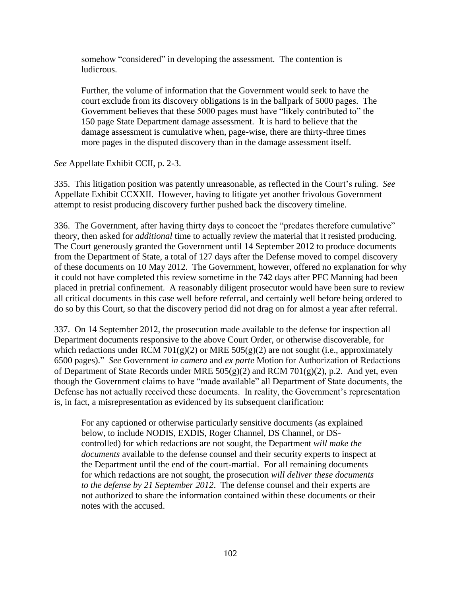somehow "considered" in developing the assessment. The contention is ludicrous.

Further, the volume of information that the Government would seek to have the court exclude from its discovery obligations is in the ballpark of 5000 pages. The Government believes that these 5000 pages must have "likely contributed to" the 150 page State Department damage assessment. It is hard to believe that the damage assessment is cumulative when, page-wise, there are thirty-three times more pages in the disputed discovery than in the damage assessment itself.

*See* Appellate Exhibit CCII, p. 2-3.

335. This litigation position was patently unreasonable, as reflected in the Court's ruling. *See*  Appellate Exhibit CCXXII. However, having to litigate yet another frivolous Government attempt to resist producing discovery further pushed back the discovery timeline.

336. The Government, after having thirty days to concoct the "predates therefore cumulative" theory, then asked for *additional* time to actually review the material that it resisted producing. The Court generously granted the Government until 14 September 2012 to produce documents from the Department of State, a total of 127 days after the Defense moved to compel discovery of these documents on 10 May 2012. The Government, however, offered no explanation for why it could not have completed this review sometime in the 742 days after PFC Manning had been placed in pretrial confinement. A reasonably diligent prosecutor would have been sure to review all critical documents in this case well before referral, and certainly well before being ordered to do so by this Court, so that the discovery period did not drag on for almost a year after referral.

337. On 14 September 2012, the prosecution made available to the defense for inspection all Department documents responsive to the above Court Order, or otherwise discoverable, for which redactions under RCM 701(g)(2) or MRE 505(g)(2) are not sought (i.e., approximately 6500 pages)." *See* Government *in camera* and *ex parte* Motion for Authorization of Redactions of Department of State Records under MRE  $505(g)(2)$  and RCM  $701(g)(2)$ , p.2. And yet, even though the Government claims to have "made available" all Department of State documents, the Defense has not actually received these documents. In reality, the Government's representation is, in fact, a misrepresentation as evidenced by its subsequent clarification:

For any captioned or otherwise particularly sensitive documents (as explained below, to include NODIS, EXDIS, Roger Channel, DS Channel, or DScontrolled) for which redactions are not sought, the Department *will make the documents* available to the defense counsel and their security experts to inspect at the Department until the end of the court-martial. For all remaining documents for which redactions are not sought, the prosecution *will deliver these documents to the defense by 21 September 2012*. The defense counsel and their experts are not authorized to share the information contained within these documents or their notes with the accused.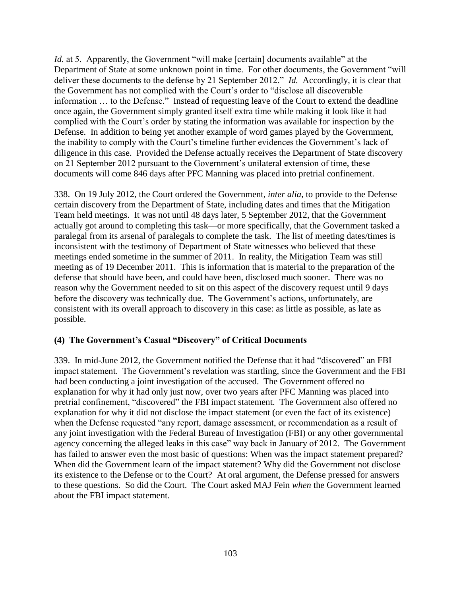*Id.* at 5. Apparently, the Government "will make [certain] documents available" at the Department of State at some unknown point in time. For other documents, the Government "will deliver these documents to the defense by 21 September 2012." *Id.* Accordingly, it is clear that the Government has not complied with the Court's order to "disclose all discoverable information … to the Defense." Instead of requesting leave of the Court to extend the deadline once again, the Government simply granted itself extra time while making it look like it had complied with the Court's order by stating the information was available for inspection by the Defense. In addition to being yet another example of word games played by the Government, the inability to comply with the Court's timeline further evidences the Government's lack of diligence in this case. Provided the Defense actually receives the Department of State discovery on 21 September 2012 pursuant to the Government's unilateral extension of time, these documents will come 846 days after PFC Manning was placed into pretrial confinement.

338. On 19 July 2012, the Court ordered the Government, *inter alia*, to provide to the Defense certain discovery from the Department of State, including dates and times that the Mitigation Team held meetings. It was not until 48 days later, 5 September 2012, that the Government actually got around to completing this task—or more specifically, that the Government tasked a paralegal from its arsenal of paralegals to complete the task. The list of meeting dates/times is inconsistent with the testimony of Department of State witnesses who believed that these meetings ended sometime in the summer of 2011. In reality, the Mitigation Team was still meeting as of 19 December 2011. This is information that is material to the preparation of the defense that should have been, and could have been, disclosed much sooner. There was no reason why the Government needed to sit on this aspect of the discovery request until 9 days before the discovery was technically due. The Government's actions, unfortunately, are consistent with its overall approach to discovery in this case: as little as possible, as late as possible.

## **(4) The Government's Casual "Discovery" of Critical Documents**

339. In mid-June 2012, the Government notified the Defense that it had "discovered" an FBI impact statement. The Government's revelation was startling, since the Government and the FBI had been conducting a joint investigation of the accused. The Government offered no explanation for why it had only just now, over two years after PFC Manning was placed into pretrial confinement, "discovered" the FBI impact statement. The Government also offered no explanation for why it did not disclose the impact statement (or even the fact of its existence) when the Defense requested "any report, damage assessment, or recommendation as a result of any joint investigation with the Federal Bureau of Investigation (FBI) or any other governmental agency concerning the alleged leaks in this case" way back in January of 2012. The Government has failed to answer even the most basic of questions: When was the impact statement prepared? When did the Government learn of the impact statement? Why did the Government not disclose its existence to the Defense or to the Court? At oral argument, the Defense pressed for answers to these questions. So did the Court. The Court asked MAJ Fein *when* the Government learned about the FBI impact statement.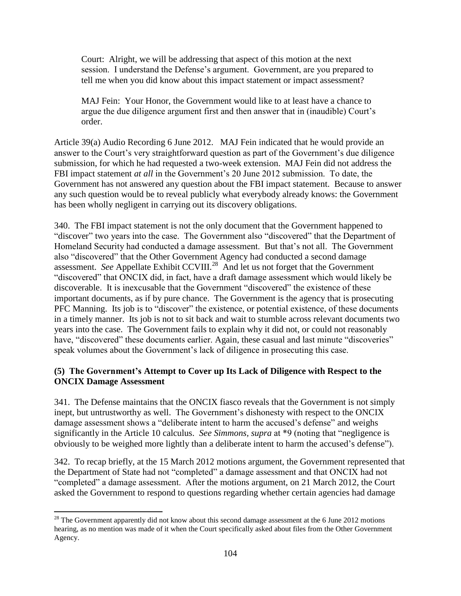Court: Alright, we will be addressing that aspect of this motion at the next session. I understand the Defense's argument. Government, are you prepared to tell me when you did know about this impact statement or impact assessment?

MAJ Fein: Your Honor, the Government would like to at least have a chance to argue the due diligence argument first and then answer that in (inaudible) Court's order.

Article 39(a) Audio Recording 6 June 2012. MAJ Fein indicated that he would provide an answer to the Court's very straightforward question as part of the Government's due diligence submission, for which he had requested a two-week extension. MAJ Fein did not address the FBI impact statement *at all* in the Government's 20 June 2012 submission. To date, the Government has not answered any question about the FBI impact statement. Because to answer any such question would be to reveal publicly what everybody already knows: the Government has been wholly negligent in carrying out its discovery obligations.

340. The FBI impact statement is not the only document that the Government happened to "discover" two years into the case. The Government also "discovered" that the Department of Homeland Security had conducted a damage assessment. But that's not all. The Government also "discovered" that the Other Government Agency had conducted a second damage assessment. See Appellate Exhibit CCVIII.<sup>28</sup> And let us not forget that the Government "discovered" that ONCIX did, in fact, have a draft damage assessment which would likely be discoverable. It is inexcusable that the Government "discovered" the existence of these important documents, as if by pure chance. The Government is the agency that is prosecuting PFC Manning. Its job is to "discover" the existence, or potential existence, of these documents in a timely manner. Its job is not to sit back and wait to stumble across relevant documents two years into the case. The Government fails to explain why it did not, or could not reasonably have, "discovered" these documents earlier. Again, these casual and last minute "discoveries" speak volumes about the Government's lack of diligence in prosecuting this case.

## **(5) The Government's Attempt to Cover up Its Lack of Diligence with Respect to the ONCIX Damage Assessment**

341. The Defense maintains that the ONCIX fiasco reveals that the Government is not simply inept, but untrustworthy as well. The Government's dishonesty with respect to the ONCIX damage assessment shows a "deliberate intent to harm the accused's defense" and weighs significantly in the Article 10 calculus. *See Simmons, supra* at \*9 (noting that "negligence is obviously to be weighed more lightly than a deliberate intent to harm the accused's defense").

342. To recap briefly, at the 15 March 2012 motions argument, the Government represented that the Department of State had not "completed" a damage assessment and that ONCIX had not "completed" a damage assessment. After the motions argument, on 21 March 2012, the Court asked the Government to respond to questions regarding whether certain agencies had damage

 $\overline{\phantom{a}}$  $28$  The Government apparently did not know about this second damage assessment at the 6 June 2012 motions hearing, as no mention was made of it when the Court specifically asked about files from the Other Government Agency.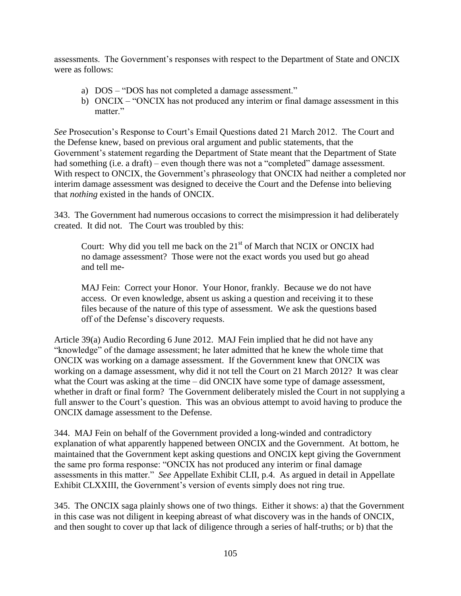assessments. The Government's responses with respect to the Department of State and ONCIX were as follows:

- a) DOS "DOS has not completed a damage assessment."
- b) ONCIX "ONCIX has not produced any interim or final damage assessment in this matter."

*See* Prosecution's Response to Court's Email Questions dated 21 March 2012. The Court and the Defense knew, based on previous oral argument and public statements, that the Government's statement regarding the Department of State meant that the Department of State had something (i.e. a draft) – even though there was not a "completed" damage assessment. With respect to ONCIX, the Government's phraseology that ONCIX had neither a completed nor interim damage assessment was designed to deceive the Court and the Defense into believing that *nothing* existed in the hands of ONCIX.

343. The Government had numerous occasions to correct the misimpression it had deliberately created. It did not. The Court was troubled by this:

Court: Why did you tell me back on the 21<sup>st</sup> of March that NCIX or ONCIX had no damage assessment? Those were not the exact words you used but go ahead and tell me-

MAJ Fein: Correct your Honor. Your Honor, frankly. Because we do not have access. Or even knowledge, absent us asking a question and receiving it to these files because of the nature of this type of assessment. We ask the questions based off of the Defense's discovery requests.

Article 39(a) Audio Recording 6 June 2012. MAJ Fein implied that he did not have any "knowledge" of the damage assessment; he later admitted that he knew the whole time that ONCIX was working on a damage assessment. If the Government knew that ONCIX was working on a damage assessment, why did it not tell the Court on 21 March 2012? It was clear what the Court was asking at the time – did ONCIX have some type of damage assessment, whether in draft or final form? The Government deliberately misled the Court in not supplying a full answer to the Court's question. This was an obvious attempt to avoid having to produce the ONCIX damage assessment to the Defense.

344. MAJ Fein on behalf of the Government provided a long-winded and contradictory explanation of what apparently happened between ONCIX and the Government. At bottom, he maintained that the Government kept asking questions and ONCIX kept giving the Government the same pro forma response: "ONCIX has not produced any interim or final damage assessments in this matter." *See* Appellate Exhibit CLII, p.4. As argued in detail in Appellate Exhibit CLXXIII, the Government's version of events simply does not ring true.

345. The ONCIX saga plainly shows one of two things. Either it shows: a) that the Government in this case was not diligent in keeping abreast of what discovery was in the hands of ONCIX, and then sought to cover up that lack of diligence through a series of half-truths; or b) that the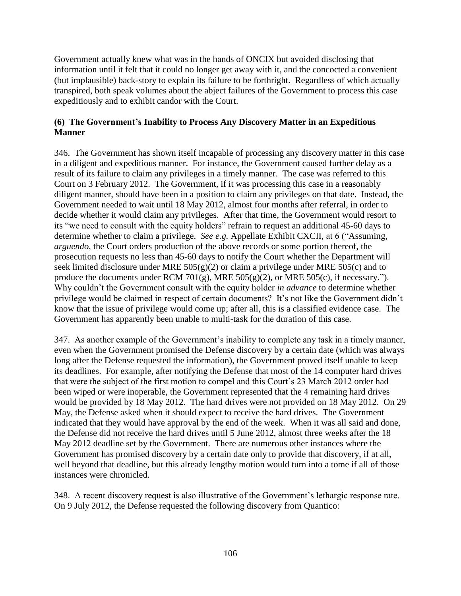Government actually knew what was in the hands of ONCIX but avoided disclosing that information until it felt that it could no longer get away with it, and the concocted a convenient (but implausible) back-story to explain its failure to be forthright. Regardless of which actually transpired, both speak volumes about the abject failures of the Government to process this case expeditiously and to exhibit candor with the Court.

## **(6) The Government's Inability to Process Any Discovery Matter in an Expeditious Manner**

346. The Government has shown itself incapable of processing any discovery matter in this case in a diligent and expeditious manner. For instance, the Government caused further delay as a result of its failure to claim any privileges in a timely manner. The case was referred to this Court on 3 February 2012. The Government, if it was processing this case in a reasonably diligent manner, should have been in a position to claim any privileges on that date. Instead, the Government needed to wait until 18 May 2012, almost four months after referral, in order to decide whether it would claim any privileges. After that time, the Government would resort to its "we need to consult with the equity holders" refrain to request an additional 45-60 days to determine whether to claim a privilege. *See e.g.* Appellate Exhibit CXCII, at 6 ("Assuming, *arguendo*, the Court orders production of the above records or some portion thereof, the prosecution requests no less than 45-60 days to notify the Court whether the Department will seek limited disclosure under MRE  $505(g)(2)$  or claim a privilege under MRE  $505(c)$  and to produce the documents under RCM 701(g), MRE  $505(g)(2)$ , or MRE  $505(c)$ , if necessary."). Why couldn't the Government consult with the equity holder *in advance* to determine whether privilege would be claimed in respect of certain documents? It's not like the Government didn't know that the issue of privilege would come up; after all, this is a classified evidence case. The Government has apparently been unable to multi-task for the duration of this case.

347. As another example of the Government's inability to complete any task in a timely manner, even when the Government promised the Defense discovery by a certain date (which was always long after the Defense requested the information), the Government proved itself unable to keep its deadlines. For example, after notifying the Defense that most of the 14 computer hard drives that were the subject of the first motion to compel and this Court's 23 March 2012 order had been wiped or were inoperable, the Government represented that the 4 remaining hard drives would be provided by 18 May 2012. The hard drives were not provided on 18 May 2012. On 29 May, the Defense asked when it should expect to receive the hard drives. The Government indicated that they would have approval by the end of the week. When it was all said and done, the Defense did not receive the hard drives until 5 June 2012, almost three weeks after the 18 May 2012 deadline set by the Government. There are numerous other instances where the Government has promised discovery by a certain date only to provide that discovery, if at all, well beyond that deadline, but this already lengthy motion would turn into a tome if all of those instances were chronicled.

348. A recent discovery request is also illustrative of the Government's lethargic response rate. On 9 July 2012, the Defense requested the following discovery from Quantico: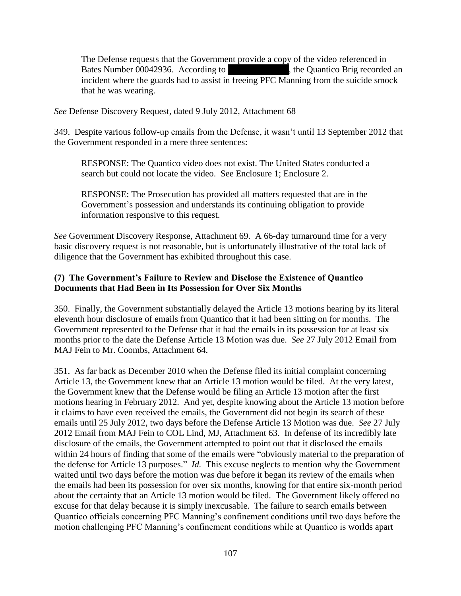The Defense requests that the Government provide a copy of the video referenced in Bates Number 00042936. According to  $\blacksquare$ , the Quantico Brig recorded an incident where the guards had to assist in freeing PFC Manning from the suicide smock that he was wearing.

*See* Defense Discovery Request, dated 9 July 2012, Attachment 68

349. Despite various follow-up emails from the Defense, it wasn't until 13 September 2012 that the Government responded in a mere three sentences:

RESPONSE: The Quantico video does not exist. The United States conducted a search but could not locate the video. See Enclosure 1; Enclosure 2.

RESPONSE: The Prosecution has provided all matters requested that are in the Government's possession and understands its continuing obligation to provide information responsive to this request.

*See* Government Discovery Response, Attachment 69. A 66-day turnaround time for a very basic discovery request is not reasonable, but is unfortunately illustrative of the total lack of diligence that the Government has exhibited throughout this case.

## **(7) The Government's Failure to Review and Disclose the Existence of Quantico Documents that Had Been in Its Possession for Over Six Months**

350. Finally, the Government substantially delayed the Article 13 motions hearing by its literal eleventh hour disclosure of emails from Quantico that it had been sitting on for months. The Government represented to the Defense that it had the emails in its possession for at least six months prior to the date the Defense Article 13 Motion was due. *See* 27 July 2012 Email from MAJ Fein to Mr. Coombs, Attachment 64.

351. As far back as December 2010 when the Defense filed its initial complaint concerning Article 13, the Government knew that an Article 13 motion would be filed. At the very latest, the Government knew that the Defense would be filing an Article 13 motion after the first motions hearing in February 2012. And yet, despite knowing about the Article 13 motion before it claims to have even received the emails, the Government did not begin its search of these emails until 25 July 2012, two days before the Defense Article 13 Motion was due. *See* 27 July 2012 Email from MAJ Fein to COL Lind, MJ, Attachment 63. In defense of its incredibly late disclosure of the emails, the Government attempted to point out that it disclosed the emails within 24 hours of finding that some of the emails were "obviously material to the preparation of the defense for Article 13 purposes." *Id.* This excuse neglects to mention why the Government waited until two days before the motion was due before it began its review of the emails when the emails had been its possession for over six months, knowing for that entire six-month period about the certainty that an Article 13 motion would be filed. The Government likely offered no excuse for that delay because it is simply inexcusable. The failure to search emails between Quantico officials concerning PFC Manning's confinement conditions until two days before the motion challenging PFC Manning's confinement conditions while at Quantico is worlds apart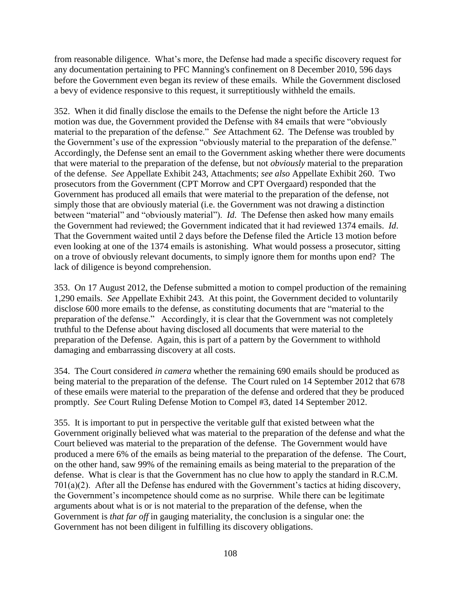from reasonable diligence. What's more, the Defense had made a specific discovery request for any documentation pertaining to PFC Manning's confinement on 8 December 2010, 596 days before the Government even began its review of these emails. While the Government disclosed a bevy of evidence responsive to this request, it surreptitiously withheld the emails.

352. When it did finally disclose the emails to the Defense the night before the Article 13 motion was due, the Government provided the Defense with 84 emails that were "obviously material to the preparation of the defense." *See* Attachment 62. The Defense was troubled by the Government's use of the expression "obviously material to the preparation of the defense." Accordingly, the Defense sent an email to the Government asking whether there were documents that were material to the preparation of the defense, but not *obviously* material to the preparation of the defense. *See* Appellate Exhibit 243, Attachments; *see also* Appellate Exhibit 260. Two prosecutors from the Government (CPT Morrow and CPT Overgaard) responded that the Government has produced all emails that were material to the preparation of the defense, not simply those that are obviously material (i.e. the Government was not drawing a distinction between "material" and "obviously material"). *Id*. The Defense then asked how many emails the Government had reviewed; the Government indicated that it had reviewed 1374 emails. *Id*. That the Government waited until 2 days before the Defense filed the Article 13 motion before even looking at one of the 1374 emails is astonishing. What would possess a prosecutor, sitting on a trove of obviously relevant documents, to simply ignore them for months upon end? The lack of diligence is beyond comprehension.

353. On 17 August 2012, the Defense submitted a motion to compel production of the remaining 1,290 emails. *See* Appellate Exhibit 243. At this point, the Government decided to voluntarily disclose 600 more emails to the defense, as constituting documents that are "material to the preparation of the defense." Accordingly, it is clear that the Government was not completely truthful to the Defense about having disclosed all documents that were material to the preparation of the Defense. Again, this is part of a pattern by the Government to withhold damaging and embarrassing discovery at all costs.

354. The Court considered *in camera* whether the remaining 690 emails should be produced as being material to the preparation of the defense. The Court ruled on 14 September 2012 that 678 of these emails were material to the preparation of the defense and ordered that they be produced promptly. *See* Court Ruling Defense Motion to Compel #3, dated 14 September 2012.

355. It is important to put in perspective the veritable gulf that existed between what the Government originally believed what was material to the preparation of the defense and what the Court believed was material to the preparation of the defense. The Government would have produced a mere 6% of the emails as being material to the preparation of the defense. The Court, on the other hand, saw 99% of the remaining emails as being material to the preparation of the defense. What is clear is that the Government has no clue how to apply the standard in R.C.M. 701(a)(2). After all the Defense has endured with the Government's tactics at hiding discovery, the Government's incompetence should come as no surprise. While there can be legitimate arguments about what is or is not material to the preparation of the defense, when the Government is *that far off* in gauging materiality, the conclusion is a singular one: the Government has not been diligent in fulfilling its discovery obligations.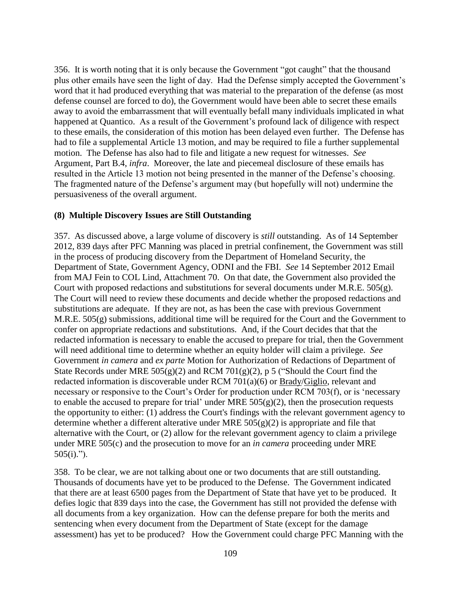356. It is worth noting that it is only because the Government "got caught" that the thousand plus other emails have seen the light of day. Had the Defense simply accepted the Government's word that it had produced everything that was material to the preparation of the defense (as most defense counsel are forced to do), the Government would have been able to secret these emails away to avoid the embarrassment that will eventually befall many individuals implicated in what happened at Quantico. As a result of the Government's profound lack of diligence with respect to these emails, the consideration of this motion has been delayed even further. The Defense has had to file a supplemental Article 13 motion, and may be required to file a further supplemental motion. The Defense has also had to file and litigate a new request for witnesses. *See*  Argument, Part B.4, *infra*. Moreover, the late and piecemeal disclosure of these emails has resulted in the Article 13 motion not being presented in the manner of the Defense's choosing. The fragmented nature of the Defense's argument may (but hopefully will not) undermine the persuasiveness of the overall argument.

## **(8) Multiple Discovery Issues are Still Outstanding**

357. As discussed above, a large volume of discovery is *still* outstanding. As of 14 September 2012, 839 days after PFC Manning was placed in pretrial confinement, the Government was still in the process of producing discovery from the Department of Homeland Security, the Department of State, Government Agency, ODNI and the FBI. *See* 14 September 2012 Email from MAJ Fein to COL Lind, Attachment 70. On that date, the Government also provided the Court with proposed redactions and substitutions for several documents under M.R.E. 505(g). The Court will need to review these documents and decide whether the proposed redactions and substitutions are adequate. If they are not, as has been the case with previous Government M.R.E. 505(g) submissions, additional time will be required for the Court and the Government to confer on appropriate redactions and substitutions. And, if the Court decides that that the redacted information is necessary to enable the accused to prepare for trial, then the Government will need additional time to determine whether an equity holder will claim a privilege. *See*  Government *in camera* and *ex parte* Motion for Authorization of Redactions of Department of State Records under MRE  $505(g)(2)$  and RCM  $701(g)(2)$ , p 5 ("Should the Court find the redacted information is discoverable under RCM 701(a)(6) or Brady/Giglio, relevant and necessary or responsive to the Court's Order for production under RCM 703(f), or is 'necessary to enable the accused to prepare for trial' under MRE  $505(g)(2)$ , then the prosecution requests the opportunity to either: (1) address the Court's findings with the relevant government agency to determine whether a different alterative under MRE  $505(g)(2)$  is appropriate and file that alternative with the Court, or (2) allow for the relevant government agency to claim a privilege under MRE 505(c) and the prosecution to move for an *in camera* proceeding under MRE  $505(i).$ ").

358. To be clear, we are not talking about one or two documents that are still outstanding. Thousands of documents have yet to be produced to the Defense. The Government indicated that there are at least 6500 pages from the Department of State that have yet to be produced. It defies logic that 839 days into the case, the Government has still not provided the defense with all documents from a key organization. How can the defense prepare for both the merits and sentencing when every document from the Department of State (except for the damage assessment) has yet to be produced? How the Government could charge PFC Manning with the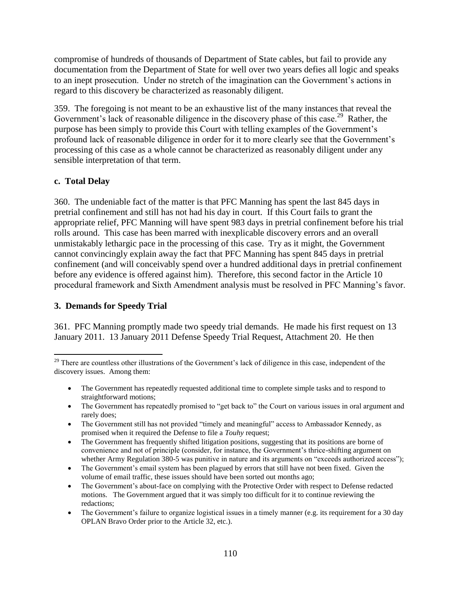compromise of hundreds of thousands of Department of State cables, but fail to provide any documentation from the Department of State for well over two years defies all logic and speaks to an inept prosecution. Under no stretch of the imagination can the Government's actions in regard to this discovery be characterized as reasonably diligent.

359. The foregoing is not meant to be an exhaustive list of the many instances that reveal the Government's lack of reasonable diligence in the discovery phase of this case.<sup>29</sup> Rather, the purpose has been simply to provide this Court with telling examples of the Government's profound lack of reasonable diligence in order for it to more clearly see that the Government's processing of this case as a whole cannot be characterized as reasonably diligent under any sensible interpretation of that term.

# **c. Total Delay**

360. The undeniable fact of the matter is that PFC Manning has spent the last 845 days in pretrial confinement and still has not had his day in court. If this Court fails to grant the appropriate relief, PFC Manning will have spent 983 days in pretrial confinement before his trial rolls around. This case has been marred with inexplicable discovery errors and an overall unmistakably lethargic pace in the processing of this case. Try as it might, the Government cannot convincingly explain away the fact that PFC Manning has spent 845 days in pretrial confinement (and will conceivably spend over a hundred additional days in pretrial confinement before any evidence is offered against him). Therefore, this second factor in the Article 10 procedural framework and Sixth Amendment analysis must be resolved in PFC Manning's favor.

# **3. Demands for Speedy Trial**

361. PFC Manning promptly made two speedy trial demands. He made his first request on 13 January 2011. 13 January 2011 Defense Speedy Trial Request, Attachment 20. He then

- The Government has repeatedly requested additional time to complete simple tasks and to respond to straightforward motions;
- The Government has repeatedly promised to "get back to" the Court on various issues in oral argument and rarely does;
- The Government still has not provided "timely and meaningful" access to Ambassador Kennedy, as promised when it required the Defense to file a *Touhy* request;
- The Government has frequently shifted litigation positions, suggesting that its positions are borne of convenience and not of principle (consider, for instance, the Government's thrice-shifting argument on whether Army Regulation 380-5 was punitive in nature and its arguments on "exceeds authorized access");
- The Government's email system has been plagued by errors that still have not been fixed. Given the volume of email traffic, these issues should have been sorted out months ago;
- The Government's about-face on complying with the Protective Order with respect to Defense redacted motions. The Government argued that it was simply too difficult for it to continue reviewing the redactions;
- The Government's failure to organize logistical issues in a timely manner (e.g. its requirement for a 30 day OPLAN Bravo Order prior to the Article 32, etc.).

 $\overline{\phantom{a}}$  $29$  There are countless other illustrations of the Government's lack of diligence in this case, independent of the discovery issues. Among them: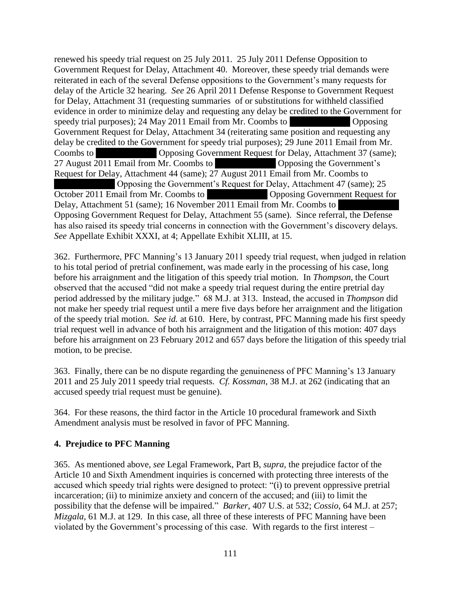renewed his speedy trial request on 25 July 2011. 25 July 2011 Defense Opposition to Government Request for Delay, Attachment 40. Moreover, these speedy trial demands were reiterated in each of the several Defense oppositions to the Government's many requests for delay of the Article 32 hearing. *See* 26 April 2011 Defense Response to Government Request for Delay, Attachment 31 (requesting summaries of or substitutions for withheld classified evidence in order to minimize delay and requesting any delay be credited to the Government for speedy trial purposes);  $24$  May  $2011$  Email from Mr. Coombs to  $\blacksquare$  Opposing Government Request for Delay, Attachment 34 (reiterating same position and requesting any delay be credited to the Government for speedy trial purposes); 29 June 2011 Email from Mr. Coombs to \*\*\*\*\* Opposing Government Request for Delay, Attachment 37 (same); 27 August 2011 Email from Mr. Coombs to \*\*\*\*\*\* Opposing the Government's Request for Delay, Attachment 44 (same); 27 August 2011 Email from Mr. Coombs to Opposing the Government's Request for Delay, Attachment 47 (same); 25 October 2011 Email from Mr. Coombs to \*\*\*\*\* Opposing Government Request for Delay, Attachment 51 (same); 16 November 2011 Email from Mr. Coombs to Opposing Government Request for Delay, Attachment 55 (same). Since referral, the Defense has also raised its speedy trial concerns in connection with the Government's discovery delays. *See* Appellate Exhibit XXXI, at 4; Appellate Exhibit XLIII, at 15.

362. Furthermore, PFC Manning's 13 January 2011 speedy trial request, when judged in relation to his total period of pretrial confinement, was made early in the processing of his case, long before his arraignment and the litigation of this speedy trial motion. In *Thompson*, the Court observed that the accused "did not make a speedy trial request during the entire pretrial day period addressed by the military judge." 68 M.J. at 313. Instead, the accused in *Thompson* did not make her speedy trial request until a mere five days before her arraignment and the litigation of the speedy trial motion. *See id.* at 610. Here, by contrast, PFC Manning made his first speedy trial request well in advance of both his arraignment and the litigation of this motion: 407 days before his arraignment on 23 February 2012 and 657 days before the litigation of this speedy trial motion, to be precise.

363. Finally, there can be no dispute regarding the genuineness of PFC Manning's 13 January 2011 and 25 July 2011 speedy trial requests. *Cf. Kossman*, 38 M.J. at 262 (indicating that an accused speedy trial request must be genuine).

364. For these reasons, the third factor in the Article 10 procedural framework and Sixth Amendment analysis must be resolved in favor of PFC Manning.

# **4. Prejudice to PFC Manning**

365. As mentioned above, *see* Legal Framework, Part B, *supra*, the prejudice factor of the Article 10 and Sixth Amendment inquiries is concerned with protecting three interests of the accused which speedy trial rights were designed to protect: "(i) to prevent oppressive pretrial incarceration; (ii) to minimize anxiety and concern of the accused; and (iii) to limit the possibility that the defense will be impaired." *Barker*, 407 U.S. at 532; *Cossio*, 64 M.J. at 257; *Mizgala*, 61 M.J. at 129. In this case, all three of these interests of PFC Manning have been violated by the Government's processing of this case. With regards to the first interest –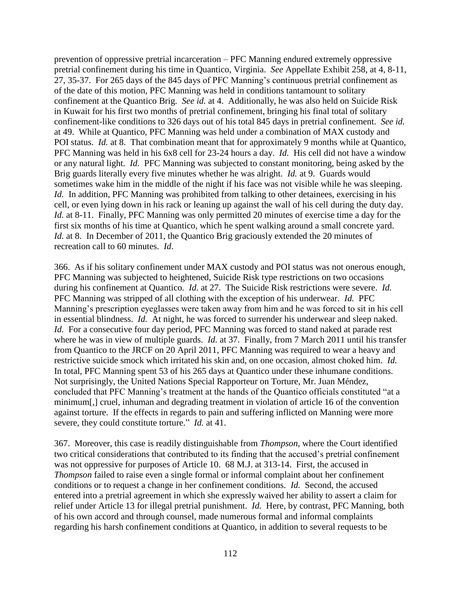prevention of oppressive pretrial incarceration – PFC Manning endured extremely oppressive pretrial confinement during his time in Quantico, Virginia. *See* Appellate Exhibit 258, at 4, 8-11, 27, 35-37. For 265 days of the 845 days of PFC Manning's continuous pretrial confinement as of the date of this motion, PFC Manning was held in conditions tantamount to solitary confinement at the Quantico Brig. *See id.* at 4. Additionally, he was also held on Suicide Risk in Kuwait for his first two months of pretrial confinement, bringing his final total of solitary confinement-like conditions to 326 days out of his total 845 days in pretrial confinement. *See id.* at 49. While at Quantico, PFC Manning was held under a combination of MAX custody and POI status. *Id.* at 8. That combination meant that for approximately 9 months while at Quantico, PFC Manning was held in his 6x8 cell for 23-24 hours a day. *Id.* His cell did not have a window or any natural light. *Id.* PFC Manning was subjected to constant monitoring, being asked by the Brig guards literally every five minutes whether he was alright. *Id.* at 9. Guards would sometimes wake him in the middle of the night if his face was not visible while he was sleeping. *Id.* In addition, PFC Manning was prohibited from talking to other detainees, exercising in his cell, or even lying down in his rack or leaning up against the wall of his cell during the duty day. *Id.* at 8-11. Finally, PFC Manning was only permitted 20 minutes of exercise time a day for the first six months of his time at Quantico, which he spent walking around a small concrete yard. *Id.* at 8. In December of 2011, the Quantico Brig graciously extended the 20 minutes of recreation call to 60 minutes. *Id*.

366. As if his solitary confinement under MAX custody and POI status was not onerous enough, PFC Manning was subjected to heightened, Suicide Risk type restrictions on two occasions during his confinement at Quantico. *Id.* at 27. The Suicide Risk restrictions were severe. *Id.* PFC Manning was stripped of all clothing with the exception of his underwear. *Id.* PFC Manning's prescription eyeglasses were taken away from him and he was forced to sit in his cell in essential blindness. *Id.* At night, he was forced to surrender his underwear and sleep naked. *Id.* For a consecutive four day period, PFC Manning was forced to stand naked at parade rest where he was in view of multiple guards. *Id.* at 37. Finally, from 7 March 2011 until his transfer from Quantico to the JRCF on 20 April 2011, PFC Manning was required to wear a heavy and restrictive suicide smock which irritated his skin and, on one occasion, almost choked him. *Id.* In total, PFC Manning spent 53 of his 265 days at Quantico under these inhumane conditions. Not surprisingly, the United Nations Special Rapporteur on Torture, Mr. Juan Méndez, concluded that PFC Manning's treatment at the hands of the Quantico officials constituted "at a minimum[,] cruel, inhuman and degrading treatment in violation of article 16 of the convention against torture. If the effects in regards to pain and suffering inflicted on Manning were more severe, they could constitute torture." *Id.* at 41.

367. Moreover, this case is readily distinguishable from *Thompson*, where the Court identified two critical considerations that contributed to its finding that the accused's pretrial confinement was not oppressive for purposes of Article 10. 68 M.J. at 313-14. First, the accused in *Thompson* failed to raise even a single formal or informal complaint about her confinement conditions or to request a change in her confinement conditions. *Id.* Second, the accused entered into a pretrial agreement in which she expressly waived her ability to assert a claim for relief under Article 13 for illegal pretrial punishment. *Id.* Here, by contrast, PFC Manning, both of his own accord and through counsel, made numerous formal and informal complaints regarding his harsh confinement conditions at Quantico, in addition to several requests to be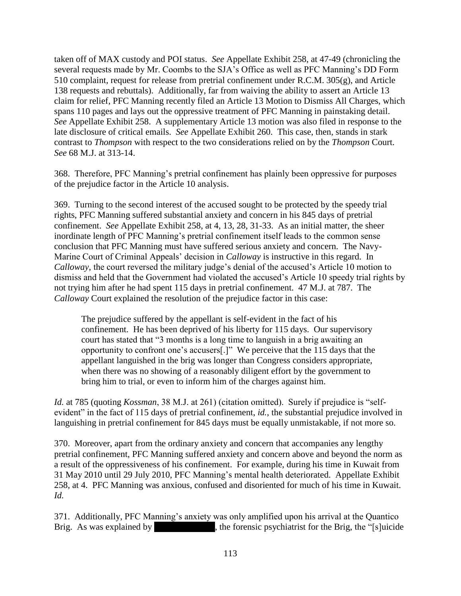taken off of MAX custody and POI status. *See* Appellate Exhibit 258, at 47-49 (chronicling the several requests made by Mr. Coombs to the SJA's Office as well as PFC Manning's DD Form 510 complaint, request for release from pretrial confinement under R.C.M. 305(g), and Article 138 requests and rebuttals). Additionally, far from waiving the ability to assert an Article 13 claim for relief, PFC Manning recently filed an Article 13 Motion to Dismiss All Charges, which spans 110 pages and lays out the oppressive treatment of PFC Manning in painstaking detail. *See* Appellate Exhibit 258. A supplementary Article 13 motion was also filed in response to the late disclosure of critical emails. *See* Appellate Exhibit 260. This case, then, stands in stark contrast to *Thompson* with respect to the two considerations relied on by the *Thompson* Court. *See* 68 M.J. at 313-14.

368. Therefore, PFC Manning's pretrial confinement has plainly been oppressive for purposes of the prejudice factor in the Article 10 analysis.

369. Turning to the second interest of the accused sought to be protected by the speedy trial rights, PFC Manning suffered substantial anxiety and concern in his 845 days of pretrial confinement. *See* Appellate Exhibit 258, at 4, 13, 28, 31-33. As an initial matter, the sheer inordinate length of PFC Manning's pretrial confinement itself leads to the common sense conclusion that PFC Manning must have suffered serious anxiety and concern. The Navy-Marine Court of Criminal Appeals' decision in *Calloway* is instructive in this regard. In *Calloway*, the court reversed the military judge's denial of the accused's Article 10 motion to dismiss and held that the Government had violated the accused's Article 10 speedy trial rights by not trying him after he had spent 115 days in pretrial confinement. 47 M.J. at 787. The *Calloway* Court explained the resolution of the prejudice factor in this case:

The prejudice suffered by the appellant is self-evident in the fact of his confinement. He has been deprived of his liberty for 115 days. Our supervisory court has stated that "3 months is a long time to languish in a brig awaiting an opportunity to confront one's accusers[.]" We perceive that the 115 days that the appellant languished in the brig was longer than Congress considers appropriate, when there was no showing of a reasonably diligent effort by the government to bring him to trial, or even to inform him of the charges against him.

*Id.* at 785 (quoting *Kossman*, 38 M.J. at 261) (citation omitted). Surely if prejudice is "selfevident" in the fact of 115 days of pretrial confinement, *id.*, the substantial prejudice involved in languishing in pretrial confinement for 845 days must be equally unmistakable, if not more so.

370. Moreover, apart from the ordinary anxiety and concern that accompanies any lengthy pretrial confinement, PFC Manning suffered anxiety and concern above and beyond the norm as a result of the oppressiveness of his confinement. For example, during his time in Kuwait from 31 May 2010 until 29 July 2010, PFC Manning's mental health deteriorated. Appellate Exhibit 258, at 4. PFC Manning was anxious, confused and disoriented for much of his time in Kuwait. *Id.*

371. Additionally, PFC Manning's anxiety was only amplified upon his arrival at the Quantico Brig. As was explained by the forensic psychiatrist for the Brig, the "[s]uicide , the forensic psychiatrist for the Brig, the " $[s]u$ icide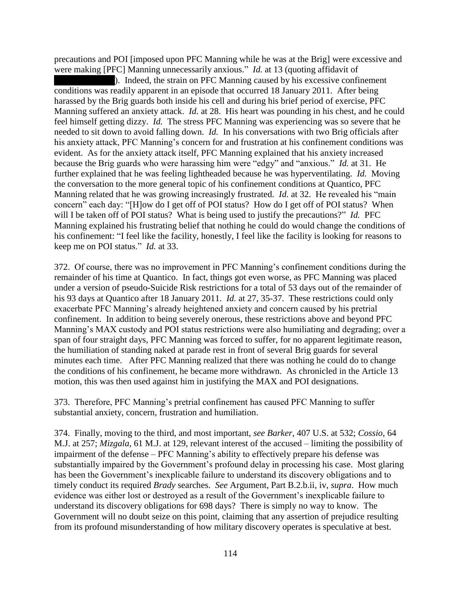precautions and POI [imposed upon PFC Manning while he was at the Brig] were excessive and were making [PFC] Manning unnecessarily anxious." *Id.* at 13 (quoting affidavit of

). Indeed, the strain on PFC Manning caused by his excessive confinement conditions was readily apparent in an episode that occurred 18 January 2011. After being harassed by the Brig guards both inside his cell and during his brief period of exercise, PFC Manning suffered an anxiety attack. *Id.* at 28. His heart was pounding in his chest, and he could feel himself getting dizzy. *Id.* The stress PFC Manning was experiencing was so severe that he needed to sit down to avoid falling down. *Id.* In his conversations with two Brig officials after his anxiety attack, PFC Manning's concern for and frustration at his confinement conditions was evident. As for the anxiety attack itself, PFC Manning explained that his anxiety increased because the Brig guards who were harassing him were "edgy" and "anxious." *Id.* at 31. He further explained that he was feeling lightheaded because he was hyperventilating. *Id.* Moving the conversation to the more general topic of his confinement conditions at Quantico, PFC Manning related that he was growing increasingly frustrated. *Id.* at 32. He revealed his "main concern" each day: "[H]ow do I get off of POI status? How do I get off of POI status? When will I be taken off of POI status? What is being used to justify the precautions?" *Id.* PFC Manning explained his frustrating belief that nothing he could do would change the conditions of his confinement: "I feel like the facility, honestly, I feel like the facility is looking for reasons to keep me on POI status." *Id.* at 33.

372. Of course, there was no improvement in PFC Manning's confinement conditions during the remainder of his time at Quantico. In fact, things got even worse, as PFC Manning was placed under a version of pseudo-Suicide Risk restrictions for a total of 53 days out of the remainder of his 93 days at Quantico after 18 January 2011. *Id.* at 27, 35-37. These restrictions could only exacerbate PFC Manning's already heightened anxiety and concern caused by his pretrial confinement. In addition to being severely onerous, these restrictions above and beyond PFC Manning's MAX custody and POI status restrictions were also humiliating and degrading; over a span of four straight days, PFC Manning was forced to suffer, for no apparent legitimate reason, the humiliation of standing naked at parade rest in front of several Brig guards for several minutes each time. After PFC Manning realized that there was nothing he could do to change the conditions of his confinement, he became more withdrawn. As chronicled in the Article 13 motion, this was then used against him in justifying the MAX and POI designations.

373. Therefore, PFC Manning's pretrial confinement has caused PFC Manning to suffer substantial anxiety, concern, frustration and humiliation.

374. Finally, moving to the third, and most important, *see Barker*, 407 U.S. at 532; *Cossio*, 64 M.J. at 257; *Mizgala*, 61 M.J. at 129, relevant interest of the accused – limiting the possibility of impairment of the defense – PFC Manning's ability to effectively prepare his defense was substantially impaired by the Government's profound delay in processing his case. Most glaring has been the Government's inexplicable failure to understand its discovery obligations and to timely conduct its required *Brady* searches. *See* Argument, Part B.2.b.ii, iv, *supra*. How much evidence was either lost or destroyed as a result of the Government's inexplicable failure to understand its discovery obligations for 698 days? There is simply no way to know. The Government will no doubt seize on this point, claiming that any assertion of prejudice resulting from its profound misunderstanding of how military discovery operates is speculative at best.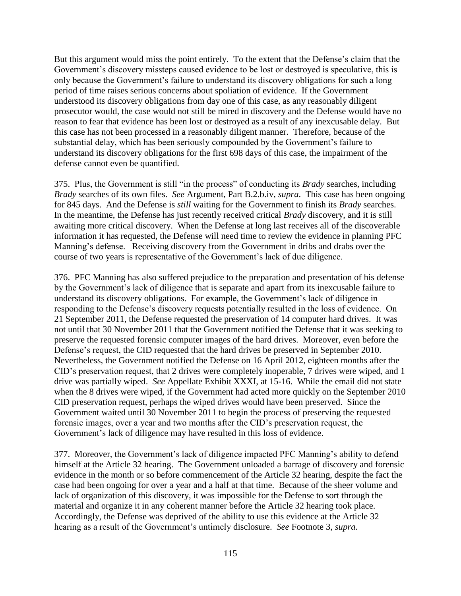But this argument would miss the point entirely. To the extent that the Defense's claim that the Government's discovery missteps caused evidence to be lost or destroyed is speculative, this is only because the Government's failure to understand its discovery obligations for such a long period of time raises serious concerns about spoliation of evidence. If the Government understood its discovery obligations from day one of this case, as any reasonably diligent prosecutor would, the case would not still be mired in discovery and the Defense would have no reason to fear that evidence has been lost or destroyed as a result of any inexcusable delay. But this case has not been processed in a reasonably diligent manner. Therefore, because of the substantial delay, which has been seriously compounded by the Government's failure to understand its discovery obligations for the first 698 days of this case, the impairment of the defense cannot even be quantified.

375. Plus, the Government is still "in the process" of conducting its *Brady* searches, including *Brady* searches of its own files. *See* Argument, Part B.2.b.iv, *supra*. This case has been ongoing for 845 days. And the Defense is *still* waiting for the Government to finish its *Brady* searches. In the meantime, the Defense has just recently received critical *Brady* discovery, and it is still awaiting more critical discovery. When the Defense at long last receives all of the discoverable information it has requested, the Defense will need time to review the evidence in planning PFC Manning's defense. Receiving discovery from the Government in dribs and drabs over the course of two years is representative of the Government's lack of due diligence.

376. PFC Manning has also suffered prejudice to the preparation and presentation of his defense by the Government's lack of diligence that is separate and apart from its inexcusable failure to understand its discovery obligations. For example, the Government's lack of diligence in responding to the Defense's discovery requests potentially resulted in the loss of evidence. On 21 September 2011, the Defense requested the preservation of 14 computer hard drives. It was not until that 30 November 2011 that the Government notified the Defense that it was seeking to preserve the requested forensic computer images of the hard drives. Moreover, even before the Defense's request, the CID requested that the hard drives be preserved in September 2010. Nevertheless, the Government notified the Defense on 16 April 2012, eighteen months after the CID's preservation request, that 2 drives were completely inoperable, 7 drives were wiped, and 1 drive was partially wiped. *See* Appellate Exhibit XXXI, at 15-16. While the email did not state when the 8 drives were wiped, if the Government had acted more quickly on the September 2010 CID preservation request, perhaps the wiped drives would have been preserved. Since the Government waited until 30 November 2011 to begin the process of preserving the requested forensic images, over a year and two months after the CID's preservation request, the Government's lack of diligence may have resulted in this loss of evidence.

377. Moreover, the Government's lack of diligence impacted PFC Manning's ability to defend himself at the Article 32 hearing. The Government unloaded a barrage of discovery and forensic evidence in the month or so before commencement of the Article 32 hearing, despite the fact the case had been ongoing for over a year and a half at that time. Because of the sheer volume and lack of organization of this discovery, it was impossible for the Defense to sort through the material and organize it in any coherent manner before the Article 32 hearing took place. Accordingly, the Defense was deprived of the ability to use this evidence at the Article 32 hearing as a result of the Government's untimely disclosure. *See* Footnote 3, *supra*.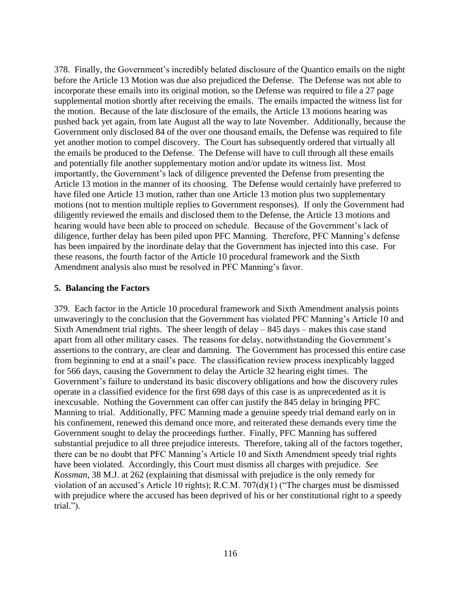378. Finally, the Government's incredibly belated disclosure of the Quantico emails on the night before the Article 13 Motion was due also prejudiced the Defense. The Defense was not able to incorporate these emails into its original motion, so the Defense was required to file a 27 page supplemental motion shortly after receiving the emails. The emails impacted the witness list for the motion. Because of the late disclosure of the emails, the Article 13 motions hearing was pushed back yet again, from late August all the way to late November. Additionally, because the Government only disclosed 84 of the over one thousand emails, the Defense was required to file yet another motion to compel discovery. The Court has subsequently ordered that virtually all the emails be produced to the Defense. The Defense will have to cull through all these emails and potentially file another supplementary motion and/or update its witness list. Most importantly, the Government's lack of diligence prevented the Defense from presenting the Article 13 motion in the manner of its choosing. The Defense would certainly have preferred to have filed one Article 13 motion, rather than one Article 13 motion plus two supplementary motions (not to mention multiple replies to Government responses). If only the Government had diligently reviewed the emails and disclosed them to the Defense, the Article 13 motions and hearing would have been able to proceed on schedule. Because of the Government's lack of diligence, further delay has been piled upon PFC Manning. Therefore, PFC Manning's defense has been impaired by the inordinate delay that the Government has injected into this case. For these reasons, the fourth factor of the Article 10 procedural framework and the Sixth Amendment analysis also must be resolved in PFC Manning's favor.

## **5. Balancing the Factors**

379. Each factor in the Article 10 procedural framework and Sixth Amendment analysis points unwaveringly to the conclusion that the Government has violated PFC Manning's Article 10 and Sixth Amendment trial rights. The sheer length of delay – 845 days – makes this case stand apart from all other military cases. The reasons for delay, notwithstanding the Government's assertions to the contrary, are clear and damning. The Government has processed this entire case from beginning to end at a snail's pace. The classification review process inexplicably lagged for 566 days, causing the Government to delay the Article 32 hearing eight times. The Government's failure to understand its basic discovery obligations and how the discovery rules operate in a classified evidence for the first 698 days of this case is as unprecedented as it is inexcusable. Nothing the Government can offer can justify the 845 delay in bringing PFC Manning to trial. Additionally, PFC Manning made a genuine speedy trial demand early on in his confinement, renewed this demand once more, and reiterated these demands every time the Government sought to delay the proceedings further. Finally, PFC Manning has suffered substantial prejudice to all three prejudice interests. Therefore, taking all of the factors together, there can be no doubt that PFC Manning's Article 10 and Sixth Amendment speedy trial rights have been violated. Accordingly, this Court must dismiss all charges with prejudice. *See Kossman*, 38 M.J. at 262 (explaining that dismissal with prejudice is the only remedy for violation of an accused's Article 10 rights); R.C.M. 707(d)(1) ("The charges must be dismissed with prejudice where the accused has been deprived of his or her constitutional right to a speedy trial.").